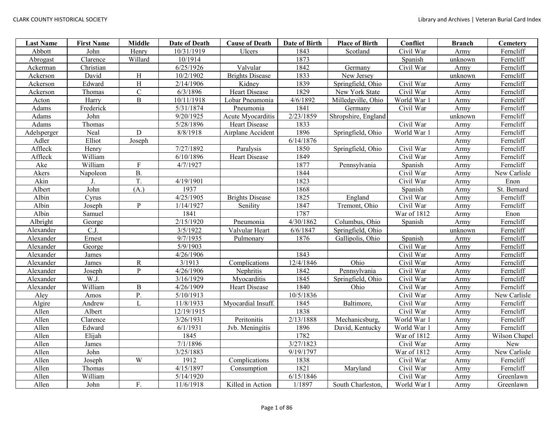| <b>Last Name</b> | <b>First Name</b> | Middle         | Date of Death | <b>Cause of Death</b>  | Date of Birth | <b>Place of Birth</b> | Conflict    | <b>Branch</b> | Cemetery      |
|------------------|-------------------|----------------|---------------|------------------------|---------------|-----------------------|-------------|---------------|---------------|
| Abbott           | John              | Henry          | 10/31/1919    | Ulcers                 | 1843          | Scotland              | Civil War   | Army          | Ferncliff     |
| Abrogast         | Clarence          | Willard        | 10/1914       |                        | 1873          |                       | Spanish     | unknown       | Ferncliff     |
| Ackerman         | Christian         |                | 6/25/1926     | Valvular               | 1842          | Germany               | Civil War   | Army          | Ferncliff     |
| Ackerson         | David             | H              | 10/2/1902     | <b>Brights Disease</b> | 1833          | New Jersey            |             | unknown       | Ferncliff     |
| Ackerson         | Edward            | H              | 2/14/1906     | Kidney                 | 1839          | Springfield, Ohio     | Civil War   | Army          | Ferncliff     |
| Ackerson         | Thomas            | ${\bf C}$      | 6/3/1896      | <b>Heart Disease</b>   | 1829          | New York State        | Civil War   | Army          | Ferncliff     |
| Acton            | Harry             | $\mathbf B$    | 10/11/1918    | Lobar Pneumonia        | 4/6/1892      | Milledgville, Ohio    | World War 1 | Army          | Ferncliff     |
| Adams            | Frederick         |                | 5/31/1874     | Pneumonia              | 1841          | Germany               | Civil War   | Army          | Ferncliff     |
| Adams            | John              |                | 9/20/1925     | Acute Myocarditis      | 2/23/1859     | Shropshire, England   |             | unknown       | Ferncliff     |
| Adams            | Thomas            |                | 5/28/1896     | <b>Heart Disease</b>   | 1833          |                       | Civil War   | Army          | Ferncliff     |
| Adelsperger      | Neal              | D              | 8/8/1918      | Airplane Accident      | 1896          | Springfield, Ohio     | World War 1 | Army          | Ferncliff     |
| Adler            | Elliot            | Joseph         |               |                        | 6/14/1876     |                       |             | Army          | Ferncliff     |
| Affleck          | Henry             |                | 7/27/1892     | Paralysis              | 1850          | Springfield, Ohio     | Civil War   | Army          | Ferncliff     |
| Affleck          | William           |                | 6/10/1896     | Heart Disease          | 1849          |                       | Civil War   | Army          | Ferncliff     |
| Ake              | William           | ${\bf F}$      | 4/7/1927      |                        | 1877          | Pennsylvania          | Spanish     | Army          | Ferncliff     |
| Akers            | Napoleon          | B              |               |                        | 1844          |                       | Civil War   | Army          | New Carlisle  |
| Akin             | J.                | T.             | 4/19/1901     |                        | 1823          |                       | Civil War   | Army          | Enon          |
| Albert           | John              | (A.)           | 1937          |                        | 1868          |                       | Spanish     | Army          | St. Bernard   |
| Albin            | Cyrus             |                | 4/25/1905     | <b>Brights Disease</b> | 1825          | England               | Civil War   | Army          | Ferncliff     |
| Albin            | Joseph            | $\mathbf{P}$   | 1/14/1927     | Senility               | 1847          | Tremont, Ohio         | Civil War   | Army          | Ferncliff     |
| Albin            | Samuel            |                | 1841          |                        | 1787          |                       | War of 1812 | Army          | Enon          |
| Albright         | George            |                | 2/15/1920     | Pneumonia              | 4/30/1862     | Columbus, Ohio        | Spanish     | Army          | Ferncliff     |
| Alexander        | C.J.              |                | 3/5/1922      | Valvular Heart         | 6/6/1847      | Springfield, Ohio     |             | unknown       | Ferncliff     |
| Alexander        | Ernest            |                | 9/7/1935      | Pulmonary              | 1876          | Gallipolis, Ohio      | Spanish     | Army          | Ferncliff     |
| Alexander        | George            |                | 5/9/1903      |                        |               |                       | Civil War   | Army          | Ferncliff     |
| Alexander        | James             |                | 4/26/1906     |                        | 1843          |                       | Civil War   | Army          | Ferncliff     |
| Alexander        | James             | ${\bf R}$      | 3/1913        | Complications          | 12/4/1846     | Ohio                  | Civil War   | Army          | Ferncliff     |
| Alexander        | Joseph            | $\overline{P}$ | 4/26/1906     | Nephritis              | 1842          | Pennsylvania          | Civil War   | Army          | Ferncliff     |
| Alexander        | W.J.              |                | 3/16/1929     | Myocarditis            | 1845          | Springfield, Ohio     | Civil War   | Army          | Ferncliff     |
| Alexander        | William           | $\, {\bf B}$   | 4/26/1909     | <b>Heart Disease</b>   | 1840          | Ohio                  | Civil War   | Army          | Ferncliff     |
| Aley             | Amos              | P.             | 5/10/1913     |                        | 10/5/1836     |                       | Civil War   | Army          | New Carlisle  |
| Algire           | Andrew            | L              | 11/8/1933     | Myocardial Insuff.     | 1845          | Baltimore,            | Civil War   | Army          | Ferncliff     |
| Allen            | Albert            |                | 12/19/1915    |                        | 1838          |                       | Civil War   | Army          | Ferncliff     |
| Allen            | Clarence          |                | 3/26/1931     | Peritonitis            | 2/13/1888     | Mechanicsburg,        | World War 1 | Army          | Ferncliff     |
| Allen            | Edward            |                | 6/1/1931      | Jvb. Meningitis        | 1896          | David, Kentucky       | World War 1 | Army          | Ferncliff     |
| Allen            | Elijah            |                | 1845          |                        | 1782          |                       | War of 1812 | Army          | Wilson Chapel |
| Allen            | James             |                | 7/1/1896      |                        | 3/27/1823     |                       | Civil War   | Army          | New           |
| Allen            | John              |                | 3/25/1883     |                        | 9/19/1797     |                       | War of 1812 | Army          | New Carlisle  |
| Allen            | Joseph            | W              | 1912          | Complications          | 1838          |                       | Civil War   | Army          | Ferncliff     |
| Allen            | Thomas            |                | 4/15/1897     | Consumption            | 1821          | Maryland              | Civil War   | Army          | Ferncliff     |
| Allen            | William           |                | 5/14/1920     |                        | 6/15/1846     |                       | Civil War   | Army          | Greenlawn     |
| Allen            | John              | F.             | 11/6/1918     | Killed in Action       | 1/1897        | South Charleston.     | World War I | Army          | Greenlawn     |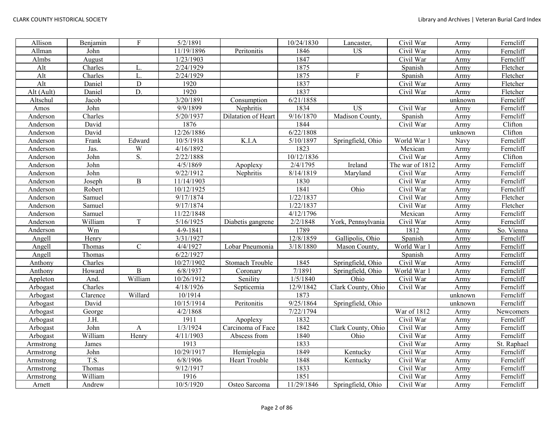| Allison    | Benjamin | F                       | 5/2/1891   |                     | 10/24/1830          | Lancaster,         | Civil War       | Army    | Ferncliff   |
|------------|----------|-------------------------|------------|---------------------|---------------------|--------------------|-----------------|---------|-------------|
| Allman     | John     |                         | 11/19/1896 | Peritonitis         | 1846                | $\overline{US}$    | Civil War       | Army    | Ferncliff   |
| Almbs      | August   |                         | 1/23/1903  |                     | 1847                |                    | Civil War       | Army    | Ferncliff   |
| Alt        | Charles  | L.                      | 2/24/1929  |                     | 1875                |                    | Spanish         | Army    | Fletcher    |
| Alt        | Charles  | L.                      | 2/24/1929  |                     | 1875                | F                  | Spanish         | Army    | Fletcher    |
| Alt        | Daniel   | $\mathbf D$             | 1920       |                     | 1837                |                    | Civil War       | Army    | Fletcher    |
| Alt (Ault) | Daniel   | D.                      | 1920       |                     | 1837                |                    | Civil War       | Army    | Fletcher    |
| Altschul   | Jacob    |                         | 3/20/1891  | Consumption         | 6/21/1858           |                    |                 | unknown | Ferncliff   |
| Amos       | John     |                         | 9/9/1899   | Nephritis           | 1834                | <b>US</b>          | Civil War       | Army    | Ferncliff   |
| Anderson   | Charles  |                         | 5/20/1937  | Dilatation of Heart | 9/16/1870           | Madison County,    | Spanish         | Army    | Ferncliff   |
| Anderson   | David    |                         | 1876       |                     | 1844                |                    | Civil War       | Army    | Clifton     |
| Anderson   | David    |                         | 12/26/1886 |                     | 6/22/1808           |                    |                 | unknown | Clifton     |
| Anderson   | Frank    | Edward                  | 10/5/1918  | K.I.A               | 5/10/1897           | Springfield, Ohio  | World War 1     | Navy    | Ferncliff   |
| Anderson   | Jas.     | $\ensuremath{\text{W}}$ | 4/16/1892  |                     | 1823                |                    | Mexican         | Army    | Ferncliff   |
| Anderson   | John     | S.                      | 2/22/1888  |                     | 10/12/1836          |                    | Civil War       | Army    | Clifton     |
| Anderson   | John     |                         | 4/5/1869   | Apoplexy            | 2/4/1795            | Ireland            | The war of 1812 | Army    | Ferncliff   |
| Anderson   | John     |                         | 9/22/1912  | Nephritis           | 8/14/1819           | Maryland           | Civil War       | Army    | Ferncliff   |
| Anderson   | Joseph   | $\mathbf B$             | 11/14/1903 |                     | 1830                |                    | Civil War       | Army    | Ferncliff   |
| Anderson   | Robert   |                         | 10/12/1925 |                     | 1841                | Ohio               | Civil War       | Army    | Ferncliff   |
| Anderson   | Samuel   |                         | 9/17/1874  |                     | 1/22/1837           |                    | Civil War       | Army    | Fletcher    |
| Anderson   | Samuel   |                         | 9/17/1874  |                     | 1/22/1837           |                    | Civil War       | Army    | Fletcher    |
| Anderson   | Samuel   |                         | 11/22/1848 |                     | 4/12/1796           |                    | Mexican         | Army    | Ferncliff   |
| Anderson   | William  | T                       | 5/16/1925  | Diabetis gangrene   | 2/2/1848            | York, Pennsylvania | Civil War       | Army    | Ferncliff   |
| Anderson   | Wm       |                         | 4-9-1841   |                     | 1789                |                    | 1812            | Army    | So. Vienna  |
| Angell     | Henry    |                         | 3/31/1927  |                     | 12/8/1859           | Gallipolis, Ohio   | Spanish         | Army    | Ferncliff   |
| Angell     | Thomas   | $\mathsf{C}$            | 4/4/1927   | Lobar Pneumonia     | 3/18/1880           | Mason County,      | World War 1     | Army    | Ferncliff   |
| Angell     | Thomas   |                         | 6/22/1927  |                     |                     |                    | Spanish         | Army    | Ferncliff   |
| Anthony    | Charles  |                         | 10/27/1902 | Stomach Trouble     | 1845                | Springfield, Ohio  | Civil War       | Army    | Ferncliff   |
| Anthony    | Howard   | B                       | 6/8/1937   | Coronary            | 7/1891              | Springfield, Ohio  | World War 1     | Army    | Ferncliff   |
| Appleton   | And.     | William                 | 10/26/1912 | Senility            | 1/5/1840            | Ohio               | Civil War       | Army    | Ferncliff   |
| Arbogast   | Charles  |                         | 4/18/1926  | Septicemia          | $\frac{12}{9/1842}$ | Clark County, Ohio | Civil War       | Army    | Ferncliff   |
| Arbogast   | Clarence | Willard                 | 10/1914    |                     | 1873                |                    |                 | unknown | Ferncliff   |
| Arbogast   | David    |                         | 10/15/1914 | Peritonitis         | 9/25/1864           | Springfield, Ohio  |                 | unknown | Ferncliff   |
| Arbogast   | George   |                         | 4/2/1868   |                     | 7/22/1794           |                    | War of 1812     | Army    | Newcomers   |
| Arbogast   | J.H.     |                         | 1911       | Apoplexy            | 1832                |                    | Civil War       | Army    | Ferncliff   |
| Arbogast   | John     | $\mathbf{A}$            | 1/3/1924   | Carcinoma of Face   | 1842                | Clark County, Ohio | Civil War       | Army    | Ferncliff   |
| Arbogast   | William  | Henry                   | 4/11/1903  | Abscess from        | 1840                | Ohio               | Civil War       | Army    | Ferncliff   |
| Armstrong  | James    |                         | 1913       |                     | 1833                |                    | Civil War       | Army    | St. Raphael |
| Armstrong  | John     |                         | 10/29/1917 | Hemiplegia          | 1849                | Kentucky           | Civil War       | Army    | Ferncliff   |
| Armstrong  | T.S.     |                         | 6/8/1906   | Heart Trouble       | 1848                | Kentucky           | Civil War       | Army    | Ferncliff   |
| Armstrong  | Thomas   |                         | 9/12/1917  |                     | 1833                |                    | Civil War       | Army    | Ferncliff   |
| Armstrong  | William  |                         | 1916       |                     | 1851                |                    | Civil War       | Army    | Ferncliff   |
| Arnett     | Andrew   |                         | 10/5/1920  | Osteo Sarcoma       | 11/29/1846          | Springfield, Ohio  | Civil War       | Army    | Ferncliff   |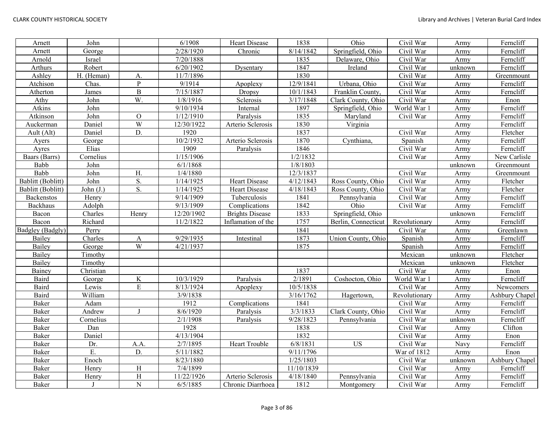| Arnett                  | John        |                  | 6/1908     | Heart Disease          | 1838       | Ohio                | Civil War     | Army    | Ferncliff      |
|-------------------------|-------------|------------------|------------|------------------------|------------|---------------------|---------------|---------|----------------|
| Arnett                  | George      |                  | 2/28/1920  | Chronic                | 8/14/1842  | Springfield, Ohio   | Civil War     | Army    | Ferncliff      |
| Arnold                  | Israel      |                  | 7/20/1888  |                        | 1835       | Delaware, Ohio      | Civil War     | Army    | Ferncliff      |
| Arthurs                 | Robert      |                  | 6/20/1902  | Dysentary              | 1847       | Ireland             | Civil War     | unknown | Ferncliff      |
| Ashley                  | H. (Heman)  | А.               | 11/7/1896  |                        | 1830       |                     | Civil War     | Army    | Greenmount     |
| Atchison                | Chas.       | $\, {\bf p}$     | 9/1914     | Apoplexy               | 12/9/1841  | Urbana, Ohio        | Civil War     | Army    | Ferncliff      |
| Atherton                | James       | $\, {\bf B}$     | 7/15/1887  | Dropsy                 | 10/1/1843  | Franklin County,    | Civil War     | Army    | Ferncliff      |
| Athy                    | John        | W.               | 1/8/1916   | Sclerosis              | 3/17/1848  | Clark County, Ohio  | Civil War     | Army    | Enon           |
| Atkins                  | John        |                  | 9/10/1934  | Internal               | 1897       | Springfield, Ohio   | World War 1   | Army    | Ferncliff      |
| Atkinson                | John        | $\mathbf O$      | 1/12/1910  | Paralysis              | 1835       | Maryland            | Civil War     | Army    | Ferncliff      |
| Auckerman               | Daniel      | W                | 12/30/1922 | Arterio Sclerosis      | 1830       | Virginia            |               | Army    | Ferncliff      |
| Ault (Alt)              | Daniel      | $\overline{D}$ . | 1920       |                        | 1837       |                     | Civil War     | Army    | Fletcher       |
| Ayers                   | George      |                  | 10/2/1932  | Arterio Sclerosis      | 1870       | Cynthiana,          | Spanish       | Army    | Ferncliff      |
| Ayres                   | Elias       |                  | 1909       | Paralysis              | 1846       |                     | Civil War     | Army    | Ferncliff      |
| Baars (Barrs)           | Cornelius   |                  | 1/15/1906  |                        | 1/2/1832   |                     | Civil War     | Army    | New Carlisle   |
| Babb                    | John        |                  | 6/1/1868   |                        | 1/8/1803   |                     |               | unknown | Greenmount     |
| Babb                    | John        | H.               | 1/4/1880   |                        | 12/3/1837  |                     | Civil War     | Army    | Greenmount     |
| Bablitt (Boblitt)       | John        | S.               | 1/14/1925  | <b>Heart Disease</b>   | 4/12/1843  | Ross County, Ohio   | Civil War     | Army    | Fletcher       |
| Bablitt (Boblitt)       | John $(J.)$ | S.               | 1/14/1925  | <b>Heart Disease</b>   | 4/18/1843  | Ross County, Ohio   | Civil War     | Army    | Fletcher       |
| Backenstos              | Henry       |                  | 9/14/1909  | Tuberculosis           | 1841       | Pennsylvania        | Civil War     | Army    | Ferncliff      |
| Backhaus                | Adolph      |                  | 9/13/1909  | Complications          | 1842       | Ohio                | Civil War     | Army    | Ferncliff      |
| Bacon                   | Charles     | Henry            | 12/20/1902 | <b>Brights Disease</b> | 1833       | Springfield, Ohio   |               | unknown | Ferncliff      |
| Bacon                   | Richard     |                  | 11/2/1822  | Inflamation of the     | 1757       | Berlin, Connecticut | Revolutionary | Army    | Ferncliff      |
| <b>Badgley</b> (Badgly) | Perry       |                  |            |                        | 1841       |                     | Civil War     | Army    | Greenlawn      |
| Bailev                  | Charles     | $\mathbf A$      | 9/29/1935  | Intestinal             | 1873       | Union County, Ohio  | Spanish       | Army    | Ferncliff      |
| Bailey                  | George      | W                | 4/21/1937  |                        | 1875       |                     | Spanish       | Army    | Ferncliff      |
| <b>Bailey</b>           | Timothy     |                  |            |                        |            |                     | Mexican       | unknown | Fletcher       |
| <b>Bailey</b>           | Timothy     |                  |            |                        |            |                     | Mexican       | unknown | Fletcher       |
| Bainey                  | Christian   |                  |            |                        | 1837       |                     | Civil War     | Army    | Enon           |
| Baird                   | George      | $\rm K$          | 10/3/1929  | Paralysis              | 2/1891     | Coshocton, Ohio     | World War 1   | Army    | Ferncliff      |
| <b>Baird</b>            | Lewis       | $\overline{E}$   | 8/13/1924  | Apoplexy               | 10/5/1838  |                     | Civil War     | Army    | Newcomers      |
| Baird                   | William     |                  | 3/9/1838   |                        | 3/16/1762  | Hagertown,          | Revolutionary | Army    | Ashbury Chapel |
| Baker                   | Adam        |                  | 1912       | Complications          | 1841       |                     | Civil War     | Army    | Ferncliff      |
| Baker                   | Andrew      | -1               | 8/6/1920   | Paralysis              | 3/3/1833   | Clark County, Ohio  | Civil War     | Army    | Ferncliff      |
| Baker                   | Cornelius   |                  | 2/1/1908   | Paralysis              | 9/28/1823  | Pennsylvania        | Civil War     | unknown | Ferncliff      |
| Baker                   | Dan         |                  | 1928       |                        | 1838       |                     | Civil War     | Army    | Clifton        |
| Baker                   | Daniel      |                  | 4/13/1904  |                        | 1832       |                     | Civil War     | Army    | Enon           |
| Baker                   | Dr.         | A.A.             | 2/7/1895   | <b>Heart Trouble</b>   | 6/8/1831   | <b>US</b>           | Civil War     | Navy    | Ferncliff      |
| Baker                   | E.          | D.               | 5/11/1882  |                        | 9/11/1796  |                     | War of 1812   | Army    | Enon           |
| Baker                   | Enoch       |                  | 8/23/1880  |                        | 1/25/1803  |                     | Civil War     | unknown | Ashbury Chapel |
| Baker                   | Henry       | H                | 7/4/1899   |                        | 11/10/1839 |                     | Civil War     | Army    | Ferncliff      |
| Baker                   | Henry       | $\overline{H}$   | 11/22/1926 | Arterio Sclerosis      | 4/18/1840  | Pennsylvania        | Civil War     | Army    | Ferncliff      |
| Baker                   | J           | $\overline{N}$   | 6/5/1885   | Chronic Diarrhoea      | 1812       | Montgomery          | Civil War     | Army    | Ferncliff      |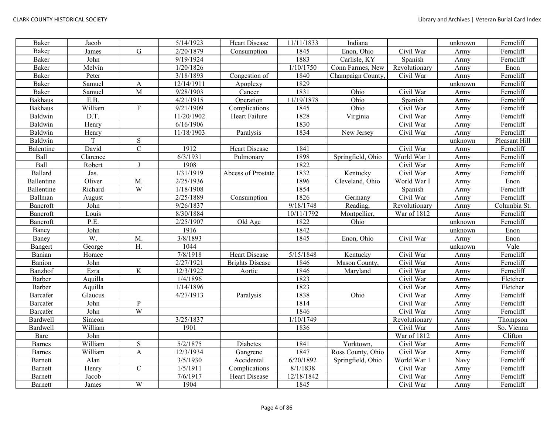| Baker           | Jacob    |                  | 5/14/1923  | <b>Heart Disease</b>   | 11/11/1833 | Indiana           |               | unknown | Ferncliff     |
|-----------------|----------|------------------|------------|------------------------|------------|-------------------|---------------|---------|---------------|
| Baker           | James    | $\mathbf G$      | 2/20/1879  | Consumption            | 1845       | Enon, Ohio        | Civil War     | Army    | Ferncliff     |
| <b>Baker</b>    | John     |                  | 9/19/1924  |                        | 1883       | Carlisle, KY      | Spanish       | Army    | Ferncliff     |
| <b>Baker</b>    | Melvin   |                  | 1/20/1826  |                        | 1/10/1750  | Conn Farmes, New  | Revolutionary | Army    | Enon          |
| <b>Baker</b>    | Peter    |                  | 3/18/1893  | Congestion of          | 1840       | Champaign County, | Civil War     | Army    | Ferncliff     |
| Baker           | Samuel   | $\boldsymbol{A}$ | 12/14/1911 | Apoplexy               | 1829       |                   |               | unknown | Ferncliff     |
| <b>Baker</b>    | Samuel   | $\mathbf M$      | 9/28/1903  | Cancer                 | 1831       | Ohio              | Civil War     | Army    | Ferncliff     |
| <b>Bakhaus</b>  | E.B.     |                  | 4/21/1915  | Operation              | 11/19/1878 | Ohio              | Spanish       | Army    | Ferncliff     |
| <b>Bakhaus</b>  | William  | $\overline{F}$   | 9/21/1909  | Complications          | 1845       | Ohio              | Civil War     | Army    | Ferncliff     |
| Baldwin         | D.T.     |                  | 11/20/1902 | Heart Failure          | 1828       | Virginia          | Civil War     | Army    | Ferncliff     |
| Baldwin         | Henry    |                  | 6/16/1906  |                        | 1830       |                   | Civil War     | Army    | Ferncliff     |
| Baldwin         | Henry    |                  | 11/18/1903 | Paralysis              | 1834       | New Jersey        | Civil War     | Army    | Ferncliff     |
| Baldwin         | T        | ${\bf S}$        |            |                        |            |                   |               | unknown | Pleasant Hill |
| Balentine       | David    | $\mathbf C$      | 1912       | <b>Heart Disease</b>   | 1841       |                   | Civil War     | Army    | Ferncliff     |
| Ball            | Clarence |                  | 6/3/1931   | Pulmonary              | 1898       | Springfield, Ohio | World War 1   | Army    | Ferncliff     |
| Ball            | Robert   | $\mathbf I$      | 1908       |                        | 1822       |                   | Civil War     | Army    | Ferncliff     |
| Ballard         | Jas.     |                  | 1/31/1919  | Abcess of Prostate     | 1832       | Kentucky          | Civil War     | Army    | Ferncliff     |
| Ballentine      | Oliver   | M.               | 2/25/1936  |                        | 1896       | Cleveland, Ohio   | World War I   | Army    | Enon          |
| Ballentine      | Richard  | W                | 1/18/1908  |                        | 1854       |                   | Spanish       | Army    | Ferncliff     |
| Ballman         | August   |                  | 2/25/1889  | Consumption            | 1826       | Germany           | Civil War     | Army    | Ferncliff     |
| Bancroft        | John     |                  | 9/26/1837  |                        | 9/18/1748  | Reading,          | Revolutionary | Army    | Columbia St.  |
| Bancroft        | Louis    |                  | 8/30/1884  |                        | 10/11/1792 | Montpellier,      | War of 1812   | Army    | Ferncliff     |
| Bancroft        | P.E.     |                  | 2/25/1907  | Old Age                | 1822       | Ohio              |               | unknown | Ferncliff     |
| Baney           | John     |                  | 1916       |                        | 1842       |                   |               | unknown | Enon          |
| Baney           | W.       | M.               | 3/8/1893   |                        | 1845       | Enon, Ohio        | Civil War     | Army    | Enon          |
| Bangert         | George   | H.               | 1044       |                        |            |                   |               | unknown | Vale          |
| Banian          | Horace   |                  | 7/8/1918   | Heart Disease          | 5/15/1848  | Kentucky          | Civil War     | Army    | Ferncliff     |
| Banion          | John     |                  | 2/27/1921  | <b>Brights Disease</b> | 1846       | Mason County,     | Civil War     | Army    | Ferncliff     |
| Banzhof         | Ezra     | $\rm K$          | 12/3/1922  | Aortic                 | 1846       | Maryland          | Civil War     | Army    | Ferncliff     |
| Barber          | Aquilla  |                  | 1/4/1896   |                        | 1823       |                   | Civil War     | Army    | Fletcher      |
| Barber          | Aquilla  |                  | 1/14/1896  |                        | 1823       |                   | Civil War     | Army    | Fletcher      |
| <b>Barcafer</b> | Glaucus  |                  | 4/27/1913  | Paralysis              | 1838       | Ohio              | Civil War     | Army    | Ferncliff     |
| Barcafer        | John     | ${\bf P}$        |            |                        | 1814       |                   | Civil War     | Army    | Ferncliff     |
| Barcafer        | John     | W                |            |                        | 1846       |                   | Civil War     | Army    | Ferncliff     |
| <b>Bardwell</b> | Simeon   |                  | 3/25/1837  |                        | 1/10/1749  |                   | Revolutionary | Army    | Thompson      |
| <b>Bardwell</b> | William  |                  | 1901       |                        | 1836       |                   | Civil War     | Army    | So. Vienna    |
| Bare            | John     |                  |            |                        |            |                   | War of 1812   | Army    | Clifton       |
| <b>Barnes</b>   | William  | ${\bf S}$        | 5/2/1875   | Diabetes               | 1841       | Yorktown,         | Civil War     | Army    | Ferncliff     |
| <b>Barnes</b>   | William  | $\mathbf{A}$     | 12/3/1934  | Gangrene               | 1847       | Ross County, Ohio | Civil War     | Army    | Ferncliff     |
| <b>Barnett</b>  | Alan     |                  | 3/5/1930   | Accidental             | 6/20/1892  | Springfield, Ohio | World War 1   | Navy    | Ferncliff     |
| <b>Barnett</b>  | Henry    | $\mathsf C$      | 1/5/1911   | Complications          | 8/1/1838   |                   | Civil War     | Army    | Ferncliff     |
| Barnett         | Jacob    |                  | 7/6/1917   | Heart Disease          | 12/18/1842 |                   | Civil War     | Army    | Ferncliff     |
| <b>Barnett</b>  | James    | W                | 1904       |                        | 1845       |                   | Civil War     | Army    | Ferncliff     |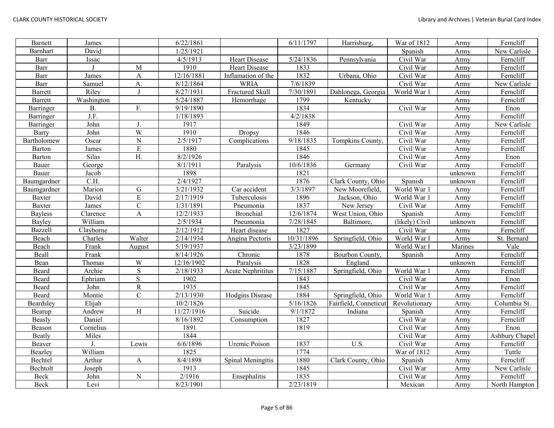| <b>Barnett</b> | James      |                         | 6/22/1861  |                    | 6/11/1797  | Harrisburg,           | War of 1812    | Army    | Ferncliff      |
|----------------|------------|-------------------------|------------|--------------------|------------|-----------------------|----------------|---------|----------------|
| Barnhart       | David      |                         | 1/25/1921  |                    |            |                       | Spanish        | Army    | New Carlisle   |
| Barr           | Issac      |                         | 4/5/1913   | Heart Disease      | 5/24/1836  | Pennsylvania          | Civil War      | Army    | Ferncliff      |
| Barr           |            | M                       | 1910       | Heart Disease      | 1833       |                       | Civil War      | Army    | Ferncliff      |
| Barr           | James      | A                       | 12/16/1881 | Inflamation of the | 1832       | Urbana, Ohio          | Civil War      | Army    | Ferncliff      |
| Barr           | Samuel     | A.                      | 8/12/1864  | <b>WRIA</b>        | 7/6/1839   |                       | Civil War      | Army    | New Carlisle   |
| Barrett        | Riley      | J                       | 8/27/1931  | Fractured Skull    | 7/30/1891  | Dahlonega, Georgia    | World War 1    | Army    | Ferncliff      |
| Barrett        | Washington |                         | 5/24/1887  | Hemorrhage         | 1799       | Kentucky              |                | Army    | Ferncliff      |
| Barringer      | <b>B.</b>  | F.                      | 9/19/1890  |                    | 1834       |                       | Civil War      | Army    | Enon           |
| Barringer      | J.F.       |                         | 1/18/1893  |                    | 4/2/1838   |                       |                | Army    | Ferncliff      |
| Barringer      | John       | J.                      | 1917       |                    | 1849       |                       | Civil War      | Army    | New Carlisle   |
| Barry          | John       | W                       | 1910       | Dropsy             | 1846       |                       | Civil War      | Army    | Ferncliff      |
| Bartholomew    | Oscar      | $\overline{N}$          | 2/5/1917   | Complications      | 9/18/1835  | Tompkins County.      | Civil War      | Army    | Ferncliff      |
| Barton         | James      | ${\bf E}$               | 1880       |                    | 1845       |                       | Civil War      | Army    | Ferncliff      |
| Barton         | Silas      | H.                      | 8/2/1926   |                    | 1846       |                       | Civil War      | Army    | Enon           |
| Bauer          | George     |                         | 8/1/1911   | Paralysis          | 10/6/1836  | Germany               | Civil War      | Army    | Ferncliff      |
| Bauer          | Jacob      |                         | 1898       |                    | 1821       |                       |                | unknown | Ferncliff      |
| Baumgardner    | C.H.       |                         | 2/4/1927   |                    | 1876       | Clark County, Ohio    | Spanish        | unknown | Ferncliff      |
| Baumgardner    | Marion     | ${\bf G}$               | 3/21/1932  | Car accident       | 3/3/1897   | New Moorefield,       | World War 1    | Army    | Ferncliff      |
| <b>Baxter</b>  | David      | $\overline{\mathrm{E}}$ | 2/17/1919  | Tuberculosis       | 1896       | Jackson, Ohio         | World War 1    | Army    | Ferncliff      |
| <b>Baxter</b>  | James      | $\mathbf C$             | 1/31/1891  | Pneumonia          | 1837       | New Jersey            | Civil War      | Army    | Ferncliff      |
| <b>Bayless</b> | Clarence   | $\overline{A}$          | 12/2/1933  | <b>Bronchial</b>   | 12/6/1874  | West Union, Ohio      | Spanish        | Army    | Ferncliff      |
| <b>Bayley</b>  | William    |                         | 2/5/1934   | Pneumonia          | 7/28/1845  | Baltimore,            | (likely) Civil | unknown | Ferncliff      |
| <b>Bazzell</b> | Clayborne  |                         | 2/12/1912  | Heart disease      | 1827       |                       | Civil War      | Army    | Ferncliff      |
| Beach          | Charles    | Walter                  | 2/14/1934  | Angina Pectoris    | 10/31/1896 | Springfield, Ohio     | World War I    | Army    | St. Bernard    |
| Beach          | Frank      | August                  | 5/19/1937  |                    | 3/23/1899  |                       | World War I    | Marines | Vale           |
| Beall          | Frank      |                         | 8/14/1926  | Chronic            | 1878       | Bourbon County,       | Spanish        | Army    | Ferncliff      |
| Bean           | Thomas     | W                       | 12/16/1902 | Paralysis          | 1828       | England               |                | unknown | Ferncliff      |
| Beard          | Archie     | $\overline{S}$          | 2/18/1933  | Acute Nephrititus  | 7/15/1887  | Springfield, Ohio     | World War 1    | Army    | Ferncliff      |
| Beard          | Ephriam    | S.                      | 1902       |                    | 1843       |                       | Civil War      | Army    | Enon           |
| Beard          | John       | $\overline{R}$          | 1935       |                    | 1845       |                       | Civil War      | Army    | Ferncliff      |
| Beard          | Montie     | $\overline{C}$          | 2/13/1930  | Hodgins Disease    | 1884       | Springfield, Ohio     | World War 1    | Army    | Ferncliff      |
| Beardsley      | Elijah     |                         | 10/2/1826  |                    | 5/16/1826  | Fairfield, Conneticut | Revolutionary  | Army    | Columbia St.   |
| Bearup         | Andrew     | H                       | 11/27/1916 | Suicide            | 9/1/1872   | Indiana               | Spanish        | Army    | Ferncliff      |
| Beasly         | Daniel     |                         | 8/16/1892  | Consumption        | 1827       |                       | Civil War      | Army    | Ferncliff      |
| Beason         | Cornelius  |                         | 1891       |                    | 1819       |                       | Civil War      | Army    | Enon           |
| Beatly         | Miles      |                         | 1844       |                    |            |                       | Civil War      | Army    | Ashbury Chapel |
| Beaver         |            | Lewis                   | 6/6/1896   | Uremic Poison      | 1837       | U.S.                  | Civil War      | Army    | Ferncliff      |
| <b>Beazley</b> | William    |                         | 1825       |                    | 1774       |                       | War of 1812    | Army    | Tuttle         |
| Bechtel        | Arthur     | A                       | 8/4/1898   | Spinal Meningitis  | 1880       | Clark County, Ohio    | Spanish        | Army    | Ferncliff      |
| Bechtolt       | Joseph     |                         | 1913       |                    | 1845       |                       | Civil War      | Army    | New Carlisle   |
| Beck           | John       | ${\bf N}$               | 2/1916     | Ensephalitis       | 1835       |                       | Civil War      | Army    | Ferncliff      |
| Beck           | Levi       |                         | 8/23/1901  |                    | 2/23/1819  |                       | Mexican        | Army    | North Hampton  |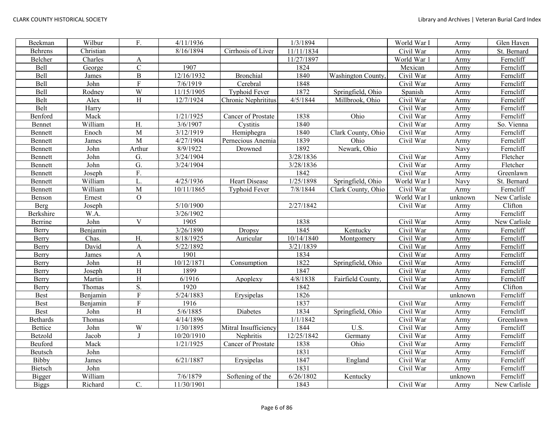| Beekman         | Wilbur    | F.                        | 4/11/1936  |                      | 1/3/1894   |                          | World War I | Army    | Glen Haven   |
|-----------------|-----------|---------------------------|------------|----------------------|------------|--------------------------|-------------|---------|--------------|
| Behrens         | Christian |                           | 8/16/1894  | Cirrhosis of Liver   | 11/11/1834 |                          | Civil War   | Army    | St. Bernard  |
| Belcher         | Charles   | $\boldsymbol{\mathsf{A}}$ |            |                      | 11/27/1897 |                          | World War 1 | Army    | Ferncliff    |
| <b>Bell</b>     | George    | $\mathbf C$               | 1907       |                      | 1824       |                          | Mexican     | Army    | Ferncliff    |
| Bell            | James     | $\, {\bf B}$              | 12/16/1932 | <b>Bronchial</b>     | 1840       | <b>Washington County</b> | Civil War   | Army    | Ferncliff    |
| Bell            | John      | $\overline{\mathrm{F}}$   | 7/6/1919   | Cerebral             | 1848       |                          | Civil War   | Army    | Ferncliff    |
| Bell            | Rodney    | $\overline{W}$            | 11/15/1905 | Typhoid Fever        | 1872       | Springfield, Ohio        | Spanish     | Army    | Ferncliff    |
| Belt            | Alex      | H                         | 12/7/1924  | Chronic Nephrititus  | 4/5/1844   | Millbrook, Ohio          | Civil War   | Army    | Ferncliff    |
| Belt            | Harry     |                           |            |                      |            |                          | Civil War   | Army    | Ferncliff    |
| Benford         | Mack      |                           | 1/21/1925  | Cancer of Prostate   | 1838       | Ohio                     | Civil War   | Army    | Ferncliff    |
| Bennet          | William   | H.                        | 3/6/1907   | Cystitis             | 1840       |                          | Civil War   | Army    | So. Vienna   |
| Bennett         | Enoch     | M                         | 3/12/1919  | Hemiphegra           | 1840       | Clark County, Ohio       | Civil War   | Army    | Ferncliff    |
| Bennett         | James     | $\overline{M}$            | 4/27/1904  | Pernecious Anemia    | 1839       | Ohio                     | Civil War   | Army    | Ferncliff    |
| Bennett         | John      | Arthur                    | 8/9/1922   | Drowned              | 1892       | Newark, Ohio             |             | Navy    | Ferncliff    |
| Bennett         | John      | G.                        | 3/24/1904  |                      | 3/28/1836  |                          | Civil War   | Army    | Fletcher     |
| Bennett         | John      | G.                        | 3/24/1904  |                      | 3/28/1836  |                          | Civil War   | Army    | Fletcher     |
| Bennett         | Joseph    | F.                        |            |                      | 1842       |                          | Civil War   | Army    | Greenlawn    |
| Bennett         | William   | L.                        | 4/25/1936  | Heart Disease        | 1/25/1898  | Springfield, Ohio        | World War I | Navy    | St. Bernard  |
| Bennett         | William   | M                         | 10/11/1865 | <b>Typhoid Fever</b> | 7/8/1844   | Clark County, Ohio       | Civil War   | Army    | Ferncliff    |
| Benson          | Ernest    | $\overline{O}$            |            |                      |            |                          | World War I | unknown | New Carlisle |
| Berg            | Joseph    |                           | 5/10/1900  |                      | 2/27/1842  |                          | Civil War   | Army    | Clifton      |
| Berkshire       | W.A.      |                           | 3/26/1902  |                      |            |                          |             | Army    | Ferncliff    |
| Berrine         | John      | $\mathbf{V}$              | 1905       |                      | 1838       |                          | Civil War   | Army    | New Carlisle |
| Berry           | Benjamin  |                           | 3/26/1890  | Dropsy               | 1845       | Kentucky                 | Civil War   | Army    | Ferncliff    |
| Berry           | Chas.     | H.                        | 8/18/1925  | Auricular            | 10/14/1840 | Montgomery               | Civil War   | Army    | Ferncliff    |
| Berry           | David     | $\boldsymbol{\mathsf{A}}$ | 5/22/1892  |                      | 3/21/1839  |                          | Civil War   | Army    | Ferncliff    |
| Berry           | James     | $\mathbf{A}$              | 1901       |                      | 1834       |                          | Civil War   | Army    | Ferncliff    |
| Berry           | John      | H                         | 10/12/1871 | Consumption          | 1822       | Springfield, Ohio        | Civil War   | Army    | Ferncliff    |
| Berry           | Joseph    | H                         | 1899       |                      | 1847       |                          | Civil War   | Army    | Ferncliff    |
| Berry           | Martin    | H                         | 6/1916     | Apoplexy             | 4/8/1838   | Fairfield County.        | Civil War   | Army    | Ferncliff    |
| Berry           | Thomas    | $\overline{S}$ .          | 1920       |                      | 1842       |                          | Civil War   | Army    | Clifton      |
| <b>Best</b>     | Benjamin  | $\overline{F}$            | 5/24/1883  | Erysipelas           | 1826       |                          |             | unknown | Ferncliff    |
| Best            | Benjamin  | $\mathbf F$               | 1916       |                      | 1837       |                          | Civil War   | Army    | Ferncliff    |
| <b>Best</b>     | John      | H                         | 5/6/1885   | Diabetes             | 1834       | Springfield, Ohio        | Civil War   | Army    | Ferncliff    |
| <b>Bethards</b> | Thomas    |                           | 4/14/1896  |                      | 1/1/1842   |                          | Civil War   | Army    | Greenlawn    |
| <b>Bettice</b>  | John      | W                         | 1/30/1895  | Mitral Insufficiency | 1844       | U.S.                     | Civil War   | Army    | Ferncliff    |
| Betzold         | Jacob     | $\mathbf{J}$              | 10/20/1910 | Nephritis            | 12/25/1842 | Germany                  | Civil War   | Army    | Ferncliff    |
| Beuford         | Mack      |                           | 1/21/1925  | Cancer of Prostate   | 1838       | Ohio                     | Civil War   | Army    | Ferncliff    |
| Beutsch         | John      |                           |            |                      | 1831       |                          | Civil War   | Army    | Ferncliff    |
| Bibby           | James     |                           | 6/21/1887  | Erysipelas           | 1847       | England                  | Civil War   | Army    | Ferncliff    |
| <b>Bietsch</b>  | John      |                           |            |                      | 1831       |                          | Civil War   | Army    | Ferncliff    |
| Bigger          | William   |                           | 7/6/1879   | Softening of the     | 6/26/1802  | Kentucky                 |             | unknown | Ferncliff    |
| <b>Biggs</b>    | Richard   | C.                        | 11/30/1901 |                      | 1843       |                          | Civil War   | Army    | New Carlisle |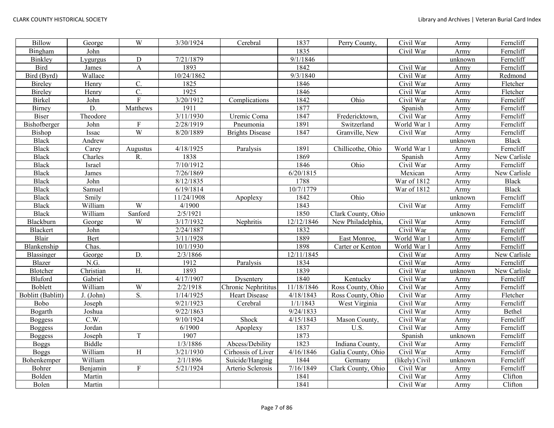| <b>Billow</b>     | George    | $\overline{W}$  | 3/30/1924  | Cerebral               | 1837       | Perry County,      | Civil War      | Army    | Ferncliff    |
|-------------------|-----------|-----------------|------------|------------------------|------------|--------------------|----------------|---------|--------------|
| Bingham           | John      |                 |            |                        | 1835       |                    | Civil War      | Army    | Ferncliff    |
| Binkley           | Lygurgus  | D               | 7/21/1879  |                        | 9/1/1846   |                    |                | unknown | Ferncliff    |
| <b>Bird</b>       | James     | $\mathbf{A}$    | 1893       |                        | 1842       |                    | Civil War      | Army    | Ferncliff    |
| Bird (Byrd)       | Wallace   |                 | 10/24/1862 |                        | 9/3/1840   |                    | Civil War      | Army    | Redmond      |
| Bireley           | Henry     | $\mathcal{C}$ . | 1825       |                        | 1846       |                    | Civil War      | Army    | Fletcher     |
| Bireley           | Henry     | C.              | 1925       |                        | 1846       |                    | Civil War      | Army    | Fletcher     |
| <b>Birkel</b>     | John      | $\rm F$         | 3/20/1912  | Complications          | 1842       | Ohio               | Civil War      | Army    | Ferncliff    |
| Birney            | D.        | Matthews        | 1911       |                        | 1877       |                    | Spanish        | Army    | Ferncliff    |
| <b>Biser</b>      | Theodore  |                 | 3/11/1930  | Uremic Coma            | 1847       | Fredericktown,     | Civil War      | Army    | Ferncliff    |
| Bishofberger      | John      | ${\bf F}$       | 2/28/1919  | Pneumonia              | 1891       | Switzerland        | World War 1    | Army    | Ferncliff    |
| Bishop            | Issac     | W               | 8/20/1889  | <b>Brights Disease</b> | 1847       | Granville, New     | Civil War      | Army    | Ferncliff    |
| <b>Black</b>      | Andrew    |                 |            |                        |            |                    |                | unknown | <b>Black</b> |
| <b>Black</b>      | Carey     | Augustus        | 4/18/1925  | Paralysis              | 1891       | Chillicothe, Ohio  | World War 1    | Army    | Ferncliff    |
| <b>Black</b>      | Charles   | R.              | 1838       |                        | 1869       |                    | Spanish        | Army    | New Carlisle |
| <b>Black</b>      | Israel    |                 | 7/10/1912  |                        | 1846       | Ohio               | Civil War      | Army    | Ferncliff    |
| <b>Black</b>      | James     |                 | 7/26/1869  |                        | 6/20/1815  |                    | Mexican        | Army    | New Carlisle |
| <b>Black</b>      | John      |                 | 8/12/1835  |                        | 1788       |                    | War of 1812    | Army    | <b>Black</b> |
| <b>Black</b>      | Samuel    |                 | 6/19/1814  |                        | 10/7/1779  |                    | War of 1812    | Army    | <b>Black</b> |
| <b>Black</b>      | Smily     |                 | 11/24/1908 | Apoplexy               | 1842       | Ohio               |                | unknown | Ferncliff    |
| <b>Black</b>      | William   | W               | 4/1900     |                        | 1843       |                    | Civil War      | Army    | Ferncliff    |
| <b>Black</b>      | William   | Sanford         | 2/5/1921   |                        | 1850       | Clark County, Ohio |                | unknown | Ferncliff    |
| Blackburn         | George    | W               | 3/17/1932  | Nephritis              | 12/12/1846 | New Philadelphia,  | Civil War      | Army    | Ferncliff    |
| Blackert          | John      |                 | 2/24/1887  |                        | 1832       |                    | Civil War      | Army    | Ferncliff    |
| Blair             | Bert      |                 | 3/11/1928  |                        | 1889       | East Monroe,       | World War 1    | Army    | Ferncliff    |
| Blankenship       | Chas.     |                 | 10/1/1930  |                        | 1898       | Carter or Kenton   | World War 1    | Army    | Ferncliff    |
| Blassinger        | George    | D.              | 2/3/1866   |                        | 12/11/1845 |                    | Civil War      | Army    | New Carlisle |
| Blazer            | N.G.      |                 | 1912       | Paralysis              | 1834       |                    | Civil War      | Army    | Ferncliff    |
| Blotcher          | Christian | H.              | 1893       |                        | 1839       |                    | Civil War      | unknown | New Carlisle |
| Bluford           | Gabriel   |                 | 4/17/1907  | Dysentery              | 1840       | Kentucky           | Civil War      | Army    | Ferncliff    |
| Boblett           | William   | W               | 2/2/1918   | Chronic Nephrititus    | 11/18/1846 | Ross County, Ohio  | Civil War      | Army    | Ferncliff    |
| Boblitt (Bablitt) | J. (John) | S.              | 1/14/1925  | Heart Disease          | 4/18/1843  | Ross County, Ohio  | Civil War      | Army    | Fletcher     |
| Bobo              | Joseph    |                 | 9/21/1923  | Cerebral               | 1/1/1843   | West Virginia      | Civil War      | Army    | Ferncliff    |
| Bogarth           | Joshua    |                 | 9/22/1863  |                        | 9/24/1833  |                    | Civil War      | Army    | Bethel       |
| <b>Boggess</b>    | C.W.      |                 | 9/10/1924  | Shock                  | 4/15/1843  | Mason County,      | Civil War      | Army    | Ferncliff    |
| <b>Boggess</b>    | Jordan    |                 | 6/1900     | Apoplexy               | 1837       | U.S.               | Civil War      | Army    | Ferncliff    |
| <b>Boggess</b>    | Joseph    | $\rm T$         | 1907       |                        | 1873       |                    | Spanish        | unknown | Ferncliff    |
| <b>Boggs</b>      | Biddle    |                 | 1/3/1886   | Abcess/Debility        | 1823       | Indiana County,    | Civil War      | Army    | Ferncliff    |
| <b>Boggs</b>      | William   | H               | 3/21/1930  | Cirhossis of Liver     | 4/16/1846  | Galia County, Ohio | Civil War      | Army    | Ferncliff    |
| Bohenkemper       | William   |                 | 2/1/1896   | Suicide/Hanging        | 1844       | Germany            | (likely) Civil | unknown | Ferncliff    |
| Bohrer            | Benjamin  | ${\bf F}$       | 5/21/1924  | Arterio Sclerosis      | 7/16/1849  | Clark County, Ohio | Civil War      | Army    | Ferncliff    |
| Bolden            | Martin    |                 |            |                        | 1841       |                    | Civil War      | Army    | Clifton      |
| Bolen             | Martin    |                 |            |                        | 1841       |                    | Civil War      | Army    | Clifton      |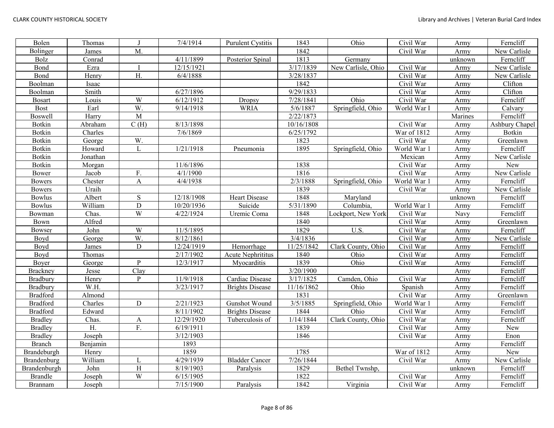| Bolen           | Thomas   | $\bf{J}$       | 7/4/1914   | <b>Purulent Cystitis</b> | 1843       | Ohio               | Civil War   | Army    | Ferncliff      |
|-----------------|----------|----------------|------------|--------------------------|------------|--------------------|-------------|---------|----------------|
| Bolinger        | James    | M.             |            |                          | 1842       |                    | Civil War   | Army    | New Carlisle   |
| Bolz            | Conrad   |                | 4/11/1899  | Posterior Spinal         | 1813       | Germany            |             | unknown | Ferncliff      |
| Bond            | Ezra     |                | 12/15/1921 |                          | 3/17/1839  | New Carlisle, Ohio | Civil War   | Army    | New Carlisle   |
| Bond            | Henry    | H.             | 6/4/1888   |                          | 3/28/1837  |                    | Civil War   | Army    | New Carlisle   |
| Boolman         | Isaac    |                |            |                          | 1842       |                    | Civil War   | Army    | Clifton        |
| Boolman         | Smith    |                | 6/27/1896  |                          | 9/29/1833  |                    | Civil War   | Army    | Clifton        |
| <b>Bosart</b>   | Louis    | W              | 6/12/1912  | Dropsy                   | 7/28/1841  | Ohio               | Civil War   | Army    | Ferncliff      |
| <b>Bost</b>     | Earl     | W.             | 9/14/1918  | <b>WRIA</b>              | 5/6/1887   | Springfield, Ohio  | World War I | Army    | Calvary        |
| <b>Boswell</b>  | Harry    | $\overline{M}$ |            |                          | 2/22/1873  |                    |             | Marines | Ferncliff      |
| Botkin          | Abraham  | C(H)           | 8/13/1898  |                          | 10/16/1808 |                    | Civil War   | Army    | Ashbury Chapel |
| Botkin          | Charles  |                | 7/6/1869   |                          | 6/25/1792  |                    | War of 1812 | Army    | Botkin         |
| Botkin          | George   | W.             |            |                          | 1823       |                    | Civil War   | Army    | Greenlawn      |
| Botkin          | Howard   | L              | 1/21/1918  | Pneumonia                | 1895       | Springfield, Ohio  | World War 1 | Army    | Ferncliff      |
| Botkin          | Jonathan |                |            |                          |            |                    | Mexican     | Army    | New Carlisle   |
| Botkin          | Morgan   |                | 11/6/1896  |                          | 1838       |                    | Civil War   | Army    | New            |
| Bower           | Jacob    | F.             | 4/1/1900   |                          | 1816       |                    | Civil War   | Army    | New Carlisle   |
| <b>Bowers</b>   | Chester  | $\mathbf{A}$   | 4/4/1938   |                          | 2/3/1888   | Springfield, Ohio  | World War 1 | Army    | Ferncliff      |
| <b>Bowers</b>   | Uraih    |                |            |                          | 1839       |                    | Civil War   | Army    | New Carlisle   |
| <b>Bowlus</b>   | Albert   | $\mathbf S$    | 12/18/1908 | <b>Heart Disease</b>     | 1848       | Maryland           |             | unknown | Ferncliff      |
| <b>Bowlus</b>   | William  | $\overline{D}$ | 10/20/1936 | Suicide                  | 5/31/1890  | Columbia,          | World War 1 | Army    | Ferncliff      |
| Bowman          | Chas.    | W              | 4/22/1924  | Uremic Coma              | 1848       | Lockport, New York | Civil War   | Navy    | Ferncliff      |
| Bown            | Alfred   |                |            |                          | 1840       |                    | Civil War   | Army    | Greenlawn      |
| Bowser          | John     | W              | 11/5/1895  |                          | 1829       | U.S.               | Civil War   | Army    | Ferncliff      |
| Boyd            | George   | W.             | 8/12/1861  |                          | 3/4/1836   |                    | Civil War   | Army    | New Carlisle   |
| Boyd            | James    | $\mathbf D$    | 12/24/1919 | Hemorrhage               | 11/25/1842 | Clark County, Ohio | Civil War   | Army    | Ferncliff      |
| Boyd            | Thomas   |                | 2/17/1902  | Acute Nephrititus        | 1840       | Ohio               | Civil War   | Army    | Ferncliff      |
| Boyer           | George   | $\mathbf{P}$   | 12/3/1917  | Myocarditis              | 1839       | Ohio               | Civil War   | Army    | Ferncliff      |
| <b>Brackney</b> | Jesse    | Clay           |            |                          | 3/20/1900  |                    |             | Army    | Ferncliff      |
| Bradbury        | Henry    | P              | 11/9/1918  | Cardiac Disease          | 3/17/1825  | Camden, Ohio       | Civil War   | Army    | Ferncliff      |
| Bradbury        | W.H.     |                | 3/23/1917  | <b>Brights Disease</b>   | 11/16/1862 | Ohio               | Spanish     | Army    | Ferncliff      |
| <b>Bradford</b> | Almond   |                |            |                          | 1831       |                    | Civil War   | Army    | Greenlawn      |
| <b>Bradford</b> | Charles  | ${\rm D}$      | 2/21/1923  | Gunshot Wound            | 3/5/1885   | Springfield, Ohio  | World War 1 | Army    | Ferncliff      |
| <b>Bradford</b> | Edward   |                | 8/11/1902  | <b>Brights Disease</b>   | 1844       | Ohio               | Civil War   | Army    | Ferncliff      |
| <b>Bradley</b>  | Chas.    | A              | 12/29/1920 | Tuberculosis of          | 1/14/1844  | Clark County, Ohio | Civil War   | Army    | Ferncliff      |
| <b>Bradley</b>  | H.       | F.             | 6/19/1911  |                          | 1839       |                    | Civil War   | Army    | New            |
| <b>Bradley</b>  | Joseph   |                | 3/12/1903  |                          | 1846       |                    | Civil War   | Army    | Enon           |
| <b>Branch</b>   | Benjamin |                | 1893       |                          |            |                    |             | Army    | Ferncliff      |
| Brandeburgh     | Henry    |                | 1859       |                          | 1785       |                    | War of 1812 | Army    | New            |
| Brandenburg     | William  | L              | 4/29/1939  | <b>Bladder Cancer</b>    | 7/26/1844  |                    | Civil War   | Army    | New Carlisle   |
| Brandenburgh    | John     | H              | 8/19/1903  | Paralysis                | 1829       | Bethel Twnshp,     |             | unknown | Ferncliff      |
| <b>Brandle</b>  | Joseph   | W              | 6/15/1905  |                          | 1822       |                    | Civil War   | Army    | Ferncliff      |
| <b>Brannam</b>  | Joseph   |                | 7/15/1900  | Paralysis                | 1842       | Virginia           | Civil War   | Army    | Ferncliff      |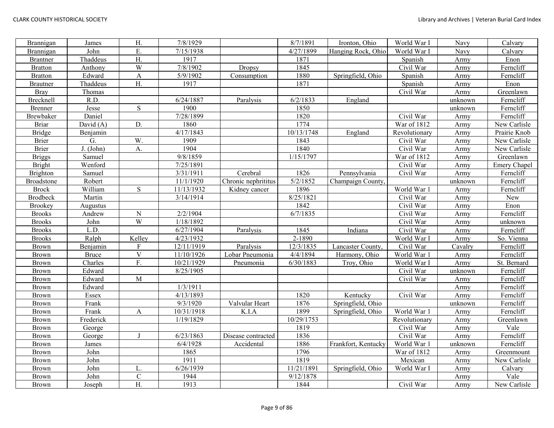| Brannigan         | James        | $\mathbf{H}.$  | 7/8/1929   |                     | 8/7/1891   | Ironton, Ohio       | World War I             | Navy    | Calvary      |
|-------------------|--------------|----------------|------------|---------------------|------------|---------------------|-------------------------|---------|--------------|
| Brannigan         | John         | E.             | 7/15/1938  |                     | 4/27/1899  | Hanging Rock, Ohio  | World War I             | Navy    | Calvary      |
| <b>Brantner</b>   | Thaddeus     | ${\bf H}.$     | 1917       |                     | 1871       |                     | Spanish                 | Army    | Enon         |
| <b>Bratton</b>    | Anthony      | $\overline{W}$ | 7/8/1902   | Dropsy              | 1845       |                     | Civil War               | Army    | Ferncliff    |
| <b>Bratton</b>    | Edward       | $\mathbf{A}$   | 5/9/1902   | Consumption         | 1880       | Springfield, Ohio   | Spanish                 | Army    | Ferncliff    |
| <b>Brautner</b>   | Thaddeus     | H.             | 1917       |                     | 1871       |                     | Spanish                 | Army    | Enon         |
| <b>Bray</b>       | Thomas       |                |            |                     |            |                     | Civil War               | Army    | Greenlawn    |
| Brecknell         | R.D.         |                | 6/24/1887  | Paralysis           | 6/2/1833   | England             |                         | unknown | Ferncliff    |
| Brenner           | Jesse        | $\mathbf S$    | 1900       |                     | 1850       |                     |                         | unknown | Ferncliff    |
| <b>Brewbaker</b>  | Daniel       |                | 7/28/1899  |                     | 1820       |                     | Civil War               | Army    | Ferncliff    |
| <b>Briar</b>      | David $(A)$  | D.             | 1860       |                     | 1774       |                     | War of 1812             | Army    | New Carlisle |
| <b>Bridge</b>     | Benjamin     |                | 4/17/1843  |                     | 10/13/1748 | England             | Revolutionary           | Army    | Prairie Knob |
| <b>Brier</b>      | G.           | W.             | 1909       |                     | 1843       |                     | Civil War               | Army    | New Carlisle |
| <b>Brier</b>      | J. (John)    | A.             | 1904       |                     | 1840       |                     | Civil War               | Army    | New Carlisle |
| <b>Briggs</b>     | Samuel       |                | 9/8/1859   |                     | 1/15/1797  |                     | War of 1812             | Army    | Greenlawn    |
| <b>Bright</b>     | Wenford      |                | 7/25/1891  |                     |            |                     | Civil War               | Army    | Emery Chapel |
| Brighton          | Samuel       |                | 3/31/1911  | Cerebral            | 1826       | Pennsylvania        | Civil War               | Army    | Ferncliff    |
| <b>Broadstone</b> | Robert       |                | 11/1/1920  | Chronic nephrititus | 5/2/1852   | Champaign County,   |                         | unknown | Ferncliff    |
| <b>Brock</b>      | William      | ${\bf S}$      | 11/13/1932 | Kidney cancer       | 1896       |                     | World War 1             | Army    | Ferncliff    |
| <b>Brodbeck</b>   | Martin       |                | 3/14/1914  |                     | 8/25/1821  |                     | Civil War               | Army    | New          |
| <b>Brookey</b>    | Augustus     |                |            |                     | 1842       |                     | Civil War               | Army    | Enon         |
| <b>Brooks</b>     | Andrew       | ${\bf N}$      | 2/2/1904   |                     | 6/7/1835   |                     | Civil War               | Army    | Ferncliff    |
| <b>Brooks</b>     | John         | $\overline{W}$ | 1/18/1892  |                     |            |                     | Civil War               | Army    | unknown      |
| <b>Brooks</b>     | L.D.         |                | 6/27/1904  | Paralysis           | 1845       | Indiana             | Civil War               | Army    | Ferncliff    |
| <b>Brooks</b>     | Ralph        | Kelley         | 4/23/1932  |                     | 2-1890     |                     | World War I             | Army    | So. Vienna   |
| <b>Brown</b>      | Benjamin     | ${\bf F}$      | 12/11/1919 | Paralysis           | 12/3/1835  | Lancaster County,   | Civil War               | Cavalry | Ferncliff    |
| <b>Brown</b>      | <b>Bruce</b> | $\mathbf V$    | 11/10/1926 | Lobar Pneumonia     | 4/4/1894   | Harmony, Ohio       | World War 1             | Army    | Ferncliff    |
| <b>Brown</b>      | Charles      | F.             | 10/21/1929 | Pneumonia           | 6/30/1883  | Troy, Ohio          | World War I             | Army    | St. Bernard  |
| <b>Brown</b>      | Edward       |                | 8/25/1905  |                     |            |                     | Civil War               | unknown | Ferncliff    |
| <b>Brown</b>      | Edward       | $\mathbf M$    |            |                     |            |                     | Civil War               | Army    | Ferncliff    |
| <b>Brown</b>      | Edward       |                | 1/3/1911   |                     |            |                     |                         | Army    | Ferncliff    |
| <b>Brown</b>      | Essex        |                | 4/13/1893  |                     | 1820       | Kentucky            | Civil War               | Army    | Ferncliff    |
| <b>Brown</b>      | Frank        |                | 9/3/1920   | Valvular Heart      | 1876       | Springfield, Ohio   |                         | unknown | Ferncliff    |
| <b>Brown</b>      | Frank        | A              | 10/31/1918 | K.I.A               | 1899       | Springfield, Ohio   | World War 1             | Army    | Ferncliff    |
| <b>Brown</b>      | Frederick    |                | 1/19/1829  |                     | 10/29/1753 |                     | Revolutionary           | Army    | Greenlawn    |
| Brown             | George       |                |            |                     | 1819       |                     | $\overline{C}$ ivil War | Army    | Vale         |
| <b>Brown</b>      | George       | $\mathbf I$    | 6/23/1863  | Disease contracted  | 1836       |                     | Civil War               | Army    | Ferncliff    |
| <b>Brown</b>      | James        |                | 6/4/1928   | Accidental          | 1886       | Frankfort, Kentucky | World War 1             | unknown | Ferncliff    |
| <b>Brown</b>      | John         |                | 1865       |                     | 1796       |                     | War of 1812             | Army    | Greenmount   |
| <b>Brown</b>      | John         |                | 1911       |                     | 1819       |                     | Mexican                 | Army    | New Carlisle |
| <b>Brown</b>      | John         | L.             | 6/26/1939  |                     | 11/21/1891 | Springfield, Ohio   | World War I             | Army    | Calvary      |
| <b>Brown</b>      | John         | ${\bf C}$      | 1944       |                     | 9/12/1878  |                     |                         | Army    | Vale         |
| Brown             | Joseph       | H.             | 1913       |                     | 1844       |                     | Civil War               | Army    | New Carlisle |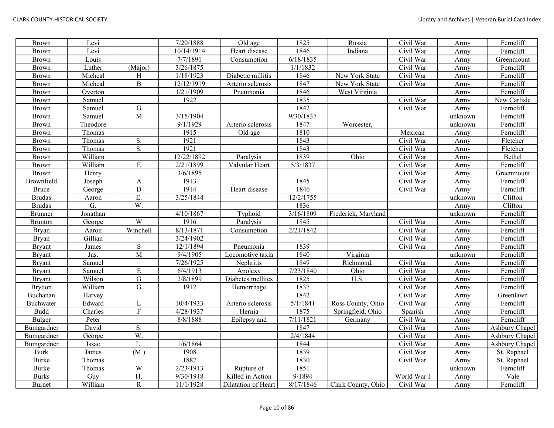| <b>Brown</b>   | Levi     |                       | 7/20/1888  | Old age             | 1825      | Russia              | Civil War   | Army    | Ferncliff      |
|----------------|----------|-----------------------|------------|---------------------|-----------|---------------------|-------------|---------|----------------|
| <b>Brown</b>   | Levi     |                       | 10/14/1914 | Heart disease       | 1846      | Indiana             | Civil War   | Army    | Ferncliff      |
| <b>Brown</b>   | Louis    |                       | 7/7/1891   | Consumption         | 6/18/1835 |                     | Civil War   | Army    | Greenmount     |
| <b>Brown</b>   | Luther   | (Major)               | 3/26/1875  |                     | 1/1/1832  |                     | Civil War   | Army    | Ferncliff      |
| <b>Brown</b>   | Micheal  | H                     | 1/18/1923  | Diabetic millitis   | 1846      | New York State      | Civil War   | Army    | Ferncliff      |
| <b>Brown</b>   | Micheal  | $\overline{B}$        | 12/12/1919 | Arterio sclerosis   | 1847      | New York State      | Civil War   | Army    | Ferncliff      |
| <b>Brown</b>   | Overton  |                       | 1/21/1909  | Pneumonia           | 1846      | West Virginia       |             | Army    | Ferncliff      |
| <b>Brown</b>   | Samuel   |                       | 1922       |                     | 1835      |                     | Civil War   | Army    | New Carlisle   |
| <b>Brown</b>   | Samuel   | ${\bf G}$             |            |                     | 1842      |                     | Civil War   | Army    | Ferncliff      |
| <b>Brown</b>   | Samuel   | M                     | 3/15/1904  |                     | 9/30/1837 |                     |             | unknown | Ferncliff      |
| <b>Brown</b>   | Theodore |                       | 9/1/1929   | Arterio sclerosis   | 1847      | Worcester,          |             | unknown | Ferncliff      |
| <b>Brown</b>   | Thomas   |                       | 1915       | Old age             | 1810      |                     | Mexican     | Army    | Ferncliff      |
| <b>Brown</b>   | Thomas   | S.                    | 1921       |                     | 1843      |                     | Civil War   | Army    | Fletcher       |
| <b>Brown</b>   | Thomas   | S.                    | 1921       |                     | 1843      |                     | Civil War   | Army    | Fletcher       |
| <b>Brown</b>   | William  |                       | 12/22/1892 | Paralysis           | 1839      | Ohio                | Civil War   | Army    | Bethel         |
| <b>Brown</b>   | William  | E                     | 2/21/1899  | Valvular Heart      | 5/3/1837  |                     | Civil War   | Army    | Ferncliff      |
| <b>Brown</b>   | Henry    |                       | 3/6/1895   |                     |           |                     | Civil War   | Army    | Greenmount     |
| Brownfield     | Joseph   | A                     | 1913       |                     | 1845      |                     | Civil War   | Army    | Ferncliff      |
| <b>Bruce</b>   | George   | $\mathbf D$           | 1914       | Heart disease       | 1846      |                     | Civil War   | Army    | Ferncliff      |
| <b>Brudas</b>  | Aaron    | E.                    | 3/25/1844  |                     | 12/2/1755 |                     |             | unknown | Clifton        |
| <b>Brudas</b>  | G.       | $\overline{W}$ .      |            |                     | 1836      |                     |             | Army    | Clifton        |
| <b>Brunner</b> | Jonathan |                       | 4/10/1867  | Typhoid             | 3/16/1809 | Frederick, Maryland |             | unknown | Ferncliff      |
| <b>Brunton</b> | George   | W                     | 1916       | Paralysis           | 1845      |                     | Civil War   | Army    | Ferncliff      |
| <b>Bryan</b>   | Aaron    | Winchell              | 8/13/1871  | Consumption         | 2/21/1842 |                     | Civil War   | Army    | Ferncliff      |
| <b>Bryan</b>   | Gillian  |                       | 3/24/1902  |                     |           |                     | Civil War   | Army    | Ferncliff      |
| <b>Bryant</b>  | James    | ${\bf S}$             | 12/1/1894  | Pneumonia           | 1839      |                     | Civil War   | Army    | Ferncliff      |
| <b>Bryant</b>  | Jas.     | M                     | 9/4/1905   | Locomotive taxia    | 1840      | Virginia            |             | unknown | Ferncliff      |
| <b>Bryant</b>  | Samuel   |                       | 7/26/1925  | Nephritis           | 1849      | Richmond,           | Civil War   | Army    | Ferncliff      |
| <b>Bryant</b>  | Samuel   | ${\bf E}$             | 6/4/1913   | Apolexy             | 7/23/1840 | Ohio                | Civil War   | Army    | Ferncliff      |
| <b>Bryant</b>  | Wilson   | ${\bf G}$             | 2/8/1899   | Diabetes mellites   | 1825      | U.S.                | Civil War   | Army    | Ferncliff      |
| Brydon         | William  | G                     | 1912       | Hemorrhage          | 1837      |                     | Civil War   | Army    | Ferncliff      |
| Buchanan       | Harvey   |                       |            |                     | 1842      |                     | Civil War   | Army    | Greenlawn      |
| Buchwater      | Edward   |                       | 10/4/1933  | Arterio sclerosis   | 5/1/1841  | Ross County, Ohio   | Civil War   | Army    | Ferncliff      |
| <b>Budd</b>    | Charles  | $\mathbf{F}$          | 4/28/1937  | Hernia              | 1875      | Springfield, Ohio   | Spanish     | Army    | Ferncliff      |
| <b>Bulger</b>  | Peter    |                       | 8/8/1888   | Epilepsy and        | 7/11/1821 | Germany             | Civil War   | Army    | Ferncliff      |
| Bumgardner     | David    | S.                    |            |                     | 1847      |                     | Civil War   | Army    | Ashbury Chapel |
| Bumgardner     | George   | W.                    |            |                     | 2/4/1844  |                     | Civil War   | Army    | Ashbury Chapel |
| Bumgardner     | Issac    | L.                    | 1/6/1864   |                     | 1844      |                     | Civil War   | Army    | Ashbury Chapel |
| <b>Burk</b>    | James    | (M.)                  | 1908       |                     | 1839      |                     | Civil War   | Army    | St. Raphael    |
| <b>Burke</b>   | Thomas   |                       | 1887       |                     | 1830      |                     | Civil War   | Army    | St. Raphael    |
| <b>Burke</b>   | Thomas   | W                     | 2/23/1913  | Rupture of          | 1851      |                     |             | unknown | Ferncliff      |
| <b>Burks</b>   | Guy      | Η.                    | 9/30/1918  | Killed in Action    | 9/1894    |                     | World War I | Army    | Vale           |
| <b>Burnet</b>  | William  | $\overline{\text{R}}$ | 11/1/1928  | Dilatation of Heart | 8/17/1846 | Clark County, Ohio  | Civil War   | Army    | Ferncliff      |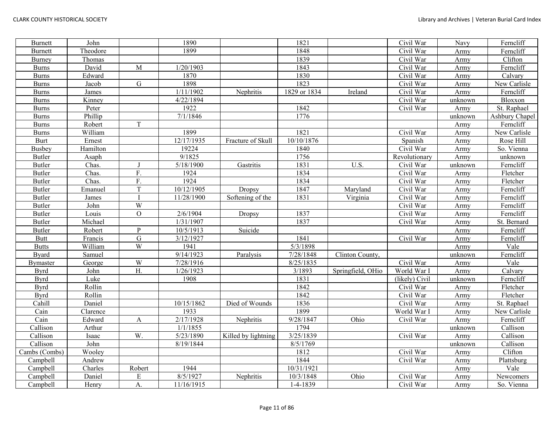| <b>Burnett</b>  | John     |               | 1890       |                     | 1821         |                   | Civil War      | Navy    | Ferncliff      |
|-----------------|----------|---------------|------------|---------------------|--------------|-------------------|----------------|---------|----------------|
| <b>Burnett</b>  | Theodore |               | 1899       |                     | 1848         |                   | Civil War      | Army    | Ferncliff      |
| Burney          | Thomas   |               |            |                     | 1839         |                   | Civil War      | Army    | Clifton        |
| <b>Burns</b>    | David    | M             | 1/20/1903  |                     | 1843         |                   | Civil War      | Army    | Ferncliff      |
| <b>Burns</b>    | Edward   |               | 1870       |                     | 1830         |                   | Civil War      | Army    | Calvary        |
| <b>Burns</b>    | Jacob    | ${\bf G}$     | 1898       |                     | 1823         |                   | Civil War      | Army    | New Carlisle   |
| <b>Burns</b>    | James    |               | 1/11/1902  | Nephritis           | 1829 or 1834 | Ireland           | Civil War      | Army    | Ferncliff      |
| <b>Burns</b>    | Kinney   |               | 4/22/1894  |                     |              |                   | Civil War      | unknown | Bloxxon        |
| <b>Burns</b>    | Peter    |               | 1922       |                     | 1842         |                   | Civil War      | Army    | St. Raphael    |
| <b>Burns</b>    | Phillip  |               | 7/1/1846   |                     | 1776         |                   |                | unknown | Ashbury Chapel |
| <b>Burns</b>    | Robert   | T             |            |                     |              |                   |                | Army    | Ferncliff      |
| <b>Burns</b>    | William  |               | 1899       |                     | 1821         |                   | Civil War      | Army    | New Carlisle   |
| <b>Burt</b>     | Ernest   |               | 12/17/1935 | Fracture of Skull   | 10/10/1876   |                   | Spanish        | Army    | Rose Hill      |
| <b>Busbey</b>   | Hamilton |               | 19224      |                     | 1840         |                   | Civil War      | Army    | So. Vienna     |
| Butler          | Asaph    |               | 9/1825     |                     | 1756         |                   | Revolutionary  | Army    | unknown        |
| <b>Butler</b>   | Chas.    |               | 5/18/1900  | Gastritis           | 1831         | U.S.              | Civil War      | unknown | Ferncliff      |
| <b>Butler</b>   | Chas.    | F.            | 1924       |                     | 1834         |                   | Civil War      | Army    | Fletcher       |
| <b>Butler</b>   | Chas.    | F.            | 1924       |                     | 1834         |                   | Civil War      | Army    | Fletcher       |
| <b>Butler</b>   | Emanuel  | T             | 10/12/1905 | Dropsy              | 1847         | Maryland          | Civil War      | Army    | Ferncliff      |
| <b>Butler</b>   | James    |               | 11/28/1900 | Softening of the    | 1831         | Virginia          | Civil War      | Army    | Ferncliff      |
| <b>Butler</b>   | John     | W             |            |                     |              |                   | Civil War      | Army    | Ferncliff      |
| <b>Butler</b>   | Louis    | $\mathcal{O}$ | 2/6/1904   | Dropsy              | 1837         |                   | Civil War      | Army    | Ferncliff      |
| <b>Butler</b>   | Michael  |               | 1/31/1907  |                     | 1837         |                   | Civil War      | Army    | St. Bernard    |
| <b>Butler</b>   | Robert   | $\mathbf{P}$  | 10/5/1913  | Suicide             |              |                   |                | Army    | Ferncliff      |
| <b>Butt</b>     | Francis  | ${\bf G}$     | 3/12/1927  |                     | 1841         |                   | Civil War      | Army    | Ferncliff      |
| <b>Butts</b>    | William  | W             | 1941       |                     | 5/3/1898     |                   |                | Army    | Vale           |
| <b>Byard</b>    | Samuel   |               | 9/14/1923  | Paralysis           | 7/28/1848    | Clinton County,   |                | unknown | Ferncliff      |
| <b>Bymaster</b> | George   | W             | 7/28/1916  |                     | 8/25/1835    |                   | Civil War      | Army    | Vale           |
| <b>Byrd</b>     | John     | H.            | 1/26/1923  |                     | 3/1893       | Springfield, OHio | World War I    | Army    | Calvary        |
| <b>Byrd</b>     | Luke     |               | 1908       |                     | 1831         |                   | (likely) Civil | unknown | Ferncliff      |
| <b>Byrd</b>     | Rollin   |               |            |                     | 1842         |                   | Civil War      | Army    | Fletcher       |
| <b>Byrd</b>     | Rollin   |               |            |                     | 1842         |                   | Civil War      | Army    | Fletcher       |
| Cahill          | Daniel   |               | 10/15/1862 | Died of Wounds      | 1836         |                   | Civil War      | Army    | St. Raphael    |
| Cain            | Clarence |               | 1933       |                     | 1899         |                   | World War I    | Army    | New Carlisle   |
| Cain            | Edward   | $\mathbf{A}$  | 2/17/1928  | Nephritis           | 9/28/1847    | Ohio              | Civil War      | Army    | Ferncliff      |
| Callison        | Arthur   |               | 1/1/1855   |                     | 1794         |                   |                | unknown | Callison       |
| Callison        | Isaac    | W.            | 5/23/1890  | Killed by lightning | 3/25/1839    |                   | Civil War      | Army    | Callison       |
| Callison        | John     |               | 8/19/1844  |                     | 8/5/1769     |                   |                | unknown | Callison       |
| Cambs (Combs)   | Wooley   |               |            |                     | 1812         |                   | Civil War      | Army    | Clifton        |
| Campbell        | Andrew   |               |            |                     | 1844         |                   | Civil War      | Army    | Plattsburg     |
| Campbell        | Charles  | Robert        | 1944       |                     | 10/31/1921   |                   |                | Army    | Vale           |
| Campbell        | Daniel   | E             | 8/5/1927   | Nephritis           | 10/3/1848    | Ohio              | Civil War      | Army    | Newcomers      |
| Campbell        | Henry    | A.            | 11/16/1915 |                     | 1-4-1839     |                   | Civil War      | Army    | So. Vienna     |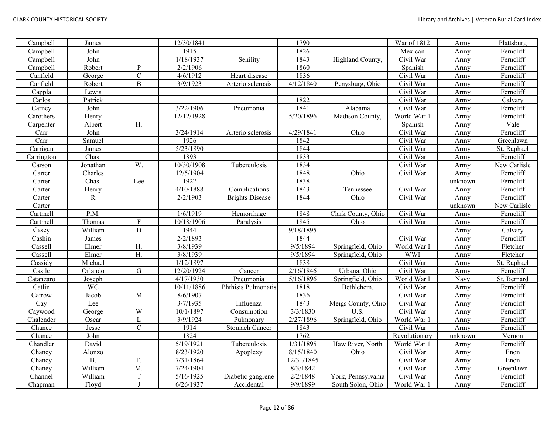| Campbell   | James     |                  | 12/30/1841 |                        | 1790       |                    | War of 1812             | Army    | Plattsburg   |
|------------|-----------|------------------|------------|------------------------|------------|--------------------|-------------------------|---------|--------------|
| Campbell   | John      |                  | 1915       |                        | 1826       |                    | Mexican                 | Army    | Ferncliff    |
| Campbell   | John      |                  | 1/18/1937  | Senility               | 1843       | Highland County,   | Civil War               | Army    | Ferncliff    |
| Campbell   | Robert    | $\mathbf P$      | 2/2/1906   |                        | 1860       |                    | Spanish                 | Army    | Ferncliff    |
| Canfield   | George    | $\mathbf C$      | 4/6/1912   | Heart disease          | 1836       |                    | Civil War               | Army    | Ferncliff    |
| Canfield   | Robert    | $\, {\bf B}$     | 3/9/1923   | Arterio sclerosis      | 4/12/1840  | Penysburg, Ohio    | Civil War               | Army    | Ferncliff    |
| Cappla     | Lewis     |                  |            |                        |            |                    | Civil War               | Army    | Ferncliff    |
| Carlos     | Patrick   |                  |            |                        | 1822       |                    | Civil War               | Army    | Calvary      |
| Carney     | John      |                  | 3/22/1906  | Pneumonia              | 1841       | Alabama            | Civil War               | Army    | Ferncliff    |
| Carothers  | Henry     |                  | 12/12/1928 |                        | 5/20/1896  | Madison County,    | World War 1             | Army    | Ferncliff    |
| Carpenter  | Albert    | H.               |            |                        |            |                    | Spanish                 | Army    | Vale         |
| Carr       | John      |                  | 3/24/1914  | Arterio sclerosis      | 4/29/1841  | Ohio               | Civil War               | Army    | Ferncliff    |
| Carr       | Samuel    |                  | 1926       |                        | 1842       |                    | Civil War               | Army    | Greenlawn    |
| Carrigan   | James     |                  | 5/23/1890  |                        | 1844       |                    | Civil War               | Army    | St. Raphael  |
| Carrington | Chas.     |                  | 1893       |                        | 1833       |                    | Civil War               | Army    | Ferncliff    |
| Carson     | Jonathan  | W.               | 10/30/1908 | Tuberculosis           | 1834       |                    | Civil War               | Army    | New Carlisle |
| Carter     | Charles   |                  | 12/5/1904  |                        | 1848       | Ohio               | Civil War               | Army    | Ferncliff    |
| Carter     | Chas.     | Lee              | 1922       |                        | 1838       |                    |                         | unknown | Ferncliff    |
| Carter     | Henry     |                  | 4/10/1888  | Complications          | 1843       | Tennessee          | Civil War               | Army    | Ferncliff    |
| Carter     | R         |                  | 2/2/1903   | <b>Brights Disease</b> | 1844       | Ohio               | $\overline{C}$ ivil War | Army    | Ferncliff    |
| Carter     |           |                  |            |                        |            |                    |                         | unknown | New Carlisle |
| Cartmell   | P.M.      |                  | 1/6/1919   | Hemorrhage             | 1848       | Clark County, Ohio | Civil War               | Army    | Ferncliff    |
| Cartmell   | Thomas    | $\rm F$          | 10/18/1906 | Paralysis              | 1845       | Ohio               | Civil War               | Army    | Ferncliff    |
| Casey      | William   | $\mathbf D$      | 1944       |                        | 9/18/1895  |                    |                         | Army    | Calvary      |
| Cashin     | James     |                  | 2/2/1893   |                        | 1844       |                    | Civil War               | Army    | Ferncliff    |
| Cassell    | Elmer     | H.               | 3/8/1939   |                        | 9/5/1894   | Springfield, Ohio  | World War I             | Army    | Fletcher     |
| Cassell    | Elmer     | $\overline{H}$ . | 3/8/1939   |                        | 9/5/1894   | Springfield, Ohio  | <b>WWI</b>              | Army    | Fletcher     |
| Cassidy    | Michael   |                  | 1/12/1897  |                        | 1838       |                    | Civil War               | Army    | St. Raphael  |
| Castle     | Orlando   | G                | 12/20/1924 | Cancer                 | 2/16/1846  | Urbana, Ohio       | Civil War               | Army    | Ferncliff    |
| Catanzaro  | Joseph    |                  | 4/17/1930  | Pneumonia              | 5/16/1896  | Springfield, Ohio  | World War I             | Navy    | St. Bernard  |
| Catlin     | <b>WC</b> |                  | 10/11/1886 | Phthisis Pulmonatis    | 1818       | Bethlehem,         | Civil War               | Army    | Ferncliff    |
| Catrow     | Jacob     | $\overline{M}$   | 8/6/1907   |                        | 1836       |                    | Civil War               | Army    | Ferncliff    |
| Cay        | Lee       |                  | 3/7/1935   | Influenza              | 1843       | Meigs County, Ohio | Civil War               | Army    | Ferncliff    |
| Caywood    | George    | W                | 10/1/1897  | Consumption            | 3/3/1830   | U.S.               | Civil War               | Army    | Ferncliff    |
| Chalender  | Oscar     | $\mathbf{L}$     | 3/9/1924   | Pulmonary              | 2/27/1896  | Springfield, Ohio  | World War 1             | Army    | Ferncliff    |
| Chance     | Jesse     | $\overline{C}$   | 1914       | Stomach Cancer         | 1843       |                    | Civil War               | Army    | Ferncliff    |
| Chance     | John      |                  | 1824       |                        | 1762       |                    | Revolutionary           | unknown | Vernon       |
| Chandler   | David     |                  | 5/19/1921  | Tuberculosis           | 1/31/1895  | Haw River, North   | World War 1             | Army    | Ferncliff    |
| Chaney     | Alonzo    |                  | 8/23/1920  | Apoplexy               | 8/15/1840  | Ohio               | Civil War               | Army    | Enon         |
| Chaney     | <b>B.</b> | F.               | 7/31/1864  |                        | 12/31/1845 |                    | Civil War               | Army    | Enon         |
| Chaney     | William   | M.               | 7/24/1904  |                        | 8/3/1842   |                    | Civil War               | Army    | Greenlawn    |
| Channel    | William   | $\mathbf T$      | 5/16/1925  | Diabetic gangrene      | 2/2/1848   | York, Pennsylvania | Civil War               | Army    | Ferncliff    |
| Chapman    | Floyd     | $\mathbf{I}$     | 6/26/1937  | Accidental             | 9/9/1899   | South Solon, Ohio  | World War 1             | Army    | Ferncliff    |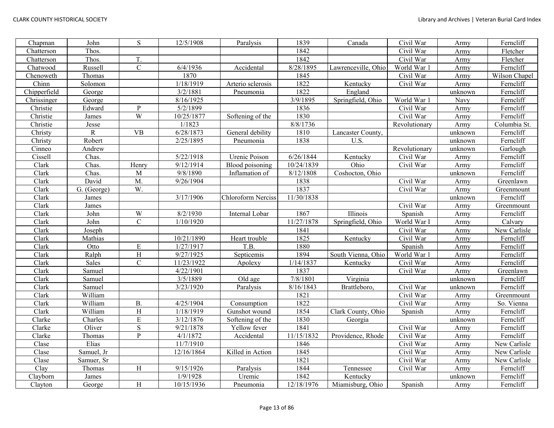| Chapman                   | John        | ${\bf S}$               | 12/5/1908  | Paralysis          | 1839       | Canada              | Civil War     | Army    | Ferncliff     |
|---------------------------|-------------|-------------------------|------------|--------------------|------------|---------------------|---------------|---------|---------------|
| Chatterson                | Thos.       |                         |            |                    | 1842       |                     | Civil War     | Army    | Fletcher      |
| Chatterson                | Thos.       | T.                      |            |                    | 1842       |                     | Civil War     | Army    | Fletcher      |
| Chatwood                  | Russell     | $\mathsf C$             | 6/4/1936   | Accidental         | 8/28/1895  | Lawrenceville, Ohio | World War 1   | Army    | Ferncliff     |
| Chenoweth                 | Thomas      |                         | 1870       |                    | 1845       |                     | Civil War     | Army    | Wilson Chapel |
| Chinn                     | Solomon     |                         | 1/18/1919  | Arterio sclerosis  | 1822       | Kentucky            | Civil War     | Army    | Ferncliff     |
| Chipperfield              | George      |                         | 3/2/1881   | Pneumonia          | 1822       | England             |               | unknown | Ferncliff     |
| Chrissinger               | George      |                         | 8/16/1925  |                    | 3/9/1895   | Springfield, Ohio   | World War 1   | Navy    | Ferncliff     |
| Christie                  | Edward      | P                       | 5/2/1899   |                    | 1836       |                     | Civil War     | Army    | Ferncliff     |
| Christie                  | James       | $\overline{W}$          | 10/25/1877 | Softening of the   | 1830       |                     | Civil War     | Army    | Ferncliff     |
| Christie                  | Jesse       |                         | 1/1823     |                    | 8/8/1736   |                     | Revolutionary | Army    | Columbia St.  |
| Christy                   | ${\bf R}$   | <b>VB</b>               | 6/28/1873  | General debility   | 1810       | Lancaster County,   |               | unknown | Ferncliff     |
| Christy                   | Robert      |                         | 2/25/1895  | Pneumonia          | 1838       | U.S.                |               | unknown | Ferncliff     |
| Cinneo                    | Andrew      |                         |            |                    |            |                     | Revolutionary | unknown | Garlough      |
| Cissell                   | Chas.       |                         | 5/22/1918  | Urenic Poison      | 6/26/1844  | Kentucky            | Civil War     | Army    | Ferncliff     |
| Clark                     | Chas.       | Henry                   | 9/12/1914  | Blood poisoning    | 10/24/1839 | Ohio                | Civil War     | Army    | Ferncliff     |
| Clark                     | Chas.       | M                       | 9/8/1890   | Inflamation of     | 8/12/1808  | Coshocton, Ohio     |               | unknown | Ferncliff     |
| Clark                     | David       | M.                      | 9/26/1904  |                    | 1838       |                     | Civil War     | Army    | Greenlawn     |
| Clark                     | G. (George) | W.                      |            |                    | 1837       |                     | Civil War     | Army    | Greenmount    |
| Clark                     | James       |                         | 3/17/1906  | Chloroform Nerciss | 11/30/1838 |                     |               | unknown | Ferncliff     |
| Clark                     | James       |                         |            |                    |            |                     | Civil War     | Army    | Greenmount    |
| Clark                     | John        | $\ensuremath{\text{W}}$ | 8/2/1930   | Internal Lobar     | 1867       | Illinois            | Spanish       | Army    | Ferncliff     |
| Clark                     | John        | $\mathbf C$             | 1/10/1920  |                    | 11/27/1878 | Springfield, Ohio   | World War I   | Army    | Calvary       |
| Clark                     | Joseph      |                         |            |                    | 1841       |                     | Civil War     | Army    | New Carlisle  |
| Clark                     | Mathias     |                         | 10/21/1890 | Heart trouble      | 1825       | Kentucky            | Civil War     | Army    | Ferncliff     |
| Clark                     | Otto        | ${\bf E}$               | 1/27/1917  | T.B.               | 1880       |                     | Spanish       | Army    | Ferncliff     |
| Clark                     | Ralph       | $\overline{\mathbf{H}}$ | 9/27/1925  | Septicemis         | 1894       | South Vienna, Ohio  | World War 1   | Army    | Ferncliff     |
| Clark                     | Sales       | $\overline{C}$          | 11/23/1922 | Apolexy            | 1/14/1837  | Kentucky            | Civil War     | Army    | Ferncliff     |
| Clark                     | Samuel      |                         | 4/22/1901  |                    | 1837       |                     | Civil War     | Army    | Greenlawn     |
| Clark                     | Samuel      |                         | 3/5/1889   | Old age            | 7/8/1801   | Virginia            |               | unknown | Ferncliff     |
| Clark                     | Samuel      |                         | 3/23/1920  | Paralysis          | 8/16/1843  | Brattleboro,        | Civil War     | unknown | Ferncliff     |
| Clark                     | William     |                         |            |                    | 1821       |                     | Civil War     | Army    | Greenmount    |
| $\overline{\text{Clark}}$ | William     | <b>B.</b>               | 4/25/1904  | Consumption        | 1822       |                     | Civil War     | Army    | So. Vienna    |
| Clark                     | William     | H                       | 1/18/1919  | Gunshot wound      | 1854       | Clark County, Ohio  | Spanish       | Army    | Ferncliff     |
| Clarke                    | Charles     | $\mathbf E$             | 3/12/1876  | Softening of the   | 1830       | Georgia             |               | unknown | Ferncliff     |
| Clarke                    | Oliver      | ${\bf S}$               | 9/21/1878  | Yellow fever       | 1841       |                     | Civil War     | Army    | Ferncliff     |
| Clarke                    | Thomas      | $\overline{P}$          | 4/1/1872   | Accidental         | 11/15/1832 | Providence, Rhode   | Civil War     | Army    | Ferncliff     |
| $\text{Close}$            | Elias       |                         | 11/7/1910  |                    | 1846       |                     | Civil War     | Army    | New Carlisle  |
| Clase                     | Samuel, Jr  |                         | 12/16/1864 | Killed in Action   | 1845       |                     | Civil War     | Army    | New Carlisle  |
| Clase                     | Samuer, Sr  |                         |            |                    | 1821       |                     | Civil War     | Army    | New Carlisle  |
| Clay                      | Thomas      | H                       | 9/15/1926  | Paralysis          | 1844       | Tennessee           | Civil War     | Army    | Ferncliff     |
| Clayborn                  | James       |                         | 1/9/1928   | Uremic             | 1842       | Kentucky            |               | unknown | Ferncliff     |
| Clayton                   | George      | $\, {\rm H}$            | 10/15/1936 | Pneumonia          | 12/18/1976 | Miamisburg, Ohio    | Spanish       | Army    | Ferncliff     |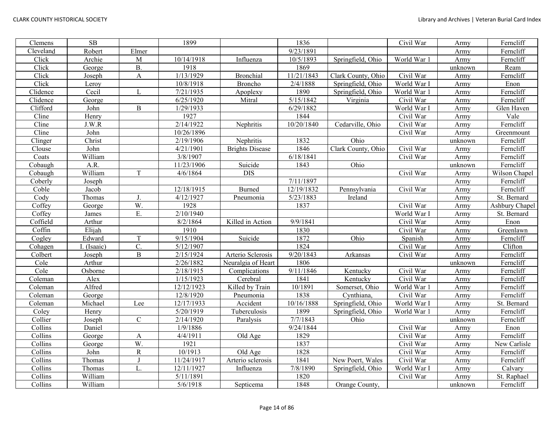| Clemens   | $\overline{\text{SB}}$ |                  | 1899       |                        | 1836       |                    | Civil War   | Army    | Ferncliff      |
|-----------|------------------------|------------------|------------|------------------------|------------|--------------------|-------------|---------|----------------|
| Cleveland | Robert                 | Elmer            |            |                        | 9/23/1891  |                    |             | Army    | Ferncliff      |
| Click     | Archie                 | M                | 10/14/1918 | Influenza              | 10/5/1893  | Springfield, Ohio  | World War 1 | Army    | Ferncliff      |
| Click     | George                 | <b>B.</b>        | 1918       |                        | 1869       |                    |             | unknown | Ream           |
| Click     | Joseph                 | $\mathbf{A}$     | 1/13/1929  | Bronchial              | 11/21/1843 | Clark County, Ohio | Civil War   | Army    | Ferncliff      |
| Click     | Leroy                  |                  | 10/8/1918  | Broncho                | 2/4/1888   | Springfield, Ohio  | World War I | Army    | Enon           |
| Clidence  | Cecil                  | L                | 7/21/1935  | Apoplexy               | 1890       | Springfield, Ohio  | World War 1 | Army    | Ferncliff      |
| Clidence  | George                 |                  | 6/25/1920  | Mitral                 | 5/15/1842  | Virginia           | Civil War   | Army    | Ferncliff      |
| Clifford  | John                   | $\, {\bf B}$     | 1/29/1933  |                        | 6/29/1882  |                    | World War I | Army    | Glen Haven     |
| Cline     | Henry                  |                  | 1927       |                        | 1844       |                    | Civil War   | Army    | Vale           |
| Cline     | J.W.R                  |                  | 2/14/1922  | Nephritis              | 10/20/1840 | Cedarville, Ohio   | Civil War   | Army    | Ferncliff      |
| Cline     | John                   |                  | 10/26/1896 |                        |            |                    | Civil War   | Army    | Greenmount     |
| Clinger   | Christ                 |                  | 2/19/1906  | Nephritis              | 1832       | Ohio               |             | unknown | Ferncliff      |
| Clouse    | John                   |                  | 4/21/1901  | <b>Brights Disease</b> | 1846       | Clark County, Ohio | Civil War   | Army    | Ferncliff      |
| Coats     | William                |                  | 3/8/1907   |                        | 6/18/1841  |                    | Civil War   | Army    | Ferncliff      |
| Cobaugh   | A.R.                   |                  | 11/23/1906 | Suicide                | 1843       | Ohio               |             | unknown | Ferncliff      |
| Cobaugh   | William                | T                | 4/6/1864   | <b>DIS</b>             |            |                    | Civil War   | Army    | Wilson Chapel  |
| Coberly   | Joseph                 |                  |            |                        | 7/11/1897  |                    |             | Army    | Ferncliff      |
| Coble     | Jacob                  |                  | 12/18/1915 | <b>Burned</b>          | 12/19/1832 | Pennsylvania       | Civil War   | Army    | Ferncliff      |
| Cody      | Thomas                 | J.               | 4/12/1927  | Pneumonia              | 5/23/1883  | Ireland            |             | Army    | St. Bernard    |
| Coffey    | George                 | $\overline{W}$ . | 1928       |                        | 1837       |                    | Civil War   | Army    | Ashbury Chapel |
| Coffey    | James                  | E.               | 2/10/1940  |                        |            |                    | World War I | Army    | St. Bernard    |
| Coffield  | Arthur                 |                  | 8/2/1864   | Killed in Action       | 9/9/1841   |                    | Civil War   | Army    | Enon           |
| Coffin    | Elijah                 |                  | 1910       |                        | 1830       |                    | Civil War   | Army    | Greenlawn      |
| Cogley    | Edward                 | $\mathbf T$      | 9/15/1904  | Suicide                | 1872       | Ohio               | Spanish     | Army    | Ferncliff      |
| Cohagen   | I. (Isaaic)            | C.               | 5/12/1907  |                        | 1824       |                    | Civil War   | Army    | Clifton        |
| Colbert   | Joseph                 | $\overline{B}$   | 2/15/1924  | Arterio Sclerosis      | 9/20/1843  | Arkansas           | Civil War   | Army    | Ferncliff      |
| Cole      | Arthur                 |                  | 2/26/1882  | Neuralgia of Heart     | 1806       |                    |             | unknown | Ferncliff      |
| Cole      | Osborne                |                  | 2/18/1915  | Complications          | 9/11/1846  | Kentucky           | Civil War   | Army    | Ferncliff      |
| Coleman   | Alex                   |                  | 1/15/1923  | Cerebral               | 1841       | Kentucky           | Civil War   | Army    | Ferncliff      |
| Coleman   | Alfred                 |                  | 12/12/1923 | Killed by Train        | 10/1891    | Somerset, Ohio     | World War 1 | Army    | Ferncliff      |
| Coleman   | George                 |                  | 12/8/1920  | Pneumonia              | 1838       | Cynthiana,         | Civil War   | Army    | Ferncliff      |
| Coleman   | Michael                | Lee              | 12/17/1933 | Accident               | 10/16/1888 | Springfield, Ohio  | World War I | Army    | St. Bernard    |
| Coley     | Henry                  |                  | 5/20/1919  | Tuberculosis           | 1899       | Springfield, Ohio  | World War 1 | Army    | Ferncliff      |
| Collier   | Joseph                 | $\mathbf C$      | 2/14/1920  | Paralysis              | 7/7/1843   | Ohio               |             | unknown | Ferncliff      |
| Collins   | Daniel                 |                  | 1/9/1886   |                        | 9/24/1844  |                    | Civil War   | Army    | Enon           |
| Collins   | George                 | A                | 4/4/1911   | Old Age                | 1829       |                    | Civil War   | Army    | Ferncliff      |
| Collins   | George                 | W.               | 1921       |                        | 1837       |                    | Civil War   | Army    | New Carlisle   |
| Collins   | John                   | $\overline{R}$   | 10/1913    | Old Age                | 1828       |                    | Civil War   | Army    | Ferncliff      |
| Collins   | Thomas                 | J                | 11/24/1917 | Arterio sclerosis      | 1841       | New Poert, Wales   | Civil War   | Army    | Ferncliff      |
| Collins   | Thomas                 | L.               | 12/11/1927 | Influenza              | 7/8/1890   | Springfield, Ohio  | World War I | Army    | Calvary        |
| Collins   | William                |                  | 5/11/1891  |                        | 1820       |                    | Civil War   | Army    | St. Raphael    |
| Collins   | William                |                  | 5/6/1918   | Septicema              | 1848       | Orange County,     |             | unknown | Ferncliff      |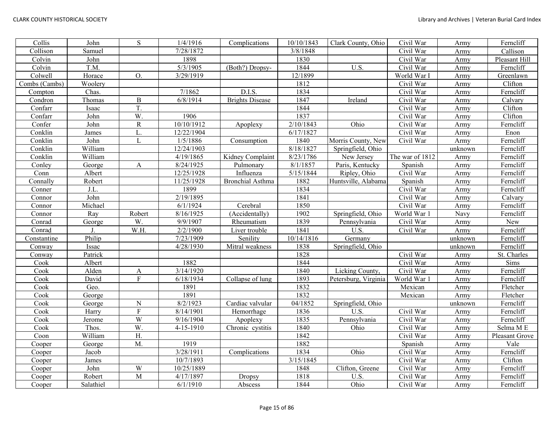| Collis        | John      | S                       | 1/4/1916               | Complications           | 10/10/1843 | Clark County, Ohio   | Civil War               | Army    | Ferncliff      |
|---------------|-----------|-------------------------|------------------------|-------------------------|------------|----------------------|-------------------------|---------|----------------|
| Collison      | Samuel    |                         | 7/28/1872              |                         | 3/8/1848   |                      | Civil War               | Army    | Callison       |
| Colvin        | John      |                         | 1898                   |                         | 1830       |                      | $\overline{C}$ ivil War | Army    | Pleasant Hill  |
| Colvin        | T.M.      |                         | 5/3/1905               | (Both?) Dropsy-         | 1844       | U.S.                 | Civil War               | Army    | Ferncliff      |
| Colwell       | Horace    | O.                      | 3/29/1919              |                         | 12/1899    |                      | World War 1             | Army    | Greenlawn      |
| Combs (Cambs) | Woolery   |                         |                        |                         | 1812       |                      | Civil War               | Army    | Clifton        |
| Compton       | Chas.     |                         | 7/1862                 | D.I.S.                  | 1834       |                      | Civil War               | Army    | Ferncliff      |
| Condron       | Thomas    | $\, {\bf B}$            | 6/8/1914               | <b>Brights Disease</b>  | 1847       | Ireland              | Civil War               | Army    | Calvary        |
| Confarr       | Isaac     | T.                      |                        |                         | 1844       |                      | Civil War               | Army    | Clifton        |
| Confarr       | John      | W.                      | 1906                   |                         | 1837       |                      | Civil War               | Army    | Clifton        |
| Confer        | John      | $\mathbf R$             | 10/10/1912             | Apoplexy                | 2/10/1843  | Ohio                 | Civil War               | Army    | Ferncliff      |
| Conklin       | James     | L                       | 12/22/1904             |                         | 6/17/1827  |                      | Civil War               | Army    | Enon           |
| Conklin       | John      | L                       | 1/5/1886               | Consumption             | 1840       | Morris County, New   | Civil War               | Army    | Ferncliff      |
| Conklin       | William   |                         | 12/24/1903             |                         | 8/18/1827  | Springfield, Ohio    |                         | unknown | Ferncliff      |
| Conklin       | William   |                         | 4/19/1865              | Kidney Complaint        | 8/23/1786  | New Jersey           | The war of 1812         | Army    | Ferncliff      |
| Conley        | George    | A                       | 8/24/1925              | Pulmonary               | 8/1/1857   | Paris, Kentucky      | Spanish                 | Army    | Ferncliff      |
| Conn          | Albert    |                         | 12/25/1928             | Influenza               | 5/15/1844  | Ripley, Ohio         | Civil War               | Army    | Ferncliff      |
| Connally      | Robert    |                         | 11/25/1928             | <b>Bronchial Asthma</b> | 1882       | Huntsville, Alabama  | Spanish                 | Army    | Ferncliff      |
| Conner        | J.L.      |                         | 1899                   |                         | 1834       |                      | Civil War               | Army    | Ferncliff      |
| Connor        | John      |                         | 2/19/1895              |                         | 1841       |                      | Civil War               | Army    | Calvary        |
| Connor        | Michael   |                         | 6/1/1924               | Cerebral                | 1850       |                      | Civil War               | Army    | Ferncliff      |
| Connor        | Ray       | Robert                  | 8/16/1925              | (Accidentally)          | 1902       | Springfield, Ohio    | World War               | Navy    | Ferncliff      |
| Conrad        | George    | W.                      | 9/9/1907               | Rheumatism              | 1839       | Pennsylvania         | Civil War               | Army    | New            |
| Conrad        |           | W.H.                    | 2/2/1900               | Liver trouble           | 1841       | U.S.                 | Civil War               | Army    | Ferncliff      |
| Constantine   | Philip    |                         | 7/23/1909              | Senility                | 10/14/1816 | Germany              |                         | unknown | Ferncliff      |
| Conway        | Issac     |                         | 4/28/1930              | Mitral weakness         | 1838       | Springfield, Ohio    |                         | unknown | Ferncliff      |
| Conway        | Patrick   |                         |                        |                         | 1828       |                      | Civil War               | Army    | St. Charles    |
| Cook          | Albert    |                         | 1882                   |                         | 1844       |                      | Civil War               | Army    | Sims           |
| Cook          | Alden     | $\mathbf{A}$            | 3/14/1920              |                         | 1840       | Licking County,      | Civil War               | Army    | Ferncliff      |
| Cook          | David     | $\mathbf F$             | 6/18/1934              | Collapse of lung        | 1893       | Petersburg, Virginia | World War 1             | Army    | Ferncliff      |
| Cook          | Geo.      |                         | 1891                   |                         | 1832       |                      | Mexican                 | Army    | Fletcher       |
| Cook          | George    |                         | 1891                   |                         | 1832       |                      | Mexican                 | Army    | Fletcher       |
| Cook          | George    | $\mathbf N$             | 8/2/1923               | Cardiac valvular        | 04/1852    | Springfield, Ohio    |                         | unknown | Ferncliff      |
| Cook          | Harry     | $\overline{\mathrm{F}}$ | 8/14/1901              | Hemorrhage              | 1836       | U.S.                 | Civil War               | Army    | Ferncliff      |
| Cook          | Jerome    | W                       | $\overline{9/16/1904}$ | Apoplexy                | 1835       | Pennsylvania         | Civil War               | Army    | Ferncliff      |
| Cook          | Thos.     | $\overline{W}$          | 4-15-1910              | Chronic cystitis        | 1840       | Ohio                 | Civil War               | Army    | Selma ME       |
| Coon          | William   | $\mathbf{H}.$           |                        |                         | 1842       |                      | Civil War               | Army    | Pleasant Grove |
| Cooper        | George    | M.                      | 1919                   |                         | 1882       |                      | Spanish                 | Army    | Vale           |
| Cooper        | Jacob     |                         | 3/28/1911              | Complications           | 1834       | Ohio                 | Civil War               | Army    | Ferncliff      |
| Cooper        | James     |                         | 10/7/1893              |                         | 3/15/1845  |                      | Civil War               | Army    | Clifton        |
| Cooper        | John      | W                       | 10/25/1889             |                         | 1848       | Clifton, Greene      | Civil War               | Army    | Ferncliff      |
| Cooper        | Robert    | $\mathbf{M}$            | 4/17/1897              | Dropsy                  | 1818       | U.S.                 | Civil War               | Army    | Ferncliff      |
| Cooper        | Salathiel |                         | 6/1/1910               | Abscess                 | 1844       | Ohio                 | Civil War               | Army    | Ferncliff      |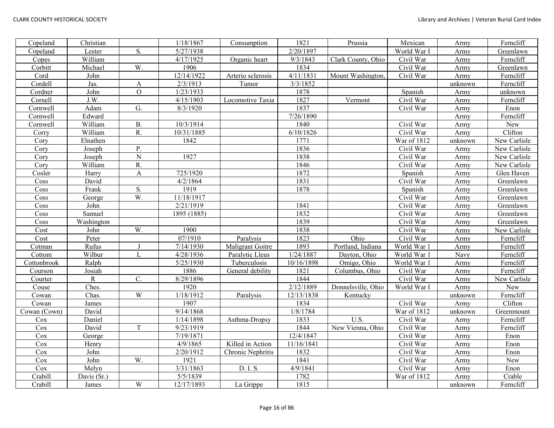| Copeland     | Christian   |                         | 1/18/1867              | Consumption       | 1821       | Prussia            | Mexican     | Army    | Ferncliff    |
|--------------|-------------|-------------------------|------------------------|-------------------|------------|--------------------|-------------|---------|--------------|
| Copeland     | Lester      | S.                      | 5/27/1938              |                   | 2/20/1897  |                    | World War I | Army    | Greenlawn    |
| Copes        | William     |                         | 4/17/1925              | Organic heart     | 9/3/1843   | Clark County, Ohio | Civil War   | Army    | Ferncliff    |
| Corbitt      | Michael     | W.                      | 1906                   |                   | 1834       |                    | Civil War   | Army    | Greenlawn    |
| Cord         | John        |                         | 12/14/1922             | Arterio sclerosis | 4/11/1831  | Mount Washington,  | Civil War   | Army    | Ferncliff    |
| Cordell      | Jas.        | $\boldsymbol{A}$        | 2/3/1913               | Tumor             | 3/3/1852   |                    |             | unknown | Ferncliff    |
| Cordner      | John        | $\mathcal{O}$           | 1/23/1933              |                   | 1878       |                    | Spanish     | Army    | unknown      |
| Cornell      | J.W.        |                         | 4/15/1903              | Locomotive Taxia  | 1827       | Vermont            | Civil War   | Army    | Ferncliff    |
| Cornwell     | Adam        | G.                      | 8/3/1920               |                   | 1837       |                    | Civil War   | Army    | Enon         |
| Cornwell     | Edward      |                         |                        |                   | 7/26/1890  |                    |             | Army    | Ferncliff    |
| Cornwell     | William     | <b>B.</b>               | 10/3/1914              |                   | 1840       |                    | Civil War   | Army    | New          |
| Corry        | William     | R.                      | 10/31/1885             |                   | 6/10/1826  |                    | Civil War   | Army    | Clifton      |
| Cory         | Elnathen    |                         | 1842                   |                   | 1771       |                    | War of 1812 | unknown | New Carlisle |
| Cory         | Joseph      | Ρ.                      |                        |                   | 1836       |                    | Civil War   | Army    | New Carlisle |
| Cory         | Joseph      | ${\bf N}$               | 1927                   |                   | 1838       |                    | Civil War   | Army    | New Carlisle |
| Cory         | William     | R.                      |                        |                   | 1846       |                    | Civil War   | Army    | New Carlisle |
| Cosler       | Harry       | $\mathbf{A}$            | 725/1920               |                   | 1872       |                    | Spanish     | Army    | Glen Haven   |
| Coss         | David       |                         | 4/2/1864               |                   | 1831       |                    | Civil War   | Army    | Greenlawn    |
| Coss         | Frank       | S.                      | 1919                   |                   | 1878       |                    | Spanish     | Army    | Greenlawn    |
| $\cos$       | George      | W.                      | 11/18/1917             |                   |            |                    | Civil War   | Army    | Greenlawn    |
| Coss         | John        |                         | 2/21/1919              |                   | 1841       |                    | Civil War   | Army    | Greenlawn    |
| Coss         | Samuel      |                         | 1895 (1885)            |                   | 1832       |                    | Civil War   | Army    | Greenlawn    |
| Coss         | Washington  |                         |                        |                   | 1839       |                    | Civil War   | Army    | Greenlawn    |
| Cost         | John        | W.                      | 1900                   |                   | 1838       |                    | Civil War   | Army    | New Carlisle |
| Cost         | Peter       |                         | 07/1910                | Paralysis         | 1823       | Ohio               | Civil War   | Army    | Ferncliff    |
| Cotman       | Rufus       | J                       | 7/14/1930              | Maligrant Goitre  | 1893       | Portland, Indiana  | World War 1 | Army    | Ferncliff    |
| Cottom       | Wilbur      | L                       | 4/28/1936              | Paralytic Lleus   | 1/24/1887  | Dayton, Ohio       | World War 1 | Navy    | Ferncliff    |
| Cottonbrook  | Ralph       |                         | $\overline{5/25/1930}$ | Tuberculosis      | 10/16/1898 | Omigo, Ohio        | World War 1 | Army    | Ferncliff    |
| Courson      | Josiah      |                         | 1886                   | General debility  | 1821       | Columbus, Ohio     | Civil War   | Army    | Ferncliff    |
| Courter      | ${\bf R}$   | C.                      | 8/29/1896              |                   | 1844       |                    | Civil War   | Army    | New Carlisle |
| Couse        | Ches.       |                         | 1920                   |                   | 2/12/1889  | Donnelsville, Ohio | World War I | Army    | New          |
| Cowan        | Chas.       | W                       | 1/18/1912              | Paralysis         | 12/13/1838 | Kentucky           |             | unknown | Ferncliff    |
| Cowan        | James       |                         | 1907                   |                   | 1834       |                    | Civil War   | Army    | Clifton      |
| Cowan (Cown) | David       |                         | 9/14/1868              |                   | 1/8/1784   |                    | War of 1812 | unknown | Greenmount   |
| Cox          | Daniel      |                         | 1/14/1898              | Asthma-Dropsy     | 1833       | $\overline{U.S.}$  | Civil War   | Army    | Ferncliff    |
| Cox          | David       | $\mathbf T$             | 9/23/1919              |                   | 1844       | New Vienna, Ohio   | Civil War   | Army    | Ferncliff    |
| Cox          | George      |                         | 7/19/1871              |                   | 12/4/1847  |                    | Civil War   | Army    | Enon         |
| Cox          | Henry       |                         | 4/9/1865               | Killed in Action  | 11/16/1841 |                    | Civil War   | Army    | Enon         |
| Cox          | John        |                         | 2/20/1912              | Chronic Nephritis | 1832       |                    | Civil War   | Army    | Enon         |
| Cox          | John        | W.                      | 1921                   |                   | 1841       |                    | Civil War   | Army    | New          |
| Cox          | Melyn       |                         | 3/31/1863              | D. I. S.          | 4/9/1841   |                    | Civil War   | Army    | Enon         |
| Crabill      | Davis (Sr.) |                         | 5/5/1839               |                   | 1782       |                    | War of 1812 | Army    | Crable       |
| Crabill      | James       | $\ensuremath{\text{W}}$ | 12/17/1893             | La Grippe         | 1815       |                    |             | unknown | Ferncliff    |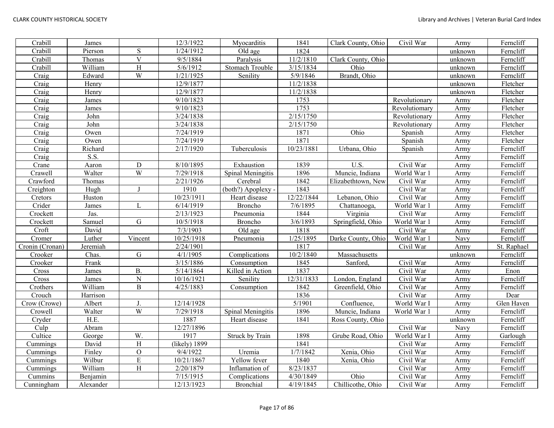| Crabill         | James     |                         | 12/3/1922     | Myocarditis            | 1841       | Clark County, Ohio | Civil War     | Army    | Ferncliff   |
|-----------------|-----------|-------------------------|---------------|------------------------|------------|--------------------|---------------|---------|-------------|
| Crabill         | Pierson   | ${\bf S}$               | 1/24/1912     | Old age                | 1824       |                    |               | unknown | Ferncliff   |
| Crabill         | Thomas    | $\overline{\mathbf{V}}$ | 9/5/1884      | Paralysis              | 11/2/1810  | Clark County, Ohio |               | unknown | Ferncliff   |
| Crabill         | William   | $\rm H$                 | 5/6/1912      | Stomach Trouble        | 3/15/1834  | Ohio               |               | unknown | Ferncliff   |
| Craig           | Edward    | W                       | 1/21/1925     | Senility               | 5/9/1846   | Brandt, Ohio       |               | unknown | Ferncliff   |
| Craig           | Henry     |                         | 12/9/1877     |                        | 11/2/1838  |                    |               | unknown | Fletcher    |
| Craig           | Henry     |                         | 12/9/1877     |                        | 11/2/1838  |                    |               | unknown | Fletcher    |
| Craig           | James     |                         | 9/10/1823     |                        | 1753       |                    | Revolutionary | Army    | Fletcher    |
| Craig           | James     |                         | 9/10/1823     |                        | 1753       |                    | Revolutiomary | Army    | Fletcher    |
| Craig           | John      |                         | 3/24/1838     |                        | 2/15/1750  |                    | Revolutionary | Army    | Fletcher    |
| Craig           | John      |                         | 3/24/1838     |                        | 2/15/1750  |                    | Revolutionary | Army    | Fletcher    |
| Craig           | Owen      |                         | 7/24/1919     |                        | 1871       | Ohio               | Spanish       | Army    | Fletcher    |
| Craig           | Owen      |                         | 7/24/1919     |                        | 1871       |                    | Spanish       | Army    | Fletcher    |
| Craig           | Richard   |                         | 2/17/1920     | Tuberculosis           | 10/23/1881 | Urbana, Ohio       | Spanish       | Army    | Ferncliff   |
| Craig           | S.S.      |                         |               |                        |            |                    |               | Army    | Ferncliff   |
| Crane           | Aaron     | ${\bf D}$               | 8/10/1895     | Exhaustion             | 1839       | U.S.               | Civil War     | Army    | Ferncliff   |
| Crawell         | Walter    | $\overline{W}$          | 7/29/1918     | Spinal Meningitis      | 1896       | Muncie, Indiana    | World War 1   | Army    | Ferncliff   |
| Crawford        | Thomas    |                         | 2/21/1926     | Cerebral               | 1842       | Elizabethtown, New | Civil War     | Army    | Ferncliff   |
| Creighton       | Hugh      | $\mathbf{J}$            | 1910          | (both?) Apoplexy -     | 1843       |                    | Civil War     | Army    | Ferncliff   |
| Cretors         | Huston    |                         | 10/23/1911    | Heart disease          | 12/22/1844 | Lebanon, Ohio      | Civil War     | Army    | Ferncliff   |
| Crider          | James     | L                       | 6/14/1919     | Broncho                | 7/6/1895   | Chattanooga,       | World War 1   | Army    | Ferncliff   |
| Crockett        | Jas.      |                         | 2/13/1923     | Pneumonia              | 1844       | Virginia           | Civil War     | Army    | Ferncliff   |
| Crockett        | Samuel    | $\mathbf G$             | 10/5/1918     | Broncho                | 3/6/1893   | Springfield, Ohio  | World War 1   | Army    | Ferncliff   |
| Croft           | David     |                         | 7/3/1903      | Old age                | 1818       |                    | Civil War     | Army    | Ferncliff   |
| Cromer          | Luther    | Vincent                 | 10/25/1918    | Pneumonia              | 1/25/1895  | Darke County, Ohio | World War 1   | Navy    | Ferncliff   |
| Cronin (Cronan) | Jeremiah  |                         | 2/24/1901     |                        | 1817       |                    | Civil War     | Army    | St. Raphael |
| Crooker         | Chas.     | ${\bf G}$               | 4/1/1905      | Complications          | 10/2/1840  | Massachusetts      |               | unknown | Ferncliff   |
| Crooker         | Frank     |                         | 3/15/1886     | Consumption            | 1845       | Sanford,           | Civil War     | Army    | Ferncliff   |
| Cross           | James     | <b>B.</b>               | 5/14/1864     | Killed in Action       | 1837       |                    | Civil War     | Army    | Enon        |
| Cross           | James     | ${\bf N}$               | 10/16/1921    | Senility               | 12/31/1833 | London, England    | Civil War     | Army    | Ferncliff   |
| Crothers        | William   | $\, {\bf B}$            | 4/25/1883     | Consumption            | 1842       | Greenfield, Ohio   | Civil War     | Army    | Ferncliff   |
| Crouch          | Harrison  |                         |               |                        | 1836       |                    | Civil War     | Army    | Dear        |
| Crow (Crowe)    | Albert    | J.                      | 12/14/1928    |                        | 5/1901     | Confluence,        | World War I   | Army    | Glen Haven  |
| Crowell         | Walter    | W                       | 7/29/1918     | Spinal Meningitis      | 1896       | Muncie, Indiana    | World War 1   | Army    | Ferncliff   |
| Cryder          | H.E.      |                         | 1887          | Heart disease          | 1841       | Ross County, Ohio  |               | unknown | Ferncliff   |
| Culp            | Abram     |                         | 12/27/1896    |                        |            |                    | Civil War     | Navy    | Ferncliff   |
| Cultice         | George    | W.                      | 1917          | <b>Struck by Train</b> | 1898       | Grube Road, Ohio   | World War I   | Army    | Garlough    |
| Cummings        | David     | $\, {\rm H}$            | (likely) 1899 |                        | 1841       |                    | Civil War     | Army    | Ferncliff   |
| Cummings        | Finley    | $\overline{O}$          | 9/4/1922      | Uremia                 | 1/7/1842   | Xenia, Ohio        | Civil War     | Army    | Ferncliff   |
| Cummings        | Wilbur    | $\overline{\mathrm{E}}$ | 10/21/1867    | Yellow fever           | 1840       | Xenia, Ohio        | Civil War     | Army    | Ferncliff   |
| Cummings        | William   | H                       | 2/20/1879     | Inflamation of         | 8/23/1837  |                    | Civil War     | Army    | Ferncliff   |
| Cummins         | Benjamin  |                         | 7/15/1915     | Complications          | 4/30/1849  | Ohio               | Civil War     | Army    | Ferncliff   |
| Cunningham      | Alexander |                         | 12/13/1923    | <b>Bronchial</b>       | 4/19/1845  | Chillicothe, Ohio  | Civil War     | Army    | Ferncliff   |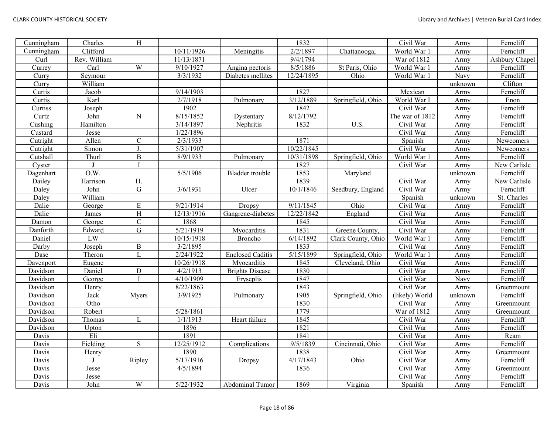| Cunningham | Charles      | $\, {\rm H}$ |            |                         | 1832       |                    | Civil War       | Army    | Ferncliff      |
|------------|--------------|--------------|------------|-------------------------|------------|--------------------|-----------------|---------|----------------|
| Cunningham | Clifford     |              | 10/11/1926 | Meningitis              | 2/2/1897   | Chattanooga,       | World War 1     | Army    | Ferncliff      |
| Curl       | Rev. William |              | 11/13/1871 |                         | 9/4/1794   |                    | War of 1812     | Army    | Ashbury Chapel |
| Currey     | Carl         | W            | 9/10/1927  | Angina pectoris         | 8/5/1886   | St Paris, Ohio     | World War 1     | Army    | Ferncliff      |
| Curry      | Seymour      |              | 3/3/1932   | Diabetes mellites       | 12/24/1895 | Ohio               | World War 1     | Navy    | Ferncliff      |
| Curry      | William      |              |            |                         |            |                    |                 | unknown | Clifton        |
| Curtis     | Jacob        |              | 9/14/1903  |                         | 1827       |                    | Mexican         | Army    | Ferncliff      |
| Curtis     | Karl         |              | 2/7/1918   | Pulmonary               | 3/12/1889  | Springfield, Ohio  | World War I     | Army    | Enon           |
| Curtiss    | Joseph       |              | 1902       |                         | 1842       |                    | Civil War       | Army    | Ferncliff      |
| Curtz      | John         | ${\bf N}$    | 8/15/1852  | Dystentary              | 8/12/1792  |                    | The war of 1812 | Army    | Ferncliff      |
| Cushing    | Hamilton     |              | 3/14/1897  | Nephritis               | 1832       | U.S.               | Civil War       | Army    | Ferncliff      |
| Custard    | Jesse        |              | 1/22/1896  |                         |            |                    | Civil War       | Army    | Ferncliff      |
| Cutright   | Allen        | $\mathbf C$  | 2/3/1933   |                         | 1871       |                    | Spanish         | Army    | Newcomers      |
| Cutright   | Simon        | J.           | 5/31/1907  |                         | 10/22/1845 |                    | Civil War       | Army    | Newcomers      |
| Cutshall   | Thurl        | $\, {\bf B}$ | 8/9/1933   | Pulmonary               | 10/31/1898 | Springfield, Ohio  | World War 1     | Army    | Ferncliff      |
| Cyster     |              |              |            |                         | 1827       |                    | Civil War       | Army    | New Carlisle   |
| Dagenhart  | O.W.         |              | 5/5/1906   | Bladder trouble         | 1853       | Maryland           |                 | unknown | Ferncliff      |
| Dailey     | Harrison     | H.           |            |                         | 1839       |                    | Civil War       | Army    | New Carlisle   |
| Daley      | John         | G            | 3/6/1931   | Ulcer                   | 10/1/1846  | Seedbury, England  | Civil War       | Army    | Ferncliff      |
| Daley      | William      |              |            |                         |            |                    | Spanish         | unknown | St. Charles    |
| Dalie      | George       | ${\bf E}$    | 9/21/1914  | Dropsy                  | 9/11/1845  | Ohio               | Civil War       | Army    | Ferncliff      |
| Dalie      | James        | H            | 12/13/1916 | Gangrene-diabetes       | 12/22/1842 | England            | Civil War       | Army    | Ferncliff      |
| Damon      | George       | $\mathbf C$  | 1868       |                         | 1845       |                    | Civil War       | Army    | Ferncliff      |
| Danforth   | Edward       | $\mathbf G$  | 5/21/1919  | Myocarditis             | 1831       | Greene County,     | Civil War       | Army    | Ferncliff      |
| Daniel     | <b>LW</b>    |              | 10/15/1918 | Broncho                 | 6/14/1892  | Clark County, Ohio | World War 1     | Army    | Ferncliff      |
| Darby      | Joseph       | $\, {\bf B}$ | 3/2/1895   |                         | 1833       |                    | Civil War       | Army    | Ferncliff      |
| Dase       | Theron       | L            | 2/24/1922  | <b>Enclosed Caditis</b> | 5/15/1899  | Springfield, Ohio  | World War 1     | Army    | Ferncliff      |
| Davenport  | Eugene       |              | 10/26/1918 | Myocarditis             | 1845       | Cleveland, Ohio    | Civil War       | Army    | Ferncliff      |
| Davidson   | Daniel       | ${\bf D}$    | 4/2/1913   | <b>Brights Disease</b>  | 1830       |                    | Civil War       | Army    | Ferncliff      |
| Davidson   | George       |              | 4/10/1909  | Eryseplis               | 1847       |                    | Civil War       | Navy    | Ferncliff      |
| Davidson   | Henry        |              | 8/22/1863  |                         | 1843       |                    | Civil War       | Army    | Greenmount     |
| Davidson   | Jack         | Myers        | 3/9/1925   | Pulmonary               | 1905       | Springfield, Ohio  | (likely) World  | unknown | Ferncliff      |
| Davidson   | Otho         |              |            |                         | 1830       |                    | Civil War       | Army    | Greenmount     |
| Davidson   | Robert       |              | 5/28/1861  |                         | 1779       |                    | War of 1812     | Army    | Greenmount     |
| Davidson   | Thomas       | L            | 1/1/1913   | Heart failure           | 1845       |                    | Civil War       | Army    | Ferncliff      |
| Davidson   | Upton        |              | 1896       |                         | 1821       |                    | Civil War       | Army    | Ferncliff      |
| Davis      | Eli          |              | 1891       |                         | 1841       |                    | Civil War       | Army    | Ream           |
| Davis      | Fielding     | S            | 12/25/1912 | Complications           | 9/5/1839   | Cincinnati, Ohio   | Civil War       | Army    | Ferncliff      |
| Davis      | Henry        |              | 1890       |                         | 1838       |                    | Civil War       | Army    | Greenmount     |
| Davis      |              | Ripley       | 5/17/1916  | Dropsy                  | 4/17/1843  | Ohio               | Civil War       | Army    | Ferncliff      |
| Davis      | Jesse        |              | 4/5/1894   |                         | 1836       |                    | Civil War       | Army    | Greenmount     |
| Davis      | Jesse        |              |            |                         |            |                    | Civil War       | Army    | Ferncliff      |
| Davis      | John         | W            | 5/22/1932  | Abdominal Tumor         | 1869       | Virginia           | Spanish         | Army    | Ferncliff      |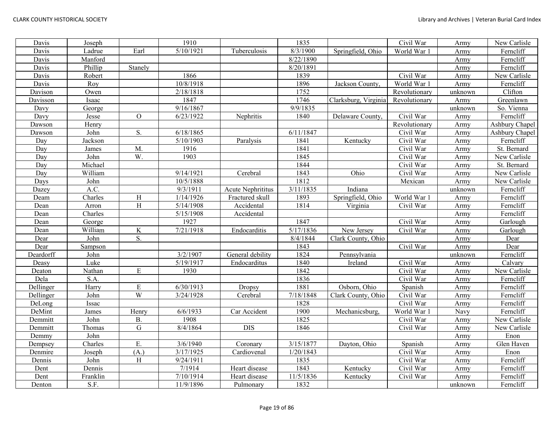| Davis     | Joseph   |               | 1910      |                          | 1835      |                      | Civil War     | Army    | New Carlisle   |
|-----------|----------|---------------|-----------|--------------------------|-----------|----------------------|---------------|---------|----------------|
| Davis     | Ladrue   | Earl          | 5/10/1921 | Tuberculosis             | 8/3/1900  | Springfield, Ohio    | World War 1   | Army    | Ferncliff      |
| Davis     | Manford  |               |           |                          | 8/22/1890 |                      |               | Army    | Ferncliff      |
| Davis     | Phillip  | Stanely       |           |                          | 8/20/1891 |                      |               | Army    | Ferncliff      |
| Davis     | Robert   |               | 1866      |                          | 1839      |                      | Civil War     | Army    | New Carlisle   |
| Davis     | Roy      |               | 10/8/1918 |                          | 1896      | Jackson County.      | World War 1   | Army    | Ferncliff      |
| Davison   | Owen     |               | 2/18/1818 |                          | 1752      |                      | Revolutionary | unknown | Clifton        |
| Davisson  | Isaac    |               | 1847      |                          | 1746      | Clarksburg, Virginia | Revolutionary | Army    | Greenlawn      |
| Davy      | George   |               | 9/16/1867 |                          | 9/9/1835  |                      |               | unknown | So. Vienna     |
| Davy      | Jesse    | $\mathcal{O}$ | 6/23/1922 | Nephritis                | 1840      | Delaware County.     | Civil War     | Army    | Ferncliff      |
| Dawson    | Henry    |               |           |                          |           |                      | Revolutionary | Army    | Ashbury Chapel |
| Dawson    | John     | S.            | 6/18/1865 |                          | 6/11/1847 |                      | Civil War     | Army    | Ashbury Chapel |
| Day       | Jackson  |               | 5/10/1903 | Paralysis                | 1841      | Kentucky             | Civil War     | Army    | Ferncliff      |
| Day       | James    | M.            | 1916      |                          | 1841      |                      | Civil War     | Army    | St. Bernard    |
| Day       | John     | W.            | 1903      |                          | 1845      |                      | Civil War     | Army    | New Carlisle   |
| Day       | Michael  |               |           |                          | 1844      |                      | Civil War     | Army    | St. Bernard    |
| Day       | William  |               | 9/14/1921 | Cerebral                 | 1843      | Ohio                 | Civil War     | Army    | New Carlisle   |
| Days      | John     |               | 10/5/1888 |                          | 1812      |                      | Mexican       | Army    | New Carlisle   |
| Dazey     | A.C.     |               | 9/3/1911  | <b>Acute Nephrititus</b> | 3/11/1835 | Indiana              |               | unknown | Ferncliff      |
| Deam      | Charles  | H             | 1/14/1926 | Fractured skull          | 1893      | Springfield, Ohio    | World War 1   | Army    | Ferncliff      |
| Dean      | Arron    | H             | 5/14/1908 | Accidental               | 1814      | Virginia             | Civil War     | Army    | Ferncliff      |
| Dean      | Charles  |               | 5/15/1908 | Accidental               |           |                      |               | Army    | Ferncliff      |
| Dean      | George   |               | 1927      |                          | 1847      |                      | Civil War     | Army    | Garlough       |
| Dean      | William  | K             | 7/21/1918 | Endocarditis             | 5/17/1836 | New Jersey           | Civil War     | Army    | Garlough       |
| Dear      | John     | S.            |           |                          | 8/4/1844  | Clark County, Ohio   |               | Army    | Dear           |
| Dear      | Sampson  |               |           |                          | 1843      |                      | Civil War     | Army    | Dear           |
| Deardorff | John     |               | 3/2/1907  | General debility         | 1824      | Pennsylvania         |               | unknown | Ferncliff      |
| Deasy     | Luke     |               | 5/19/1917 | Endocarditus             | 1840      | Ireland              | Civil War     | Army    | Calvary        |
| Deaton    | Nathan   | $\mathbf E$   | 1930      |                          | 1842      |                      | Civil War     | Army    | New Carlisle   |
| Dela      | S.A.     |               |           |                          | 1836      |                      | Civil War     | Army    | Ferncliff      |
| Dellinger | Harry    | ${\bf E}$     | 6/30/1913 | Dropsy                   | 1881      | Osborn, Ohio         | Spanish       | Army    | Ferncliff      |
| Dellinger | John     | W             | 3/24/1928 | Cerebral                 | 7/18/1848 | Clark County, Ohio   | Civil War     | Army    | Ferncliff      |
| DeLong    | Issac    |               |           |                          | 1828      |                      | Civil War     | Army    | Ferncliff      |
| DeMint    | James    | Henry         | 6/6/1933  | Car Accident             | 1900      | Mechanicsburg,       | World War 1   | Navy    | Ferncliff      |
| Demmitt   | John     | <b>B.</b>     | 1908      |                          | 1825      |                      | Civil War     | Army    | New Carlisle   |
| Demmitt   | Thomas   | G             | 8/4/1864  | <b>DIS</b>               | 1846      |                      | Civil War     | Army    | New Carlisle   |
| Demmy     | John     |               |           |                          |           |                      |               | Army    | Enon           |
| Dempsey   | Charles  | E.            | 3/6/1940  | Coronary                 | 3/15/1877 | Dayton, Ohio         | Spanish       | Army    | Glen Haven     |
| Denmire   | Joseph   | (A.)          | 3/17/1925 | Cardiovenal              | 1/20/1843 |                      | Civil War     | Army    | Enon           |
| Dennis    | John     | H             | 9/24/1911 |                          | 1835      |                      | Civil War     | Army    | Ferncliff      |
| Dent      | Dennis   |               | 7/1914    | Heart disease            | 1843      | Kentucky             | Civil War     | Army    | Ferncliff      |
| Dent      | Franklin |               | 7/10/1914 | Heart disease            | 11/5/1836 | Kentucky             | Civil War     | Army    | Ferncliff      |
| Denton    | S.F.     |               | 11/9/1896 | Pulmonary                | 1832      |                      |               | unknown | Ferncliff      |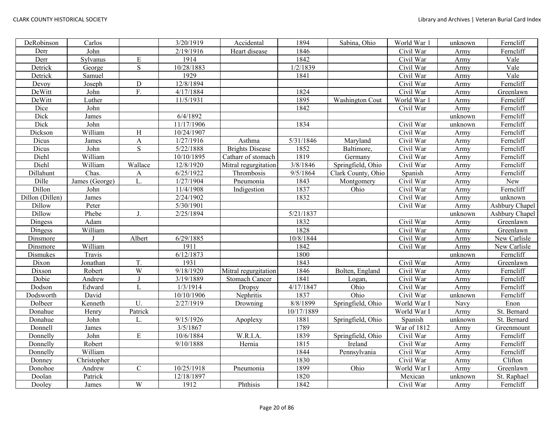| DeRobinson      | Carlos         |                         | 3/20/1919  | Accidental             | 1894       | Sabina, Ohio           | World War 1 | unknown | Ferncliff      |
|-----------------|----------------|-------------------------|------------|------------------------|------------|------------------------|-------------|---------|----------------|
| Derr            | John           |                         | 2/19/1916  | Heart disease          | 1846       |                        | Civil War   | Army    | Ferncliff      |
| Derr            | Sylvanus       | $\mathbf E$             | 1914       |                        | 1842       |                        | Civil War   | Army    | Vale           |
| Detrick         | George         | $\mathbf S$             | 10/28/1883 |                        | 1/2/1839   |                        | Civil War   | Army    | Vale           |
| Detrick         | Samuel         |                         | 1929       |                        | 1841       |                        | Civil War   | Army    | Vale           |
| Devoy           | Joseph         | ${\bf D}$               | 12/8/1894  |                        |            |                        | Civil War   | Army    | Ferncliff      |
| DeWitt          | John           | F.                      | 4/17/1884  |                        | 1824       |                        | Civil War   | Army    | Greenlawn      |
| DeWitt          | Luther         |                         | 11/5/1931  |                        | 1895       | <b>Washington Cout</b> | World War 1 | Army    | Ferncliff      |
| Dice            | John           |                         |            |                        | 1842       |                        | Civil War   | Army    | Ferncliff      |
| Dick            | James          |                         | 6/4/1892   |                        |            |                        |             | unknown | Ferncliff      |
| Dick            | John           |                         | 11/17/1906 |                        | 1834       |                        | Civil War   | unknown | Ferncliff      |
| Dickson         | William        | H                       | 10/24/1907 |                        |            |                        | Civil War   | Army    | Ferncliff      |
| Dicus           | James          | $\mathbf{A}$            | 1/27/1916  | Asthma                 | 5/31/1846  | Maryland               | Civil War   | Army    | Ferncliff      |
| Dicus           | John           | S                       | 5/22/1888  | <b>Brights Disease</b> | 1852       | Baltimore,             | Civil War   | Army    | Ferncliff      |
| Diehl           | William        |                         | 10/10/1895 | Catharr of stomach     | 1819       | Germany                | Civil War   | Army    | Ferncliff      |
| Diehl           | William        | Wallace                 | 12/8/1920  | Mitral regurgitation   | 3/8/1846   | Springfield, Ohio      | Civil War   | Army    | Ferncliff      |
| Dillahunt       | Chas.          | A                       | 6/25/1922  | Thrombosis             | 9/5/1864   | Clark County, Ohio     | Spanish     | Army    | Ferncliff      |
| Dille           | James (George) | L.                      | 1/27/1904  | Pneumonia              | 1843       | Montgomery             | Civil War   | Army    | New            |
| Dillon          | John           |                         | 11/4/1908  | Indigestion            | 1837       | Ohio                   | Civil War   | Army    | Ferncliff      |
| Dillon (Dillen) | James          |                         | 2/24/1902  |                        | 1832       |                        | Civil War   | Army    | unknown        |
| Dillow          | Peter          |                         | 5/30/1901  |                        |            |                        | Civil War   | Army    | Ashbury Chapel |
| Dillow          | Phebe          | J.                      | 2/25/1894  |                        | 5/21/1837  |                        |             | unknown | Ashbury Chapel |
| Dingess         | Adam           |                         |            |                        | 1832       |                        | Civil War   | Army    | Greenlawn      |
| Dingess         | William        |                         |            |                        | 1828       |                        | Civil War   | Army    | Greenlawn      |
| Dinsmore        |                | Albert                  | 6/29/1885  |                        | 10/8/1844  |                        | Civil War   | Army    | New Carlisle   |
| Dinsmore        | William        |                         | 1911       |                        | 1842       |                        | Civil War   | Army    | New Carlisle   |
| Dismukes        | Travis         |                         | 6/12/1873  |                        | 1800       |                        |             | unknown | Ferncliff      |
| Dixon           | Jonathan       | T.                      | 1931       |                        | 1843       |                        | Civil War   | Army    | Greenlawn      |
| Dixson          | Robert         | W                       | 9/18/1920  | Mitral regurgitation   | 1846       | Bolten, England        | Civil War   | Army    | Ferncliff      |
| Dobie           | Andrew         | $\mathbf{J}$            | 3/19/1889  | Stomach Cancer         | 1841       | Logan,                 | Civil War   | Army    | Ferncliff      |
| Dodson          | Edward         | L                       | 1/3/1914   | <b>Dropsy</b>          | 4/17/1847  | Ohio                   | Civil War   | Army    | Ferncliff      |
| Dodsworth       | David          |                         | 10/10/1906 | Nephritis              | 1837       | Ohio                   | Civil War   | unknown | Ferncliff      |
| Dolbeer         | Kenneth        | U.                      | 2/27/1919  | Drowning               | 8/8/1899   | Springfield, Ohio      | World War I | Navy    | Enon           |
| Donahue         | Henry          | Patrick                 |            |                        | 10/17/1889 |                        | World War I | Army    | St. Bernard    |
| Donahue         | John           |                         | 9/15/1926  | Apoplexy               | 1881       | Springfield, Ohio      | Spanish     | unknown | St. Bernard    |
| Donnell         | James          |                         | 3/5/1867   |                        | 1789       |                        | War of 1812 | Army    | Greenmount     |
| Donnelly        | John           | ${\bf E}$               | 10/6/1884  | W.R.I.A.               | 1839       | Springfield, Ohio      | Civil War   | Army    | Ferncliff      |
| Donnelly        | Robert         |                         | 9/10/1888  | Hernia                 | 1815       | Ireland                | Civil War   | Army    | Ferncliff      |
| Donnelly        | William        |                         |            |                        | 1844       | Pennsylvania           | Civil War   | Army    | Ferncliff      |
| Donney          | Christopher    |                         |            |                        | 1830       |                        | Civil War   | Army    | Clifton        |
| Donohoe         | Andrew         | $\mathsf{C}$            | 10/25/1918 | Pneumonia              | 1899       | Ohio                   | World War I | Army    | Greenlawn      |
| Doolan          | Patrick        |                         | 12/18/1897 |                        | 1820       |                        | Mexican     | unknown | St. Raphael    |
| Dooley          | James          | $\ensuremath{\text{W}}$ | 1912       | Phthisis               | 1842       |                        | Civil War   | Army    | Ferncliff      |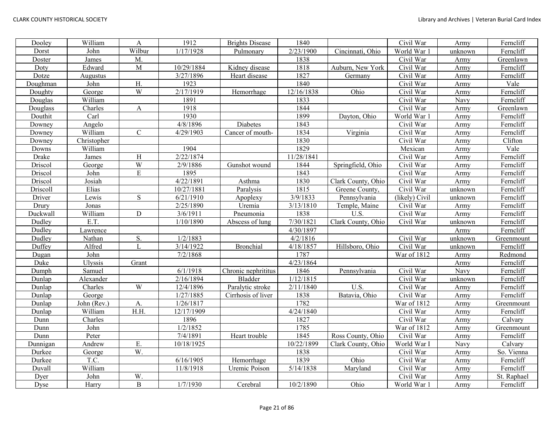| Dooley   | William     | A              | 1912       | <b>Brights Disease</b> | 1840       |                    | Civil War      | Army    | Ferncliff   |
|----------|-------------|----------------|------------|------------------------|------------|--------------------|----------------|---------|-------------|
| Dorst    | John        | Wilbur         | 1/17/1928  | Pulmonary              | 2/23/1900  | Cincinnati, Ohio   | World War 1    | unknown | Ferncliff   |
| Doster   | James       | M.             |            |                        | 1838       |                    | Civil War      | Army    | Greenlawn   |
| Doty     | Edward      | M              | 10/29/1884 | Kidney disease         | 1818       | Auburn, New York   | Civil War      | Army    | Ferncliff   |
| Dotze    | Augustus    |                | 3/27/1896  | Heart disease          | 1827       | Germany            | Civil War      | Army    | Ferncliff   |
| Doughman | John        | H.             | 1923       |                        | 1840       |                    | Civil War      | Army    | Vale        |
| Doughty  | George      | W              | 2/17/1919  | Hemorrhage             | 12/16/1838 | Ohio               | Civil War      | Army    | Ferncliff   |
| Douglas  | William     |                | 1891       |                        | 1833       |                    | Civil War      | Navy    | Ferncliff   |
| Douglass | Charles     | A              | 1918       |                        | 1844       |                    | Civil War      | Army    | Greenlawn   |
| Douthit  | Carl        |                | 1930       |                        | 1899       | Dayton, Ohio       | World War      | Army    | Ferncliff   |
| Downey   | Angelo      |                | 4/8/1896   | Diabetes               | 1843       |                    | Civil War      | Army    | Ferncliff   |
| Downey   | William     | $\mathbf C$    | 4/29/1903  | Cancer of mouth-       | 1834       | Virginia           | Civil War      | Army    | Ferncliff   |
| Downey   | Christopher |                |            |                        | 1830       |                    | Civil War      | Army    | Clifton     |
| Downs    | William     |                | 1904       |                        | 1829       |                    | Mexican        | Army    | Vale        |
| Drake    | James       | H              | 2/22/1874  |                        | 11/28/1841 |                    | Civil War      | Army    | Ferncliff   |
| Driscol  | George      | W              | 2/9/1886   | Gunshot wound          | 1844       | Springfield, Ohio  | Civil War      | Army    | Ferncliff   |
| Driscol  | John        | $\overline{E}$ | 1895       |                        | 1843       |                    | Civil War      | Army    | Ferncliff   |
| Driscol  | Josiah      |                | 4/22/1891  | Asthma                 | 1830       | Clark County, Ohio | Civil War      | Army    | Ferncliff   |
| Driscoll | Elias       |                | 10/27/1881 | Paralysis              | 1815       | Greene County,     | Civil War      | unknown | Ferncliff   |
| Driver   | Lewis       | S              | 6/21/1910  | Apoplexy               | 3/9/1833   | Pennsylvania       | (likely) Civil | unknown | Ferncliff   |
| Drury    | Jonas       |                | 2/25/1890  | Uremia                 | 3/13/1810  | Temple, Maine      | Civil War      | Army    | Ferncliff   |
| Duckwall | William     | ${\bf D}$      | 3/6/1911   | Pneumonia              | 1838       | U.S.               | Civil War      | Army    | Ferncliff   |
| Dudley   | E.T.        |                | 1/10/1890  | Abscess of lung        | 7/30/1821  | Clark County, Ohio | Civil War      | unknown | Ferncliff   |
| Dudley   | Lawrence    |                |            |                        | 4/30/1897  |                    |                | Army    | Ferncliff   |
| Dudley   | Nathan      | S.             | 1/2/1883   |                        | 4/2/1816   |                    | Civil War      | unknown | Greenmount  |
| Duffey   | Alfred      | L              | 3/14/1922  | Bronchial              | 4/18/1857  | Hillsboro, Ohio    | Civil War      | unknown | Ferncliff   |
| Dugan    | John        |                | 7/2/1868   |                        | 1787       |                    | War of 1812    | Army    | Redmond     |
| Duke     | Ulyssis     | Grant          |            |                        | 4/23/1864  |                    |                | Army    | Ferncliff   |
| Dumph    | Samuel      |                | 6/1/1918   | Chronic nephrititus    | 1846       | Pennsylvania       | Civil War      | Navy    | Ferncliff   |
| Dunlap   | Alexander   |                | 2/16/1894  | Bladder                | 1/12/1815  |                    | Civil War      | unknown | Ferncliff   |
| Dunlap   | Charles     | W              | 12/4/1896  | Paralytic stroke       | 2/11/1840  | U.S.               | Civil War      | Army    | Ferncliff   |
| Dunlap   | George      |                | 1/27/1885  | Cirrhosis of liver     | 1838       | Batavia, Ohio      | Civil War      | Army    | Ferncliff   |
| Dunlap   | John (Rev.) | A.             | 1/26/1817  |                        | 1782       |                    | War of 1812    | Army    | Greenmount  |
| Dunlap   | William     | H.H.           | 12/17/1909 |                        | 4/24/1840  |                    | Civil War      | Army    | Ferncliff   |
| Dunn     | Charles     |                | 1896       |                        | 1827       |                    | Civil War      | Army    | Calvary     |
| Dunn     | John        |                | 1/2/1852   |                        | 1785       |                    | War of 1812    | Army    | Greenmount  |
| Dunn     | Peter       |                | 7/4/1891   | Heart trouble          | 1845       | Ross County, Ohio  | Civil War      | Army    | Ferncliff   |
| Dunnigan | Andrew      | Ε.             | 10/18/1925 |                        | 10/22/1899 | Clark County, Ohio | World War I    | Navy    | Calvary     |
| Durkee   | George      | W.             |            |                        | 1838       |                    | Civil War      | Army    | So. Vienna  |
| Durkee   | T.C.        |                | 6/16/1905  | Hemorrhage             | 1839       | Ohio               | Civil War      | Army    | Ferncliff   |
| Duvall   | William     |                | 11/8/1918  | Uremic Poison          | 5/14/1838  | Maryland           | Civil War      | Army    | Ferncliff   |
| Dyer     | John        | W.             |            |                        |            |                    | Civil War      | Army    | St. Raphael |
| Dyse     | Harry       | $\overline{B}$ | 1/7/1930   | Cerebral               | 10/2/1890  | Ohio               | World War 1    | Army    | Ferncliff   |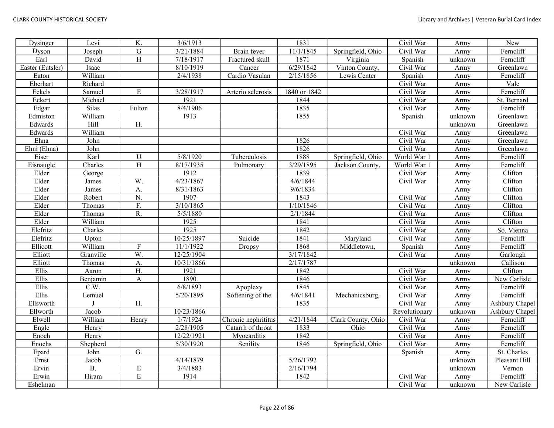| Dysinger         | Levi      | K.                      | 3/6/1913   |                     | 1831         |                    | Civil War     | Army    | New            |
|------------------|-----------|-------------------------|------------|---------------------|--------------|--------------------|---------------|---------|----------------|
| Dyson            | Joseph    | $\overline{G}$          | 3/21/1884  | Brain fever         | 11/1/1845    | Springfield, Ohio  | Civil War     | Army    | Ferncliff      |
| Earl             | David     | $\overline{\mathrm{H}}$ | 7/18/1917  | Fractured skull     | 1871         | Virginia           | Spanish       | unknown | Ferncliff      |
| Easter (Eutsler) | Isaac     |                         | 8/10/1919  | Cancer              | 6/29/1842    | Vinton County,     | Civil War     | Army    | Greenlawn      |
| Eaton            | William   |                         | 2/4/1938   | Cardio Vasulan      | 2/15/1856    | Lewis Center       | Spanish       | Army    | Ferncliff      |
| Eberhart         | Richard   |                         |            |                     |              |                    | Civil War     | Army    | Vale           |
| Eckels           | Samuel    | E                       | 3/28/1917  | Arterio sclerosis   | 1840 or 1842 |                    | Civil War     | Army    | Ferncliff      |
| Eckert           | Michael   |                         | 1921       |                     | 1844         |                    | Civil War     | Army    | St. Bernard    |
| Edgar            | Silas     | Fulton                  | 8/4/1906   |                     | 1835         |                    | Civil War     | Army    | Ferncliff      |
| Edmiston         | William   |                         | 1913       |                     | 1855         |                    | Spanish       | unknown | Greenlawn      |
| Edwards          | Hill      | ${\bf H}.$              |            |                     |              |                    |               | unknown | Greenlawn      |
| Edwards          | William   |                         |            |                     |              |                    | Civil War     | Army    | Greenlawn      |
| Ehna             | John      |                         |            |                     | 1826         |                    | Civil War     | Army    | Greenlawn      |
| Ehni (Ehna)      | John      |                         |            |                     | 1826         |                    | Civil War     | Army    | Greenlawn      |
| Eiser            | Karl      | $\mathbf U$             | 5/8/1920   | Tuberculosis        | 1888         | Springfield, Ohio  | World War 1   | Army    | Ferncliff      |
| Eisnaugle        | Charles   | H                       | 8/17/1935  | Pulmonary           | 3/29/1895    | Jackson County.    | World War 1   | Army    | Ferncliff      |
| Elder            | George    |                         | 1912       |                     | 1839         |                    | Civil War     | Army    | Clifton        |
| Elder            | James     | W.                      | 4/23/1867  |                     | 4/6/1844     |                    | Civil War     | Army    | Clifton        |
| Elder            | James     | A.                      | 8/31/1863  |                     | 9/6/1834     |                    |               | Army    | Clifton        |
| Elder            | Robert    | N.                      | 1907       |                     | 1843         |                    | Civil War     | Army    | Clifton        |
| Elder            | Thomas    | F.                      | 3/10/1865  |                     | 1/10/1846    |                    | Civil War     | Army    | Clifton        |
| Elder            | Thomas    | R.                      | 5/5/1880   |                     | 2/1/1844     |                    | Civil War     | Army    | Clifton        |
| Elder            | William   |                         | 1925       |                     | 1841         |                    | Civil War     | Army    | Clifton        |
| Elefritz         | Charles   |                         | 1925       |                     | 1842         |                    | Civil War     | Army    | So. Vienna     |
| Elefritz         | Upton     |                         | 10/25/1897 | Suicide             | 1841         | Maryland           | Civil War     | Army    | Ferncliff      |
| Ellicott         | William   | ${\bf F}$               | 11/1/1922  | <b>Dropsy</b>       | 1868         | Middletown,        | Spanish       | Army    | Ferncliff      |
| Elliott          | Granville | W.                      | 12/25/1904 |                     | 3/17/1842    |                    | Civil War     | Army    | Garlough       |
| Elliott          | Thomas    | A.                      | 10/31/1866 |                     | 2/17/1787    |                    |               | unknown | Callison       |
| Ellis            | Aaron     | H.                      | 1921       |                     | 1842         |                    | Civil War     | Army    | Clifton        |
| Ellis            | Benjamin  | A                       | 1890       |                     | 1846         |                    | Civil War     | Army    | New Carlisle   |
| Ellis            | C.W.      |                         | 6/8/1893   | Apoplexy            | 1845         |                    | Civil War     | Army    | Ferncliff      |
| Ellis            | Lemuel    |                         | 5/20/1895  | Softening of the    | 4/6/1841     | Mechanicsburg,     | Civil War     | Army    | Ferncliff      |
| Ellsworth        |           | H.                      |            |                     | 1835         |                    | Civil War     | Army    | Ashbury Chapel |
| Ellworth         | Jacob     |                         | 10/23/1866 |                     |              |                    | Revolutionary | unknown | Ashbury Chapel |
| Elwell           | William   | Henry                   | 1/7/1924   | Chronic nephrititus | 4/21/1844    | Clark County, Ohio | Civil War     | Army    | Ferncliff      |
| Engle            | Henry     |                         | 2/28/1905  | Catarrh of throat   | 1833         | Ohio               | Civil War     | Army    | Ferncliff      |
| Enoch            | Henry     |                         | 12/22/1921 | Myocarditis         | 1842         |                    | Civil War     | Army    | Ferncliff      |
| Enochs           | Shepherd  |                         | 5/30/1920  | Senility            | 1846         | Springfield, Ohio  | Civil War     | Army    | Ferncliff      |
| Epard            | John      | G.                      |            |                     |              |                    | Spanish       | Army    | St. Charles    |
| Ernst            | Jacob     |                         | 4/14/1879  |                     | 5/26/1792    |                    |               | unknown | Pleasant Hill  |
| Ervin            | <b>B.</b> | E                       | 3/4/1883   |                     | 2/16/1794    |                    |               | unknown | Vernon         |
| Erwin            | Hiram     | $\mathbf E$             | 1914       |                     | 1842         |                    | Civil War     | Army    | Ferncliff      |
| Eshelman         |           |                         |            |                     |              |                    | Civil War     | unknown | New Carlisle   |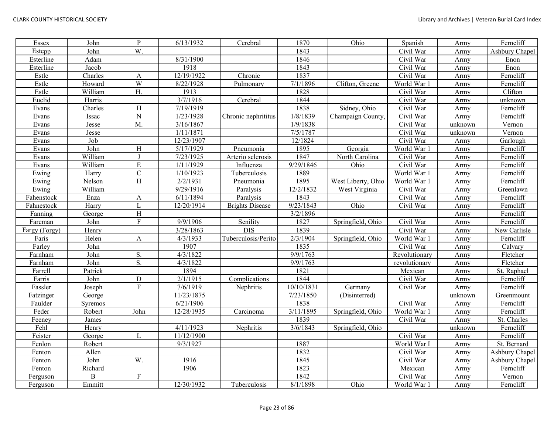| Essex         | John         | ${\bf P}$        | 6/13/1932  | Cerebral               | 1870       | Ohio               | Spanish       | Army    | Ferncliff      |
|---------------|--------------|------------------|------------|------------------------|------------|--------------------|---------------|---------|----------------|
| Estepp        | John         | W.               |            |                        | 1843       |                    | Civil War     | Army    | Ashbury Chapel |
| Esterline     | Adam         |                  | 8/31/1900  |                        | 1846       |                    | Civil War     | Army    | Enon           |
| Esterline     | Jacob        |                  | 1918       |                        | 1843       |                    | Civil War     | Army    | Enon           |
| Estle         | Charles      | A                | 12/19/1922 | Chronic                | 1837       |                    | Civil War     | Army    | Ferncliff      |
| Estle         | Howard       | W                | 8/22/1928  | Pulmonary              | 7/1/1896   | Clifton, Greene    | World War 1   | Army    | Ferncliff      |
| Estle         | William      | H.               | 1913       |                        | 1828       |                    | Civil War     | Army    | Clifton        |
| Euclid        | Harris       |                  | 3/7/1916   | Cerebral               | 1844       |                    | Civil War     | Army    | unknown        |
| Evans         | Charles      | H                | 7/19/1919  |                        | 1838       | Sidney, Ohio       | Civil War     | Army    | Ferncliff      |
| Evans         | Issac        | $\overline{N}$   | 1/23/1928  | Chronic nephrititus    | 1/8/1839   | Champaign County.  | Civil War     | Army    | Ferncliff      |
| Evans         | Jesse        | M.               | 3/16/1867  |                        | 1/9/1838   |                    | Civil War     | unknown | Vernon         |
| Evans         | Jesse        |                  | 1/11/1871  |                        | 7/5/1787   |                    | Civil War     | unknown | Vernon         |
| Evans         | Job          |                  | 12/23/1907 |                        | 12/1824    |                    | Civil War     | Army    | Garlough       |
| Evans         | John         | H                | 5/17/1929  | Pneumonia              | 1895       | Georgia            | World War 1   | Army    | Ferncliff      |
| Evans         | William      | J                | 7/23/1925  | Arterio sclerosis      | 1847       | North Carolina     | Civil War     | Army    | Ferncliff      |
| Evans         | William      | ${\bf E}$        | 1/11/1929  | Influenza              | 9/29/1846  | Ohio               | Civil War     | Army    | Ferncliff      |
| Ewing         | Harry        | $\overline{C}$   | 1/10/1923  | Tuberculosis           | 1889       |                    | World War 1   | Army    | Ferncliff      |
| Ewing         | Nelson       | H                | 2/2/1931   | Pneumonia              | 1895       | West Liberty, Ohio | World War 1   | Army    | Ferncliff      |
| Ewing         | William      |                  | 9/29/1916  | Paralysis              | 12/2/1832  | West Virginia      | Civil War     | Army    | Greenlawn      |
| Fahenstock    | Enza         | A                | 6/11/1894  | Paralysis              | 1843       |                    | Civil War     | Army    | Ferncliff      |
| Fahnestock    | Harry        | L                | 12/20/1914 | <b>Brights Disease</b> | 9/23/1843  | Ohio               | Civil War     | Army    | Ferncliff      |
| Fanning       | George       | $\rm H$          |            |                        | 3/2/1896   |                    |               | Army    | Ferncliff      |
| Fareman       | John         | $\overline{F}$   | 9/9/1906   | Senility               | 1827       | Springfield, Ohio  | Civil War     | Army    | Ferncliff      |
| Fargy (Forgy) | Henry        |                  | 3/28/1863  | <b>DIS</b>             | 1839       |                    | Civil War     | Army    | New Carlisle   |
| Faris         | Helen        | $\mathbf{A}$     | 4/3/1933   | Tuberculosis/Perito    | 2/3/1904   | Springfield, Ohio  | World War 1   | Army    | Ferncliff      |
| Farley        | John         |                  | 1907       |                        | 1835       |                    | Civil War     | Army    | Calvary        |
| Farnham       | John         | S.               | 4/3/1822   |                        | 9/9/1763   |                    | Revolutionary | Army    | Fletcher       |
| Farnham       | John         | $\overline{S}$ . | 4/3/1822   |                        | 9/9/1763   |                    | revolutionary | Army    | Fletcher       |
| Farrell       | Patrick      |                  | 1894       |                        | 1821       |                    | Mexican       | Army    | St. Raphael    |
| Farris        | John         | $\mathbf D$      | 2/1/1915   | Complications          | 1844       |                    | Civil War     | Army    | Ferncliff      |
| Fassler       | Joseph       | $\overline{F}$   | 7/6/1919   | Nephritis              | 10/10/1831 | Germany            | Civil War     | Army    | Ferncliff      |
| Fatzinger     | George       |                  | 11/23/1875 |                        | 7/23/1850  | (Disinterred)      |               | unknown | Greenmount     |
| Faulder       | Syremos      |                  | 6/21/1906  |                        | 1838       |                    | Civil War     | Army    | Ferncliff      |
| Feder         | Robert       | John             | 12/28/1935 | Carcinoma              | 3/11/1895  | Springfield, Ohio  | World War 1   | Army    | Ferncliff      |
| Feeney        | James        |                  |            |                        | 1839       |                    | Civil War     | Army    | St. Charles    |
| Fehl          | Henry        |                  | 4/11/1923  | Nephritis              | 3/6/1843   | Springfield, Ohio  |               | unknown | Ferncliff      |
| Feister       | George       | L                | 11/12/1900 |                        |            |                    | Civil War     | Army    | Ferncliff      |
| Fenlon        | Robert       |                  | 9/3/1927   |                        | 1887       |                    | World War I   | Army    | St. Bernard    |
| Fenton        | Allen        |                  |            |                        | 1832       |                    | Civil War     | Army    | Ashbury Chapel |
| Fenton        | John         | W.               | 1916       |                        | 1845       |                    | Civil War     | Army    | Ashbury Chapel |
| Fenton        | Richard      |                  | 1906       |                        | 1823       |                    | Mexican       | Army    | Ferncliff      |
| Ferguson      | $\, {\bf B}$ | $\mathbf F$      |            |                        | 1842       |                    | Civil War     | Army    | Vernon         |
| Ferguson      | Emmitt       |                  | 12/30/1932 | Tuberculosis           | 8/1/1898   | Ohio               | World War 1   | Army    | Ferncliff      |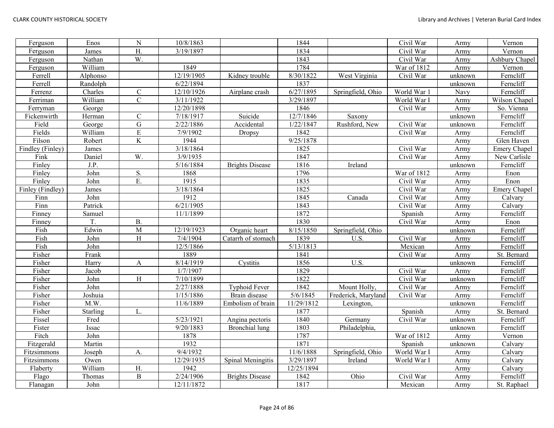| Ferguson         | Enos     | ${\bf N}$        | 10/8/1863  |                        | 1844       |                     | Civil War               | Army    | Vernon         |
|------------------|----------|------------------|------------|------------------------|------------|---------------------|-------------------------|---------|----------------|
| Ferguson         | James    | H.               | 3/19/1897  |                        | 1834       |                     | Civil War               | Army    | Vernon         |
| Ferguson         | Nathan   | W.               |            |                        | 1843       |                     | Civil War               | Army    | Ashbury Chapel |
| Ferguson         | William  |                  | 1849       |                        | 1784       |                     | War of 1812             | Army    | Vernon         |
| Ferrell          | Alphonso |                  | 12/19/1905 | Kidney trouble         | 8/30/1822  | West Virginia       | Civil War               | unknown | Ferncliff      |
| Ferrell          | Randolph |                  | 6/22/1894  |                        | 1837       |                     |                         | unknown | Ferncliff      |
| Ferrenz          | Charles  | ${\bf C}$        | 12/10/1926 | Airplane crash         | 6/27/1895  | Springfield, Ohio   | World War 1             | Navy    | Ferncliff      |
| Ferriman         | William  | $\overline{C}$   | 3/11/1922  |                        | 3/29/1897  |                     | World War I             | Army    | Wilson Chapel  |
| Ferryman         | George   |                  | 12/20/1898 |                        | 1846       |                     | Civil War               | Army    | So. Vienna     |
| Fickenwirth      | Herman   | $\mathbf C$      | 7/18/1917  | Suicide                | 12/7/1846  | Saxony              |                         | unknown | Ferncliff      |
| Field            | George   | ${\bf G}$        | 2/22/1886  | Accidental             | 1/22/1847  | Rushford, New       | Civil War               | unknown | Ferncliff      |
| Fields           | William  | ${\bf E}$        | 7/9/1902   | Dropsy                 | 1842       |                     | Civil War               | Army    | Ferncliff      |
| Filson           | Robert   | K                | 1944       |                        | 9/25/1878  |                     |                         | Army    | Glen Haven     |
| Findley (Finley) | James    |                  | 3/18/1864  |                        | 1825       |                     | Civil War               | Army    | Emery Chapel   |
| Fink             | Daniel   | W.               | 3/9/1935   |                        | 1847       |                     | Civil War               | Army    | New Carlisle   |
| Finley           | J.P.     |                  | 5/16/1884  | <b>Brights Disease</b> | 1816       | Ireland             |                         | unknown | Ferncliff      |
| Finley           | John     | S.               | 1868       |                        | 1796       |                     | War of 1812             | Army    | Enon           |
| Finley           | John     | $\overline{E}$ . | 1915       |                        | 1835       |                     | Civil War               | Army    | Enon           |
| Finley (Findley) | James    |                  | 3/18/1864  |                        | 1825       |                     | Civil War               | Army    | Emery Chapel   |
| Finn             | John     |                  | 1912       |                        | 1845       | Canada              | Civil War               | Army    | Calvary        |
| Finn             | Patrick  |                  | 6/21/1905  |                        | 1843       |                     | Civil War               | Army    | Calvary        |
| Finney           | Samuel   |                  | 11/1/1899  |                        | 1872       |                     | Spanish                 | Army    | Ferncliff      |
| Finney           | T.       | <b>B.</b>        |            |                        | 1830       |                     | Civil War               | Army    | Enon           |
| Fish             | Edwin    | M                | 12/19/1923 | Organic heart          | 8/15/1850  | Springfield, Ohio   |                         | unknown | Ferncliff      |
| Fish             | John     | H                | 7/4/1904   | Catarrh of stomach     | 1839       | U.S.                | Civil War               | Army    | Ferncliff      |
| Fish             | John     |                  | 12/5/1866  |                        | 5/13/1813  |                     | Mexican                 | Army    | Ferncliff      |
| Fisher           | Frank    |                  | 1889       |                        | 1841       |                     | Civil War               | Army    | St. Bernard    |
| Fisher           | Harry    | A                | 8/14/1919  | Cystitis               | 1856       | U.S.                |                         | unknown | Ferncliff      |
| Fisher           | Jacob    |                  | 1/7/1907   |                        | 1829       |                     | $\overline{C}$ ivil War | Army    | Ferncliff      |
| Fisher           | John     | H                | 7/10/1899  |                        | 1822       |                     | Civil War               | unknown | Ferncliff      |
| Fisher           | John     |                  | 2/27/1888  | <b>Typhoid Fever</b>   | 1842       | Mount Holly,        | Civil War               | Army    | Ferncliff      |
| Fisher           | Joshuia  |                  | 1/15/1886  | Brain disease          | 5/6/1845   | Frederick, Maryland | Civil War               | Army    | Ferncliff      |
| Fisher           | M.W.     |                  | 11/6/1889  | Embolism of brain      | 11/29/1812 | Lexington,          |                         | unknown | Ferncliff      |
| Fisher           | Starling | L.               |            |                        | 1877       |                     | Spanish                 | Army    | St. Bernard    |
| Fissel           | Fred     |                  | 5/23/1921  | Angina pectoris        | 1840       | Germany             | Civil War               | unknown | Ferncliff      |
| Fister           | Issac    |                  | 9/20/1883  | Bronchial lung         | 1803       | Philadelphia,       |                         | unknown | Ferncliff      |
| Fitch            | John     |                  | 1878       |                        | 1787       |                     | War of 1812             | Army    | Vernon         |
| Fitzgerald       | Martin   |                  | 1932       |                        | 1871       |                     | Spanish                 | unknown | Calvary        |
| Fitzsimmons      | Joseph   | А.               | 9/4/1932   |                        | 11/6/1888  | Springfield, Ohio   | World War I             | Army    | Calvary        |
| Fitzsimmons      | Owen     |                  | 12/29/1935 | Spinal Meningitis      | 3/29/1897  | Ireland             | World War I             | Army    | Calvary        |
| Flaberty         | William  | Η.               | 1942       |                        | 12/25/1894 |                     |                         | Army    | Calvary        |
| Flago            | Thomas   | $\, {\bf B}$     | 2/24/1906  | <b>Brights Disease</b> | 1842       | Ohio                | Civil War               | Army    | Ferncliff      |
| Flanagan         | John     |                  | 12/11/1872 |                        | 1817       |                     | Mexican                 | Army    | St. Raphael    |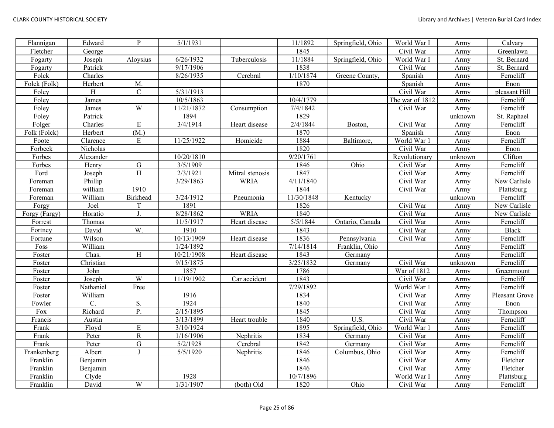| Flannigan     | Edward    | P               | 5/1/1931   |                 | 11/1892    | Springfield, Ohio | World War I     | Army    | Calvary        |
|---------------|-----------|-----------------|------------|-----------------|------------|-------------------|-----------------|---------|----------------|
| Fletcher      | George    |                 |            |                 | 1845       |                   | Civil War       | Army    | Greenlawn      |
| Fogarty       | Joseph    | Aloysius        | 6/26/1932  | Tuberculosis    | 11/1884    | Springfield, Ohio | World War I     | Army    | St. Bernard    |
| Fogarty       | Patrick   |                 | 9/17/1906  |                 | 1838       |                   | Civil War       | Army    | St. Bernard    |
| Folck         | Charles   |                 | 8/26/1935  | Cerebral        | 1/10/1874  | Greene County,    | Spanish         | Army    | Ferncliff      |
| Folck (Folk)  | Herbert   | M.              |            |                 | 1870       |                   | Spanish         | Army    | Enon           |
| Foley         | H         | $\mathbf C$     | 5/31/1913  |                 |            |                   | Civil War       | Army    | pleasant Hill  |
| Foley         | James     |                 | 10/5/1863  |                 | 10/4/1779  |                   | The war of 1812 | Army    | Ferncliff      |
| Foley         | James     | W               | 11/21/1872 | Consumption     | 7/4/1842   |                   | Civil War       | Army    | Ferncliff      |
| Foley         | Patrick   |                 | 1894       |                 | 1829       |                   |                 | unknown | St. Raphael    |
| Folger        | Charles   | E               | 3/4/1914   | Heart disease   | 2/4/1844   | Boston,           | Civil War       | Army    | Ferncliff      |
| Folk (Folck)  | Herbert   | (M.)            |            |                 | 1870       |                   | Spanish         | Army    | Enon           |
| Foote         | Clarence  | E               | 11/25/1922 | Homicide        | 1884       | Baltimore,        | World War 1     | Army    | Ferncliff      |
| Forbeck       | Nicholas  |                 |            |                 | 1820       |                   | Civil War       | Army    | Enon           |
| Forbes        | Alexander |                 | 10/20/1810 |                 | 9/20/1761  |                   | Revolutionary   | unknown | Clifton        |
| Forbes        | Henry     | G               | 3/5/1909   |                 | 1846       | Ohio              | Civil War       | Army    | Ferncliff      |
| Ford          | Joseph    | H               | 2/3/1921   | Mitral stenosis | 1847       |                   | Civil War       | Army    | Ferncliff      |
| Foreman       | Phillip   |                 | 3/29/1863  | <b>WRIA</b>     | 4/11/1840  |                   | Civil War       | Army    | New Carlisle   |
| Foreman       | william   | 1910            |            |                 | 1844       |                   | Civil War       | Army    | Plattsburg     |
| Foreman       | William   | <b>Birkhead</b> | 3/24/1912  | Pneumonia       | 11/30/1848 | Kentucky          |                 | unknown | Ferncliff      |
| Forgy         | Joel      | T               | 1891       |                 | 1826       |                   | Civil War       | Army    | New Carlisle   |
| Forgy (Fargy) | Horatio   | J               | 8/28/1862  | <b>WRIA</b>     | 1840       |                   | Civil War       | Army    | New Carlisle   |
| Forrest       | Thomas    |                 | 11/5/1917  | Heart disease   | 5/5/1844   | Ontario, Canada   | Civil War       | Army    | Ferncliff      |
| Fortney       | David     | W.              | 1910       |                 | 1843       |                   | Civil War       | Army    | <b>Black</b>   |
| Fortune       | Wilson    |                 | 10/13/1909 | Heart disease   | 1836       | Pennsylvania      | Civil War       | Army    | Ferncliff      |
| Foss          | William   |                 | 1/24/1892  |                 | 7/14/1814  | Franklin, Ohio    |                 | Army    | Ferncliff      |
| Foster        | Chas.     | H               | 10/21/1908 | Heart disease   | 1843       | Germany           |                 | Army    | Ferncliff      |
| Foster        | Christian |                 | 9/15/1875  |                 | 3/25/1832  | Germany           | Civil War       | unknown | Ferncliff      |
| Foster        | John      |                 | 1857       |                 | 1786       |                   | War of 1812     | Army    | Greenmount     |
| Foster        | Joseph    | W               | 11/19/1902 | Car accident    | 1843       |                   | Civil War       | Army    | Ferncliff      |
| Foster        | Nathaniel | Free            |            |                 | 7/29/1892  |                   | World War 1     | Army    | Ferncliff      |
| Foster        | William   |                 | 1916       |                 | 1834       |                   | Civil War       | Army    | Pleasant Grove |
| Fowler        | C.        | S.              | 1924       |                 | 1840       |                   | Civil War       | Army    | Enon           |
| Fox           | Richard   | P.              | 2/15/1895  |                 | 1845       |                   | Civil War       | Army    | Thompson       |
| Francis       | Austin    |                 | 3/13/1899  | Heart trouble   | 1840       | $\overline{U.S.}$ | Civil War       | Army    | Ferncliff      |
| Frank         | Floyd     | ${\bf E}$       | 3/10/1924  |                 | 1895       | Springfield, Ohio | World War 1     | Army    | Ferncliff      |
| Frank         | Peter     | $\mathbf R$     | 1/16/1906  | Nephritis       | 1834       | Germany           | Civil War       | Army    | Ferncliff      |
| Frank         | Peter     | $\mathbf G$     | 5/2/1928   | Cerebral        | 1842       | Germany           | Civil War       | Army    | Ferncliff      |
| Frankenberg   | Albert    |                 | 5/5/1920   | Nephritis       | 1846       | Columbus, Ohio    | Civil War       | Army    | Ferncliff      |
| Franklin      | Benjamin  |                 |            |                 | 1846       |                   | Civil War       | Army    | Fletcher       |
| Franklin      | Benjamin  |                 |            |                 | 1846       |                   | Civil War       | Army    | Fletcher       |
| Franklin      | Clyde     |                 | 1928       |                 | 10/7/1896  |                   | World War I     | Army    | Plattsburg     |
| Franklin      | David     | W               | 1/31/1907  | (both) Old      | 1820       | Ohio              | Civil War       | Army    | Ferncliff      |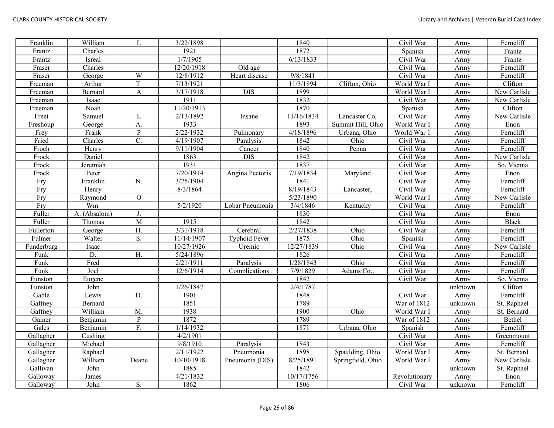| Franklin   | William      | L                | 3/22/1898  |                      | 1840                   |                   | Civil War     | Army    | Ferncliff    |
|------------|--------------|------------------|------------|----------------------|------------------------|-------------------|---------------|---------|--------------|
| Frantz     | Charles      |                  | 1921       |                      | 1872                   |                   | Spanish       | Army    | Frantz       |
| Frantz     | Isreal       |                  | 1/7/1905   |                      | 6/13/1833              |                   | Civil War     | Army    | Frantz       |
| Fraser     | Charles      |                  | 12/20/1918 | Old age              |                        |                   | Civil War     | Army    | Ferncliff    |
| Fraser     | George       | W                | 12/8/1912  | Heart disease        | $\frac{9}{8}$ 1841     |                   | Civil War     | Army    | Ferncliff    |
| Freeman    | Arthur       | T.               | 7/13/1921  |                      | 11/3/1894              | Clifton, Ohio     | World War I   | Army    | Clifton      |
| Freeman    | Bernard      | A                | 3/17/1918  | <b>DIS</b>           | 1899                   |                   | World War I   | Army    | New Carlisle |
| Freeman    | Isaac        |                  | 1911       |                      | 1832                   |                   | Civil War     | Army    | New Carlisle |
| Freeman    | Noah         |                  | 11/20/1913 |                      | 1870                   |                   | Spanish       | Army    | Clifton      |
| Freet      | Samuel       | L                | 2/13/1892  | Insane               | 11/16/1834             | Lancaster Co,     | Civil War     | Army    | New Carlisle |
| Freshoup   | George       | А.               | 1933       |                      | 1893                   | Summit Hill, Ohio | World War I   | Army    | Enon         |
| Frey       | Frank        | $\mathbf{P}$     | 2/22/1932  | Pulmonary            | 4/18/1896              | Urbana, Ohio      | World War 1   | Army    | Ferncliff    |
| Fried      | Charles      | $\overline{C}$ . | 4/19/1907  | Paralysis            | 1842                   | Ohio              | Civil War     | Army    | Ferncliff    |
| Froch      | Henry        |                  | 9/11/1904  | Cancer               | 1840                   | Penna             | Civil War     | Army    | Ferncliff    |
| Frock      | Daniel       |                  | 1863       | <b>DIS</b>           | 1842                   |                   | Civil War     | Army    | New Carlisle |
| Frock      | Jeremiah     |                  | 1931       |                      | 1837                   |                   | Civil War     | Army    | So. Vienna   |
| Frock      | Peter        |                  | 7/20/1914  | Angina Pectoris      | $\overline{7/19/1834}$ | Maryland          | Civil War     | Army    | Enon         |
| Fry        | Franklin     | N.               | 3/25/1904  |                      | 1841                   |                   | Civil War     | Army    | Ferncliff    |
| Fry        | Henry        |                  | 8/3/1864   |                      | 8/19/1843              | Lancaster,        | Civil War     | Army    | Ferncliff    |
| Fry        | Raymond      | $\mathcal{O}$    |            |                      | 5/23/1890              |                   | World War I   | Army    | New Carlisle |
| Fry        | Wm.          |                  | 5/2/1920   | Lobar Pneumonia      | 3/4/1846               | Kentucky          | Civil War     | Army    | Ferncliff    |
| Fuller     | A. (Absalom) | J.               |            |                      | 1830                   |                   | Civil War     | Army    | Enon         |
| Fuller     | Thomas       | M                | 1915       |                      | 1842                   |                   | Civil War     | Army    | <b>Black</b> |
| Fullerton  | George       | H.               | 3/31/1918  | Cerebral             | 2/27/1838              | Ohio              | Civil War     | Army    | Ferncliff    |
| Fulmer     | Walter       | S.               | 11/14/1907 | <b>Typhoid Fever</b> | 1875                   | Ohio              | Spanish       | Army    | Ferncliff    |
| Funderburg | Isaac        |                  | 10/27/1926 | Uremic               | 12/27/1839             | Ohio              | Civil War     | Army    | New Carlisle |
| Funk       | D.           | H.               | 5/24/1896  |                      | 1826                   |                   | Civil War     | Army    | Ferncliff    |
| Funk       | Fred         |                  | 2/21/1911  | Paralysis            | 1/28/1843              | Ohio              | Civil War     | Army    | Ferncliff    |
| Funk       | Joel         |                  | 12/6/1914  | Complications        | 7/9/1829               | Adams Co.,        | Civil War     | Army    | Ferncliff    |
| Funston    | Eugene       |                  |            |                      | 1842                   |                   | Civil War     | Army    | So. Vienna   |
| Funston    | John         |                  | 1/26/1847  |                      | 2/4/1787               |                   |               | unknown | Clifton      |
| Gable      | Lewis        | D.               | 1901       |                      | 1848                   |                   | Civil War     | Army    | Ferncliff    |
| Gaffney    | Bernard      |                  | 1851       |                      | 1789                   |                   | War of 1812   | unknown | St. Raphael  |
| Gaffney    | William      | M.               | 1938       |                      | 1900                   | Ohio              | World War I   | Army    | St. Bernard  |
| Gainer     | Benjamin     | ${\bf P}$        | 1872       |                      | 1789                   |                   | War of 1812   | Army    | Bethel       |
| Gales      | Benjamin     | F.               | 1/14/1932  |                      | 1871                   | Urbana, Ohio      | Spanish       | Army    | Ferncliff    |
| Gallagher  | Cushing      |                  | 4/2/1901   |                      |                        |                   | Civil War     | Army    | Greenmount   |
| Gallagher  | Michael      |                  | 9/8/1910   | Paralysis            | 1843                   |                   | Civil War     | Army    | Ferncliff    |
| Gallagher  | Raphael      |                  | 2/11/1922  | Pneumonia            | 1898                   | Spaulding, Ohio   | World War I   | Army    | St. Bernard  |
| Gallagher  | William      | Deane            | 10/10/1918 | Pneumonia (DIS)      | 8/25/1891              | Springfield, Ohio | World War I   | Army    | New Carlisle |
| Gallivan   | John         |                  | 1885       |                      | 1842                   |                   |               | unknown | St. Raphael  |
| Galloway   | James        |                  | 4/21/1832  |                      | 10/17/1756             |                   | Revolutionary | Army    | Enon         |
| Galloway   | John         | S.               | 1862       |                      | 1806                   |                   | Civil War     | unknown | Ferncliff    |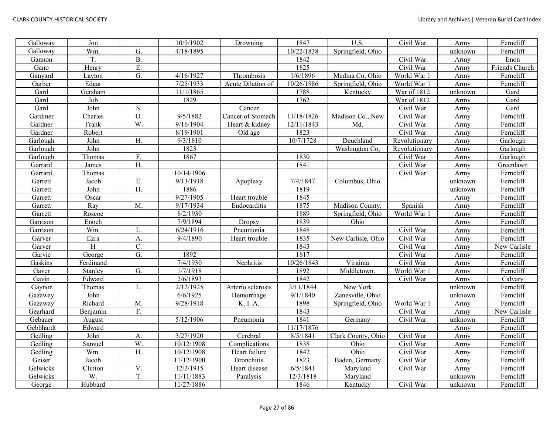| Galloway  | Jon       |                  | 10/9/1902  | Drowning          | 1847       | $\overline{U.S.}$  | Civil War     | Army    | Ferncliff      |
|-----------|-----------|------------------|------------|-------------------|------------|--------------------|---------------|---------|----------------|
| Galloway  | Wm.       | G.               | 4/18/1895  |                   | 10/22/1838 | Springfield, Ohio  |               | unknown | Ferncliff      |
| Gannon    | T.        | <b>B.</b>        |            |                   | 1842       |                    | Civil War     | Army    | Enon           |
| Gano      | Henry     | E.               |            |                   | 1825       |                    | Civil War     | Army    | Friends Church |
| Ganyard   | Layton    | G.               | 4/16/1927  | Thrombosis        | 1/6/1896   | Medina Co, Ohio    | World War 1   | Army    | Ferncliff      |
| Garber    | Edgar     |                  | 7/25/1933  | Acute Dilation of | 10/26/1886 | Springfield, Ohio  | World War 1   | Army    | Ferncliff      |
| Gard      | Gersham   |                  | 11/1/1865  |                   | 1788       | Kentucky           | War of 1812   | unknown | Gard           |
| Gard      | Job       |                  | 1829       |                   | 1762       |                    | War of 1812   | Army    | Gard           |
| Gard      | John      | S.               |            | Cancer            |            |                    | Civil War     | Army    | Gard           |
| Gardiner  | Charles   | O.               | 9/5/1882   | Cancer of Stomach | 11/18/1826 | Madison Co., New   | Civil War     | Army    | Ferncliff      |
| Gardner   | Frank     | W.               | 9/16/1904  | Heart & kidney    | 12/11/1843 | Md.                | Civil War     | Army    | Ferncliff      |
| Gardner   | Robert    |                  | 8/19/1901  | Old age           | 1823       |                    | Civil War     | Army    | Ferncliff      |
| Garlough  | John      | H.               | 9/3/1810   |                   | 10/7/1728  | Deuchland          | Revolutionary | Army    | Garlough       |
| Garlough  | John      |                  | 1823       |                   |            | Washington Co,     | Revolutionary | Army    | Garlough       |
| Garlough  | Thomas    | F.               | 1867       |                   | 1830       |                    | Civil War     | Army    | Garlough       |
| Garrard   | James     | H.               |            |                   | 1841       |                    | Civil War     | Army    | Greenlawn      |
| Garrard   | Thomas    |                  | 10/14/1906 |                   |            |                    | Civil War     | Army    | Ferncliff      |
| Garrett   | Jacob     | Ε.               | 9/13/1918  | Apoplexy          | 7/4/1847   | Columbus, Ohio     |               | unknown | Ferncliff      |
| Garrett   | John      | H.               | 1886       |                   | 1819       |                    |               | unknown | Ferncliff      |
| Garrett   | Oscar     |                  | 9/27/1905  | Heart trouble     | 1845       |                    |               | Army    | Ferncliff      |
| Garrett   | Ray       | M.               | 9/17/1934  | Endocarditis      | 1875       | Madison County.    | Spanish       | Army    | Ferncliff      |
| Garrett   | Roscoe    |                  | 8/2/1930   |                   | 1889       | Springfield, Ohio  | World War 1   | Army    | Ferncliff      |
| Garrison  | Enoch     |                  | 7/9/1894   | Dropsy            | 1839       | Ohio               |               | Army    | Ferncliff      |
| Garrison  | Wm.       | L                | 6/24/1916  | Pneumonia         | 1848       |                    | Civil War     | Army    | Ferncliff      |
| Garver    | Ezra      | A.               | 9/4/1890   | Heart trouble     | 1835       | New Carlisle, Ohio | Civil War     | Army    | Ferncliff      |
| Garver    | H         | $\mathbf{C}$ .   |            |                   | 1843       |                    | Civil War     | Army    | New Carlisle   |
| Garvie    | George    | G.               | 1892       |                   | 1817       |                    | Civil War     | Army    | Ferncliff      |
| Gaskins   | Ferdinand |                  | 7/4/1930   | Nephritis         | 10/26/1843 | Virginia           | Civil War     | Army    | Ferncliff      |
| Gaver     | Stanley   | G.               | 1/7/1918   |                   | 1892       | Middletown,        | World War 1   | Army    | Ferncliff      |
| Gavin     | Edward    |                  | 2/6/1893   |                   | 1842       |                    | Civil War     | Army    | Calvary        |
| Gaynor    | Thomas    | L.               | 2/12/1925  | Arterio sclerosis | 3/11/1844  | New York           |               | unknown | Ferncliff      |
| Gazaway   | John      |                  | 6/6/1925   | Hemorrhage        | 9/1/1840   | Zanesville, Ohio   |               | unknown | Ferncliff      |
| Gazaway   | Richard   | M.               | 9/28/1918  | K. I. A.          | 1898       | Springfield, Ohio  | World War 1   | Army    | Ferncliff      |
| Gearhard  | Benjamin  | F.               |            |                   | 1843       |                    | Civil War     | Army    | New Carlisle   |
| Gebauer   | August    |                  | 5/12/1906  | Pneumonia         | 1841       | Germany            | Civil War     | unknown | Ferncliff      |
| Gebbhardt | Edward    |                  |            |                   | 11/17/1876 |                    |               | Army    | Ferncliff      |
| Gedling   | John      | A.               | 3/27/1920  | Cerebral          | 8/5/1841   | Clark County, Ohio | Civil War     | Army    | Ferncliff      |
| Gedling   | Samuel    | W.               | 10/12/1908 | Complications     | 1838       | Ohio               | Civil War     | Army    | Ferncliff      |
| Gedling   | Wm.       | $\overline{H}$ . | 10/12/1908 | Heart failure     | 1842       | Ohio               | Civil War     | Army    | Ferncliff      |
| Geiser    | Jacob     |                  | 11/12/1900 | <b>Bronchitis</b> | 1823       | Baden, Germany     | Civil War     | Army    | Ferncliff      |
| Gelwicks  | Clinton   | V.               | 12/2/1915  | Heart disease     | 6/5/1841   | Maryland           | Civil War     | Army    | Ferncliff      |
| Gelwicks  | W.        | T.               | 11/11/1883 | Paralysis         | 12/3/1818  | Maryland           |               | unknown | Ferncliff      |
| George    | Hubbard   |                  | 11/27/1886 |                   | 1846       | Kentucky           | Civil War     | unknown | Ferncliff      |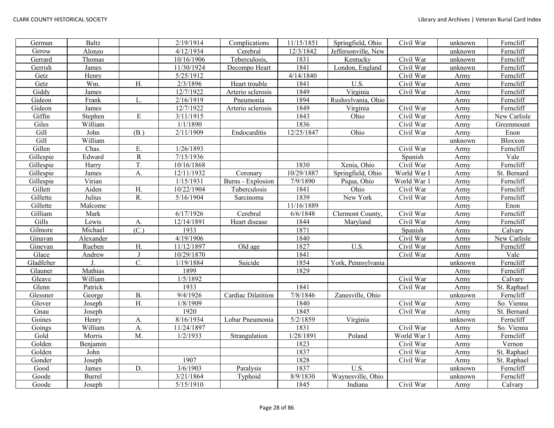| German     | <b>Baltz</b>  |                  | 2/19/1914  | Complications      | 11/15/1851 | Springfield, Ohio   | Civil War   | unknown | Ferncliff    |
|------------|---------------|------------------|------------|--------------------|------------|---------------------|-------------|---------|--------------|
| Gerow      | Alonzo        |                  | 4/12/1934  | Cerebral           | 12/3/1842  | Jeffersonville, New |             | unknown | Ferncliff    |
| Gerrard    | Thomas        |                  | 10/16/1906 | Teberculosis,      | 1831       | Kentucky            | Civil War   | unknown | Ferncliff    |
| Gerrish    | James         |                  | 11/30/1924 | Decompo Heart      | 1841       | London, England     | Civil War   | unknown | Ferncliff    |
| Getz       | Henry         |                  | 5/25/1912  |                    | 4/14/1840  |                     | Civil War   | Army    | Ferncliff    |
| Getz       | Wm.           | H.               | 2/3/1896   | Heart trouble      | 1841       | $\overline{U.S.}$   | Civil War   | Army    | Ferncliff    |
| Giddy      | James         |                  | 12/7/1922  | Arterio sclerosis  | 1849       | Virginia            | Civil War   | Army    | Ferncliff    |
| Gideon     | Frank         | L.               | 2/16/1919  | Pneumonia          | 1894       | Rushsylvania, Ohio  |             | Army    | Ferncliff    |
| Gideon     | James         |                  | 12/7/1922  | Arterio sclerosis  | 1849       | Virginia            | Civil War   | Army    | Ferncliff    |
| Giffin     | Stephen       | $\mathbf E$      | 3/11/1915  |                    | 1843       | Ohio                | Civil War   | Army    | New Carlisle |
| Giles      | William       |                  | 1/1/1890   |                    | 1836       |                     | Civil War   | Army    | Greenmount   |
| Gill       | John          | (B.)             | 2/11/1909  | Endocarditis       | 12/25/1847 | Ohio                | Civil War   | Army    | Enon         |
| Gill       | William       |                  |            |                    |            |                     |             | unknown | Bloxxon      |
| Gillen     | Chas.         | Ε.               | 1/26/1893  |                    |            |                     | Civil War   | Army    | Ferncliff    |
| Gillespie  | Edward        | $\mathbf R$      | 7/15/1936  |                    |            |                     | Spanish     | Army    | Vale         |
| Gillespie  | Harry         | T.               | 10/16/1868 |                    | 1830       | Xenia, Ohio         | Civil War   | Army    | Ferncliff    |
| Gillespie  | James         | A.               | 12/11/1932 | Coronary           | 10/29/1887 | Springfield, Ohio   | World War I | Army    | St. Bernard  |
| Gillespie  | Virian        |                  | 1/15/1931  | Burns - Explosion  | 7/9/1890   | Piqua, Ohio         | World War 1 | Army    | Ferncliff    |
| Gillett    | Aiden         | H.               | 10/22/1904 | Tuberculosis       | 1841       | Ohio                | Civil War   | Army    | Ferncliff    |
| Gillette   | Julius        | R.               | 5/16/1904  | Sarcinoma          | 1839       | New York            | Civil War   | Army    | Ferncliff    |
| Gillette   | Malcome       |                  |            |                    | 11/16/1889 |                     |             | Army    | Enon         |
| Gilliam    | Mark          |                  | 6/17/1926  | Cerebral           | 6/6/1848   | Clermont County,    | Civil War   | Army    | Ferncliff    |
| Gills      | Lewis         | А.               | 12/14/1891 | Heart disease      | 1844       | Maryland            | Civil War   | Army    | Ferncliff    |
| Gilmore    | Michael       | (C.)             | 1933       |                    | 1871       |                     | Spanish     | Army    | Calvary      |
| Ginavan    | Alexander     |                  | 4/19/1906  |                    | 1840       |                     | Civil War   | Army    | New Carlisle |
| Ginevan    | Rueben        | H.               | 11/12/1897 | Old age            | 1827       | U.S.                | Civil War   | Army    | Ferncliff    |
| Glace      | Andrew        | $\mathbf{J}$     | 10/29/1870 |                    | 1841       |                     | Civil War   | Army    | Vale         |
| Gladfelter |               | C.               | 1/19/1884  | Suicide            | 1854       | York, Pennsylvania  |             | unknown | Ferncliff    |
| Glauner    | Mathias       |                  | 1899       |                    | 1829       |                     |             | Army    | Ferncliff    |
| Gleave     | William       |                  | 1/5/1892   |                    |            |                     | Civil War   | Army    | Calvary      |
| Glenn      | Patrick       |                  | 1933       |                    | 1841       |                     | Civil War   | Army    | St. Raphael  |
| Glessner   | George        | <b>B.</b>        | 9/4/1926   | Cardiac Dilatition | 7/8/1846   | Zanesville, Ohio    |             | unknown | Ferncliff    |
| Glover     | Joseph        | $\overline{H}$ . | 1/8/1909   |                    | 1840       |                     | Civil War   | Army    | So. Vienna   |
| Gnau       | Joseph        |                  | 1920       |                    | 1845       |                     | Civil War   | Army    | St. Bernard  |
| Goines     | Henry         | A.               | 8/16/1934  | Lobar Pneumonia    | 5/2/1859   | Virginia            |             | unknown | Ferncliff    |
| Goings     | William       | A.               | 11/24/1897 |                    | 1831       |                     | Civil War   | Army    | So. Vienna   |
| Gold       | Morris        | M.               | 1/2/1933   | Strangulation      | 1/28/1891  | Poland              | World War 1 | Army    | Ferncliff    |
| Golden     | Benjamin      |                  |            |                    | 1823       |                     | Civil War   | Army    | Vernon       |
| Golden     | John          |                  |            |                    | 1837       |                     | Civil War   | Army    | St. Raphael  |
| Gonder     | Joseph        |                  | 1907       |                    | 1828       |                     | Civil War   | Army    | St. Raphael  |
| Good       | James         | D.               | 3/6/1903   | Paralysis          | 1837       | U.S.                |             | unknown | Ferncliff    |
| Goode      | <b>Burrel</b> |                  | 3/21/1864  | Typhoid            | 8/9/1830   | Waynesville, Ohio   |             | unknown | Ferncliff    |
| Goode      | Joseph        |                  | 5/15/1910  |                    | 1845       | Indiana             | Civil War   | Army    | Calvary      |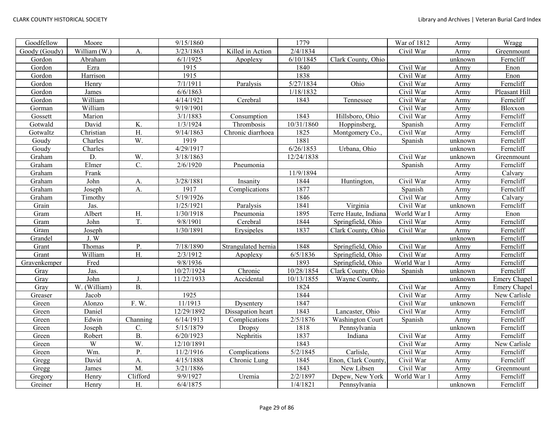| Goodfellow    | Moore        |                  | 9/15/1860  |                     | 1779                  |                         | War of 1812 | Army    | Wragg               |
|---------------|--------------|------------------|------------|---------------------|-----------------------|-------------------------|-------------|---------|---------------------|
| Goody (Goudy) | William (W.) | A.               | 3/23/1863  | Killed in Action    | 2/4/1834              |                         | Civil War   | Army    | Greenmount          |
| Gordon        | Abraham      |                  | 6/1/1925   | Apoplexy            | 6/10/1845             | Clark County, Ohio      |             | unknown | Ferncliff           |
| Gordon        | Ezra         |                  | 1915       |                     | 1840                  |                         | Civil War   | Army    | Enon                |
| Gordon        | Harrison     |                  | 1915       |                     | 1838                  |                         | Civil War   | Army    | Enon                |
| Gordon        | Henry        |                  | 7/1/1911   | Paralysis           | 5/27/1834             | Ohio                    | Civil War   | Army    | Ferncliff           |
| Gordon        | James        |                  | 6/6/1863   |                     | 1/18/1832             |                         | Civil War   | Army    | Pleasant Hill       |
| Gordon        | William      |                  | 4/14/1921  | Cerebral            | 1843                  | Tennessee               | Civil War   | Army    | Ferncliff           |
| Gorman        | William      |                  | 9/19/1901  |                     |                       |                         | Civil War   | Army    | Bloxxon             |
| Gossett       | Marion       |                  | 3/1/1883   | Consumption         | 1843                  | Hillsboro, Ohio         | Civil War   | Army    | Ferncliff           |
| Gotwald       | David        | K.               | 1/3/1924   | Thrombosis          | 10/31/1860            | Hoppinsberg,            | Spanish     | Army    | Ferncliff           |
| Gotwaltz      | Christian    | $\overline{H}$ . | 9/14/1863  | Chronic diarrhoea   | 1825                  | Montgomery Co.,         | Civil War   | Army    | Ferncliff           |
| Goudy         | Charles      | W.               | 1919       |                     | 1881                  |                         | Spanish     | unknown | Ferncliff           |
| Goudy         | Charles      |                  | 4/29/1917  |                     | 6/26/1853             | Urbana, Ohio            |             | unknown | Ferncliff           |
| Graham        | D.           | W.               | 3/18/1863  |                     | 12/24/1838            |                         | Civil War   | unknown | Greenmount          |
| Graham        | Elmer        | C.               | 2/6/1920   | Pneumonia           |                       |                         | Spanish     | Army    | Ferncliff           |
| Graham        | Frank        |                  |            |                     | $\frac{1}{11/9/1894}$ |                         |             | Army    | Calvary             |
| Graham        | John         | A.               | 3/28/1881  | Insanity            | 1844                  | Huntington,             | Civil War   | Army    | Ferncliff           |
| Graham        | Joseph       | A.               | 1917       | Complications       | 1877                  |                         | Spanish     | Army    | Ferncliff           |
| Graham        | Timothy      |                  | 5/19/1926  |                     | 1846                  |                         | Civil War   | Army    | Calvary             |
| Grain         | Jas.         |                  | 1/25/1921  | Paralysis           | 1841                  | Virginia                | Civil War   | unknown | Ferncliff           |
| Gram          | Albert       | H.               | 1/30/1918  | Pneumonia           | 1895                  | Terre Haute, Indiana    | World War I | Army    | Enon                |
| Gram          | John         | T.               | 9/8/1901   | Cerebral            | 1844                  | Springfield, Ohio       | Civil War   | Army    | Ferncliff           |
| Gram          | Joseph       |                  | 1/30/1891  | Erysipeles          | 1837                  | Clark County, Ohio      | Civil War   | Army    | Ferncliff           |
| Grandel       | J.W          |                  |            |                     |                       |                         |             | unknown | Ferncliff           |
| Grant         | Thomas       | P.               | 7/18/1890  | Strangulated hernia | 1848                  | Springfield, Ohio       | Civil War   | Army    | Ferncliff           |
| Grant         | William      | H.               | 2/3/1912   | Apoplexy            | 6/5/1836              | Springfield, Ohio       | Civil War   | Army    | Ferncliff           |
| Gravenkemper  | Fred         |                  | 9/8/1936   |                     | 1893                  | Springfield, Ohio       | World War 1 | Army    | Ferncliff           |
| Gray          | Jas.         |                  | 10/27/1924 | Chronic             | 10/28/1854            | Clark County, Ohio      | Spanish     | unknown | Ferncliff           |
| Gray          | John         | J.               | 11/22/1933 | Accidental          | 10/13/1855            | Wayne County,           |             | unknown | <b>Emery Chapel</b> |
| Gray          | W. (William) | <b>B.</b>        |            |                     | 1824                  |                         | Civil War   | Army    | Emery Chapel        |
| Greaser       | Jacob        |                  | 1925       |                     | 1844                  |                         | Civil War   | Army    | New Carlisle        |
| Green         | Alonzo       | F. W.            | 11/1913    | Dysentery           | 1847                  |                         | Civil War   | unknown | Ferncliff           |
| Green         | Daniel       |                  | 12/29/1892 | Dissapation heart   | 1843                  | Lancaster, Ohio         | Civil War   | Army    | Ferncliff           |
| Green         | Edwin        | Channing         | 6/14/1913  | Complications       | 2/5/1876              | <b>Washington Court</b> | Spanish     | Army    | Ferncliff           |
| Green         | Joseph       | $\mathbf{C}$ .   | 5/15/1879  | Dropsy              | 1818                  | Pennsylvania            |             | unknown | Ferncliff           |
| Green         | Robert       | $\overline{B}$ . | 6/20/1923  | Nephritis           | 1837                  | Indiana                 | Civil War   | Army    | Ferncliff           |
| Green         | W            | W.               | 12/10/1891 |                     | 1843                  |                         | Civil War   | Army    | New Carlisle        |
| Green         | Wm.          | P.               | 11/2/1916  | Complications       | 5/2/1845              | Carlisle,               | Civil War   | Army    | Ferncliff           |
| Gregg         | David        | A.               | 4/15/1888  | Chronic Lung        | 1845                  | Enon, Clark County.     | Civil War   | Army    | Ferncliff           |
| Gregg         | James        | M.               | 3/21/1886  |                     | 1843                  | New Libsen              | Civil War   | Army    | Greenmount          |
| Gregory       | Henry        | Clifford         | 9/9/1927   | Uremia              | 2/2/1897              | Depew, New York         | World War 1 | Army    | Ferncliff           |
| Greiner       | Henry        | H.               | 6/4/1875   |                     | 1/4/1821              | Pennsylvania            |             | unknown | Ferncliff           |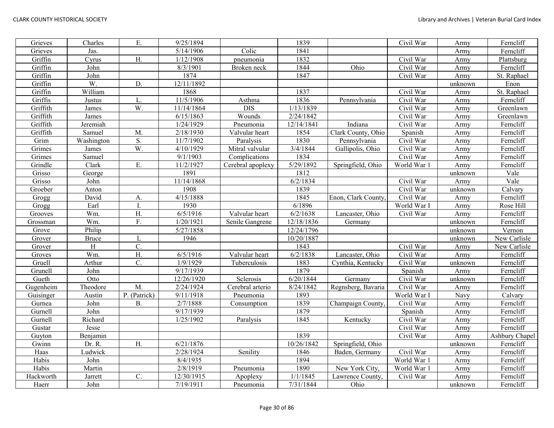| Grieves   | Charles                  | Ε.               | 9/25/1894              |                   | 1839       |                    | Civil War   | Army    | Ferncliff      |
|-----------|--------------------------|------------------|------------------------|-------------------|------------|--------------------|-------------|---------|----------------|
| Grieves   | Jas.                     |                  | 5/14/1906              | Colic             | 1841       |                    |             | Army    | Ferncliff      |
| Griffin   | Cyrus                    | H.               | 1/12/1908              | pneumonia         | 1832       |                    | Civil War   | Army    | Plattsburg     |
| Griffin   | John                     |                  | 8/3/1901               | Broken neck       | 1844       | Ohio               | Civil War   | Army    | Ferncliff      |
| Griffin   | $\overline{\text{John}}$ |                  | 1874                   |                   | 1847       |                    | Civil War   | Army    | St. Raphael    |
| Griffin   | W.                       | D.               | 12/11/1892             |                   |            |                    |             | unknown | Enon           |
| Griffin   | William                  |                  | 1868                   |                   | 1837       |                    | Civil War   | Army    | St. Raphael    |
| Griffis   | Justus                   | L.               | 11/5/1906              | Asthma            | 1836       | Pennsylvania       | Civil War   | Army    | Ferncliff      |
| Griffith  | James                    | W.               | 11/14/1864             | $\overline{DIS}$  | 1/13/1839  |                    | Civil War   | Army    | Greenlawn      |
| Griffith  | James                    |                  | $\overline{6/15/1863}$ | Wounds            | 2/24/1842  |                    | Civil War   | Army    | Greenlawn      |
| Griffith  | Jeremiah                 |                  | 1/24/1929              | Pneumonia         | 12/14/1841 | Indiana            | Civil War   | Army    | Ferncliff      |
| Griffith  | Samuel                   | M                | 2/18/1930              | Valvular heart    | 1854       | Clark County, Ohio | Spanish     | Army    | Ferncliff      |
| Grim      | Washington               | S.               | 11/7/1902              | Paralysis         | 1830       | Pennsylvania       | Civil War   | Army    | Ferncliff      |
| Grimes    | James                    | W.               | 4/10/1929              | Mitral valvular   | 3/4/1844   | Gallipolis, Ohio   | Civil War   | Army    | Ferncliff      |
| Grimes    | Samuel                   |                  | 9/1/1903               | Complications     | 1834       |                    | Civil War   | Army    | Ferncliff      |
| Grindle   | Clark                    | Ε.               | 11/2/1927              | Cerebral apoplexy | 5/29/1892  | Springfield, Ohio  | World War 1 | Army    | Ferncliff      |
| Grisso    | George                   |                  | 1891                   |                   | 1812       |                    |             | unknown | Vale           |
| Grisso    | John                     |                  | 11/14/1868             |                   | 6/2/1834   |                    | Civil War   | Army    | Vale           |
| Groeber   | Anton                    |                  | 1908                   |                   | 1839       |                    | Civil War   | unknown | Calvary        |
| Grogg     | David                    | А.               | 4/15/1888              |                   | 1845       | Enon, Clark County | Civil War   | Army    | Ferncliff      |
| Grogg     | Earl                     | L                | 1930                   |                   | 6/1896     |                    | World War I | Army    | Rose Hill      |
| Grooves   | Wm.                      | $\mathbf{H}.$    | 6/5/1916               | Valvular heart    | 6/2/1638   | Lancaster, Ohio    | Civil War   | Army    | Ferncliff      |
| Grossman  | Wm.                      | F.               | 1/20/1921              | Senile Gangrene   | 12/18/1836 | Germany            |             | unknown | Ferncliff      |
| Grove     | Philip                   |                  | 5/27/1858              |                   | 12/24/1796 |                    |             | unknown | Vernon         |
| Grover    | <b>Bruce</b>             | L                | 1946                   |                   | 10/20/1887 |                    |             | unknown | New Carlisle   |
| Grover    | H                        | C.               |                        |                   | 1843       |                    | Civil War   | Army    | New Carlisle   |
| Groves    | Wm.                      | H.               | 6/5/1916               | Valvular heart    | 6/2/1838   | Lancaster, Ohio    | Civil War   | Army    | Ferncliff      |
| Gruell    | Arthur                   | $\overline{C}$ . | 1/9/1929               | Tuberculosis      | 1883       | Cynthia, Kentucky  | Civil War   | unknown | Ferncliff      |
| Grunell   | John                     |                  | 9/17/1939              |                   | 1879       |                    | Spanish     | Army    | Ferncliff      |
| Gueth     | Otto                     |                  | 12/26/1920             | Sclerosis         | 6/20/1844  | Germany            | Civil War   | unknown | Ferncliff      |
| Gugenheim | Theodore                 | M.               | 2/24/1924              | Cerebral arterio  | 8/24/1842  | Regnsberg, Bavaria | Civil War   | Army    | Ferncliff      |
| Guisinger | Austin                   | P. (Patrick)     | 9/11/1918              | Pneumonia         | 1893       |                    | World War I | Navy    | Calvary        |
| Gurnea    | John                     | В.               | 2/7/1888               | Consumption       | 1839       | Champaign County   | Civil War   | Army    | Ferncliff      |
| Gurnell   | John                     |                  | 9/17/1939              |                   | 1879       |                    | Spanish     | Army    | Ferncliff      |
| Gurnell   | Richard                  |                  | 1/25/1902              | Paralysis         | 1845       | Kentucky           | Civil War   | Army    | Ferncliff      |
| Gustar    | Jesse                    |                  |                        |                   |            |                    | Civil War   | Army    | Ferncliff      |
| Guyton    | Benjamin                 |                  |                        |                   | 1839       |                    | Civil War   | Army    | Ashbury Chapel |
| Gwinn     | Dr. R.                   | H.               | 6/21/1876              |                   | 10/26/1842 | Springfield, Ohio  |             | unknown | Ferncliff      |
| Haas      | Ludwick                  |                  | 2/28/1924              | Senility          | 1846       | Baden, Germany     | Civil War   | Army    | Ferncliff      |
| Habis     | John                     |                  | 8/4/1935               |                   | 1894       |                    | World War 1 | Army    | Ferncliff      |
| Habis     | Martin                   |                  | 2/8/1919               | Pneumonia         | 1890       | New York City,     | World War 1 | Army    | Ferncliff      |
| Hackworth | Jarrett                  | $\overline{C}$ . | 12/30/1915             | Apoplexy          | 1/1/1845   | Lawrence County.   | Civil War   | Army    | Ferncliff      |
| Haerr     | John                     |                  | 7/19/1911              | Pneumonia         | 7/31/1844  | Ohio               |             | unknown | Ferncliff      |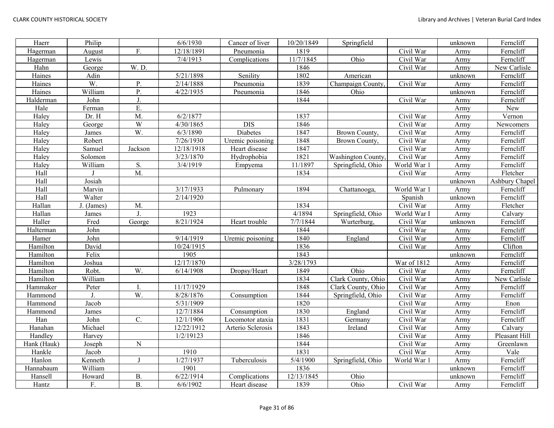| Haerr       | Philip     |                 | 6/6/1930   | Cancer of liver   | 10/20/1849 | Springfield              |             | unknown | Ferncliff      |
|-------------|------------|-----------------|------------|-------------------|------------|--------------------------|-------------|---------|----------------|
| Hagerman    | August     | F.              | 12/18/1891 | Pneumonia         | 1819       |                          | Civil War   | Army    | Ferncliff      |
| Hagerman    | Lewis      |                 | 7/4/1913   | Complications     | 11/7/1845  | Ohio                     | Civil War   | Army    | Ferncliff      |
| Hahn        | George     | W. D.           |            |                   | 1846       |                          | Civil War   | Army    | New Carlisle   |
| Haines      | Adin       |                 | 5/21/1898  | Senility          | 1802       | American                 |             | unknown | Ferncliff      |
| Haines      | W.         | P.              | 2/14/1888  | Pneumonia         | 1839       | Champaign County         | Civil War   | Army    | Ferncliff      |
| Haines      | William    | P.              | 4/22/1935  | Pneumonia         | 1846       | Ohio                     |             | unknown | Ferncliff      |
| Halderman   | John       | J.              |            |                   | 1844       |                          | Civil War   | Army    | Ferncliff      |
| Hale        | Ferman     | E.              |            |                   |            |                          |             | Army    | New            |
| Haley       | Dr. H      | M.              | 6/2/1877   |                   | 1837       |                          | Civil War   | Army    | Vernon         |
| Haley       | George     | W               | 4/30/1865  | <b>DIS</b>        | 1846       |                          | Civil War   | Army    | Newcomers      |
| Haley       | James      | W.              | 6/3/1890   | Diabetes          | 1847       | Brown County,            | Civil War   | Army    | Ferncliff      |
| Haley       | Robert     |                 | 7/26/1930  | Uremic poisoning  | 1848       | Brown County,            | Civil War   | Army    | Ferncliff      |
| Haley       | Samuel     | Jackson         | 12/18/1918 | Heart disease     | 1847       |                          | Civil War   | Army    | Ferncliff      |
| Haley       | Solomon    |                 | 3/23/1870  | Hydrophobia       | 1821       | <b>Washington County</b> | Civil War   | Army    | Ferncliff      |
| Haley       | William    | S.              | 3/4/1919   | Empyema           | 11/1897    | Springfield, Ohio        | World War 1 | Army    | Ferncliff      |
| Hall        |            | M.              |            |                   | 1834       |                          | Civil War   | Army    | Fletcher       |
| Hall        | Josiah     |                 |            |                   |            |                          |             | unknown | Ashbury Chapel |
| Hall        | Marvin     |                 | 3/17/1933  | Pulmonary         | 1894       | Chattanooga,             | World War 1 | Army    | Ferncliff      |
| Hall        | Walter     |                 | 2/14/1920  |                   |            |                          | Spanish     | unknown | Ferncliff      |
| Hallan      | J. (James) | M.              |            |                   | 1834       |                          | Civil War   | Army    | Fletcher       |
| Hallan      | James      | J.              | 1923       |                   | 4/1894     | Springfield, Ohio        | World War I | Army    | Calvary        |
| Haller      | Fred       | George          | 8/21/1924  | Heart trouble     | 7/7/1844   | Wurterburg,              | Civil War   | unknown | Ferncliff      |
| Halterman   | John       |                 |            |                   | 1844       |                          | Civil War   | Army    | Ferncliff      |
| Hamer       | John       |                 | 9/14/1919  | Uremic poisoning  | 1840       | England                  | Civil War   | Army    | Ferncliff      |
| Hamilton    | David      |                 | 10/24/1915 |                   | 1836       |                          | Civil War   | Army    | Clifton        |
| Hamilton    | Felix      |                 | 1905       |                   | 1843       |                          |             | unknown | Ferncliff      |
| Hamilton    | Joshua     |                 | 12/17/1870 |                   | 3/28/1793  |                          | War of 1812 | Army    | Ferncliff      |
| Hamilton    | Robt.      | W.              | 6/14/1908  | Dropsy/Heart      | 1849       | Ohio                     | Civil War   | Army    | Ferncliff      |
| Hamilton    | William    |                 |            |                   | 1834       | Clark County, Ohio       | Civil War   | Army    | New Carlisle   |
| Hammaker    | Peter      | I.              | 11/17/1929 |                   | 1848       | Clark County, Ohio       | Civil War   | Army    | Ferncliff      |
| Hammond     | J.         | W.              | 8/28/1876  | Consumption       | 1844       | Springfield, Ohio        | Civil War   | Army    | Ferncliff      |
| Hammond     | Jacob      |                 | 5/31/1909  |                   | 1820       |                          | Civil War   | Army    | Enon           |
| Hammond     | James      |                 | 12/7/1884  | Consumption       | 1830       | England                  | Civil War   | Army    | Ferncliff      |
| Han         | John       | $\mathcal{C}$ . | 12/1/1906  | Locomotor ataxia  | 1831       | Germany                  | Civil War   | Army    | Ferncliff      |
| Hanahan     | Michael    |                 | 12/22/1912 | Arterio Sclerosis | 1843       | Ireland                  | Civil War   | Army    | Calvary        |
| Handley     | Harvey     |                 | 1/2/19123  |                   | 1846       |                          | Civil War   | Army    | Pleasant Hill  |
| Hank (Hauk) | Joseph     | ${\bf N}$       |            |                   | 1844       |                          | Civil War   | Army    | Greenlawn      |
| Hankle      | Jacob      |                 | 1910       |                   | 1831       |                          | Civil War   | Army    | Vale           |
| Hanlon      | Kenneth    | $\mathbf{I}$    | 1/27/1937  | Tuberculosis      | 5/4/1900   | Springfield, Ohio        | World War 1 | Army    | Ferncliff      |
| Hannabaum   | William    |                 | 1901       |                   | 1836       |                          |             | unknown | Ferncliff      |
| Hansell     | Howard     | <b>B.</b>       | 6/22/1914  | Complications     | 12/13/1845 | Ohio                     |             | unknown | Ferncliff      |
| Hantz       | F.         | <b>B.</b>       | 6/6/1902   | Heart disease     | 1839       | Ohio                     | Civil War   | Army    | Ferncliff      |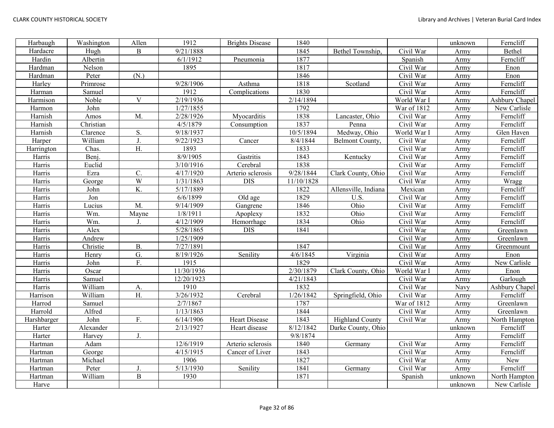| Harbaugh    | Washington | Allen            | 1912                | <b>Brights Disease</b> | 1840       |                        |               | unknown | Ferncliff      |
|-------------|------------|------------------|---------------------|------------------------|------------|------------------------|---------------|---------|----------------|
| Hardacre    | Hugh       | B                | 9/21/1888           |                        | 1845       | Bethel Township,       | Civil War     | Army    | Bethel         |
| Hardin      | Albertin   |                  | 6/1/1912            | Pneumonia              | 1877       |                        | Spanish       | Army    | Ferncliff      |
| Hardman     | Nelson     |                  | 1895                |                        | 1817       |                        | Civil War     | Army    | Enon           |
| Hardman     | Peter      | (N.)             |                     |                        | 1846       |                        | Civil War     | Army    | Enon           |
| Harley      | Primrose   |                  | $\frac{9}{28}$ 1906 | Asthma                 | 1818       | Scotland               | Civil War     | Army    | Ferncliff      |
| Harman      | Samuel     |                  | 1912                | Complications          | 1830       |                        | Civil War     | Army    | Ferncliff      |
| Harmison    | Noble      | $\mathbf{V}$     | 2/19/1936           |                        | 2/14/1894  |                        | World War I   | Army    | Ashbury Chapel |
| Harmon      | John       |                  | 1/27/1855           |                        | 1792       |                        | War of $1812$ | Army    | New Carlisle   |
| Harnish     | Amos       | M.               | 2/28/1926           | Myocarditis            | 1838       | Lancaster, Ohio        | Civil War     | Army    | Ferncliff      |
| Harnish     | Christian  |                  | 4/5/1879            | Consumption            | 1837       | Penna                  | Civil War     | Army    | Ferncliff      |
| Harnish     | Clarence   | S.               | 9/18/1937           |                        | 10/5/1894  | Medway, Ohio           | World War I   | Army    | Glen Haven     |
| Harper      | William    | J.               | 9/22/1923           | Cancer                 | 8/4/1844   | Belmont County,        | Civil War     | Army    | Ferncliff      |
| Harrington  | Chas.      | Η.               | 1893                |                        | 1833       |                        | Civil War     | Army    | Ferncliff      |
| Harris      | Benj.      |                  | 8/9/1905            | Gastritis              | 1843       | Kentucky               | Civil War     | Army    | Ferncliff      |
| Harris      | Euclid     |                  | 3/10/1916           | Cerebral               | 1838       |                        | Civil War     | Army    | Ferncliff      |
| Harris      | Ezra       | $\overline{C}$ . | 4/17/1920           | Arterio sclerosis      | 9/28/1844  | Clark County, Ohio     | Civil War     | Army    | Ferncliff      |
| Harris      | George     | $\overline{W}$   | 1/31/1863           | <b>DIS</b>             | 11/10/1828 |                        | Civil War     | Army    | Wragg          |
| Harris      | John       | $\overline{K}$   | 5/17/1889           |                        | 1822       | Allensville, Indiana   | Mexican       | Army    | Ferncliff      |
| Harris      | Jon        |                  | 6/6/1899            | Old age                | 1829       | U.S.                   | Civil War     | Army    | Ferncliff      |
| Harris      | Lucius     | M.               | 9/14/1909           | Gangrene               | 1846       | Ohio                   | Civil War     | Army    | Ferncliff      |
| Harris      | Wm.        | Mayne            | 1/8/1911            | Apoplexy               | 1832       | Ohio                   | Civil War     | Army    | Ferncliff      |
| Harris      | Wm.        | J.               | 4/12/1909           | Hemorrhage             | 1834       | Ohio                   | Civil War     | Army    | Ferncliff      |
| Harris      | Alex       |                  | 5/28/1865           | <b>DIS</b>             | 1841       |                        | Civil War     | Army    | Greenlawn      |
| Harris      | Andrew     |                  | 1/25/1909           |                        |            |                        | Civil War     | Army    | Greenlawn      |
| Harris      | Christie   | <b>B.</b>        | 7/27/1891           |                        | 1847       |                        | Civil War     | Army    | Greenmount     |
| Harris      | Henry      | G.               | 8/19/1926           | Senility               | 4/6/1845   | Virginia               | Civil War     | Army    | Enon           |
| Harris      | John       | F.               | 1915                |                        | 1829       |                        | Civil War     | Army    | New Carlisle   |
| Harris      | Oscar      |                  | 11/30/1936          |                        | 2/30/1879  | Clark County, Ohio     | World War I   | Army    | Enon           |
| Harris      | Samuel     |                  | 12/20/1923          |                        | 4/21/1843  |                        | Civil War     | Army    | Garlough       |
| Harris      | William    | A.               | 1910                |                        | 1832       |                        | Civil War     | Navy    | Ashbury Chapel |
| Harrison    | William    | $\overline{H}$   | 3/26/1932           | Cerebral               | 1/26/1842  | Springfield, Ohio      | Civil War     | Army    | Ferncliff      |
| Harrod      | Samuel     |                  | 2/7/1867            |                        | 1787       |                        | War of 1812   | Army    | Greenlawn      |
| Harrold     | Alfred     |                  | 1/13/1863           |                        | 1844       |                        | Civil War     | Army    | Greenlawn      |
| Harshbarger | John       | F.               | 6/14/1906           | <b>Heart Disease</b>   | 1843       | <b>Highland County</b> | Civil War     | Army    | North Hampton  |
| Harter      | Alexander  |                  | 2/13/1927           | Heart disease          | 8/12/1842  | Darke County, Ohio     |               | unknown | Ferncliff      |
| Harter      | Harvey     | J.               |                     |                        | 9/8/1874   |                        |               | Army    | Ferncliff      |
| Hartman     | Adam       |                  | 12/6/1919           | Arterio sclerosis      | 1840       | Germany                | Civil War     | Army    | Ferncliff      |
| Hartman     | George     |                  | 4/15/1915           | Cancer of Liver        | 1843       |                        | Civil War     | Army    | Ferncliff      |
| Hartman     | Michael    |                  | 1906                |                        | 1827       |                        | Civil War     | Army    | New            |
| Hartman     | Peter      | J.               | 5/13/1930           | Senility               | 1841       | Germany                | Civil War     | Army    | Ferncliff      |
| Hartman     | William    | $\overline{B}$   | 1930                |                        | 1871       |                        | Spanish       | unknown | North Hampton  |
| Harve       |            |                  |                     |                        |            |                        |               | unknown | New Carlisle   |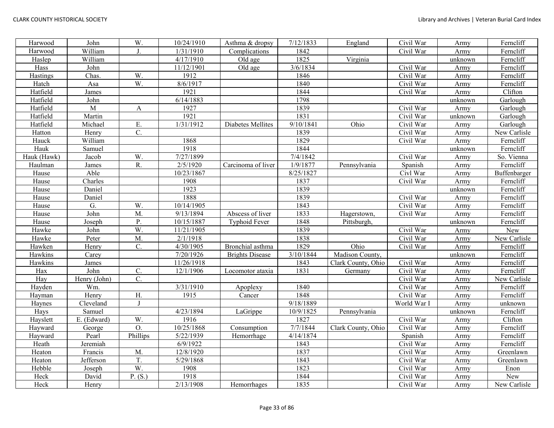| Harwood     | John         | W.               | 10/24/1910 | Asthma & dropsy        | 7/12/1833 | England            | Civil War   | Army    | Ferncliff    |
|-------------|--------------|------------------|------------|------------------------|-----------|--------------------|-------------|---------|--------------|
| Harwood     | William      | J.               | 1/31/1910  | Complications          | 1842      |                    | Civil War   | Army    | Ferncliff    |
| Haslep      | William      |                  | 4/17/1910  | Old age                | 1825      | Virginia           |             | unknown | Ferncliff    |
| Hass        | John         |                  | 11/12/1901 | Old age                | 3/6/1834  |                    | Civil War   | Army    | Ferncliff    |
| Hastings    | Chas.        | W.               | 1912       |                        | 1846      |                    | Civil War   | Army    | Ferncliff    |
| Hatch       | Asa          | W.               | 8/6/1917   |                        | 1840      |                    | Civil War   | Army    | Ferncliff    |
| Hatfield    | James        |                  | 1921       |                        | 1844      |                    | Civil War   | Army    | Clifton      |
| Hatfield    | John         |                  | 6/14/1883  |                        | 1798      |                    |             | unknown | Garlough     |
| Hatfield    | M            | A                | 1927       |                        | 1839      |                    | Civil War   | Army    | Garlough     |
| Hatfield    | Martin       |                  | 1921       |                        | 1831      |                    | Civil War   | unknown | Garlough     |
| Hatfield    | Michael      | Ε.               | 1/31/1912  | Diabetes Mellites      | 9/10/1841 | Ohio               | Civil War   | Army    | Garlough     |
| Hatton      | Henry        | C.               |            |                        | 1839      |                    | Civil War   | Army    | New Carlisle |
| Hauck       | William      |                  | 1868       |                        | 1829      |                    | Civil War   | Army    | Ferncliff    |
| Hauk        | Samuel       |                  | 1918       |                        | 1844      |                    |             | unknown | Ferncliff    |
| Hauk (Hawk) | Jacob        | W.               | 7/27/1899  |                        | 7/4/1842  |                    | Civil War   | Army    | So. Vienna   |
| Haulman     | James        | R.               | 2/5/1920   | Carcinoma of liver     | 1/9/1877  | Pennsylvania       | Spanish     | Army    | Ferncliff    |
| Hause       | Able         |                  | 10/23/1867 |                        | 8/25/1827 |                    | Civl War    | Army    | Buffenbarger |
| Hause       | Charles      |                  | 1908       |                        | 1837      |                    | Civil War   | Army    | Ferncliff    |
| Hause       | Daniel       |                  | 1923       |                        | 1839      |                    |             | unknown | Ferncliff    |
| Hause       | Daniel       |                  | 1888       |                        | 1839      |                    | Civil War   | Army    | Ferncliff    |
| Hause       | G.           | W.               | 10/14/1905 |                        | 1843      |                    | Civil War   | Army    | Ferncliff    |
| Hause       | John         | M.               | 9/13/1894  | Abscess of liver       | 1833      | Hagerstown,        | Civil War   | Army    | Ferncliff    |
| Hause       | Joseph       | P.               | 10/15/1887 | <b>Typhoid Fever</b>   | 1848      | Pittsburgh,        |             | unknown | Ferncliff    |
| Hawke       | John         | W.               | 11/21/1905 |                        | 1839      |                    | Civil War   | Army    | New          |
| Hawke       | Peter        | M.               | 2/1/1918   |                        | 1838      |                    | Civil War   | Army    | New Carlisle |
| Hawken      | Henry        | $\overline{C}$ . | 4/30/1905  | Bronchial asthma       | 1829      | Ohio               | Civil War   | Army    | Ferncliff    |
| Hawkins     | Carey        |                  | 7/20/1926  | <b>Brights Disease</b> | 3/10/1844 | Madison County,    |             | unknown | Ferncliff    |
| Hawkins     | James        |                  | 11/26/1918 |                        | 1843      | Clark County, Ohio | Civil War   | Army    | Ferncliff    |
| Hax         | John         | $\overline{C}$ . | 12/1/1906  | Locomotor ataxia       | 1831      | Germany            | Civil War   | Army    | Ferncliff    |
| Hay         | Henry (John) | $\overline{C}$ . |            |                        |           |                    | Civil War   | Army    | New Carlisle |
| Hayden      | Wm.          |                  | 3/31/1910  | Apoplexy               | 1840      |                    | Civil War   | Army    | Ferncliff    |
| Hayman      | Henry        | H.               | 1915       | Cancer                 | 1848      |                    | Civil War   | Army    | Ferncliff    |
| Haynes      | Cleveland    | $\mathbf I$      |            |                        | 9/18/1889 |                    | World War I | Army    | unknown      |
| Hays        | Samuel       |                  | 4/23/1894  | LaGrippe               | 10/9/1825 | Pennsylvania       |             | unknown | Ferncliff    |
| Hayslett    | E. (Edward)  | W.               | 1916       |                        | 1827      |                    | Civil War   | Army    | Clifton      |
| Hayward     | George       | O.               | 10/25/1868 | Consumption            | 7/7/1844  | Clark County, Ohio | Civil War   | Army    | Ferncliff    |
| Hayward     | Pearl        | Phillips         | 5/22/1939  | Hemorrhage             | 4/14/1874 |                    | Spanish     | Army    | Ferncliff    |
| Heath       | Jeremiah     |                  | 6/9/1922   |                        | 1843      |                    | Civil War   | Army    | Ferncliff    |
| Heaton      | Francis      | M.               | 12/8/1920  |                        | 1837      |                    | Civil War   | Army    | Greenlawn    |
| Heaton      | Jefferson    | T.               | 5/29/1868  |                        | 1843      |                    | Civil War   | Army    | Greenlawn    |
| Hebble      | Joseph       | W.               | 1908       |                        | 1823      |                    | Civil War   | Army    | Enon         |
| Heck        | David        | P. (S.)          | 1918       |                        | 1844      |                    | Civil War   | Army    | New          |
| Heck        | Henry        |                  | 2/13/1908  | Hemorrhages            | 1835      |                    | Civil War   | Army    | New Carlisle |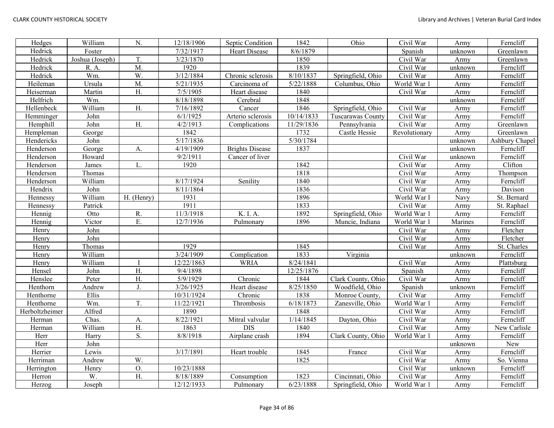| Hedges         | William         | N.               | 12/18/1906            | Septic Condition       | 1842       | Ohio               | Civil War     | Army    | Ferncliff      |
|----------------|-----------------|------------------|-----------------------|------------------------|------------|--------------------|---------------|---------|----------------|
| Hedrick        | Foster          |                  | 7/32/1917             | <b>Heart Disease</b>   | 8/6/1879   |                    | Spanish       | unknown | Greenlawn      |
| Hedrick        | Joshua (Joseph) | T.               | $\frac{1}{3}/23/1870$ |                        | 1850       |                    | Civil War     | Army    | Greenlawn      |
| Hedrick        | R. A.           | M.               | 1920                  |                        | 1839       |                    | Civil War     | unknown | Ferncliff      |
| Hedrick        | Wm.             | W.               | 3/12/1884             | Chronic sclerosis      | 8/10/1837  | Springfield, Ohio  | Civil War     | Army    | Ferncliff      |
| Heileman       | Ursula          | $\overline{M}$ . | 5/21/1935             | Carcinoma of           | 5/22/1888  | Columbus, Ohio     | World War 1   | Army    | Ferncliff      |
| Heiserman      | Martin          | $\overline{H}$ . | 7/5/1905              | Heart disease          | 1840       |                    | Civil War     | Army    | Ferncliff      |
| Helfrich       | Wm.             |                  | 8/18/1898             | Cerebral               | 1848       |                    |               | unknown | Ferncliff      |
| Hellenbeck     | William         | H.               | 7/16/1892             | Cancer                 | 1846       | Springfield, Ohio  | Civil War     | Army    | Ferncliff      |
| Hemminger      | John            |                  | 6/1/1925              | Arterio sclerosis      | 10/14/1833 | Tuscarawas County  | Civil War     | Army    | Ferncliff      |
| Hemphill       | John            | H.               | 4/2/1913              | Complications          | 11/29/1836 | Pennsylvania       | Civil War     | Army    | Greenlawn      |
| Hempleman      | George          |                  | 1842                  |                        | 1732       | Castle Hessie      | Revolutionary | Army    | Greenlawn      |
| Hendericks     | John            |                  | 5/17/1836             |                        | 5/30/1784  |                    |               | unknown | Ashbury Chapel |
| Henderson      | George          | A.               | 4/19/1909             | <b>Brights Disease</b> | 1837       |                    |               | unknown | Ferncliff      |
| Henderson      | Howard          |                  | 9/2/1911              | Cancer of liver        |            |                    | Civil War     | unknown | Ferncliff      |
| Henderson      | James           | L.               | 1920                  |                        | 1842       |                    | Civil War     | Army    | Clifton        |
| Henderson      | Thomas          |                  |                       |                        | 1818       |                    | Civil War     | Army    | Thompson       |
| Henderson      | William         |                  | 8/17/1924             | Senility               | 1840       |                    | Civil War     | Army    | Ferncliff      |
| Hendrix        | John            |                  | 8/11/1864             |                        | 1836       |                    | Civil War     | Army    | Davison        |
| Hennessy       | William         | H. (Henry)       | 1931                  |                        | 1896       |                    | World War I   | Navy    | St. Bernard    |
| Hennessy       | Patrick         |                  | 1911                  |                        | 1833       |                    | Civil War     | Army    | St. Raphael    |
| Hennig         | Otto            | ${\bf R}.$       | 11/3/1918             | K. I. A.               | 1892       | Springfield, Ohio  | World War 1   | Army    | Ferncliff      |
| Hennig         | Victor          | E.               | 12/7/1936             | Pulmonary              | 1896       | Muncie, Indiana    | World War 1   | Marines | Ferncliff      |
| Henry          | John            |                  |                       |                        |            |                    | Civil War     | Army    | Fletcher       |
| Henry          | John            |                  |                       |                        |            |                    | Civil War     | Army    | Fletcher       |
| Henry          | Thomas          |                  | 1929                  |                        | 1845       |                    | Civil War     | Army    | St. Charles    |
| Henry          | William         |                  | 3/24/1909             | Complication           | 1833       | Virginia           |               | unknown | Ferncliff      |
| Henry          | William         |                  | 12/22/1863            | <b>WRIA</b>            | 8/24/1841  |                    | Civil War     | Army    | Plattsburg     |
| Hensel         | John            | H.               | 9/4/1898              |                        | 12/25/1876 |                    | Spanish       | Army    | Ferncliff      |
| Henslee        | Peter           | H.               | 5/9/1929              | Chronic                | 1844       | Clark County, Ohio | Civil War     | Army    | Ferncliff      |
| Henthorn       | Andrew          | J.               | 3/26/1925             | Heart disease          | 8/25/1850  | Woodfield, Ohio    | Spanish       | unknown | Ferncliff      |
| Henthorne      | Ellis           |                  | 10/31/1924            | Chronic                | 1838       | Monroe County,     | Civil War     | Army    | Ferncliff      |
| Henthorne      | Wm.             | T.               | 11/22/1921            | Thrombosis             | 6/18/1873  | Zanesville, Ohio   | World War 1   | Army    | Ferncliff      |
| Herboltzheimer | Alfred          |                  | 1890                  |                        | 1848       |                    | Civil War     | Army    | Ferncliff      |
| Herman         | Chas.           | A.               | 8/22/1921             | Mitral valvular        | 1/14/1845  | Dayton, Ohio       | Civil War     | Army    | Ferncliff      |
| Herman         | William         | H.               | 1863                  | <b>DIS</b>             | 1840       |                    | Civil War     | Army    | New Carlisle   |
| Herr           | Harry           | S.               | 8/8/1918              | Airplane crash         | 1894       | Clark County, Ohio | World War 1   | Army    | Ferncliff      |
| Herr           | John            |                  |                       |                        |            |                    |               | unknown | New            |
| Herrier        | Lewis           |                  | 3/17/1891             | Heart trouble          | 1845       | France             | Civil War     | Army    | Ferncliff      |
| Herriman       | Andrew          | W.               |                       |                        | 1825       |                    | Civil War     | Army    | So. Vienna     |
| Herrington     | Henry           | O.               | 10/23/1888            |                        |            |                    | Civil War     | unknown | Ferncliff      |
| Herron         | W.              | H.               | 8/18/1889             | Consumption            | 1823       | Cincinnati, Ohio   | Civil War     | Army    | Ferncliff      |
| Herzog         | Joseph          |                  | 12/12/1933            | Pulmonary              | 6/23/1888  | Springfield, Ohio  | World War 1   | Army    | Ferncliff      |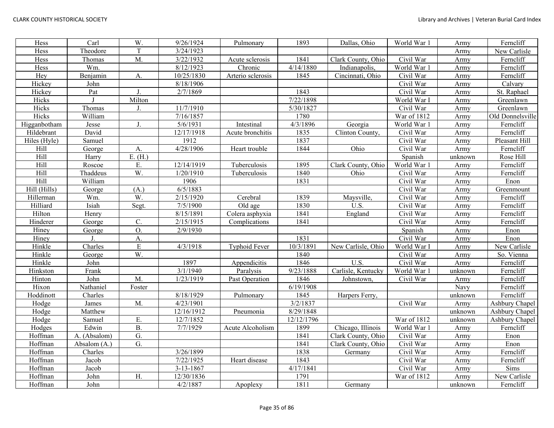| Hess         | $\overline{\text{Carl}}$ | W.              | 9/26/1924  | Pulmonary         | 1893       | Dallas, Ohio       | World War 1             | Army    | Ferncliff        |
|--------------|--------------------------|-----------------|------------|-------------------|------------|--------------------|-------------------------|---------|------------------|
| Hess         | Theodore                 | T               | 3/24/1923  |                   |            |                    |                         | Army    | New Carlisle     |
| Hess         | Thomas                   | M.              | 3/22/1932  | Acute sclerosis   | 1841       | Clark County, Ohio | Civil War               | Army    | Ferncliff        |
| Hess         | Wm.                      |                 | 8/12/1923  | Chronic           | 4/14/1880  | Indianapolis,      | World War 1             | Army    | Ferncliff        |
| Hey          | Benjamin                 | A.              | 10/25/1830 | Arterio sclerosis | 1845       | Cincinnati, Ohio   | Civil War               | Army    | Ferncliff        |
| Hickey       | John                     |                 | 8/18/1906  |                   |            |                    | Civil War               | Army    | Calvary          |
| Hickey       | Pat                      | J.              | 2/7/1869   |                   | 1843       |                    | Civil War               | Army    | St. Raphael      |
| Hicks        |                          | Milton          |            |                   | 7/22/1898  |                    | World War I             | Army    | Greenlawn        |
| Hicks        | Thomas                   | $\mathbf{J}$ .  | 11/7/1910  |                   | 5/30/1827  |                    | Civil War               | Army    | Greenlawn        |
| Hicks        | William                  |                 | 7/16/1857  |                   | 1780       |                    | War of 1812             | Army    | Old Donnelsville |
| Higganbotham | Jesse                    | J.              | 5/6/1931   | Intestinal        | 4/3/1896   | Georgia            | World War 1             | Army    | Ferncliff        |
| Hildebrant   | David                    |                 | 12/17/1918 | Acute bronchitis  | 1835       | Clinton County,    | Civil War               | Army    | Ferncliff        |
| Hiles (Hyle) | Samuel                   |                 | 1912       |                   | 1837       |                    | Civil War               | Army    | Pleasant Hill    |
| Hill         | George                   | A.              | 4/28/1906  | Heart trouble     | 1844       | Ohio               | Civil War               | Army    | Ferncliff        |
| Hill         | Harry                    | $E.$ (H.)       |            |                   |            |                    | Spanish                 | unknown | Rose Hill        |
| Hill         | Roscoe                   | Ε.              | 12/14/1919 | Tuberculosis      | 1895       | Clark County, Ohio | World War 1             | Army    | Ferncliff        |
| Hill         | Thaddeus                 | W.              | 1/20/1910  | Tuberculosis      | 1840       | Ohio               | Civil War               | Army    | Ferncliff        |
| Hill         | William                  |                 | 1906       |                   | 1831       |                    | Civil War               | Army    | Enon             |
| Hill (Hills) | George                   | (A.)            | 6/5/1883   |                   |            |                    | Civil War               | Army    | Greenmount       |
| Hillerman    | Wm.                      | W.              | 2/15/1920  | Cerebral          | 1839       | Maysville,         | Civil War               | Army    | Ferncliff        |
| Hilliard     | Isiah                    | Segt.           | 7/5/1900   | Old age           | 1830       | U.S.               | Civil War               | Army    | Ferncliff        |
| Hilton       | Henry                    |                 | 8/15/1891  | Colera asphyxia   | 1841       | England            | Civil War               | Army    | Ferncliff        |
| Hinderer     | George                   | $\mathcal{C}$ . | 2/15/1915  | Complications     | 1841       |                    | Civil War               | Army    | Ferncliff        |
| Hiney        | George                   | <b>O.</b>       | 2/9/1930   |                   |            |                    | Spanish                 | Army    | Enon             |
| Hiney        |                          | A.              |            |                   | 1831       |                    | Civil War               | Army    | Enon             |
| Hinkle       | Charles                  | ${\bf E}$       | 4/3/1918   | Typhoid Fever     | 10/3/1891  | New Carlisle, Ohio | World War I             | Army    | New Carlisle     |
| Hinkle       | George                   | W.              |            |                   | 1840       |                    | Civil War               | Army    | So. Vienna       |
| Hinkle       | John                     |                 | 1897       | Appendicitis      | 1846       | $\overline{U.S.}$  | Civil War               | Army    | Ferncliff        |
| Hinkston     | Frank                    |                 | 3/1/1940   | Paralysis         | 9/23/1888  | Carlisle, Kentucky | World War 1             | unknown | Ferncliff        |
| Hinton       | John                     | M.              | 1/23/1919  | Past Operation    | 1846       | Johnstown,         | Civil War               | Army    | Ferncliff        |
| Hixon        | Nathaniel                | Foster          |            |                   | 6/19/1908  |                    |                         | Navy    | Ferncliff        |
| Hoddinott    | Charles                  |                 | 8/18/1929  | Pulmonary         | 1845       | Harpers Ferry,     |                         | unknown | Ferncliff        |
| Hodge        | James                    | M.              | 4/23/1901  |                   | 3/2/1837   |                    | $\overline{C}$ ivil War | Army    | Ashbury Chapel   |
| Hodge        | Matthew                  |                 | 12/16/1912 | Pneumonia         | 8/29/1848  |                    |                         | unknown | Ashbury Chapel   |
| Hodge        | Samuel                   | E.              | 12/7/1852  |                   | 12/12/1796 |                    | War of $1812$           | unknown | Ashbury Chapel   |
| Hodges       | Edwin                    | <b>B.</b>       | 7/7/1929   | Acute Alcoholism  | 1899       | Chicago, Illinois  | World War 1             | Army    | Ferncliff        |
| Hoffman      | A. (Absalom)             | G.              |            |                   | 1841       | Clark County, Ohio | Civil War               | Army    | Enon             |
| Hoffman      | Absalom (A.)             | G.              |            |                   | 1841       | Clark County, Ohio | Civil War               | Army    | Enon             |
| Hoffman      | Charles                  |                 | 3/26/1899  |                   | 1838       | Germany            | Civil War               | Army    | Ferncliff        |
| Hoffman      | Jacob                    |                 | 7/22/1925  | Heart disease     | 1843       |                    | Civil War               | Army    | Ferncliff        |
| Hoffman      | Jacob                    |                 | 3-13-1867  |                   | 4/17/1841  |                    | Civil War               | Army    | Sims             |
| Hoffman      | John                     | H.              | 12/30/1836 |                   | 1791       |                    | War of 1812             | Army    | New Carlisle     |
| Hoffman      | John                     |                 | 4/2/1887   | Apoplexy          | 1811       | Germany            |                         | unknown | Ferncliff        |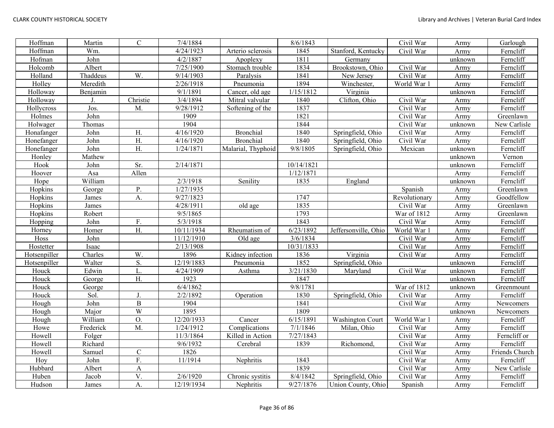| Hoffman      | Martin    | $\mathsf{C}$     | 7/4/1884            |                    | 8/6/1843   |                      | Civil War     | Army    | Garlough       |
|--------------|-----------|------------------|---------------------|--------------------|------------|----------------------|---------------|---------|----------------|
| Hoffman      | Wm.       |                  | 4/24/1923           | Arterio sclerosis  | 1845       | Stanford, Kentucky   | Civil War     | Army    | Ferncliff      |
| Hofman       | John      |                  | 4/2/1887            | Apoplexy           | 1811       | Germany              |               | unknown | Ferncliff      |
| Holcomb      | Albert    |                  | 7/25/1900           | Stomach trouble    | 1834       | Brookstown, Ohio     | Civil War     | Army    | Ferncliff      |
| Holland      | Thaddeus  | W.               | 9/14/1903           | Paralysis          | 1841       | New Jersey           | Civil War     | Army    | Ferncliff      |
| Holley       | Meredith  |                  | 2/26/1918           | Pneumonia          | 1894       | Winchester,          | World War 1   | Army    | Ferncliff      |
| Holloway     | Benjamin  |                  | 9/1/1891            | Cancer, old age    | 1/15/1812  | Virginia             |               | unknown | Ferncliff      |
| Holloway     | J.        | Christie         | 3/4/1894            | Mitral valvular    | 1840       | Clifton, Ohio        | Civil War     | Army    | Ferncliff      |
| Hollycross   | Jos.      | M.               | 9/28/1912           | Softening of the   | 1837       |                      | Civil War     | Army    | Ferncliff      |
| Holmes       | John      |                  | 1909                |                    | 1821       |                      | Civil War     | Army    | Greenlawn      |
| Holwager     | Thomas    |                  | 1904                |                    | 1844       |                      | Civil War     | unknown | New Carlisle   |
| Honafanger   | John      | H.               | 4/16/1920           | <b>Bronchial</b>   | 1840       | Springfield, Ohio    | Civil War     | Army    | Ferncliff      |
| Honefanger   | John      | H.               | 4/16/1920           | <b>Bronchial</b>   | 1840       | Springfield, Ohio    | Civil War     | Army    | Ferncliff      |
| Honefanger   | John      | H.               | 1/24/1871           | Malarial, Thyphoid | 9/8/1805   | Springfield, Ohio    | Mexican       | unknown | Ferncliff      |
| Honley       | Mathew    |                  |                     |                    |            |                      |               | unknown | Vernon         |
| Hook         | John      | Sr.              | 2/14/1871           |                    | 10/14/1821 |                      |               | unknown | Ferncliff      |
| Hoover       | Asa       | Allen            |                     |                    | 1/12/1871  |                      |               | Army    | Ferncliff      |
| Hope         | William   |                  | 2/3/1918            | Senility           | 1835       | England              |               | unknown | Ferncliff      |
| Hopkins      | George    | P.               | $\frac{1}{27/1935}$ |                    |            |                      | Spanish       | Army    | Greenlawn      |
| Hopkins      | James     | A.               | 9/27/1823           |                    | 1747       |                      | Revolutionary | Army    | Goodfellow     |
| Hopkins      | James     |                  | 4/28/1911           | old age            | 1835       |                      | Civil War     | Army    | Greenlawn      |
| Hopkins      | Robert    |                  | 9/5/1865            |                    | 1793       |                      | War of 1812   | Army    | Greenlawn      |
| Hopping      | John      | F.               | 5/3/1918            |                    | 1843       |                      | Civil War     | Army    | Ferncliff      |
| Horney       | Homer     | H.               | 10/11/1934          | Rheumatism of      | 6/23/1892  | Jeffersonville, Ohio | World War 1   | Army    | Ferncliff      |
| Hoss         | John      |                  | 11/12/1910          | Old age            | 3/6/1834   |                      | Civil War     | Army    | Ferncliff      |
| Hostetter    | Isaac     |                  | 2/13/1908           |                    | 10/31/1833 |                      | Civil War     | Army    | Ferncliff      |
| Hotsenpiller | Charles   | W.               | 1896                | Kidney infection   | 1836       | Virginia             | Civil War     | Army    | Ferncliff      |
| Hotsenpiller | Walter    | S.               | 12/19/1883          | Pneumonia          | 1852       | Springfield, Ohio    |               | unknown | Ferncliff      |
| Houck        | Edwin     | L.               | 4/24/1909           | Asthma             | 3/21/1830  | Maryland             | Civil War     | unknown | Ferncliff      |
| Houck        | George    | H.               | 1923                |                    | 1847       |                      |               | unknown | Ferncliff      |
| Houck        | George    |                  | 6/4/1862            |                    | 9/8/1781   |                      | War of 1812   | unknown | Greenmount     |
| Houck        | Sol       | J.               | 2/2/1892            | Operation          | 1830       | Springfield, Ohio    | Civil War     | Army    | Ferncliff      |
| Hough        | John      | $\, {\bf B}$     | 1904                |                    | 1841       |                      | Civil War     | Army    | Newcomers      |
| Hough        | Major     | $\overline{W}$   | 1895                |                    | 1809       |                      |               | unknown | Newcomers      |
| Hough        | William   | $\overline{O}$ . | 12/20/1933          | Cancer             | 6/15/1891  | Washington Court     | World War     | Army    | Ferncliff      |
| Howe         | Frederick | $\overline{M}$ . | 1/24/1912           | Complications      | 7/1/1846   | Milan, Ohio          | Civil War     | Army    | Ferncliff      |
| Howell       | Folger    |                  | 11/3/1864           | Killed in Action   | 7/27/1843  |                      | Civil War     | Army    | Ferncliff or   |
| Howell       | Richard   |                  | 9/6/1932            | Cerebral           | 1839       | Richomond.           | Civil War     | Army    | Ferncliff      |
| Howell       | Samuel    | ${\bf C}$        | 1826                |                    |            |                      | Civil War     | Army    | Friends Church |
| Hoy          | John      | F.               | 11/1914             | Nephritis          | 1843       |                      | Civil War     | Army    | Ferncliff      |
| Hubbard      | Albert    | A                |                     |                    | 1839       |                      | Civil War     | Army    | New Carlisle   |
| Huben        | Jacob     | $\overline{V}$ . | 2/6/1920            | Chronic systitis   | 8/4/1842   | Springfield, Ohio    | Civil War     | Army    | Ferncliff      |
| Hudson       | James     | A.               | 12/19/1934          | Nephritis          | 9/27/1876  | Union County, Ohio   | Spanish       | Army    | Ferncliff      |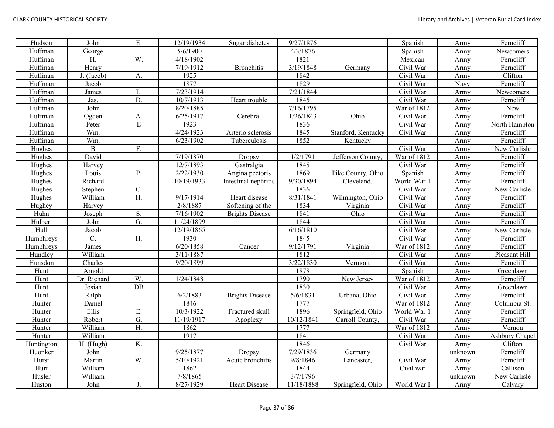| Hudson     | John            | E.         | 12/19/1934         | Sugar diabetes         | 9/27/1876  |                    | Spanish     | Army    | Ferncliff      |
|------------|-----------------|------------|--------------------|------------------------|------------|--------------------|-------------|---------|----------------|
| Huffman    | George          |            | 5/6/1900           |                        | 4/3/1876   |                    | Spanish     | Army    | Newcomers      |
| Huffman    | H.              | W.         | $\sqrt{4/18/1902}$ |                        | 1821       |                    | Mexican     | Army    | Ferncliff      |
| Huffman    | Henry           |            | 7/19/1912          | <b>Bronchitis</b>      | 3/19/1848  | Germany            | Civil War   | Army    | Ferncliff      |
| Huffman    | J. (Jacob)      | A.         | 1925               |                        | 1842       |                    | Civil War   | Army    | Clifton        |
| Huffman    | Jacob           |            | 1877               |                        | 1829       |                    | Civil War   | Navy    | Ferncliff      |
| Huffman    | James           | L.         | 7/23/1914          |                        | 7/21/1844  |                    | Civil War   | Army    | Newcomers      |
| Huffman    | Jas.            | D.         | 10/7/1913          | Heart trouble          | 1845       |                    | Civil War   | Army    | Ferncliff      |
| Huffman    | John            |            | 8/20/1885          |                        | 7/16/1795  |                    | War of 1812 | Army    | New            |
| Huffman    | Ogden           | A.         | 6/25/1917          | Cerebral               | 1/26/1843  | Ohio               | Civil War   | Army    | Ferncliff      |
| Huffman    | Peter           | ${\bf E}$  | 1923               |                        | 1836       |                    | Civil War   | Army    | North Hampton  |
| Huffman    | Wm.             |            | 4/24/1923          | Arterio sclerosis      | 1845       | Stanford, Kentucky | Civil War   | Army    | Ferncliff      |
| Huffman    | Wm.             |            | 6/23/1902          | Tuberculosis           | 1852       | Kentucky           |             | Army    | Ferncliff      |
| Hughes     | $\mathbf B$     | ${\bf F}.$ |                    |                        |            |                    | Civil War   | Army    | New Carlisle   |
| Hughes     | David           |            | 7/19/1870          | Dropsy                 | 1/2/1791   | Jefferson County,  | War of 1812 | Army    | Ferncliff      |
| Hughes     | Harvey          |            | 12/7/1893          | Gastralgia             | 1845       |                    | Civil War   | Army    | Ferncliff      |
| Hughes     | Louis           | P.         | 2/22/1930          | Angina pectoris        | 1869       | Pike County, Ohio  | Spanish     | Army    | Ferncliff      |
| Hughes     | Richard         |            | 10/19/1933         | Intestinal nephritis   | 9/30/1894  | Cleveland,         | World War 1 | Army    | Ferncliff      |
| Hughes     | Stephen         | C.         |                    |                        | 1836       |                    | Civil War   | Army    | New Carlisle   |
| Hughes     | William         | H.         | 9/17/1914          | Heart disease          | 8/31/1841  | Wilmington, Ohio   | Civil War   | Army    | Ferncliff      |
| Hughey     | Harvey          |            | 2/8/1887           | Softening of the       | 1834       | Virginia           | Civil War   | Army    | Ferncliff      |
| Huhn       | Joseph          | ${\bf S}.$ | 7/16/1902          | <b>Brights Disease</b> | 1841       | Ohio               | Civil War   | Army    | Ferncliff      |
| Hulbert    | John            | G.         | 11/24/1899         |                        | 1844       |                    | Civil War   | Army    | Ferncliff      |
| Hull       | Jacob           |            | 12/19/1865         |                        | 6/16/1810  |                    | Civil War   | Army    | New Carlisle   |
| Humphreys  | $\mathcal{C}$ . | H.         | 1930               |                        | 1845       |                    | Civil War   | Army    | Ferncliff      |
| Humphreys  | James           |            | 6/20/1858          | Cancer                 | 9/12/1791  | Virginia           | War of 1812 | Army    | Ferncliff      |
| Hundley    | William         |            | 3/11/1887          |                        | 1812       |                    | Civil War   | Army    | Pleasant Hill  |
| Hunsdon    | Charles         |            | 9/20/1899          |                        | 3/22/1830  | Vermont            | Civil War   | Army    | Ferncliff      |
| Hunt       | Arnold          |            |                    |                        | 1878       |                    | Spanish     | Army    | Greenlawn      |
| Hunt       | Dr. Richard     | W.         | 1/24/1848          |                        | 1790       | New Jersey         | War of 1812 | Army    | Ferncliff      |
| Hunt       | Josiah          | DB         |                    |                        | 1830       |                    | Civil War   | Army    | Greenlawn      |
| Hunt       | Ralph           |            | 6/2/1883           | <b>Brights Disease</b> | 5/6/1831   | Urbana, Ohio       | Civil War   | Army    | Ferncliff      |
| Hunter     | Daniel          |            | 1846               |                        | 1777       |                    | War of 1812 | Army    | Columbia St.   |
| Hunter     | Ellis           | E.         | 10/3/1922          | Fractured skull        | 1896       | Springfield, Ohio  | World War 1 | Army    | Ferncliff      |
| Hunter     | Robert          | G.         | 11/19/1917         | Apoplexy               | 10/12/1841 | Carroll County,    | Civil War   | Army    | Ferncliff      |
| Hunter     | William         | H.         | 1862               |                        | 1777       |                    | War of 1812 | Army    | Vernon         |
| Hunter     | William         |            | 1917               |                        | 1841       |                    | Civil War   | Army    | Ashbury Chapel |
| Huntington | H. (Hugh)       | K.         |                    |                        | 1846       |                    | Civil War   | Army    | Clifton        |
| Huonker    | John            |            | 9/25/1877          | Dropsy                 | 7/29/1836  | Germany            |             | unknown | Ferncliff      |
| Hurst      | Martin          | W.         | 5/10/1921          | Acute bronchitis       | 9/8/1846   | Lancaster,         | Civil War   | Army    | Ferncliff      |
| Hurt       | William         |            | 1862               |                        | 1844       |                    | Civil war   | Army    | Callison       |
| Husler     | William         |            | 7/8/1865           |                        | 3/7/1796   |                    |             | unknown | New Carlisle   |
| Huston     | John            | J.         | 8/27/1929          | <b>Heart Disease</b>   | 11/18/1888 | Springfield, Ohio  | World War I | Army    | Calvary        |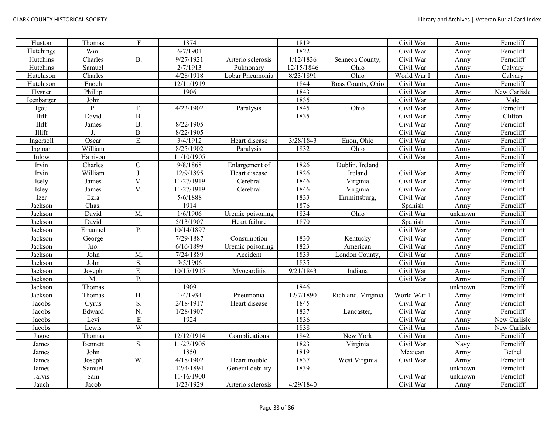| Huston     | Thomas   | $\overline{F}$ | 1874       |                   | 1819       |                    | Civil War   | Army    | Ferncliff    |
|------------|----------|----------------|------------|-------------------|------------|--------------------|-------------|---------|--------------|
| Hutchings  | Wm.      |                | 6/7/1901   |                   | 1822       |                    | Civil War   | Army    | Ferncliff    |
| Hutchins   | Charles  | <b>B.</b>      | 9/27/1921  | Arterio sclerosis | 1/12/1836  | Senneca County.    | Civil War   | Army    | Ferncliff    |
| Hutchins   | Samuel   |                | 2/7/1913   | Pulmonary         | 12/15/1846 | Ohio               | Civil War   | Army    | Calvary      |
| Hutchison  | Charles  |                | 4/28/1918  | Lobar Pneumonia   | 8/23/1891  | Ohio               | World War I | Army    | Calvary      |
| Hutchison  | Enoch    |                | 12/11/1919 |                   | 1844       | Ross County, Ohio  | Civil War   | Army    | Ferncliff    |
| Hysner     | Phillip  |                | 1906       |                   | 1843       |                    | Civil War   | Army    | New Carlisle |
| Icenbarger | John     |                |            |                   | 1835       |                    | Civil War   | Army    | Vale         |
| Igou       | P.       | F.             | 4/23/1902  | Paralysis         | 1845       | Ohio               | Civil War   | Army    | Ferncliff    |
| Iliff      | David    | <b>B.</b>      |            |                   | 1835       |                    | Civil War   | Army    | Clifton      |
| Iliff      | James    | <b>B.</b>      | 8/22/1905  |                   |            |                    | Civil War   | Army    | Ferncliff    |
| Illiff     | J.       | <b>B.</b>      | 8/22/1905  |                   |            |                    | Civil War   | Army    | Ferncliff    |
| Ingersoll  | Oscar    | E.             | 3/4/1912   | Heart disease     | 3/28/1843  | Enon, Ohio         | Civil War   | Army    | Ferncliff    |
| Ingman     | William  |                | 8/25/1902  | Paralysis         | 1832       | Ohio               | Civil War   | Army    | Ferncliff    |
| Inlow      | Harrison |                | 11/10/1905 |                   |            |                    | Civil War   | Army    | Ferncliff    |
| Irvin      | Charles  | C.             | 9/8/1868   | Enlargement of    | 1826       | Dublin, Ireland    |             | Army    | Ferncliff    |
| Irvin      | William  | $J$ .          | 12/9/1895  | Heart disease     | 1826       | Ireland            | Civil War   | Army    | Ferncliff    |
| Isely      | James    | M.             | 11/27/1919 | Cerebral          | 1846       | Virginia           | Civil War   | Army    | Ferncliff    |
| Isley      | James    | M.             | 11/27/1919 | Cerebral          | 1846       | Virginia           | Civil War   | Army    | Ferncliff    |
| Izer       | Ezra     |                | 5/6/1888   |                   | 1833       | Emmittsburg,       | Civil War   | Army    | Ferncliff    |
| Jackson    | Chas.    |                | 1914       |                   | 1876       |                    | Spanish     | Army    | Ferncliff    |
| Jackson    | David    | M.             | 1/6/1906   | Uremic poisoning  | 1834       | Ohio               | Civil War   | unknown | Ferncliff    |
| Jackson    | David    |                | 5/13/1907  | Heart failure     | 1870       |                    | Spanish     | Army    | Ferncliff    |
| Jackson    | Emanuel  | P.             | 10/14/1897 |                   |            |                    | Civil War   | Army    | Ferncliff    |
| Jackson    | George   |                | 7/29/1887  | Consumption       | 1830       | Kentucky           | Civil War   | Army    | Ferncliff    |
| Jackson    | Jno.     |                | 6/16/1899  | Uremic poisoning  | 1823       | American           | Civil War   | Army    | Ferncliff    |
| Jackson    | John     | M.             | 7/24/1889  | Accident          | 1833       | London County,     | Civil War   | Army    | Ferncliff    |
| Jackson    | John     | S.             | 9/5/1906   |                   | 1835       |                    | Civil War   | Army    | Ferncliff    |
| Jackson    | Joseph   | E.             | 10/15/1915 | Myocarditis       | 9/21/1843  | Indiana            | Civil War   | Army    | Ferncliff    |
| Jackson    | M.       | P.             |            |                   |            |                    | Civil War   | Army    | Ferncliff    |
| Jackson    | Thomas   |                | 1909       |                   | 1846       |                    |             | unknown | Ferncliff    |
| Jackson    | Thomas   | H.             | 1/4/1934   | Pneumonia         | 12/7/1890  | Richland, Virginia | World War 1 | Army    | Ferncliff    |
| Jacobs     | Cyrus    | S.             | 2/18/1917  | Heart disease     | 1845       |                    | Civil War   | Army    | Ferncliff    |
| Jacobs     | Edward   | N.             | 1/28/1907  |                   | 1837       | Lancaster,         | Civil War   | Army    | Ferncliff    |
| Jacobs     | Levi     | $\overline{E}$ | 1924       |                   | 1836       |                    | Civil War   | Army    | New Carlisle |
| Jacobs     | Lewis    | $\overline{W}$ |            |                   | 1838       |                    | Civil War   | Army    | New Carlisle |
| Jagoe      | Thomas   |                | 12/12/1914 | Complications     | 1842       | New York           | Civil War   | Army    | Ferncliff    |
| James      | Bennett  | S.             | 11/27/1905 |                   | 1823       | Virginia           | Civil War   | Navy    | Ferncliff    |
| James      | John     |                | 1850       |                   | 1819       |                    | Mexican     | Army    | Bethel       |
| James      | Joseph   | W.             | 4/18/1902  | Heart trouble     | 1837       | West Virginia      | Civil War   | Army    | Ferncliff    |
| James      | Samuel   |                | 12/4/1894  | General debility  | 1839       |                    |             | unknown | Ferncliff    |
| Jarvis     | Sam      |                | 11/16/1900 |                   |            |                    | Civil War   | unknown | Ferncliff    |
| Jauch      | Jacob    |                | 1/23/1929  | Arterio sclerosis | 4/29/1840  |                    | Civil War   | Army    | Ferncliff    |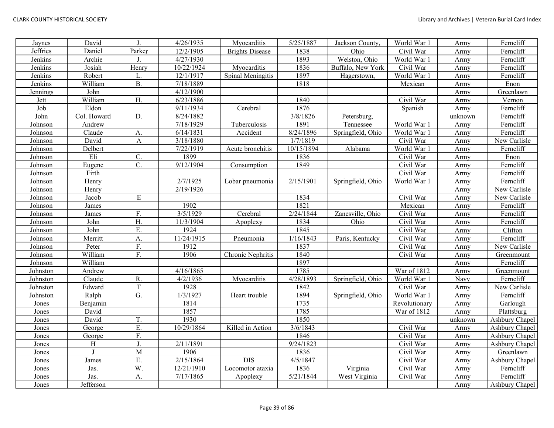| Jaynes   | David       | J.               | 4/26/1935  | Myocarditis            | 5/25/1887  | Jackson County,   | World War 1   | Army    | Ferncliff      |
|----------|-------------|------------------|------------|------------------------|------------|-------------------|---------------|---------|----------------|
| Jeffries | Daniel      | Parker           | 12/2/1905  | <b>Brights Disease</b> | 1838       | Ohio              | Civil War     | Army    | Ferncliff      |
| Jenkins  | Archie      | J.               | 4/27/1930  |                        | 1893       | Welston, Ohio     | World War 1   | Army    | Ferncliff      |
| Jenkins  | Josiah      | Henry            | 10/22/1924 | Myocarditis            | 1836       | Buffalo, New York | Civil War     | Army    | Ferncliff      |
| Jenkins  | Robert      | L.               | 12/1/1917  | Spinal Meningitis      | 1897       | Hagerstown,       | World War 1   | Army    | Ferncliff      |
| Jenkins  | William     | <b>B.</b>        | 7/18/1889  |                        | 1818       |                   | Mexican       | Army    | Enon           |
| Jennings | John        |                  | 4/12/1900  |                        |            |                   |               | Army    | Greenlawn      |
| Jett     | William     | H.               | 6/23/1886  |                        | 1840       |                   | Civil War     | Army    | Vernon         |
| Job      | Eldon       |                  | 9/11/1934  | Cerebral               | 1876       |                   | Spanish       | Army    | Ferncliff      |
| John     | Col. Howard | D.               | 8/24/1882  |                        | 3/8/1826   | Petersburg,       |               | unknown | Ferncliff      |
| Johnson  | Andrew      |                  | 7/18/1929  | Tuberculosis           | 1891       | Tennessee         | World War 1   | Army    | Ferncliff      |
| Johnson  | Claude      | A.               | 6/14/1831  | Accident               | 8/24/1896  | Springfield, Ohio | World War 1   | Army    | Ferncliff      |
| Johnson  | David       | A                | 3/18/1880  |                        | 1/7/1819   |                   | Civil War     | Army    | New Carlisle   |
| Johnson  | Delbert     |                  | 7/22/1919  | Acute bronchitis       | 10/15/1894 | Alabama           | World War 1   | Army    | Ferncliff      |
| Johnson  | Eli         | C.               | 1899       |                        | 1836       |                   | Civil War     | Army    | Enon           |
| Johnson  | Eugene      | C.               | 9/12/1904  | Consumption            | 1849       |                   | Civil War     | Army    | Ferncliff      |
| Johnson  | Firth       |                  |            |                        |            |                   | Civil War     | Army    | Ferncliff      |
| Johnson  | Henry       |                  | 2/7/1925   | Lobar pneumonia        | 2/15/1901  | Springfield, Ohio | World War 1   | Army    | Ferncliff      |
| Johnson  | Henry       |                  | 2/19/1926  |                        |            |                   |               | Army    | New Carlisle   |
| Johnson  | Jacob       | ${\bf E}$        |            |                        | 1834       |                   | Civil War     | Army    | New Carlisle   |
| Johnson  | James       |                  | 1902       |                        | 1821       |                   | Mexican       | Army    | Ferncliff      |
| Johnson  | James       | F.               | 3/5/1929   | Cerebral               | 2/24/1844  | Zanesville, Ohio  | Civil War     | Army    | Ferncliff      |
| Johnson  | John        | H.               | 11/3/1904  | Apoplexy               | 1834       | Ohio              | Civil War     | Army    | Ferncliff      |
| Johnson  | John        | E.               | 1924       |                        | 1845       |                   | Civil War     | Army    | Clifton        |
| Johnson  | Merritt     | A.               | 11/24/1915 | Pneumonia              | 1/16/1843  | Paris, Kentucky   | Civil War     | Army    | Ferncliff      |
| Johnson  | Peter       | F.               | 1912       |                        | 1837       |                   | Civil War     | Army    | New Carlisle   |
| Johnson  | William     | F.               | 1906       | Chronic Nephritis      | 1840       |                   | Civil War     | Army    | Greenmount     |
| Johnson  | William     |                  |            |                        | 1897       |                   |               | Army    | Ferncliff      |
| Johnston | Andrew      |                  | 4/16/1865  |                        | 1785       |                   | War of 1812   | Army    | Greenmount     |
| Johnston | Claude      | R.               | 4/2/1936   | Myocarditis            | 4/28/1893  | Springfield, Ohio | World War 1   | Navy    | Ferncliff      |
| Johnston | Edward      | $\mathbf T$      | 1928       |                        | 1842       |                   | Civil War     | Army    | New Carlisle   |
| Johnston | Ralph       | $\overline{G}$ . | 1/3/1927   | Heart trouble          | 1894       | Springfield, Ohio | World War 1   | Army    | Ferncliff      |
| Jones    | Benjamin    |                  | 1814       |                        | 1735       |                   | Revolutionary | Army    | Garlough       |
| Jones    | David       |                  | 1857       |                        | 1785       |                   | War of 1812   | Army    | Plattsburg     |
| Jones    | David       | T.               | 1930       |                        | 1850       |                   |               | unknown | Ashbury Chapel |
| Jones    | George      | E.               | 10/29/1864 | Killed in Action       | 3/6/1843   |                   | Civil War     | Army    | Ashbury Chapel |
| Jones    | George      | F.               |            |                        | 1846       |                   | Civil War     | Army    | Ashbury Chapel |
| Jones    | Η           | $\mathbf{J}$ .   | 2/11/1891  |                        | 9/24/1823  |                   | Civil War     | Army    | Ashbury Chapel |
| Jones    | J           | M                | 1906       |                        | 1836       |                   | Civil War     | Army    | Greenlawn      |
| Jones    | James       | E.               | 2/15/1864  | <b>DIS</b>             | 4/5/1847   |                   | Civil War     | Army    | Ashbury Chapel |
| Jones    | Jas.        | W.               | 12/21/1910 | Locomotor ataxia       | 1836       | Virginia          | Civil War     | Army    | Ferncliff      |
| Jones    | Jas.        | A.               | 7/17/1865  | Apoplexy               | 5/21/1844  | West Virginia     | Civil War     | Army    | Ferncliff      |
| Jones    | Jefferson   |                  |            |                        |            |                   |               | Army    | Ashbury Chapel |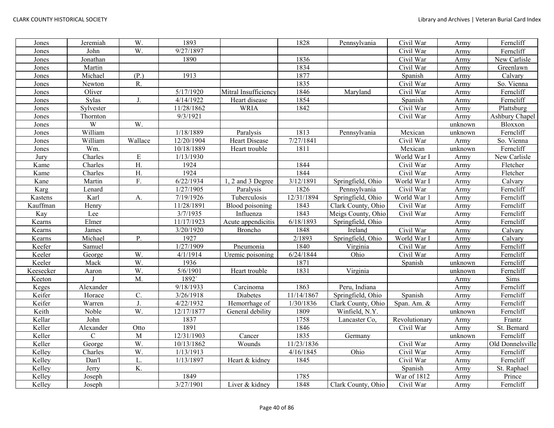| Jones     | Jeremiah    | W.        | 1893                   |                      | 1828       | Pennsylvania       | Civil War     | Army    | Ferncliff        |
|-----------|-------------|-----------|------------------------|----------------------|------------|--------------------|---------------|---------|------------------|
| Jones     | John        | W.        | 9/27/1897              |                      |            |                    | Civil War     | Army    | Ferncliff        |
| Jones     | Jonathan    |           | 1890                   |                      | 1836       |                    | Civil War     | Army    | New Carlisle     |
| Jones     | Martin      |           |                        |                      | 1834       |                    | Civil War     | Army    | Greenlawn        |
| Jones     | Michael     | (P.)      | 1913                   |                      | 1877       |                    | Spanish       | Army    | Calvary          |
| Jones     | Newton      | R.        |                        |                      | 1835       |                    | Civil War     | Army    | So. Vienna       |
| Jones     | Oliver      |           | 5/17/1920              | Mitral Insufficiency | 1846       | Maryland           | Civil War     | Army    | Ferncliff        |
| Jones     | Sylas       | J.        | 4/14/1922              | Heart disease        | 1854       |                    | Spanish       | Army    | Ferncliff        |
| Jones     | Sylvester   |           | 11/28/1862             | <b>WRIA</b>          | 1842       |                    | Civil War     | Army    | Plattsburg       |
| Jones     | Thornton    |           | 9/3/1921               |                      |            |                    | Civil War     | Army    | Ashbury Chapel   |
| Jones     | W           | W.        |                        |                      |            |                    |               | unknown | Bloxxon          |
| Jones     | William     |           | $\frac{1}{1}$ /18/1889 | Paralysis            | 1813       | Pennsylvania       | Mexican       | unknown | Ferncliff        |
| Jones     | William     | Wallace   | 12/20/1904             | Heart Disease        | 7/27/1841  |                    | Civil War     | Army    | So. Vienna       |
| Jones     | Wm.         |           | 10/18/1889             | Heart trouble        | 1811       |                    | Mexican       | unknown | Ferncliff        |
| Jury      | Charles     | ${\bf E}$ | 1/13/1930              |                      |            |                    | World War I   | Army    | New Carlisle     |
| Kame      | Charles     | H.        | 1924                   |                      | 1844       |                    | Civil War     | Army    | Fletcher         |
| Kame      | Charles     | H.        | 1924                   |                      | 1844       |                    | Civil War     | Army    | Fletcher         |
| Kane      | Martin      | F.        | 6/22/1934              | 2 and 3 Degree       | 3/12/1891  | Springfield, Ohio  | World War I   | Army    | Calvary          |
| Karg      | Lenard      |           | 1/27/1905              | Paralysis            | 1826       | Pennsylvania       | Civil War     | Army    | Ferncliff        |
| Kastens   | Karl        | A.        | 7/19/1926              | Tuberculosis         | 12/31/1894 | Springfield, Ohio  | World War 1   | Army    | Ferncliff        |
| Kauffman  | Henry       |           | 11/28/1891             | Blood poisoning      | 1843       | Clark County, Ohio | Civil War     | Army    | Ferncliff        |
| Kay       | Lee         |           | 3/7/1935               | Influenza            | 1843       | Meigs County, Ohio | Civil War     | Army    | Ferncliff        |
| Kearns    | Elmer       |           | 11/17/1923             | Acute appendicitis   | 6/18/1893  | Springfield, Ohio  |               | Army    | Ferncliff        |
| Kearns    | James       |           | 3/20/1920              | Broncho              | 1848       | Ireland            | Civil War     | Army    | Calvary          |
| Kearns    | Michael     | P.        | 1927                   |                      | 2/1893     | Springfield, Ohio  | World War I   | Army    | Calvary          |
| Keefer    | Samuel      |           | 1/27/1909              | Pneumonia            | 1840       | Virginia           | Civil War     | Army    | Ferncliff        |
| Keeler    | George      | W.        | 4/1/1914               | Uremic poisoning     | 6/24/1844  | Ohio               | Civil War     | Army    | Ferncliff        |
| Keeler    | Mack        | W.        | 1936                   |                      | 1871       |                    | Spanish       | unknown | Ferncliff        |
| Keesecker | Aaron       | W.        | 5/6/1901               | Heart trouble        | 1831       | Virginia           |               | unknown | Ferncliff        |
| Keeton    |             | M.        | 1892                   |                      |            |                    |               | Army    | Sims             |
| Keges     | Alexander   |           | 9/18/1933              | Carcinoma            | 1863       | Peru, Indiana      |               | Army    | Ferncliff        |
| Keifer    | Horace      | C.        | 3/26/1918              | Diabetes             | 11/14/1867 | Springfield, Ohio  | Spanish       | Army    | Ferncliff        |
| Keifer    | Warren      | J.        | 4/22/1932              | Hemorrhage of        | 1/30/1836  | Clark County, Ohio | Span. Am. &   | Army    | Ferncliff        |
| Keith     | Noble       | W.        | 12/17/1877             | General debility     | 1809       | Winfield, N.Y.     |               | unknown | Ferncliff        |
| Kellar    | John        |           | 1837                   |                      | 1758       | Lancaster Co,      | Revolutionary | Army    | Frantz           |
| Keller    | Alexander   | Otto      | 1891                   |                      | 1846       |                    | Civil War     | Army    | St. Bernard      |
| Keller    | $\mathbf C$ | M         | 12/31/1903             | Cancer               | 1835       | Germany            |               | unknown | Ferncliff        |
| Keller    | George      | W.        | 10/13/1862             | Wounds               | 11/23/1836 |                    | Civil War     | Army    | Old Donnelsville |
| Kelley    | Charles     | W.        | 1/13/1913              |                      | 4/16/1845  | Ohio               | Civil War     | Army    | Ferncliff        |
| Kelley    | Dan'l       | L.        | 1/13/1897              | Heart & kidney       | 1845       |                    | Civil War     | Army    | Ferncliff        |
| Kelley    | Jerry       | K.        |                        |                      |            |                    | Spanish       | Army    | St. Raphael      |
| Kelley    | Joseph      |           | 1849                   |                      | 1785       |                    | War of 1812   | Army    | Prince           |
| Kelley    | Joseph      |           | 3/27/1901              | Liver & kidney       | 1848       | Clark County, Ohio | Civil War     | Army    | Ferncliff        |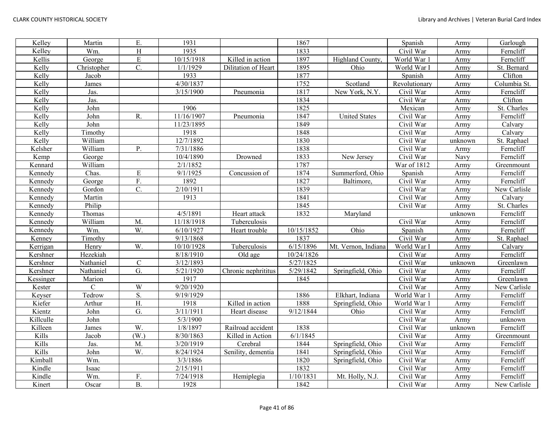| Kelley    | Martin       | Ε.                | 1931       |                                | 1867       |                      | Spanish       | Army    | Garlough     |
|-----------|--------------|-------------------|------------|--------------------------------|------------|----------------------|---------------|---------|--------------|
| Kelley    | Wm.          | $\overline{H}$    | 1935       |                                | 1833       |                      | Civil War     | Army    | Ferncliff    |
| Kellis    | George       | ${\bf E}$         | 10/15/1918 | Killed in action               | 1897       | Highland County.     | World War 1   | Army    | Ferncliff    |
| Kelly     | Christopher  | $\mathbf{C}$ .    | 1/1/1929   | Dilitation of Heart            | 1895       | Ohio                 | World War I   | Army    | St. Bernard  |
| Kelly     | Jacob        |                   | 1933       |                                | 1877       |                      | Spanish       | Army    | Clifton      |
| Kelly     | James        |                   | 4/30/1837  |                                | 1752       | Scotland             | Revolutionary | Army    | Columbia St. |
| Kelly     | Jas.         |                   | 3/15/1900  | Pneumonia                      | 1817       | New York, N.Y.       | Civil War     | Army    | Ferncliff    |
| Kelly     | Jas.         |                   |            |                                | 1834       |                      | Civil War     | Army    | Clifton      |
| Kelly     | John         |                   | 1906       |                                | 1825       |                      | Mexican       | Army    | St. Charles  |
| Kelly     | John         | R.                | 11/16/1907 | Pneumonia                      | 1847       | <b>United States</b> | Civil War     | Army    | Ferncliff    |
| Kelly     | John         |                   | 11/23/1895 |                                | 1849       |                      | Civil War     | Army    | Calvary      |
| Kelly     | Timothy      |                   | 1918       |                                | 1848       |                      | Civil War     | Army    | Calvary      |
| Kelly     | William      |                   | 12/7/1892  |                                | 1830       |                      | Civil War     | unknown | St. Raphael  |
| Kelsher   | William      | P.                | 7/31/1886  |                                | 1838       |                      | Civil War     | Army    | Ferncliff    |
| Kemp      | George       |                   | 10/4/1890  | Drowned                        | 1833       | New Jersey           | Civil War     | Navy    | Ferncliff    |
| Kennard   | William      |                   | 2/1/1852   |                                | 1787       |                      | War of 1812   | Army    | Greenmount   |
| Kennedy   | Chas.        | ${\bf E}$         | 9/1/1925   | Concussion of                  | 1874       | Summerford, Ohio     | Spanish       | Army    | Ferncliff    |
| Kennedy   | George       | F.                | 1892       |                                | 1827       | Baltimore,           | Civil War     | Army    | Ferncliff    |
| Kennedy   | Gordon       | C.                | 2/10/1911  |                                | 1839       |                      | Civil War     | Army    | New Carlisle |
| Kennedy   | Martin       |                   | 1913       |                                | 1841       |                      | Civil War     | Army    | Calvary      |
| Kennedy   | Philip       |                   |            |                                | 1845       |                      | Civil War     | Army    | St. Charles  |
| Kennedy   | Thomas       |                   | 4/5/1891   | Heart attack                   | 1832       | Maryland             |               | unknown | Ferncliff    |
| Kennedy   | William      | M.                | 11/18/1918 | Tuberculosis                   |            |                      | Civil War     | Army    | Ferncliff    |
| Kennedy   | Wm.          | W.                | 6/10/1927  | Heart trouble                  | 10/15/1852 | Ohio                 | Spanish       | Army    | Ferncliff    |
| Kenney    | Timothy      |                   | 9/13/1868  |                                | 1837       |                      | Civil War     | Army    | St. Raphael  |
| Kerrigan  | Henry        | W.                | 10/10/1928 | Tuberculosis                   | 6/15/1896  | Mt. Vernon, Indiana  | World War l   | Army    | Calvary      |
| Kershner  | Hezekiah     |                   | 8/18/1910  | Old age                        | 10/24/1826 |                      | Civil War     | Army    | Ferncliff    |
| Kershner  | Nathaniel    | $\mathsf{C}$      | 3/12/1893  |                                | 5/27/1825  |                      | Civil War     | unknown | Greenlawn    |
| Kershner  | Nathaniel    | $\overline{G}$ .  | 5/21/1920  | Chronic nephrititus            | 5/29/1842  | Springfield, Ohio    | Civil War     | Army    | Ferncliff    |
| Kessinger | Marion       |                   | 1917       |                                | 1845       |                      | Civil War     | Army    | Greenlawn    |
| Kester    | $\mathsf{C}$ | W                 | 9/20/1920  |                                |            |                      | Civil War     | Army    | New Carlisle |
| Keyser    | Tedrow       | S.                | 9/19/1929  |                                | 1886       | Elkhart, Indiana     | World War 1   | Army    | Ferncliff    |
| Kiefer    | Arthur       | $\overline{H}$ .  | 1918       | $\overline{K}$ illed in action | 1888       | Springfield, Ohio    | World War     | Army    | Ferncliff    |
| Kientz    | John         | G.                | 3/11/1911  | Heart disease                  | 9/12/1844  | Ohio                 | Civil War     | Army    | Ferncliff    |
| Killculle | John         |                   | 5/3/1900   |                                |            |                      | Civil War     | Army    | unknown      |
| Killeen   | James        | W.                | 1/8/1897   | Railroad accident              | 1838       |                      | Civil War     | unknown | Ferncliff    |
| Kills     | Jacob        | (W <sub>1</sub> ) | 8/30/1863  | Killed in Action               | 6/1/1845   |                      | Civil War     | Army    | Greenmount   |
| Kills     | Jas.         | M.                | 3/20/1919  | Cerebral                       | 1844       | Springfield, Ohio    | Civil War     | Army    | Ferncliff    |
| Kills     | John         | $\overline{W}$ .  | 8/24/1924  | Senility, dementia             | 1841       | Springfield, Ohio    | Civil War     | Army    | Ferncliff    |
| Kimball   | Wm.          |                   | 3/3/1886   |                                | 1820       | Springfield, Ohio    | Civil War     | Army    | Ferncliff    |
| Kindle    | Isaac        |                   | 2/15/1911  |                                | 1832       |                      | Civil War     | Army    | Ferncliff    |
| Kindle    | Wm.          | F.                | 7/24/1918  | Hemiplegia                     | 1/10/1831  | Mt. Holly, N.J.      | Civil War     | Army    | Ferncliff    |
| Kinert    | Oscar        | <b>B.</b>         | 1928       |                                | 1842       |                      | Civil War     | Army    | New Carlisle |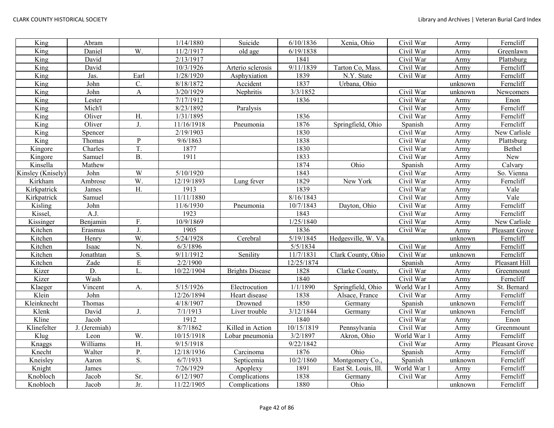| King              | Abram         |                | 1/14/1880  | Suicide                | 6/10/1836            | Xenia, Ohio          | Civil War   | Army    | Ferncliff      |
|-------------------|---------------|----------------|------------|------------------------|----------------------|----------------------|-------------|---------|----------------|
| King              | Daniel        | W.             | 11/2/1917  | old age                | 6/19/1838            |                      | Civil War   | Army    | Greenlawn      |
| King              | David         |                | 2/13/1917  |                        | 1841                 |                      | Civil War   | Army    | Plattsburg     |
| King              | David         |                | 10/3/1926  | Arterio sclerosis      | 9/11/1839            | Tarton Co, Mass.     | Civil War   | Army    | Ferncliff      |
| King              | Jas.          | Earl           | 1/28/1920  | Asphyxiation           | 1839                 | N.Y. State           | Civil War   | Army    | Ferncliff      |
| King              | John          | C.             | 8/18/1872  | Accident               | 1837                 | Urbana, Ohio         |             | unknown | Ferncliff      |
| King              | John          | A              | 3/20/1929  | Nephritis              | $\frac{1}{3}/3/1852$ |                      | Civil War   | unknown | Newcomers      |
| King              | Lester        |                | 7/17/1912  |                        | 1836                 |                      | Civil War   | Army    | Enon           |
| King              | Mich'l        |                | 8/23/1892  | Paralysis              |                      |                      | Civil War   | Army    | Ferncliff      |
| King              | Oliver        | H.             | 1/31/1895  |                        | 1836                 |                      | Civil War   | Army    | Ferncliff      |
| King              | Oliver        | J.             | 11/16/1918 | Pneumonia              | 1876                 | Springfield, Ohio    | Spanish     | Army    | Ferncliff      |
| King              | Spencer       |                | 2/19/1903  |                        | 1830                 |                      | Civil War   | Army    | New Carlisle   |
| King              | Thomas        | $\mathbf{P}$   | 9/6/1863   |                        | 1838                 |                      | Civil War   | Army    | Plattsburg     |
| Kingore           | Charles       | T.             | 1877       |                        | 1830                 |                      | Civil War   | Army    | Bethel         |
| Kingore           | Samuel        | <b>B.</b>      | 1911       |                        | 1833                 |                      | Civil War   | Army    | New            |
| Kinsella          | Mathew        |                |            |                        | 1874                 | Ohio                 | Spanish     | Army    | Calvary        |
| Kinsley (Knisely) | John          | W              | 5/10/1920  |                        | 1843                 |                      | Civil War   | Army    | So. Vienna     |
| Kirkham           | Ambrose       | W.             | 12/19/1893 | Lung fever             | 1829                 | New York             | Civil War   | Army    | Ferncliff      |
| Kirkpatrick       | James         | H.             | 1913       |                        | 1839                 |                      | Civil War   | Army    | Vale           |
| Kirkpatrick       | Samuel        |                | 11/11/1880 |                        | 8/16/1843            |                      | Civil War   | Army    | Vale           |
| Kisling           | John          |                | 11/6/1930  | Pneumonia              | 10/7/1843            | Dayton, Ohio         | Civil War   | Army    | Ferncliff      |
| Kissel,           | A.J.          |                | 1923       |                        | 1843                 |                      | Civil War   | Army    | Ferncliff      |
| Kissinger         | Benjamin      | F.             | 10/9/1869  |                        | 1/25/1840            |                      | Civil War   | Army    | New Carlisle   |
| Kitchen           | Erasmus       | $\mathbf{I}$   | 1905       |                        | 1836                 |                      | Civil War   | Army    | Pleasant Grove |
| Kitchen           | Henry         | W.             | 5/24/1928  | Cerebral               | 5/19/1845            | Hedgesville, W. Va.  |             | unknown | Ferncliff      |
| Kitchen           | Isaac         | N.             | 6/3/1896   |                        | 5/5/1834             |                      | Civil War   | Army    | Ferncliff      |
| Kitchen           | Jonathtan     | S.             | 9/11/1912  | Senility               | 11/7/1831            | Clark County, Ohio   | Civil War   | unknown | Ferncliff      |
| Kitchen           | Zade          | $\overline{E}$ | 2/2/1900   |                        | 12/25/1874           |                      | Spanish     | Army    | Pleasant Hill  |
| Kizer             | D.            | L.             | 10/22/1904 | <b>Brights Disease</b> | 1828                 | Clarke County,       | Civil War   | Army    | Greenmount     |
| Kizer             | Wash          |                |            |                        | 1840                 |                      | Civil War   | Army    | Ferncliff      |
| Klaeger           | Vincent       | А.             | 5/15/1926  | Electrocution          | 1/1/1890             | Springfield, Ohio    | World War I | Army    | St. Bernard    |
| Klein             | John          |                | 12/26/1894 | Heart disease          | 1838                 | Alsace, France       | Civil War   | Army    | Ferncliff      |
| Kleinknecht       | Thomas        |                | 4/18/1907  | Drowned                | 1850                 | Germany              | Spanish     | unknown | Ferncliff      |
| Klenk             | David         | J.             | 7/1/1913   | Liver trouble          | 3/12/1844            | Germany              | Civil War   | unknown | Ferncliff      |
| Kline             | Jacob         |                | 1912       |                        | 1840                 |                      | Civil War   | Army    | Enon           |
| Klinefelter       | J. (Jeremiah) |                | 8/7/1862   | Killed in Action       | 10/15/1819           | Pennsylvania         | Civil War   | Army    | Greenmount     |
| Klug              | Leon          | W.             | 10/15/1918 | Lobar pneumonia        | 3/2/1897             | Akron, Ohio          | World War 1 | Army    | Ferncliff      |
| Knaggs            | Williams      | H.             | 9/15/1918  |                        | 9/22/1842            |                      | Civil War   | Army    | Pleasant Grove |
| Knecht            | Walter        | P.             | 12/18/1936 | Carcinoma              | 1876                 | Ohio                 | Spanish     | Army    | Ferncliff      |
| Kneisley          | Aaron         | S.             | 6/7/1933   | Septicemia             | 10/2/1860            | Montgomery Co.,      | Spanish     | unknown | Ferncliff      |
| Knight            | <b>James</b>  |                | 7/26/1929  | Apoplexy               | 1891                 | East St. Louis, Ill. | World War 1 | Army    | Ferncliff      |
| Knobloch          | Jacob         | Sr.            | 6/12/1907  | Complications          | 1838                 | Germany              | Civil War   | Army    | Ferncliff      |
| Knobloch          | Jacob         | Jr.            | 11/22/1905 | Complications          | 1880                 | Ohio                 |             | unknown | Ferncliff      |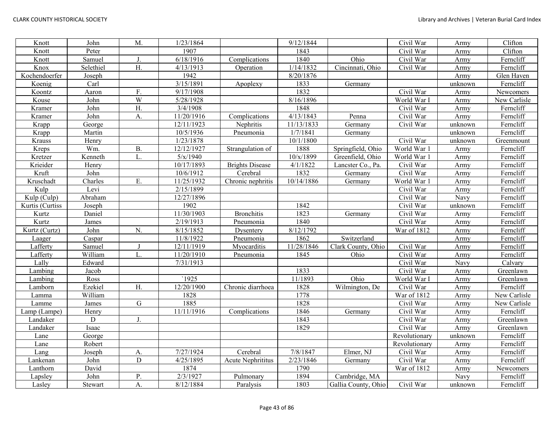| Knott           | John        | M.               | 1/23/1864  |                        | 9/12/1844  |                     | Civil War               | Army    | Clifton      |
|-----------------|-------------|------------------|------------|------------------------|------------|---------------------|-------------------------|---------|--------------|
| Knott           | Peter       |                  | 1907       |                        | 1843       |                     | Civil War               | Army    | Clifton      |
| Knott           | Samuel      | J.               | 6/18/1916  | Complications          | 1840       | Ohio                | Civil War               | Army    | Ferncliff    |
| Knox            | Selethiel   | H.               | 4/13/1913  | Operation              | 1/14/1832  | Cincinnati, Ohio    | Civil War               | Army    | Ferncliff    |
| Kochendoerfer   | Joseph      |                  | 1942       |                        | 8/20/1876  |                     |                         | Army    | Glen Haven   |
| Koenig          | Carl        |                  | 3/15/1891  | Apoplexy               | 1833       | Germany             |                         | unknown | Ferncliff    |
| Koontz          | Aaron       | F.               | 9/17/1908  |                        | 1832       |                     | Civil War               | Army    | Newcomers    |
| Kouse           | John        | W                | 5/28/1928  |                        | 8/16/1896  |                     | World War I             | Army    | New Carlisle |
| Kramer          | John        | Η.               | 3/4/1908   |                        | 1848       |                     | Civil War               | Army    | Ferncliff    |
| Kramer          | John        | A.               | 11/20/1916 | Complications          | 4/13/1843  | Penna               | Civil War               | Army    | Ferncliff    |
| Krapp           | George      |                  | 12/11/1923 | Nephritis              | 11/13/1833 | Germany             | Civil War               | unknown | Ferncliff    |
| Krapp           | Martin      |                  | 10/5/1936  | Pneumonia              | 1/7/1841   | Germany             |                         | unknown | Ferncliff    |
| Krauss          | Henry       |                  | 1/23/1878  |                        | 10/1/1800  |                     | Civil War               | unknown | Greenmount   |
| Kreps           | Wm.         | <b>B.</b>        | 12/12/1927 | Strangulation of       | 1888       | Springfield, Ohio   | World War 1             | Army    | Ferncliff    |
| Kretzer         | Kenneth     | L.               | 5/x/1940   |                        | 10/x/1899  | Greenfield, Ohio    | World War 1             | Army    | Ferncliff    |
| Krieider        | Henry       |                  | 10/17/1893 | <b>Brights Disease</b> | 4/1/1822   | Lancster Co., Pa.   | Civil War               | Army    | Ferncliff    |
| Kruft           | John        |                  | 10/6/1912  | Cerebral               | 1832       | Germany             | Civil War               | Army    | Ferncliff    |
| Kruschadt       | Charles     | Ε.               | 11/25/1932 | Chronic nephritis      | 10/14/1886 | Germany             | World War 1             | Army    | Ferncliff    |
| Kulp            | Levi        |                  | 2/15/1899  |                        |            |                     | Civil War               | Army    | Ferncliff    |
| Kulp (Culp)     | Abraham     |                  | 12/27/1896 |                        |            |                     | Civil War               | Navy    | Ferncliff    |
| Kurtis (Curtiss | Joseph      |                  | 1902       |                        | 1842       |                     | Civil War               | unknown | Ferncliff    |
| Kurtz           | Daniel      |                  | 11/30/1903 | <b>Bronchitis</b>      | 1823       | Germany             | Civil War               | Army    | Ferncliff    |
| Kurtz           | James       |                  | 2/19/1913  | Pneumonia              | 1840       |                     | Civil War               | Army    | Ferncliff    |
| Kurtz (Curtz)   | John        | N.               | 8/15/1852  | Dysentery              | 8/12/1792  |                     | War of 1812             | Army    | Ferncliff    |
| Laager          | Caspar      |                  | 11/8/1922  | Pneumonia              | 1862       | Switzerland         |                         | Army    | Ferncliff    |
| Lafferty        | Samuel      | J                | 12/11/1919 | Myocarditis            | 11/28/1846 | Clark County, Ohio  | Civil War               | Army    | Ferncliff    |
| Lafferty        | William     | L.               | 11/20/1910 | Pneumonia              | 1845       | Ohio                | Civil War               | Army    | Ferncliff    |
| Lally           | Edward      |                  | 7/31/1913  |                        |            |                     | Civil War               | Navy    | Calvary      |
| Lambing         | Jacob       |                  |            |                        | 1833       |                     | Civil War               | Army    | Greenlawn    |
| Lambing         | Ross        |                  | `1925      |                        | 11/1893    | Ohio                | World War I             | Army    | Greenlawn    |
| Lamborn         | Ezekiel     | $\overline{H}$ . | 12/20/1900 | Chronic diarrhoea      | 1828       | Wilmington, De      | Civil War               | Army    | Ferncliff    |
| Lamma           | William     |                  | 1828       |                        | 1778       |                     | War of 1812             | Army    | New Carlisle |
| Lamme           | James       | ${\bf G}$        | 1885       |                        | 1828       |                     | $\overline{C}$ ivil War | Army    | New Carlisle |
| Lamp (Lampe)    | Henry       |                  | 11/11/1916 | Complications          | 1846       | Germany             | Civil War               | Army    | Ferncliff    |
| Landaker        | $\mathbf D$ | J.               |            |                        | 1843       |                     | Civil War               | Army    | Greenlawn    |
| Landaker        | Isaac       |                  |            |                        | 1829       |                     | Civil War               | Army    | Greenlawn    |
| Lane            | George      |                  |            |                        |            |                     | Revolutionary           | unknown | Ferncliff    |
| Lane            | Robert      |                  |            |                        |            |                     | Revolutionary           | Army    | Ferncliff    |
| Lang            | Joseph      | A.               | 7/27/1924  | Cerebral               | 7/8/1847   | Elmer, NJ           | Civil War               | Army    | Ferncliff    |
| Lankenan        | John        | $\mathbf D$      | 4/25/1895  | Acute Nephrititus      | 2/23/1846  | Germany             | Civil War               | Army    | Ferncliff    |
| Lanthorn        | David       |                  | 1874       |                        | 1790       |                     | War of 1812             | Army    | Newcomers    |
| Lapsley         | John        | Ρ.               | 2/3/1927   | Pulmonary              | 1894       | Cambridge, MA       |                         | Navy    | Ferncliff    |
| Lasley          | Stewart     | A.               | 8/12/1884  | Paralysis              | 1803       | Gallia County, Ohio | Civil War               | unknown | Ferncliff    |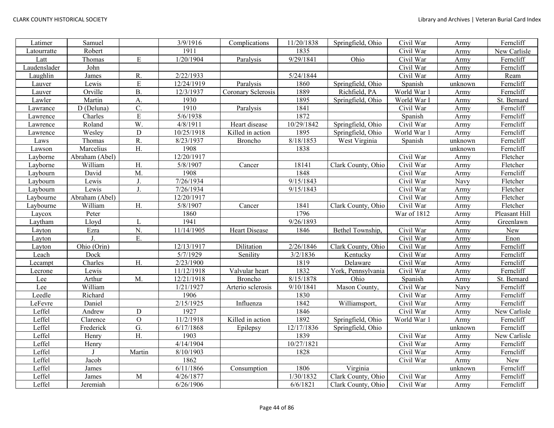| Latimer      | Samuel         |                  | $\frac{1}{3}/9/1916$ | Complications        | 11/20/1838 | Springfield, Ohio  | Civil War   | Army    | Ferncliff     |
|--------------|----------------|------------------|----------------------|----------------------|------------|--------------------|-------------|---------|---------------|
| Latourratte  | Robert         |                  | 1911                 |                      | 1835       |                    | Civil War   | Army    | New Carlisle  |
| Latt         | Thomas         | ${\bf E}$        | 1/20/1904            | Paralysis            | 9/29/1841  | Ohio               | Civil War   | Army    | Ferncliff     |
| Laudenslader | John           |                  |                      |                      |            |                    | Civil War   | Army    | Ferncliff     |
| Laughlin     | James          | R.               | 2/22/1933            |                      | 5/24/1844  |                    | Civil War   | Army    | Ream          |
| Lauver       | Lewis          | ${\bf E}$        | 12/24/1919           | Paralysis            | 1860       | Springfield, Ohio  | Spanish     | unknown | Ferncliff     |
| Lauver       | Orville        | <b>B.</b>        | 12/3/1937            | Coronary Sclerosis   | 1889       | Richfield, PA      | World War 1 | Army    | Ferncliff     |
| Lawler       | Martin         | A.               | 1930                 |                      | 1895       | Springfield, Ohio  | World War I | Army    | St. Bernard   |
| Lawrance     | D (Deluna)     | $\overline{C}$ . | 1910                 | Paralysis            | 1841       |                    | Civil War   | Army    | Ferncliff     |
| Lawrence     | Charles        | E                | 5/6/1938             |                      | 1872       |                    | Spanish     | Army    | Ferncliff     |
| Lawrence     | Roland         | W.               | 4/8/1911             | Heart disease        | 10/29/1842 | Springfield, Ohio  | Civil War   | Army    | Ferncliff     |
| Lawrence     | Wesley         | ${\bf D}$        | 10/25/1918           | Killed in action     | 1895       | Springfield, Ohio  | World War 1 | Army    | Ferncliff     |
| Laws         | Thomas         | R.               | 8/23/1937            | Broncho              | 8/18/1853  | West Virginia      | Spanish     | unknown | Ferncliff     |
| Lawson       | Marcelius      | Η.               | 1908                 |                      | 1838       |                    |             | unknown | Ferncliff     |
| Layborne     | Abraham (Abel) |                  | 12/20/1917           |                      |            |                    | Civil War   | Army    | Fletcher      |
| Layborne     | William        | H.               | 5/8/1907             | Cancer               | 18141      | Clark County, Ohio | Civil War   | Army    | Fletcher      |
| Laybourn     | David          | M.               | 1908                 |                      | 1848       |                    | Civil War   | Army    | Ferncliff     |
| Laybourn     | Lewis          | J.               | 7/26/1934            |                      | 9/15/1843  |                    | Civil War   | Navy    | Fletcher      |
| Laybourn     | Lewis          | J.               | 7/26/1934            |                      | 9/15/1843  |                    | Civil War   | Army    | Fletcher      |
| Laybourne    | Abraham (Abel) |                  | 12/20/1917           |                      |            |                    | Civil War   | Army    | Fletcher      |
| Laybourne    | William        | H.               | 5/8/1907             | Cancer               | 1841       | Clark County, Ohio | Civil War   | Army    | Fletcher      |
| Laycox       | Peter          |                  | 1860                 |                      | 1796       |                    | War of 1812 | Army    | Pleasant Hill |
| Laytham      | Lloyd          | L                | 1941                 |                      | 9/26/1893  |                    |             | Army    | Greenlawn     |
| Layton       | Ezra           | N.               | 11/14/1905           | <b>Heart Disease</b> | 1846       | Bethel Township,   | Civil War   | Army    | New           |
| Layton       |                | Ε.               |                      |                      |            |                    | Civil War   | Army    | Enon          |
| Layton       | Ohio (Orin)    |                  | 12/13/1917           | Dilitation           | 2/26/1846  | Clark County, Ohio | Civil War   | Army    | Ferncliff     |
| Leach        | Dock           |                  | 5/7/1929             | Senility             | 3/2/1836   | Kentucky           | Civil War   | Army    | Ferncliff     |
| Lecampt      | Charles        | H.               | 2/23/1900            |                      | 1819       | Delaware           | Civil War   | Army    | Ferncliff     |
| Lecrone      | Lewis          |                  | 11/12/1918           | Valvular heart       | 1832       | York, Pennsylvania | Civil War   | Army    | Ferncliff     |
| Lee          | Arthur         | M.               | 12/21/1918           | <b>Broncho</b>       | 8/15/1878  | Ohio               | Spanish     | Army    | St. Bernard   |
| Lee          | William        |                  | 1/21/1927            | Arterio sclerosis    | 9/10/1841  | Mason County,      | Civil War   | Navy    | Ferncliff     |
| Leedle       | Richard        |                  | 1906                 |                      | 1830       |                    | Civil War   | Army    | Ferncliff     |
| LeFevre      | Daniel         |                  | 2/15/1925            | Influenza            | 1842       | Williamsport,      | Civil War   | Army    | Ferncliff     |
| Leffel       | Andrew         | $\mathbf D$      | 1927                 |                      | 1846       |                    | Civil War   | Army    | New Carlisle  |
| Leffel       | Clarence       | $\mathbf O$      | 11/2/1918            | Killed in action     | 1892       | Springfield, Ohio  | World War 1 | Army    | Ferncliff     |
| Leffel       | Frederick      | G.               | 6/17/1868            | Epilepsy             | 12/17/1836 | Springfield, Ohio  |             | unknown | Ferncliff     |
| Leffel       | Henry          | H.               | 1903                 |                      | 1839       |                    | Civil War   | Army    | New Carlisle  |
| Leffel       | Henry          |                  | 4/14/1904            |                      | 10/27/1821 |                    | Civil War   | Army    | Ferncliff     |
| Leffel       |                | Martin           | 8/10/1903            |                      | 1828       |                    | Civil War   | Army    | Ferncliff     |
| Leffel       | Jacob          |                  | 1862                 |                      |            |                    | Civil War   | Army    | New           |
| Leffel       | James          |                  | 6/11/1866            | Consumption          | 1806       | Virginia           |             | unknown | Ferncliff     |
| Leffel       | James          | $\mathbf{M}$     | 4/26/1877            |                      | 1/30/1832  | Clark County, Ohio | Civil War   | Army    | Ferncliff     |
| Leffel       | Jeremiah       |                  | 6/26/1906            |                      | 6/6/1821   | Clark County, Ohio | Civil War   | Army    | Ferncliff     |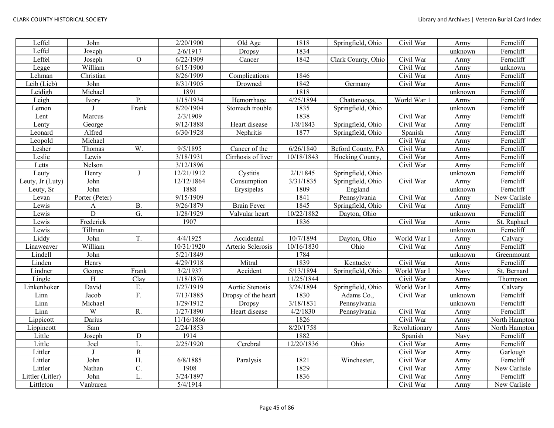| Leffel           | John           |                | 2/20/1900           | Old Age             | 1818       | Springfield, Ohio  | Civil War     | Army    | Ferncliff     |
|------------------|----------------|----------------|---------------------|---------------------|------------|--------------------|---------------|---------|---------------|
| Leffel           | Joseph         |                | 2/6/1917            | Dropsy              | 1834       |                    |               | unknown | Ferncliff     |
| Leffel           | Joseph         | $\overline{O}$ | 6/22/1909           | Cancer              | 1842       | Clark County, Ohio | Civil War     | Army    | Ferncliff     |
| Legge            | William        |                | 6/15/1900           |                     |            |                    | Civil War     | Army    | unknown       |
| Lehman           | Christian      |                | 8/26/1909           | Complications       | 1846       |                    | Civil War     | Army    | Ferncliff     |
| Leib (Lieb)      | John           |                | 8/31/1905           | Drowned             | 1842       | Germany            | Civil War     | Army    | Ferncliff     |
| Leidigh          | Michael        |                | 1891                |                     | 1818       |                    |               | unknown | Ferncliff     |
| Leigh            | Ivory          | P.             | 1/15/1934           | Hemorrhage          | 4/25/1894  | Chattanooga,       | World War 1   | Army    | Ferncliff     |
| Lemon            |                | Frank          | 8/20/1904           | Stomach trouble     | 1835       | Springfield, Ohio  |               | unknown | Ferncliff     |
| Lent             | Marcus         |                | 2/3/1909            |                     | 1838       |                    | Civil War     | Army    | Ferncliff     |
| Lenty            | George         |                | 9/12/1888           | Heart disease       | 1/8/1843   | Springfield, Ohio  | Civil War     | Army    | Ferncliff     |
| Leonard          | Alfred         |                | 6/30/1928           | Nephritis           | 1877       | Springfield, Ohio  | Spanish       | Army    | Ferncliff     |
| Leopold          | Michael        |                |                     |                     |            |                    | Civil War     | Army    | Ferncliff     |
| Lesher           | Thomas         | W.             | $\frac{9}{5}$ /1895 | Cancer of the       | 6/26/1840  | Beford County, PA  | Civil War     | Army    | Ferncliff     |
| Leslie           | Lewis          |                | 3/18/1931           | Cirrhosis of liver  | 10/18/1843 | Hocking County,    | Civil War     | Army    | Ferncliff     |
| Letts            | Nelson         |                | 3/12/1896           |                     |            |                    | Civil War     | Army    | Ferncliff     |
| Leuty            | Henry          | $\mathbf{J}$   | 12/21/1912          | Cystitis            | 2/1/1845   | Springfield, Ohio  |               | unknown | Ferncliff     |
| Leuty, Jr (Luty) | John           |                | 12/12/1864          | Consumption         | 3/31/1835  | Springfield, Ohio  | Civil War     | Army    | Ferncliff     |
| Leuty, Sr        | John           |                | 1888                | Erysipelas          | 1809       | England            |               | unknown | Ferncliff     |
| Levan            | Porter (Peter) |                | 9/15/1909           |                     | 1841       | Pennsylvania       | Civil War     | Army    | New Carlisle  |
| Lewis            | A              | <b>B.</b>      | 9/26/1879           | <b>Brain Fever</b>  | 1845       | Springfield, Ohio  | Civil War     | Army    | Ferncliff     |
| Lewis            | D              | G.             | 1/28/1929           | Valvular heart      | 10/22/1882 | Dayton, Ohio       |               | unknown | Ferncliff     |
| Lewis            | Frederick      |                | 1907                |                     | 1836       |                    | Civil War     | Army    | St. Raphael   |
| Lewis            | Tillman        |                |                     |                     |            |                    |               | unknown | Ferncliff     |
| Liddy            | John           | T.             | 4/4/1925            | Accidental          | 10/7/1894  | Dayton, Ohio       | World War I   | Army    | Calvary       |
| Linaweaver       | William        |                | 10/31/1920          | Arterio Sclerosis   | 10/16/1830 | Ohio               | Civil War     | Army    | Ferncliff     |
| Lindell          | John           |                | 5/21/1849           |                     | 1784       |                    |               | unknown | Greenmount    |
| Linden           | Henry          |                | 4/29/1918           | Mitral              | 1839       | Kentucky           | Civil War     | Army    | Ferncliff     |
| Lindner          | George         | Frank          | 3/2/1937            | Accident            | 5/13/1894  | Springfield, Ohio  | World War I   | Navy    | St. Bernard   |
| Lingle           | H              | Clay           | 1/18/1876           |                     | 11/25/1844 |                    | Civil War     | Army    | Thompson      |
| Linkenhoker      | David          | Ε.             | 1/27/1919           | Aortic Stenosis     | 3/24/1894  | Springfield, Ohio  | World War I   | Army    | Calvary       |
| Linn             | Jacob          | F.             | 7/13/1885           | Dropsy of the heart | 1830       | Adams Co.,         | Civil War     | unknown | Ferncliff     |
| Linn             | Michael        |                | 1/29/1912           | Dropsy              | 3/18/1831  | Pennsylvania       |               | unknown | Ferncliff     |
| Linn             | W              | R.             | 1/27/1890           | Heart disease       | 4/2/1830   | Pennsylvania       | Civil War     | Army    | Ferncliff     |
| Lippicott        | Darius         |                | 11/16/1866          |                     | 1826       |                    | Civil War     | Army    | North Hampton |
| Lippincott       | Sam            |                | 2/24/1853           |                     | 8/20/1758  |                    | Revolutionary | Army    | North Hampton |
| Little           | Joseph         | ${\bf D}$      | 1914                |                     | 1882       |                    | Spanish       | Navy    | Ferncliff     |
| Little           | Joel           | L.             | 2/25/1920           | Cerebral            | 12/20/1836 | Ohio               | Civil War     | Army    | Ferncliff     |
| Littler          |                | $\overline{R}$ |                     |                     |            |                    | Civil War     | Army    | Garlough      |
| Littler          | John           | H.             | $\sqrt{6}/8/1885$   | Paralysis           | 1821       | Winchester,        | Civil War     | Army    | Ferncliff     |
| Littler          | Nathan         | C.             | 1908                |                     | 1829       |                    | Civil War     | Army    | New Carlisle  |
| Littler (Litler) | John           | L.             | 3/24/1897           |                     | 1836       |                    | Civil War     | Army    | Ferncliff     |
| Littleton        | Vanburen       |                | 5/4/1914            |                     |            |                    | Civil War     | Army    | New Carlisle  |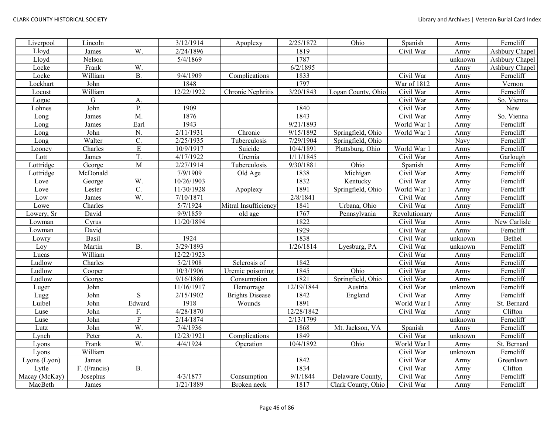| Liverpool     | Lincoln      |                  | 3/12/1914  | Apoplexy               | 2/25/1872             | Ohio               | Spanish                 | Army    | Ferncliff      |
|---------------|--------------|------------------|------------|------------------------|-----------------------|--------------------|-------------------------|---------|----------------|
| Lloyd         | James        | W.               | 2/24/1896  |                        | 1819                  |                    | Civil War               | Army    | Ashbury Chapel |
| Lloyd         | Nelson       |                  | 5/4/1869   |                        | 1787                  |                    |                         | unknown | Ashbury Chapel |
| Locke         | Frank        | W.               |            |                        | 6/2/1895              |                    |                         | Army    | Ashbury Chapel |
| Locke         | William      | $\overline{B}$ . | 9/4/1909   | Complications          | 1833                  |                    | Civil War               | Army    | Ferncliff      |
| Lockhart      | John         |                  | 1848       |                        | 1797                  |                    | War of 1812             | Army    | Vernon         |
| Locust        | William      |                  | 12/22/1922 | Chronic Nephritis      | 3/20/1843             | Logan County, Ohio | Civil War               | Army    | Ferncliff      |
| Logue         | ${\bf G}$    | А.               |            |                        |                       |                    | Civil War               | Army    | So. Vienna     |
| Lohnes        | John         | $\overline{P}$ . | 1909       |                        | 1840                  |                    | Civil War               | Army    | New            |
| Long          | James        | M.               | 1876       |                        | 1843                  |                    | Civil War               | Army    | So. Vienna     |
| Long          | James        | Earl             | 1943       |                        | 9/21/1893             |                    | World War 1             | Army    | Ferncliff      |
| Long          | John         | N.               | 2/11/1931  | Chronic                | 9/15/1892             | Springfield, Ohio  | World War 1             | Army    | Ferncliff      |
| Long          | Walter       | $\overline{C}$ . | 2/25/1935  | Tuberculosis           | 7/29/1904             | Springfield, Ohio  |                         | Navy    | Ferncliff      |
| Looney        | Charles      | ${\bf E}$        | 10/9/1917  | Suicide                | 10/4/1891             | Plattsburg, Ohio   | World War 1             | Army    | Ferncliff      |
| Lott          | James        | T.               | 4/17/1922  | Uremia                 | 1/11/1845             |                    | Civil War               | Army    | Garlough       |
| Lottridge     | George       | $\mathbf{M}$     | 2/27/1914  | Tuberculosis           | 9/30/1881             | Ohio               | Spanish                 | Army    | Ferncliff      |
| Lottridge     | McDonald     |                  | 7/9/1909   | Old Age                | 1838                  | Michigan           | Civil War               | Army    | Ferncliff      |
| Love          | George       | W.               | 10/26/1903 |                        | 1832                  | Kentucky           | Civil War               | Army    | Ferncliff      |
| Love          | Lester       | C.               | 11/30/1928 | Apoplexy               | 1891                  | Springfield, Ohio  | World War 1             | Army    | Ferncliff      |
| Low           | James        | W.               | 7/10/1871  |                        | $\overline{2/8}/1841$ |                    | Civil War               | Army    | Ferncliff      |
| Lowe          | Charles      |                  | 5/7/1924   | Mitral Insufficiency   | 1841                  | Urbana, Ohio       | Civil War               | Army    | Ferncliff      |
| Lowery, Sr    | David        |                  | 9/9/1859   | old age                | 1767                  | Pennsylvania       | Revolutionary           | Army    | Ferncliff      |
| Lowman        | Cyrus        |                  | 11/20/1894 |                        | 1822                  |                    | Civil War               | Army    | New Carlisle   |
| Lowman        | David        |                  |            |                        | 1929                  |                    | Civil War               | Army    | Ferncliff      |
| Lowry         | Basil        |                  | 1924       |                        | 1838                  |                    | Civil War               | unknown | Bethel         |
| Loy           | Martin       | <b>B.</b>        | 3/29/1893  |                        | 1/26/1814             | Lyesburg, PA       | Civil War               | unknown | Ferncliff      |
| Lucas         | William      |                  | 12/22/1923 |                        |                       |                    | Civil War               | Army    | Ferncliff      |
| Ludlow        | Charles      |                  | 5/2/1908   | Sclerosis of           | 1842                  |                    | Civil War               | Army    | Ferncliff      |
| Ludlow        | Cooper       |                  | 10/3/1906  | Uremic poisoning       | 1845                  | Ohio               | $\overline{C}$ ivil War | Army    | Ferncliff      |
| Ludlow        | George       |                  | 9/16/1886  | Consumption            | 1821                  | Springfield, Ohio  | Civil War               | Army    | Ferncliff      |
| Luger         | John         |                  | 11/16/1917 | Hemorrage              | 12/19/1844            | Austria            | Civil War               | unknown | Ferncliff      |
| Lugg          | John         | S                | 2/15/1902  | <b>Brights Disease</b> | 1842                  | England            | Civil War               | Army    | Ferncliff      |
| Luibel        | John         | Edward           | 1918       | Wounds                 | 1891                  |                    | World War I             | Army    | St. Bernard    |
| Luse          | John         | F.               | 4/28/1870  |                        | 12/28/1842            |                    | Civil War               | Army    | Clifton        |
| $\rm{Luse}$   | John         | $\overline{F}$   | 2/14/1874  |                        | 2/13/1799             |                    |                         | unknown | Ferncliff      |
| Lutz          | John         | W.               | 7/4/1936   |                        | 1868                  | Mt. Jackson, VA    | Spanish                 | Army    | Ferncliff      |
| Lynch         | Peter        | A.               | 12/23/1921 | Complications          | 1849                  |                    | Civil War               | unknown | Ferncliff      |
| Lyons         | Frank        | W.               | 4/4/1924   | Operation              | 10/4/1892             | Ohio               | World War I             | Army    | St. Bernard    |
| Lyons         | William      |                  |            |                        |                       |                    | Civil War               | unknown | Ferncliff      |
| Lyons (Lyon)  | James        |                  |            |                        | 1842                  |                    | Civil War               | Army    | Greenlawn      |
| Lytle         | F. (Francis) | <b>B.</b>        |            |                        | 1834                  |                    | Civil War               | Army    | Clifton        |
| Macay (McKay) | Josephus     |                  | 4/3/1877   | Consumption            | 9/1/1844              | Delaware County,   | Civil War               | Army    | Ferncliff      |
| MacBeth       | James        |                  | 1/21/1889  | Broken neck            | 1817                  | Clark County, Ohio | Civil War               | Army    | Ferncliff      |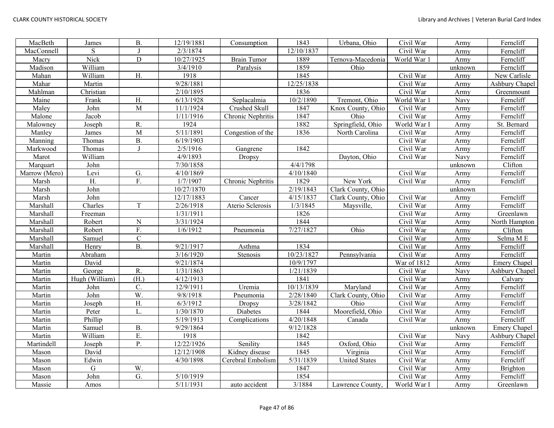| MacBeth       | James          | <b>B.</b>      | 12/19/1881         | Consumption        | 1843       | Urbana, Ohio         | Civil War   | Army    | Ferncliff           |
|---------------|----------------|----------------|--------------------|--------------------|------------|----------------------|-------------|---------|---------------------|
| MacConnell    | S              |                | 2/3/1874           |                    | 12/10/1837 |                      | Civil War   | Army    | Ferncliff           |
| Macry         | Nick           | $\mathbf D$    | 10/27/1925         | <b>Brain Tumor</b> | 1889       | Ternova-Macedonia    | World War 1 | Army    | Ferncliff           |
| Madison       | William        |                | 3/4/1910           | Paralysis          | 1859       | Ohio                 |             | unknown | Ferncliff           |
| Mahan         | William        | H.             | 1918               |                    | 1845       |                      | Civil War   | Army    | New Carlisle        |
| Mahar         | Martin         |                | 9/28/1881          |                    | 12/25/1838 |                      | Civil War   | Army    | Ashbury Chapel      |
| Mahlman       | Christian      |                | 2/10/1895          |                    | 1836       |                      | Civil War   | Army    | Greenmount          |
| Maine         | Frank          | H.             | 6/13/1928          | Seplacalmia        | 10/2/1890  | Tremont, Ohio        | World War 1 | Navy    | Ferncliff           |
| Maley         | John           | $\overline{M}$ | 11/1/1924          | Crushed Skull      | 1847       | Knox County, Ohio    | Civil War   | Army    | Ferncliff           |
| Malone        | Jacob          |                | 1/11/1916          | Chronic Nephritis  | 1847       | Ohio                 | Civil War   | Army    | Ferncliff           |
| Malowney      | Joseph         | R.             | 1924               |                    | 1882       | Springfield, Ohio    | World War I | Army    | St. Bernard         |
| Manley        | James          | M              | 5/11/1891          | Congestion of the  | 1836       | North Carolina       | Civil War   | Army    | Ferncliff           |
| Manning       | Thomas         | $B$ .          | 6/19/1903          |                    |            |                      | Civil War   | Army    | Ferncliff           |
| Markwood      | Thomas         | $\mathbf{I}$   | 2/5/1916           | Gangrene           | 1842       |                      | Civil War   | Army    | Ferncliff           |
| Marot         | William        |                | 4/9/1893           | Dropsy             |            | Dayton, Ohio         | Civil War   | Navy    | Ferncliff           |
| Marquart      | John           |                | 7/30/1858          |                    | 4/4/1798   |                      |             | unknown | Clifton             |
| Marrow (Mero) | Levi           | G.             | 4/10/1869          |                    | 4/10/1840  |                      | Civil War   | Army    | Ferncliff           |
| Marsh         | H.             | F.             | $\frac{1}{7}/1907$ | Chronic Nephritis  | 1829       | New York             | Civil War   | Army    | Ferncliff           |
| Marsh         | John           |                | 10/27/1870         |                    | 2/19/1843  | Clark County, Ohio   |             | unknown |                     |
| Marsh         | John           |                | 12/17/1883         | Cancer             | 4/15/1837  | Clark County, Ohio   | Civil War   | Army    | Ferncliff           |
| Marshall      | Charles        | T              | 2/26/1918          | Aterio Sclerosis   | 1/3/1845   | Maysville,           | Civil War   | Army    | Ferncliff           |
| Marshall      | Freeman        |                | 1/31/1911          |                    | 1826       |                      | Civil War   | Army    | Greenlawn           |
| Marshall      | Robert         | $\mathbf N$    | 3/31/1924          |                    | 1844       |                      | Civil War   | Army    | North Hampton       |
| Marshall      | Robert         | F.             | 1/6/1912           | Pneumonia          | 7/27/1827  | Ohio                 | Civil War   | Army    | Clifton             |
| Marshall      | Samuel         | ${\bf C}$      |                    |                    |            |                      | Civil War   | Army    | Selma M E           |
| Marshall      | Henry          | <b>B.</b>      | 9/21/1917          | Asthma             | 1834       |                      | Civil War   | Army    | Ferncliff           |
| Martin        | Abraham        |                | 3/16/1920          | Stenosis           | 10/23/1827 | Pennsylvania         | Civil War   | Army    | Ferncliff           |
| Martin        | David          |                | 9/21/1874          |                    | 10/9/1797  |                      | War of 1812 | Army    | <b>Emery Chapel</b> |
| Martin        | George         | R.             | 1/31/1863          |                    | 1/21/1839  |                      | Civil War   | Navy    | Ashbury Chapel      |
| Martin        | Hugh (William) | (H.)           | 4/12/1913          |                    | 1841       |                      | Civil War   | Army    | Calvary             |
| Martin        | John           | C.             | 12/9/1911          | Uremia             | 10/13/1839 | Maryland             | Civil War   | Army    | Ferncliff           |
| Martin        | John           | W.             | 9/8/1918           | Pneumonia          | 2/28/1840  | Clark County, Ohio   | Civil War   | Army    | Ferncliff           |
| Martin        | Joseph         | H.             | 6/3/1912           | <b>Dropsy</b>      | 3/28/1842  | Ohio                 | Civil War   | Army    | Ferncliff           |
| Martin        | Peter          | L.             | 1/30/1870          | Diabetes           | 1844       | Moorefield, Ohio     | Civil War   | Army    | Ferncliff           |
| Martin        | Phillip        |                | 5/19/1913          | Complications      | 4/20/1848  | Canada               | Civil War   | Army    | Ferncliff           |
| Martin        | Samuel         | <b>B.</b>      | 9/29/1864          |                    | 9/12/1828  |                      |             | unknown | <b>Emery Chapel</b> |
| Martin        | William        | ${\bf E}.$     | 1918               |                    | 1842       |                      | Civil War   | Navy    | Ashbury Chapel      |
| Martindell    | Joseph         | Ρ.             | 12/22/1926         | Senility           | 1845       | Oxford, Ohio         | Civil War   | Army    | Ferncliff           |
| Mason         | David          |                | 12/12/1908         | Kidney disease     | 1845       | Virginia             | Civil War   | Army    | Ferncliff           |
| Mason         | Edwin          |                | 4/30/1898          | Cerebral Embolism  | 5/31/1839  | <b>United States</b> | Civil War   | Army    | Ferncliff           |
| Mason         | G              | W.             |                    |                    | 1847       |                      | Civil War   | Army    | <b>Brighton</b>     |
| Mason         | John           | G.             | 5/10/1919          |                    | 1854       |                      | Civil War   | Army    | Ferncliff           |
| Massie        | Amos           |                | 5/11/1931          | auto accident      | 3/1884     | Lawrence County,     | World War I | Army    | Greenlawn           |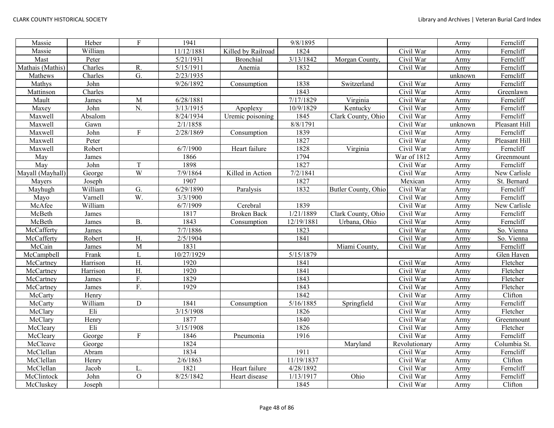| Massie           | Heber    | $\mathbf{F}$     | 1941       |                    | 9/8/1895   |                     |               | Army    | Ferncliff     |
|------------------|----------|------------------|------------|--------------------|------------|---------------------|---------------|---------|---------------|
| Massie           | William  |                  | 11/12/1881 | Killed by Railroad | 1824       |                     | Civil War     | Army    | Ferncliff     |
| Mast             | Peter    |                  | 5/21/1931  | <b>Bronchial</b>   | 3/13/1842  | Morgan County.      | Civil War     | Army    | Ferncliff     |
| Mathais (Mathis) | Charles  | R.               | 5/15/1911  | Anemia             | 1832       |                     | Civil War     | Army    | Ferncliff     |
| Mathews          | Charles  | $\overline{G}$ . | 2/23/1935  |                    |            |                     |               | unknown | Ferncliff     |
| Mathys           | John     |                  | 9/26/1892  | Consumption        | 1838       | Switzerland         | Civil War     | Army    | Ferncliff     |
| Mattinson        | Charles  |                  |            |                    | 1843       |                     | Civil War     | Army    | Greenlawn     |
| Mault            | James    | M                | 6/28/1881  |                    | 7/17/1829  | Virginia            | Civil War     | Army    | Ferncliff     |
| Maxey            | John     | N.               | 3/13/1915  | Apoplexy           | 10/9/1829  | Kentucky            | Civil War     | Army    | Ferncliff     |
| Maxwell          | Absalom  |                  | 8/24/1934  | Uremic poisoning   | 1845       | Clark County, Ohio  | Civil War     | Army    | Ferncliff     |
| Maxwell          | Gawn     |                  | 2/1/1858   |                    | 8/8/1791   |                     | Civil War     | unknown | Pleasant Hill |
| Maxwell          | John     | F                | 2/28/1869  | Consumption        | 1839       |                     | Civil War     | Army    | Ferncliff     |
| Maxwell          | Peter    |                  |            |                    | 1827       |                     | Civil War     | Army    | Pleasant Hill |
| Maxwell          | Robert   |                  | 6/7/1900   | Heart failure      | 1828       | Virginia            | Civil War     | Army    | Ferncliff     |
| May              | James    |                  | 1866       |                    | 1794       |                     | War of 1812   | Army    | Greenmount    |
| May              | John     | T                | 1898       |                    | 1827       |                     | Civil War     | Army    | Ferncliff     |
| Mayall (Mayhall) | George   | W                | 7/9/1864   | Killed in Action   | 7/2/1841   |                     | Civil War     | Army    | New Carlisle  |
| Mayers           | Joseph   |                  | 1907       |                    | 1827       |                     | Mexican       | Army    | St. Bernard   |
| Mayhugh          | William  | G.               | 6/29/1890  | Paralysis          | 1832       | Butler County, Ohio | Civil War     | Army    | Ferncliff     |
| Mayo             | Varnell  | W.               | 3/3/1900   |                    |            |                     | Civil War     | Army    | Ferncliff     |
| McAfee           | William  |                  | 6/7/1909   | Cerebral           | 1839       |                     | Civil War     | Army    | New Carlisle  |
| McBeth           | James    |                  | 1817       | <b>Broken Back</b> | 1/21/1889  | Clark County, Ohio  | Civil War     | Army    | Ferncliff     |
| McBeth           | James    | <b>B.</b>        | 1843       | Consumption        | 12/19/1881 | Urbana, Ohio        | Civil War     | Army    | Ferncliff     |
| McCafferty       | James    |                  | 7/7/1886   |                    | 1823       |                     | Civil War     | Army    | So. Vienna    |
| McCafferty       | Robert   | Η.               | 2/5/1904   |                    | 1841       |                     | Civil War     | Army    | So. Vienna    |
| McCain           | James    | M                | 1831       |                    |            | Miami County,       | Civil War     | Army    | Ferncliff     |
| McCampbell       | Frank    | L                | 10/27/1929 |                    | 5/15/1879  |                     |               | Army    | Glen Haven    |
| McCartney        | Harrison | $\overline{H}$ . | 1920       |                    | 1841       |                     | Civil War     | Army    | Fletcher      |
| McCartney        | Harrison | H.               | 1920       |                    | 1841       |                     | Civil War     | Army    | Fletcher      |
| McCartney        | James    | F.               | 1829       |                    | 1843       |                     | Civil War     | Army    | Fletcher      |
| McCartney        | James    | F.               | 1929       |                    | 1843       |                     | Civil War     | Army    | Fletcher      |
| McCarty          | Henry    |                  |            |                    | 1842       |                     | Civil War     | Army    | Clifton       |
| McCarty          | William  | $\mathbf D$      | 1841       | Consumption        | 5/16/1885  | Springfield         | Civil War     | Army    | Ferncliff     |
| McClary          | Eli      |                  | 3/15/1908  |                    | 1826       |                     | Civil War     | Army    | Fletcher      |
| McClary          | Henry    |                  | 1877       |                    | 1840       |                     | Civil War     | Army    | Greenmount    |
| McCleary         | Eli      |                  | 3/15/1908  |                    | 1826       |                     | Civil War     | Army    | Fletcher      |
| McCleary         | George   | $\mathbf{F}$     | 1846       | Pneumonia          | 1916       |                     | Civil War     | Army    | Ferncliff     |
| McCleave         | George   |                  | 1824       |                    |            | Maryland            | Revolutionary | Army    | Columbia St.  |
| McClellan        | Abram    |                  | 1834       |                    | 1911       |                     | Civil War     | Army    | Ferncliff     |
| McClellan        | Henry    |                  | 2/6/1863   |                    | 11/19/1837 |                     | Civil War     | Army    | Clifton       |
| McClellan        | Jacob    | L.               | 1821       | Heart failure      | 4/28/1892  |                     | Civil War     | Army    | Ferncliff     |
| McClintock       | John     | $\mathbf O$      | 8/25/1842  | Heart disease      | 1/13/1917  | Ohio                | Civil War     | Army    | Ferncliff     |
| McCluskey        | Joseph   |                  |            |                    | 1845       |                     | Civil War     | Army    | Clifton       |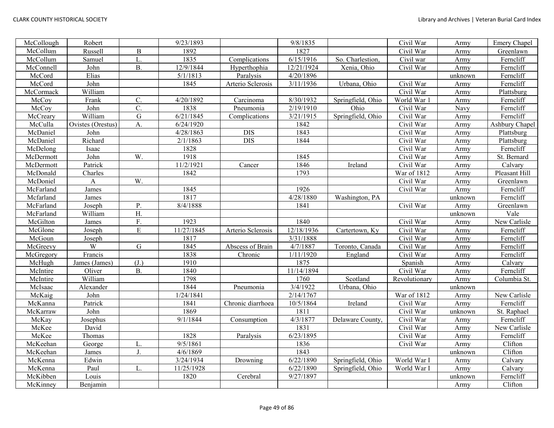| McCollough | Robert            |                  | 9/23/1893  |                                   | 9/8/1835   |                   | Civil War     | Army    | Emery Chapel   |
|------------|-------------------|------------------|------------|-----------------------------------|------------|-------------------|---------------|---------|----------------|
| McCollum   | Russell           | $\, {\bf B}$     | 1892       |                                   | 1827       |                   | Civil War     | Army    | Greenlawn      |
| McCollum   | Samuel            | L.               | 1835       | Complications                     | 6/15/1916  | So. Charlestion,  | Civil war     | Army    | Ferncliff      |
| McConnell  | John              | $B$ .            | 12/9/1844  | Hyperthophia                      | 12/21/1924 | Xenia, Ohio       | Civil War     | Army    | Ferncliff      |
| McCord     | Elias             |                  | 5/1/1813   | Paralysis                         | 4/20/1896  |                   |               | unknown | Ferncliff      |
| McCord     | John              |                  | 1845       | Arterio Sclerosis                 | 3/11/1936  | Urbana, Ohio      | Civil War     | Army    | Ferncliff      |
| McCormack  | William           |                  |            |                                   |            |                   | Civil War     | Army    | Plattsburg     |
| McCoy      | Frank             | C.               | 4/20/1892  | Carcinoma                         | 8/30/1932  | Springfield, Ohio | World War 1   | Army    | Ferncliff      |
| McCoy      | John              | $\overline{C}$ . | 1838       | Pneumonia                         | 2/19/1910  | Ohio              | Civil War     | Navy    | Ferncliff      |
| McCreary   | William           | ${\bf G}$        | 6/21/1845  | Complications                     | 3/21/1915  | Springfield, Ohio | Civil War     | Army    | Ferncliff      |
| McCulla    | Ovistes (Orestus) | A.               | 6/24/1920  |                                   | 1842       |                   | Civil War     | Army    | Ashbury Chapel |
| McDaniel   | John              |                  | 4/28/1863  | <b>DIS</b>                        | 1843       |                   | Civil War     | Army    | Plattsburg     |
| McDaniel   | Richard           |                  | 2/1/1863   | <b>DIS</b>                        | 1844       |                   | Civil War     | Army    | Plattsburg     |
| McDelong   | Isaac             |                  | 1828       |                                   |            |                   | Civil War     | Army    | Ferncliff      |
| McDermott  | John              | W.               | 1918       |                                   | 1845       |                   | Civil War     | Army    | St. Bernard    |
| McDermott  | Patrick           |                  | 11/2/1921  | Cancer                            | 1846       | Ireland           | Civil War     | Army    | Calvary        |
| McDonald   | Charles           |                  | 1842       |                                   | 1793       |                   | War of 1812   | Army    | Pleasant Hill  |
| McDoniel   | A                 | W.               |            |                                   |            |                   | Civil War     | Army    | Greenlawn      |
| McFarland  | James             |                  | 1845       |                                   | 1926       |                   | Civil War     | Army    | Ferncliff      |
| Mcfarland  | James             |                  | 1817       |                                   | 4/28/1880  | Washington, PA    |               | unknown | Ferncliff      |
| McFarland  | Joseph            | P.               | 8/4/1888   |                                   | 1841       |                   | Civil War     | Army    | Greenlawn      |
| McFarland  | William           | H.               |            |                                   |            |                   |               | unknown | Vale           |
| McGilton   | James             | F.               | 1923       |                                   | 1840       |                   | Civil War     | Army    | New Carlisle   |
| McGlone    | Joseph            | ${\bf E}$        | 11/27/1845 | Arterio Sclerosis                 | 12/18/1936 | Cartertown, Ky    | Civil War     | Army    | Ferncliff      |
| McGoun     | Joseph            |                  | 1817       |                                   | 3/31/1888  |                   | Civil War     | Army    | Ferncliff      |
| McGreevy   | $\overline{W}$    | $\mathbf G$      | 1845       | Abscess of Brain                  | 4/7/1887   | Toronto, Canada   | Civil War     | Army    | Ferncliff      |
| McGregory  | Francis           |                  | 1838       | Chronic                           | 1/11/1920  | England           | Civil War     | Army    | Ferncliff      |
| McHugh     | James (James)     | (J.)             | 1910       |                                   | 1875       |                   | Spanish       | Army    | Calvary        |
| McIntire   | Oliver            | <b>B.</b>        | 1840       |                                   | 11/14/1894 |                   | Civil War     | Army    | Ferncliff      |
| McIntire   | William           |                  | 1798       |                                   | 1760       | Scotland          | Revolutionary | Army    | Columbia St.   |
| McIsaac    | Alexander         |                  | 1844       | Pneumonia                         | 3/4/1922   | Urbana, Ohio      |               | unknown |                |
| McKaig     | John              |                  | 1/24/1841  |                                   | 2/14/1767  |                   | War of 1812   | Army    | New Carlisle   |
| McKanna    | Patrick           |                  | 1841       | Chronic diarrhoea                 | 10/5/1864  | Ireland           | Civil War     | Army    | Ferncliff      |
| McKarraw   | John              |                  | 1869       |                                   | 1811       |                   | Civil War     | unknown | St. Raphael    |
| McKay      | Josephus          |                  | 9/1/1844   | $\overline{\mathrm{Consumption}}$ | 4/3/1877   | Delaware County,  | Civil War     | Army    | Ferncliff      |
| McKee      | David             |                  |            |                                   | 1831       |                   | Civil War     | Army    | New Carlisle   |
| McKee      | Thomas            |                  | 1828       | Paralysis                         | 6/23/1895  |                   | Civil War     | Army    | Ferncliff      |
| McKeehan   | George            | L.               | 9/5/1861   |                                   | 1836       |                   | Civil War     | Army    | Clifton        |
| McKeehan   | James             | J.               | 4/6/1869   |                                   | 1843       |                   |               | unknown | Clifton        |
| McKenna    | Edwin             |                  | 3/24/1934  | Drowning                          | 6/22/1890  | Springfield, Ohio | World War I   | Army    | Calvary        |
| McKenna    | Paul              | L.               | 11/25/1928 |                                   | 6/22/1890  | Springfield, Ohio | World War I   | Army    | Calvary        |
| McKibben   | Louis             |                  | 1820       | Cerebral                          | 9/27/1897  |                   |               | unknown | Ferncliff      |
| McKinney   | Benjamin          |                  |            |                                   |            |                   |               | Army    | Clifton        |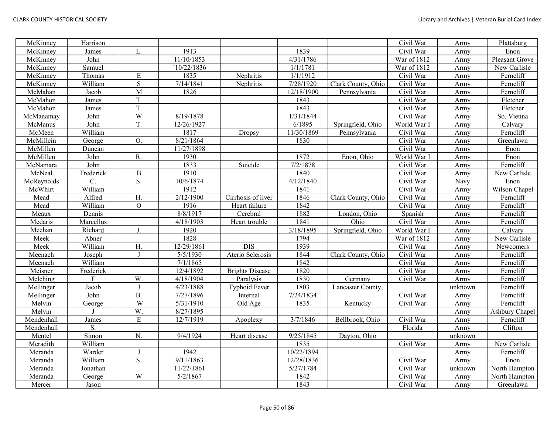| McKinney   | Harrison  |                |            |                        |            |                    | Civil War   | Army    | Plattsburg     |
|------------|-----------|----------------|------------|------------------------|------------|--------------------|-------------|---------|----------------|
| McKinney   | James     | L.             | 1913       |                        | 1839       |                    | Civil War   | Army    | Enon           |
| McKinney   | John      |                | 11/10/1853 |                        | 4/31/1786  |                    | War of 1812 | Army    | Pleasant Grove |
| McKinney   | Samuel    |                | 10/22/1836 |                        | 1/1/1781   |                    | War of 1812 | Army    | New Carlisle   |
| McKinney   | Thomas    | E              | 1835       | Nephritis              | 1/1/1912   |                    | Civil War   | Army    | Ferncliff      |
| McKinney   | William   | $\mathbf S$    | 7/14/1841  | Nephritis              | 7/28/1920  | Clark County, Ohio | Civil War   | Army    | Ferncliff      |
| McMahan    | Jacob     | M              | 1826       |                        | 12/18/1900 | Pennsylvania       | Civil War   | Army    | Ferncliff      |
| McMahon    | James     | T.             |            |                        | 1843       |                    | Civil War   | Army    | Fletcher       |
| McMahon    | James     | T.             |            |                        | 1843       |                    | Civil War   | Army    | Fletcher       |
| McManamay  | John      | W              | 8/19/1878  |                        | 1/31/1844  |                    | Civil War   | Army    | So. Vienna     |
| McManus    | John      | T.             | 12/26/1927 |                        | 6/1895     | Springfield, Ohio  | World War I | Army    | Calvary        |
| McMeen     | William   |                | 1817       | Dropsy                 | 11/30/1869 | Pennsylvania       | Civil War   | Army    | Ferncliff      |
| McMillein  | George    | O.             | 8/21/1864  |                        | 1830       |                    | Civil War   | Army    | Greenlawn      |
| McMillen   | Duncan    |                | 11/27/1898 |                        |            |                    | Civil War   | Army    | Enon           |
| McMillen   | John      | R.             | 1930       |                        | 1872       | Enon, Ohio         | World War I | Army    | Enon           |
| McNamara   | John      |                | 1833       | Suicide                | 7/2/1878   |                    | Civil War   | Army    | Ferncliff      |
| McNeal     | Frederick | $\, {\bf B}$   | 1910       |                        | 1840       |                    | Civil War   | Army    | New Carlisle   |
| McReynolds | C.        | S.             | 10/6/1874  |                        | 4/12/1840  |                    | Civil War   | Navy    | Enon           |
| McWhirt    | William   |                | 1912       |                        | 1841       |                    | Civil War   | Army    | Wilson Chapel  |
| Mead       | Alfred    | H.             | 2/12/1900  | Cirrhosis of liver     | 1846       | Clark County, Ohio | Civil War   | Army    | Ferncliff      |
| Mead       | William   | $\overline{O}$ | 1916       | Heart failure          | 1842       |                    | Civil War   | Army    | Ferncliff      |
| Meaux      | Dennis    |                | 8/8/1917   | Cerebral               | 1882       | London, Ohio       | Spanish     | Army    | Ferncliff      |
| Medaris    | Marcellus |                | 4/18/1903  | Heart trouble          | 1841       | Ohio               | Civil War   | Army    | Ferncliff      |
| Meehan     | Richard   | J.             | 1920       |                        | 3/18/1895  | Springfield, Ohio  | World War I | Army    | Calvary        |
| Meek       | Abner     |                | 1828       |                        | 1794       |                    | War of 1812 | Army    | New Carlisle   |
| Meek       | William   | H.             | 12/29/1861 | <b>DIS</b>             | 1939       |                    | Civil War   | Army    | Newcomers      |
| Meenach    | Joseph    | $\mathbf{J}$   | 5/5/1930   | Aterio Sclerosis       | 1844       | Clark County, Ohio | Civil War   | Army    | Ferncliff      |
| Meenach    | William   |                | 7/1/1865   |                        | 1842       |                    | Civil War   | Army    | Ferncliff      |
| Meisner    | Frederick |                | 12/4/1892  | <b>Brights Disease</b> | 1820       |                    | Civil War   | Army    | Ferncliff      |
| Melching   | F         | W.             | 4/18/1904  | Paralysis              | 1830       | Germany            | Civil War   | Army    | Ferncliff      |
| Mellinger  | Jacob     |                | 4/23/1888  | <b>Typhoid Fever</b>   | 1803       | Lancaster County,  |             | unknown | Ferncliff      |
| Mellinger  | John      | <b>B.</b>      | 7/27/1896  | Internal               | 7/24/1834  |                    | Civil War   | Army    | Ferncliff      |
| Melvin     | George    | W              | 5/31/1910  | Old Age                | 1835       | Kentucky           | Civil War   | Army    | Ferncliff      |
| Melvin     |           | W.             | 8/27/1895  |                        |            |                    |             | Army    | Ashbury Chapel |
| Mendenhall | James     | ${\bf E}$      | 12/7/1919  | Apoplexy               | 3/7/1846   | Bellbrook, Ohio    | Civil War   | Army    | Ferncliff      |
| Mendenhall | S.        |                |            |                        |            |                    | Florida     | Army    | Clifton        |
| Mentel     | Simon     | ${\bf N}.$     | 9/4/1924   | Heart disease          | 9/25/1845  | Dayton, Ohio       |             | unknown |                |
| Meradith   | William   |                |            |                        | 1835       |                    | Civil War   | Army    | New Carlisle   |
| Meranda    | Warder    | $\mathbf{J}$   | 1942       |                        | 10/22/1894 |                    |             | Army    | Ferncliff      |
| Meranda    | William   | S.             | 9/11/1863  |                        | 12/28/1836 |                    | Civil War   | Army    | Enon           |
| Meranda    | Jonathan  |                | 11/22/1861 |                        | 5/27/1784  |                    | Civil War   | unknown | North Hampton  |
| Meranda    | George    | W              | 5/2/1867   |                        | 1842       |                    | Civil War   | Army    | North Hampton  |
| Mercer     | Jason     |                |            |                        | 1843       |                    | Civil War   | Army    | Greenlawn      |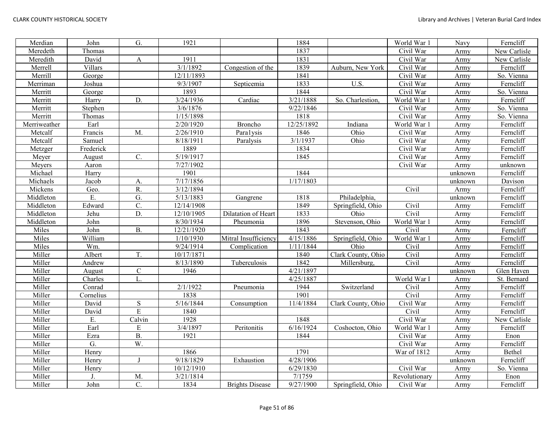| Merdian      | John      | G.               | 1921                |                        | 1884       |                    | World War 1   | Navy    | Ferncliff    |
|--------------|-----------|------------------|---------------------|------------------------|------------|--------------------|---------------|---------|--------------|
| Meredeth     | Thomas    |                  |                     |                        | 1837       |                    | Civil War     | Army    | New Carlisle |
| Meredith     | David     | $\mathbf{A}$     | 1911                |                        | 1831       |                    | Civil War     | Army    | New Carlisle |
| Merrell      | Villars   |                  | 3/1/1892            | Congestion of the      | 1839       | Auburn, New York   | Civil War     | Army    | Ferncliff    |
| Merrill      | George    |                  | 12/11/1893          |                        | 1841       |                    | Civil War     | Army    | So. Vienna   |
| Merriman     | Joshua    |                  | 9/3/1907            | Septicemia             | 1833       | U.S.               | Civil War     | Army    | Ferncliff    |
| Merritt      | George    |                  | 1893                |                        | 1844       |                    | Civil War     | Army    | So. Vienna   |
| Merritt      | Harry     | D.               | 3/24/1936           | Cardiac                | 3/21/1888  | So. Charlestion,   | World War 1   | Army    | Ferncliff    |
| Merritt      | Stephen   |                  | 3/6/1876            |                        | 9/22/1846  |                    | Civil War     | Army    | So. Vienna   |
| Merritt      | Thomas    |                  | 1/15/1898           |                        | 1818       |                    | Civil War     | Army    | So. Vienna   |
| Merriweather | Earl      |                  | 2/20/1920           | Broncho                | 12/25/1892 | Indiana            | World War 1   | Army    | Ferncliff    |
| Metcalf      | Francis   | M.               | 2/26/1910           | Paralysis              | 1846       | Ohio               | Civil War     | Army    | Ferncliff    |
| Metcalf      | Samuel    |                  | 8/18/1911           | Paralysis              | 3/1/1937   | Ohio               | Civil War     | Army    | Ferncliff    |
| Metzger      | Frederick |                  | 1889                |                        | 1834       |                    | Civil War     | Army    | Ferncliff    |
| Meyer        | August    | C.               | 5/19/1917           |                        | 1845       |                    | Civil War     | Army    | Ferncliff    |
| Meyers       | Aaron     |                  | 7/27/1902           |                        |            |                    | Civil War     | Army    | unknown      |
| Michael      | Harry     |                  | 1901                |                        | 1844       |                    |               | unknown | Ferncliff    |
| Michaels     | Jacob     | A.               | 7/17/1856           |                        | 1/17/1803  |                    |               | unknown | Davison      |
| Mickens      | Geo.      | R.               | 3/12/1894           |                        |            |                    | Civil         | Army    | Ferncliff    |
| Middleton    | E.        | G.               | 5/13/1883           | Gangrene               | 1818       | Philadelphia,      |               | unknown | Ferncliff    |
| Middleton    | Edward    | $\overline{C}$ . | 12/14/1908          |                        | 1849       | Springfield, Ohio  | Civil         | Army    | Ferncliff    |
| Middleton    | Jehu      | D.               | 12/10/1905          | Dilatation of Heart    | 1833       | Ohio               | Civil         | Army    | Ferncliff    |
| Middleton    | John      |                  | 8/30/1934           | Pheumonia              | 1896       | Stevenson, Ohio    | World War 1   | Army    | Ferncliff    |
| Miles        | John      | <b>B.</b>        | 12/21/1920          |                        | 1843       |                    | Civil         | Army    | Ferncliff    |
| Miles        | William   |                  | 1/10/1930           | Mitral Insufficiency   | 4/15/1886  | Springfield, Ohio  | World War 1   | Army    | Ferncliff    |
| Miles        | Wm.       |                  | 9/24/1914           | Complication           | 1/11/1844  | Ohio               | Civil         | Army    | Ferncliff    |
| Miller       | Albert    | T.               | 10/17/1871          |                        | 1840       | Clark County, Ohio | Civil         | Army    | Ferncliff    |
| Miller       | Andrew    |                  | 8/13/1890           | Tuberculosis           | 1842       | Millersburg,       | Civil         | Army    | Ferncliff    |
| Miller       | August    | $\mathsf{C}$     | 1946                |                        | 4/21/1897  |                    |               | unknown | Glen Haven   |
| Miller       | Charles   | L.               |                     |                        | 4/25/1887  |                    | World War I   | Army    | St. Bernard  |
| Miller       | Conrad    |                  | 2/1/1922            | Pneumonia              | 1944       | Switzerland        | Civil         | Army    | Ferncliff    |
| Miller       | Cornelius |                  | 1838                |                        | 1901       |                    | Civil         | Army    | Ferncliff    |
| Miller       | David     | ${\bf S}$        | 5/16/1844           | Consumption            | 11/4/1884  | Clark County, Ohio | Civil War     | Army    | Ferncliff    |
| Miller       | David     | $\overline{E}$   | 1840                |                        |            |                    | Civil         | Army    | Ferncliff    |
| Miller       | E.        | Calvin           | 1928                |                        | 1848       |                    | Civil War     | Army    | New Carlisle |
| Miller       | Earl      | ${\bf E}$        | 3/4/1897            | Peritonitis            | 6/16/1924  | Coshocton, Ohio    | World War 1   | Army    | Ferncliff    |
| Miller       | Ezra      | $\overline{B}$ . | 1921                |                        | 1844       |                    | Civil War     | Army    | Enon         |
| Miller       | G.        | W.               |                     |                        |            |                    | Civil War     | Army    | Ferncliff    |
| Miller       | Henry     |                  | 1866                |                        | 1791       |                    | War of 1812   | Army    | Bethel       |
| Miller       | Henry     | $\mathbf I$      | $\frac{9}{18}$ 1829 | Exhaustion             | 4/28/1906  |                    |               | unknown | Ferncliff    |
| Miller       | Henry     |                  | 10/12/1910          |                        | 6/29/1830  |                    | Civil War     | Army    | So. Vienna   |
| Miller       |           | M.               | 3/21/1814           |                        | 7/1759     |                    | Revolutionary | Army    | Enon         |
| Miller       | John      | C.               | 1834                | <b>Brights Disease</b> | 9/27/1900  | Springfield, Ohio  | Civil War     | Army    | Ferncliff    |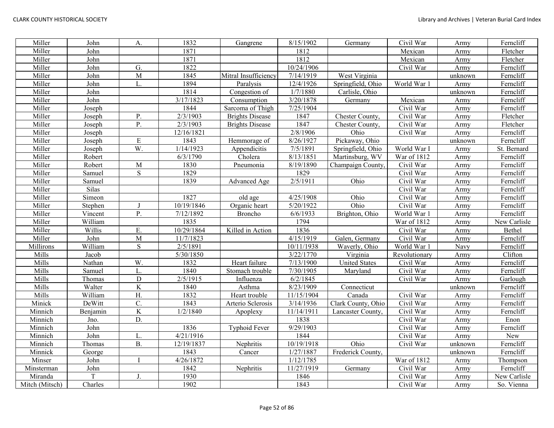| Miller         | John     | A.                      | 1832                   | Gangrene               | 8/15/1902              | Germany              | Civil War     | Army    | Ferncliff    |
|----------------|----------|-------------------------|------------------------|------------------------|------------------------|----------------------|---------------|---------|--------------|
| Miller         | John     |                         | 1871                   |                        | 1812                   |                      | Mexican       | Army    | Fletcher     |
| Miller         | John     |                         | 1871                   |                        | 1812                   |                      | Mexican       | Army    | Fletcher     |
| Miller         | John     | G.                      | 1822                   |                        | 10/24/1906             |                      | Civil War     | Army    | Ferncliff    |
| Miller         | John     | $\overline{M}$          | 1845                   | Mitral Insufficiency   | 7/14/1919              | West Virginia        |               | unknown | Ferncliff    |
| Miller         | John     | L.                      | 1894                   | Paralysis              | 12/4/1926              | Springfield, Ohio    | World War 1   | Army    | Ferncliff    |
| Miller         | John     |                         | 1814                   | Congestion of          | 1/7/1880               | Carlisle, Ohio       |               | unknown | Ferncliff    |
| Miller         | John     |                         | 3/17/1823              | Consumption            | 3/20/1878              | Germany              | Mexican       | Army    | Ferncliff    |
| Miller         | Joseph   |                         | 1844                   | Sarcoma of Thigh       | 7/25/1904              |                      | Civil War     | Army    | Ferncliff    |
| Miller         | Joseph   | P.                      | 2/3/1903               | <b>Brights Disease</b> | 1847                   | Chester County.      | Civil War     | Army    | Fletcher     |
| Miller         | Joseph   | P.                      | 2/3/1903               | <b>Brights Disease</b> | 1847                   | Chester County,      | Civil War     | Army    | Fletcher     |
| Miller         | Joseph   |                         | 12/16/1821             |                        | 2/8/1906               | Ohio                 | Civil War     | Army    | Ferncliff    |
| Miller         | Joseph   | ${\bf E}$               | 1843                   | Hemmorage of           | 8/26/1927              | Pickaway, Ohio       |               | unknown | Ferncliff    |
| Miller         | Joseph   | W.                      | 1/14/1923              | Appendicitis           | 7/5/1891               | Springfield, Ohio    | World War I   | Army    | St. Bernard  |
| Miller         | Robert   |                         | 6/3/1790               | Cholera                | 8/13/1851              | Martinsburg, WV      | War of 1812   | Army    | Ferncliff    |
| Miller         | Robert   | $\mathbf M$             | 1830                   | Pneumonia              | 8/19/1890              | Champaign County,    | Civil War     | Army    | Ferncliff    |
| Miller         | Samuel   | S                       | 1829                   |                        | 1829                   |                      | Civil War     | Army    | Ferncliff    |
| Miller         | Samuel   |                         | 1839                   | Advanced Age           | 2/5/1911               | Ohio                 | Civil War     | Army    | Ferncliff    |
| Miller         | Silas    |                         |                        |                        |                        |                      | Civil War     | Army    | Ferncliff    |
| Miller         | Simeon   |                         | 1827                   | old age                | 4/25/1908              | Ohio                 | Civil War     | Army    | Ferncliff    |
| Miller         | Stephen  |                         | 10/19/1846             | Organic heart          | 5/20/1922              | Ohio                 | Civil War     | Army    | Ferncliff    |
| Miller         | Vincent  | P.                      | 7/12/1892              | Broncho                | 6/6/1933               | Brighton, Ohio       | World War 1   | Army    | Ferncliff    |
| Miller         | William  |                         | 1835                   |                        | 1794                   |                      | War of 1812   | Army    | New Carlisle |
| Miller         | Willis   | Ε.                      | 10/29/1864             | Killed in Action       | 1836                   |                      | Civil War     | Army    | Bethel       |
| Miller         | John     | $\overline{M}$          | 11/7/1823              |                        | 4/15/1919              | Galen, Germany       | Civil War     | Army    | Ferncliff    |
| Millirons      | William  | S                       | 2/5/1891               |                        | 10/11/1938             | Waverly, Ohio        | World War 1   | Navy    | Ferncliff    |
| Mills          | Jacob    |                         | 5/30/1850              |                        | 3/22/1770              | Virginia             | Revolutionary | Army    | Clifton      |
| Mills          | Nathan   | W.                      | 1832                   | Heart failure          | 7/13/1900              | <b>United States</b> | Civil War     | Army    | Ferncliff    |
| Mills          | Samuel   | L.                      | 1840                   | Stomach trouble        | 7/30/1905              | Maryland             | Civil War     | Army    | Ferncliff    |
| Mills          | Thomas   | ${\bf D}$               | 2/5/1915               | Influenza              | 6/2/1845               |                      | Civil War     | Army    | Garlough     |
| Mills          | Walter   | $\overline{\text{K}}$   | 1840                   | Asthma                 | 8/23/1909              | Connecticut          |               | unknown | Ferncliff    |
| Mills          | William  | H.                      | 1832                   | Heart trouble          | 11/15/1904             | Canada               | Civil War     | Army    | Ferncliff    |
| Minick         | DeWitt   | $\overline{C}$ .        | 1843                   | Arterio Sclerosis      | 3/14/1936              | Clark County, Ohio   | Civil War     | Army    | Ferncliff    |
| Minnich        | Benjamin | $\overline{\mathbf{K}}$ | 1/2/1840               | Apoplexy               | 11/14/1911             | Lancaster County,    | Civil War     | Army    | Ferncliff    |
| Minnich        | Jno.     | $\overline{D}$ .        |                        |                        | 1838                   |                      | Civil War     | Army    | Enon         |
| Minnich        | John     |                         | 1836                   | <b>Typhoid Fever</b>   | $\frac{1}{9}$ /29/1903 |                      | Civil War     | Army    | Ferncliff    |
| Minnich        | John     | L.                      | $\frac{1}{4}$ /21/1916 |                        | 1844                   |                      | Civil War     | Army    | New          |
| Minnich        | Thomas   | <b>B.</b>               | 12/19/1837             | Nephritis              | 10/19/1918             | Ohio                 | Civil War     | unknown | Ferncliff    |
| Minnick        | George   |                         | 1843                   | Cancer                 | 1/27/1887              | Frederick County,    |               | unknown | Ferncliff    |
| Minser         | John     |                         | 4/26/1872              |                        | 1/12/1785              |                      | War of 1812   | Army    | Thompson     |
| Minsterman     | John     |                         | 1842                   | Nephritis              | 11/27/1919             | Germany              | Civil War     | Army    | Ferncliff    |
| Miranda        | T        | J.                      | 1930                   |                        | 1846                   |                      | Civil War     | Army    | New Carlisle |
| Mitch (Mitsch) | Charles  |                         | 1902                   |                        | 1843                   |                      | Civil War     | Army    | So. Vienna   |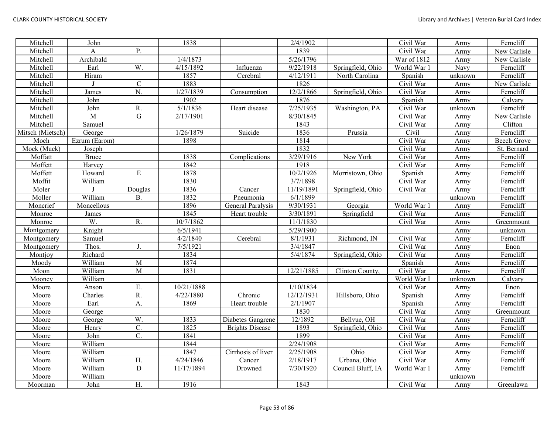| Mitchell         | John          |                  | 1838       |                        | 2/4/1902   |                   | Civil War               | Army    | Ferncliff          |
|------------------|---------------|------------------|------------|------------------------|------------|-------------------|-------------------------|---------|--------------------|
| Mitchell         | Α             | P.               |            |                        | 1839       |                   | Civil War               | Army    | New Carlisle       |
| Mitchell         | Archibald     |                  | 1/4/1873   |                        | 5/26/1796  |                   | War of 1812             | Army    | New Carlisle       |
| Mitchell         | Earl          | W.               | 4/15/1892  | Influenza              | 9/22/1918  | Springfield, Ohio | World War 1             | Navy    | Ferncliff          |
| Mitchell         | Hiram         |                  | 1857       | Cerebral               | 4/12/1911  | North Carolina    | Spanish                 | unknown | Ferncliff          |
| Mitchell         |               | ${\bf C}$        | 1883       |                        | 1826       |                   | Civil War               | Army    | New Carlisle       |
| Mitchell         | James         | $\overline{N}$ . | 1/27/1839  | Consumption            | 12/2/1866  | Springfield, Ohio | Civil War               | Army    | Ferncliff          |
| Mitchell         | John          |                  | 1902       |                        | 1876       |                   | Spanish                 | Army    | Calvary            |
| Mitchell         | John          | R.               | 5/1/1836   | Heart disease          | 7/25/1935  | Washington, PA    | Civil War               | unknown | Ferncliff          |
| Mitchell         | M             | $\mathbf G$      | 2/17/1901  |                        | 8/30/1845  |                   | $\overline{C}$ ivil War | Army    | New Carlisle       |
| Mitchell         | Samuel        |                  |            |                        | 1843       |                   | Civil War               | Army    | Clifton            |
| Mitsch (Mietsch) | George        |                  | 1/26/1879  | Suicide                | 1836       | Prussia           | Civil                   | Army    | Ferncliff          |
| Moch             | Ezrum (Earom) |                  | 1898       |                        | 1814       |                   | Civil War               | Army    | <b>Beech Grove</b> |
| Mock (Muck)      | Joseph        |                  |            |                        | 1832       |                   | Civil War               | Army    | St. Bernard        |
| Moffatt          | Bruce         |                  | 1838       | Complications          | 3/29/1916  | New York          | Civil War               | Army    | Ferncliff          |
| Moffett          | Harvey        |                  | 1842       |                        | 1918       |                   | Civil War               | Army    | Ferncliff          |
| Moffett          | Howard        | ${\bf E}$        | 1878       |                        | 10/2/1926  | Morristown, Ohio  | Spanish                 | Army    | Ferncliff          |
| Moffit           | William       |                  | 1830       |                        | 3/7/1898   |                   | Civil War               | Army    | Ferncliff          |
| Moler            |               | Douglas          | 1836       | Cancer                 | 11/19/1891 | Springfield, Ohio | Civil War               | Army    | Ferncliff          |
| Moller           | William       | <b>B.</b>        | 1832       | Pneumonia              | 6/1/1899   |                   |                         | unknown | Ferncliff          |
| Moncrief         | Moncellous    |                  | 1896       | General Paralysis      | 9/30/1931  | Georgia           | World War 1             | Army    | Ferncliff          |
| Monroe           | James         |                  | 1845       | Heart trouble          | 3/30/1891  | Springfield       | Civil War               | Army    | Ferncliff          |
| Monroe           | W.            | R.               | 10/7/1862  |                        | 11/1/1830  |                   | Civil War               | Army    | Greenmount         |
| Montgomery       | Knight        |                  | 6/5/1941   |                        | 5/29/1900  |                   |                         | Army    | unknown            |
| Montgomery       | Samuel        |                  | 4/2/1840   | Cerebral               | 8/1/1931   | Richmond, IN      | Civil War               | Army    | Ferncliff          |
| Montgomery       | Thos.         | J.               | 7/5/1921   |                        | 3/4/1847   |                   | Civil War               | Army    | Enon               |
| Montjoy          | Richard       |                  | 1834       |                        | 5/4/1874   | Springfield, Ohio | Civil War               | Army    | Ferncliff          |
| Moody            | William       | M                | 1874       |                        |            |                   | Spanish                 | Army    | Ferncliff          |
| Moon             | William       | $\overline{M}$   | 1831       |                        | 12/21/1885 | Clinton County,   | Civil War               | Army    | Ferncliff          |
| Mooney           | William       |                  |            |                        |            |                   | World War I             | unknown | Calvary            |
| Moore            | Anson         | E.               | 10/21/1888 |                        | 1/10/1834  |                   | Civil War               | Army    | Enon               |
| Moore            | Charles       | R.               | 4/22/1880  | Chronic                | 12/12/1931 | Hillsboro, Ohio   | Spanish                 | Army    | Ferncliff          |
| Moore            | Earl          | A.               | 1869       | Heart trouble          | 2/1/1907   |                   | Spanish                 | Army    | Ferncliff          |
| Moore            | George        |                  |            |                        | 1830       |                   | Civil War               | Army    | Greenmount         |
| Moore            | George        | W.               | 1833       | Diabetes Gangrene      | 12/1892    | Bellvue, OH       | Civil War               | Army    | Ferncliff          |
| Moore            | Henry         | $\mathbf{C}$ .   | 1825       | <b>Brights Disease</b> | 1893       | Springfield, Ohio | Civil War               | Army    | Ferncliff          |
| Moore            | John          | $\overline{C}$ . | 1841       |                        | 1899       |                   | Civil War               | Army    | Ferncliff          |
| Moore            | William       |                  | 1844       |                        | 2/24/1908  |                   | Civil War               | Army    | Ferncliff          |
| Moore            | William       |                  | 1847       | Cirrhosis of liver     | 2/25/1908  | Ohio              | Civil War               | Army    | Ferncliff          |
| Moore            | William       | H.               | 4/24/1846  | Cancer                 | 2/18/1917  | Urbana, Ohio      | Civil War               | Army    | Ferncliff          |
| Moore            | William       | D                | 11/17/1894 | Drowned                | 7/30/1920  | Council Bluff, IA | World War 1             | Army    | Ferncliff          |
| Moore            | William       |                  |            |                        |            |                   |                         | unknown |                    |
| Moorman          | John          | H.               | 1916       |                        | 1843       |                   | Civil War               | Army    | Greenlawn          |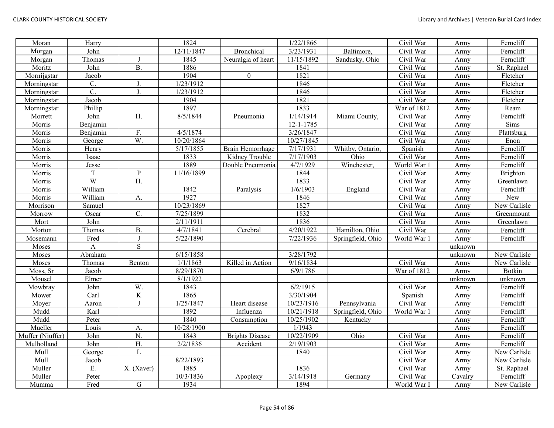| Moran            | Harry    |                  | 1824       |                        | 1/22/1866              |                   | Civil War   | Army    | Ferncliff    |
|------------------|----------|------------------|------------|------------------------|------------------------|-------------------|-------------|---------|--------------|
| Morgan           | John     |                  | 12/11/1847 | <b>Bronchical</b>      | 3/23/1931              | Baltimore,        | Civil War   | Army    | Ferncliff    |
| Morgan           | Thomas   | J                | 1845       | Neuralgia of heart     | 11/15/1892             | Sandusky, Ohio    | Civil War   | Army    | Ferncliff    |
| Moritz           | John     | <b>B.</b>        | 1886       |                        | 1841                   |                   | Civil War   | Army    | St. Raphael  |
| Mornijgstar      | Jacob    |                  | 1904       | $\boldsymbol{0}$       | 1821                   |                   | Civil War   | Army    | Fletcher     |
| Morningstar      | C.       | J.               | 1/23/1912  |                        | 1846                   |                   | Civil War   | Army    | Fletcher     |
| Morningstar      | C.       | J.               | 1/23/1912  |                        | 1846                   |                   | Civil War   | Army    | Fletcher     |
| Morningstar      | Jacob    |                  | 1904       |                        | 1821                   |                   | Civil War   | Army    | Fletcher     |
| Morningstar      | Phillip  |                  | 1897       |                        | 1833                   |                   | War of 1812 | Army    | Ream         |
| Morrett          | John     | H.               | 8/5/1844   | Pneumonia              | 1/14/1914              | Miami County,     | Civil War   | Army    | Ferncliff    |
| Morris           | Benjamin |                  |            |                        | $12 - 1 - 1785$        |                   | Civil War   | Army    | Sims         |
| Morris           | Benjamin | F.               | 4/5/1874   |                        | 3/26/1847              |                   | Civil War   | Army    | Plattsburg   |
| Morris           | George   | $\overline{W}$ . | 10/20/1864 |                        | 10/27/1845             |                   | Civil War   | Army    | Enon         |
| Morris           | Henry    |                  | 5/17/1855  | Brain Hemorrhage       | 7/17/1931              | Whitby, Ontario,  | Spanish     | Army    | Ferncliff    |
| Morris           | Isaac    |                  | 1833       | Kidney Trouble         | 7/17/1903              | Ohio              | Civil War   | Army    | Ferncliff    |
| Morris           | Jesse    |                  | 1889       | Double Pneumonia       | 4/7/1929               | Winchester,       | World War   | Army    | Ferncliff    |
| Morris           | T        | $\mathbf{P}$     | 11/16/1899 |                        | 1844                   |                   | Civil War   | Army    | Brighton     |
| Morris           | W        | H.               |            |                        | 1833                   |                   | Civil War   | Army    | Greenlawn    |
| Morris           | William  |                  | 1842       | Paralysis              | 1/6/1903               | England           | Civil War   | Army    | Ferncliff    |
| Morris           | William  | A.               | 1927       |                        | 1846                   |                   | Civil War   | Army    | New          |
| Morrison         | Samuel   |                  | 10/23/1869 |                        | 1827                   |                   | Civil War   | Army    | New Carlisle |
| Morrow           | Oscar    | C.               | 7/25/1899  |                        | 1832                   |                   | Civil War   | Army    | Greenmount   |
| Mort             | John     |                  | 2/11/1911  |                        | 1836                   |                   | Civil War   | Army    | Greenlawn    |
| Morton           | Thomas   | $B$ .            | 4/7/1841   | Cerebral               | 4/20/1922              | Hamilton, Ohio    | Civil War   | Army    | Ferncliff    |
| Mosemann         | Fred     | $\mathbf{J}$     | 5/22/1890  |                        | 7/22/1936              | Springfield, Ohio | World War 1 | Army    | Ferncliff    |
| <b>Moses</b>     | A        | ${\bf S}$        |            |                        |                        |                   |             | unknown |              |
| Moses            | Abraham  |                  | 6/15/1858  |                        | 3/28/1792              |                   |             | unknown | New Carlisle |
| Moses            | Thomas   | Benton           | 1/1/1863   | Killed in Action       | $\overline{9/16/1834}$ |                   | Civil War   | Army    | New Carlisle |
| Moss, Sr         | Jacob    |                  | 8/29/1870  |                        | 6/9/1786               |                   | War of 1812 | Army    | Botkin       |
| Mousel           | Elmer    |                  | 8/1/1922   |                        |                        |                   |             | unknown | unknown      |
| Mowbray          | John     | W.               | 1843       |                        | 6/2/1915               |                   | Civil War   | Army    | Ferncliff    |
| Mower            | Carl     | $\rm K$          | 1865       |                        | 3/30/1904              |                   | Spanish     | Army    | Ferncliff    |
| Moyer            | Aaron    | $\mathbf{J}$     | 1/25/1847  | Heart disease          | 10/23/1916             | Pennsylvania      | Civil War   | Army    | Ferncliff    |
| Mudd             | Karl     |                  | 1892       | Influenza              | 10/21/1918             | Springfield, Ohio | World War 1 | Army    | Ferncliff    |
| Mudd             | Peter    |                  | 1840       | Consumption            | 10/25/1902             | Kentucky          |             | Army    | Ferncliff    |
| Mueller          | Louis    | A.               | 10/28/1900 |                        | 1/1943                 |                   |             | Army    | Ferncliff    |
| Muffer (Niuffer) | John     | N.               | 1843       | <b>Brights Disease</b> | 10/22/1909             | Ohio              | Civil War   | Army    | Ferncliff    |
| Mulholland       | John     | $\overline{H}$   | 2/2/1836   | Accident               | 2/19/1903              |                   | Civil War   | Army    | Ferncliff    |
| Mull             | George   | L                |            |                        | 1840                   |                   | Civil War   | Army    | New Carlisle |
| Mull             | Jacob    |                  | 8/22/1893  |                        |                        |                   | Civil War   | Army    | New Carlisle |
| Muller           | E.       | X. (Xaver)       | 1885       |                        | 1836                   |                   | Civil War   | Army    | St. Raphael  |
| Muller           | Peter    |                  | 10/3/1836  | Apoplexy               | 3/14/1918              | Germany           | Civil War   | Cavalry | Ferncliff    |
| Mumma            | Fred     | ${\bf G}$        | 1934       |                        | 1894                   |                   | World War I | Army    | New Carlisle |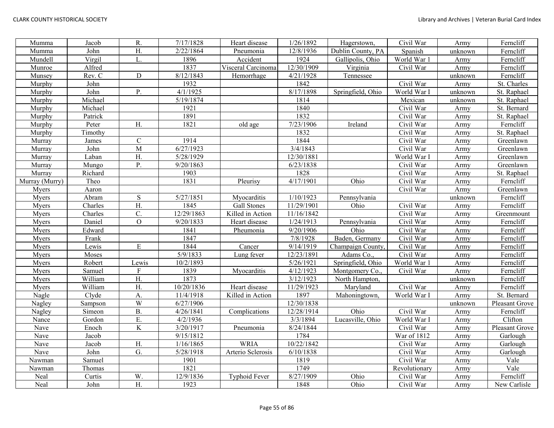| Mumma          | Jacob   | R.               | 7/17/1828  | Heart disease        | 1/26/1892  | Hagerstown,       | Civil War     | Army    | Ferncliff      |
|----------------|---------|------------------|------------|----------------------|------------|-------------------|---------------|---------|----------------|
| Mumma          | John    | $\overline{H}$ . | 2/22/1864  | Pneumonia            | 12/8/1936  | Dublin County, PA | Spanish       | unknown | Ferncliff      |
| Mundell        | Virgil  | L.               | 1896       | Accident             | 1924       | Gallipolis, Ohio  | World War 1   | Army    | Ferncliff      |
| Munroe         | Alfred  |                  | 1837       | Visceral Carcinoma   | 12/30/1909 | Virginia          | Civil War     | Army    | Ferncliff      |
| Munsey         | Rev. C  | $\mathbf D$      | 8/12/1843  | Hemorrhage           | 4/21/1928  | Tennessee         |               | unknown | Ferncliff      |
| Murphy         | John    |                  | 1932       |                      | 1842       |                   | Civil War     | Army    | St. Charles    |
| Murphy         | John    | Ρ.               | 4/1/1925   |                      | 8/17/1898  | Springfield, Ohio | World War I   | unknown | St. Raphael    |
| Murphy         | Michael |                  | 5/19/1874  |                      | 1814       |                   | Mexican       | unknown | St. Raphael    |
| Murphy         | Michael |                  | 1921       |                      | 1840       |                   | Civil War     | Army    | St. Bernard    |
| Murphy         | Patrick |                  | 1891       |                      | 1832       |                   | Civil War     | Army    | St. Raphael    |
| Murphy         | Peter   | H.               | 1821       | old age              | 7/23/1906  | Ireland           | Civil War     | Army    | Ferncliff      |
| Murphy         | Timothy |                  |            |                      | 1832       |                   | Civil War     | Army    | St. Raphael    |
| Murray         | James   | $\mathbf C$      | 1914       |                      | 1844       |                   | Civil War     | Army    | Greenlawn      |
| Murray         | John    | M                | 6/27/1923  |                      | 3/4/1843   |                   | Civil War     | Army    | Greenlawn      |
| Murray         | Laban   | H.               | 5/28/1929  |                      | 12/30/1881 |                   | World War I   | Army    | Greenlawn      |
| Murray         | Mungo   | P.               | 9/20/1863  |                      | 6/23/1838  |                   | Civil War     | Army    | Greenlawn      |
| Murray         | Richard |                  | 1903       |                      | 1828       |                   | Civil War     | Army    | St. Raphael    |
| Murray (Murry) | Theo    |                  | 1831       | Pleurisy             | 4/17/1901  | Ohio              | Civil War     | Army    | Ferncliff      |
| Myers          | Aaron   |                  |            |                      |            |                   | Civil War     | Army    | Greenlawn      |
| Myers          | Abram   | ${\bf S}$        | 5/27/1851  | Myocarditis          | 1/10/1923  | Pennsylvania      |               | unknown | Ferncliff      |
| Myers          | Charles | Η.               | 1845       | Gall Stones          | 11/29/1901 | Ohio              | Civil War     | Army    | Ferncliff      |
| Myers          | Charles | C.               | 12/29/1863 | Killed in Action     | 11/16/1842 |                   | Civil War     | Army    | Greenmount     |
| Myers          | Daniel  | $\mathcal{O}$    | 9/20/1833  | Heart disease        | 1/24/1913  | Pennsylvania      | Civil War     | Army    | Ferncliff      |
| Myers          | Edward  |                  | 1841       | Pheumonia            | 9/20/1906  | Ohio              | Civil War     | Army    | Ferncliff      |
| Myers          | Frank   |                  | 1847       |                      | 7/8/1928   | Baden, Germany    | Civil War     | Army    | Ferncliff      |
| Myers          | Lewis   | ${\bf E}$        | 1844       | Cancer               | 9/14/1919  | Champaign County, | Civil War     | Army    | Ferncliff      |
| Myers          | Moses   |                  | 5/9/1833   | Lung fever           | 12/23/1891 | Adams Co.,        | Civil War     | Army    | Ferncliff      |
| Myers          | Robert  | Lewis            | 10/2/1893  |                      | 5/26/1921  | Springfield, Ohio | World War 1   | Army    | Ferncliff      |
| Myers          | Samuel  | ${\bf F}$        | 1839       | Myocarditis          | 4/12/1923  | Montgomery Co.,   | Civil War     | Army    | Ferncliff      |
| Myers          | William | H.               | 1873       |                      | 3/12/1923  | North Hampton,    |               | unknown | Ferncliff      |
| Myers          | William | $\overline{H}$ . | 10/20/1836 | Heart disease        | 11/29/1923 | Maryland          | Civil War     | Army    | Ferncliff      |
| Nagle          | Clyde   | A.               | 11/4/1918  | Killed in Action     | 1897       | Mahoningtown,     | World War I   | Army    | St. Bernard    |
| Nagley         | Sampson | W                | 6/27/1906  |                      | 12/30/1838 |                   |               | unknown | Pleasant Grove |
| Nagley         | Simeon  | <b>B.</b>        | 4/26/1841  | Complications        | 12/28/1914 | Ohio              | Civil War     | Army    | Ferncliff      |
| Nance          | Gordon  | E.               | 4/2/1936   |                      | 3/3/1894   | Lucasville, Ohio  | World War I   | Army    | Clifton        |
| Nave           | Enoch   | $\overline{K}$   | 3/20/1917  | Pneumonia            | 8/24/1844  |                   | Civil War     | Army    | Pleasant Grove |
| Nave           | Jacob   |                  | 9/15/1812  |                      | 1784       |                   | War of 1812   | Army    | Garlough       |
| Nave           | Jacob   | H.               | 1/16/1865  | <b>WRIA</b>          | 10/22/1842 |                   | Civil War     | Army    | Garlough       |
| Nave           | John    | G.               | 5/28/1918  | Arterio Sclerosis    | 6/10/1838  |                   | Civil War     | Army    | Garlough       |
| Nawman         | Samuel  |                  | 1901       |                      | 1819       |                   | Civil War     | Army    | Vale           |
| Nawman         | Thomas  |                  | 1821       |                      | 1749       |                   | Revolutionary | Army    | Vale           |
| Neal           | Curtis  | W.               | 12/9/1836  | <b>Typhoid Fever</b> | 8/27/1909  | Ohio              | Civil War     | Army    | Ferncliff      |
| Neal           | John    | H.               | 1923       |                      | 1848       | Ohio              | Civil War     | Army    | New Carlisle   |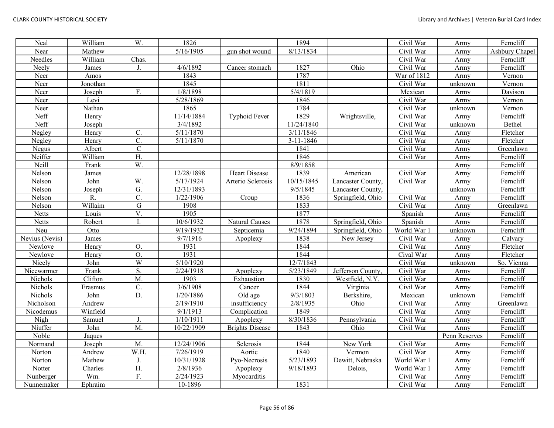| Neal           | William  | W.                        | 1826       |                        | 1894            |                   | Civil War   | Army          | Ferncliff      |
|----------------|----------|---------------------------|------------|------------------------|-----------------|-------------------|-------------|---------------|----------------|
| Near           | Mathew   |                           | 5/16/1905  | gun shot wound         | 8/13/1834       |                   | Civil War   | Army          | Ashbury Chapel |
| Needles        | William  | Chas.                     |            |                        |                 |                   | Civil War   | Army          | Ferncliff      |
| Neely          | James    | J.                        | 4/6/1892   | Cancer stomach         | 1827            | Ohio              | Civil War   | Army          | Ferncliff      |
| Neer           | Amos     |                           | 1843       |                        | 1787            |                   | War of 1812 | Army          | Vernon         |
| Neer           | Jonothan |                           | 1845       |                        | 1811            |                   | Civil War   | unknown       | Vernon         |
| Neer           | Joseph   | F.                        | 1/8/1898   |                        | 5/4/1819        |                   | Mexican     | Army          | Davison        |
| Neer           | Levi     |                           | 5/28/1869  |                        | 1846            |                   | Civil War   | Army          | Vernon         |
| Neer           | Nathan   |                           | 1865       |                        | 1784            |                   | Civil War   | unknown       | Vernon         |
| Neff           | Henry    |                           | 11/14/1884 | <b>Typhoid Fever</b>   | 1829            | Wrightsville,     | Civil War   | Army          | Ferncliff      |
| Neff           | Joseph   |                           | 3/4/1892   |                        | 11/24/1840      |                   | Civil War   | unknown       | Bethel         |
| Negley         | Henry    | C.                        | 5/11/1870  |                        | 3/11/1846       |                   | Civil War   | Army          | Fletcher       |
| Negley         | Henry    | $\mathbf{C}$ .            | 5/11/1870  |                        | $3 - 11 - 1846$ |                   | Civil War   | Army          | Fletcher       |
| Negus          | Albert   | $\mathbf C$               |            |                        | 1841            |                   | Civil War   | Army          | Greenlawn      |
| Neiffer        | William  | H.                        |            |                        | 1846            |                   | Civil War   | Army          | Ferncliff      |
| Neill          | Frank    | $\overline{W}$ .          |            |                        | 8/9/1858        |                   |             | Army          | Ferncliff      |
| Nelson         | James    |                           | 12/28/1898 | <b>Heart Disease</b>   | 1839            | American          | Civil War   | Army          | Ferncliff      |
| Nelson         | John     | W.                        | 5/17/1924  | Arterio Sclerosis      | 10/15/1845      | Lancaster County, | Civil War   | Army          | Ferncliff      |
| Nelson         | Joseph   | G.                        | 12/31/1893 |                        | 9/5/1845        | Lancaster County, |             | unknown       | Ferncliff      |
| Nelson         | R.       | $\overline{\mathrm{C}}$ . | 1/22/1906  | Croup                  | 1836            | Springfield, Ohio | Civil War   | Army          | Ferncliff      |
| Nelson         | Willaim  | $\overline{G}$            | 1908       |                        | 1833            |                   | Civil War   | Army          | Greenlawn      |
| Netts          | Louis    | V.                        | 1905       |                        | 1877            |                   | Spanish     | Army          | Ferncliff      |
| <b>Netts</b>   | Robert   | T                         | 10/6/1932  | Natural Causes         | 1878            | Springfield, Ohio | Spanish     | Army          | Ferncliff      |
| Neu            | Otto     |                           | 9/19/1932  | Septicemia             | 9/24/1894       | Springfield, Ohio | World War 1 | unknown       | Ferncliff      |
| Nevius (Nevis) | James    |                           | 9/7/1916   | Apoplexy               | 1838            | New Jersey        | Civil War   | Army          | Calvary        |
| Newlove        | Henry    | O.                        | 1931       |                        | 1844            |                   | Civil War   | Army          | Fletcher       |
| Newlove        | Henry    | O.                        | 1931       |                        | 1844            |                   | Cival War   | Army          | Fletcher       |
| Nicely         | John     | W                         | 5/10/1920  |                        | 12/7/1843       |                   | Civil War   | unknown       | So. Vienna     |
| Nicewarmer     | Frank    | S.                        | 2/24/1918  | Apoplexy               | 5/23/1849       | Jefferson County. | Civil War   | Army          | Ferncliff      |
| Nichols        | Clifton  | M.                        | 1903       | Exhaustion             | 1830            | Westfield, N.Y.   | Civil War   | Army          | Ferncliff      |
| Nichols        | Erasmus  | $\mathcal{C}$ .           | 3/6/1908   | Cancer                 | 1844            | Virginia          | Civil War   | Army          | Ferncliff      |
| Nichols        | John     | $\overline{D}$ .          | 1/20/1886  | Old age                | 9/3/1803        | Berkshire,        | Mexican     | unknown       | Ferncliff      |
| Nicholson      | Andrew   |                           | 2/19/1910  | insufficiency          | 2/8/1935        | Ohio              | Civil War   | Army          | Greenlawn      |
| Nicodemus      | Winfield |                           | 9/1/1913   | Complication           | 1849            |                   | Civil War   | Army          | Ferncliff      |
| Nigh           | Samuel   | J.                        | 1/10/1911  | Apoplexy               | 8/30/1836       | Pennsylvania      | Civil War   | Army          | Ferncliff      |
| Niuffer        | John     | M.                        | 10/22/1909 | <b>Brights Disease</b> | 1843            | Ohio              | Civil War   | Army          | Ferncliff      |
| Noble          | Jaques   |                           |            |                        |                 |                   |             | Penn Reserves | Ferncliff      |
| Normand        | Joseph   | M.                        | 12/24/1906 | Sclerosis              | 1844            | New York          | Civil War   | Army          | Ferncliff      |
| Norton         | Andrew   | W.H.                      | 7/26/1919  | Aortic                 | 1840            | Vermon            | Civil War   | Army          | Ferncliff      |
| Norton         | Mathew   | J.                        | 10/31/1928 | Pyo-Necrosis           | 5/23/1893       | Dewitt, Nebraska  | World War 1 | Army          | Ferncliff      |
| Notter         | Charles  | H.                        | 2/8/1936   | Apoplexy               | 9/18/1893       | Delois,           | World War 1 | Army          | Ferncliff      |
| Nunberger      | Wm.      | F.                        | 2/24/1923  | Myocarditis            |                 |                   | Civil War   | Army          | Ferncliff      |
| Nunnemaker     | Ephraim  |                           | 10-1896    |                        | 1831            |                   | Civil War   | Army          | Ferncliff      |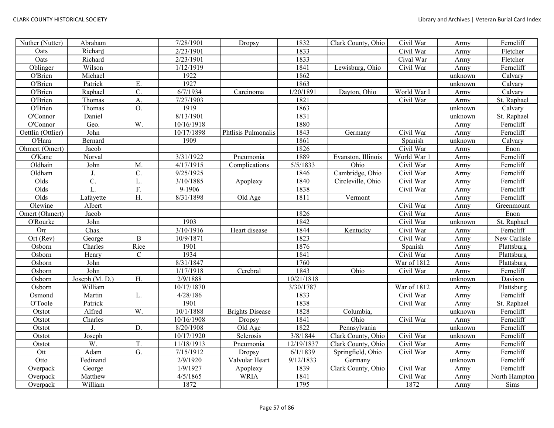| Nuther (Nutter)   | Abraham        |                  | 7/28/1901  | Dropsy                 | 1832       | Clark County, Ohio | Civil War   | Army    | Ferncliff     |
|-------------------|----------------|------------------|------------|------------------------|------------|--------------------|-------------|---------|---------------|
| Oats              | Richard        |                  | 2/23/1901  |                        | 1833       |                    | Civil War   | Army    | Fletcher      |
| Oats              | Richard        |                  | 2/23/1901  |                        | 1833       |                    | Cival War   | Army    | Fletcher      |
| Oblinger          | Wilson         |                  | 1/12/1919  |                        | 1841       | Lewisburg, Ohio    | Civil War   | Army    | Ferncliff     |
| O'Brien           | Michael        |                  | 1922       |                        | 1862       |                    |             | unknown | Calvary       |
| O'Brien           | Patrick        | E.               | 1927       |                        | 1863       |                    |             | unknown | Calvary       |
| O'Brien           | Raphael        | C.               | 6/7/1934   | Carcinoma              | 1/20/1891  | Dayton, Ohio       | World War I | Army    | Calvary       |
| O'Brien           | Thomas         | A.               | 7/27/1903  |                        | 1821       |                    | Civil War   | Army    | St. Raphael   |
| O'Brien           | Thomas         | $\overline{O}$ . | 1919       |                        | 1863       |                    |             | unknown | Calvary       |
| O'Connor          | Daniel         |                  | 8/13/1901  |                        | 1831       |                    |             | unknown | St. Raphael   |
| O'Connor          | Geo.           | W.               | 10/16/1918 |                        | 1880       |                    |             | Army    | Ferncliff     |
| Oettlin (Ottlier) | John           |                  | 10/17/1898 | Phtlisis Pulmonalis    | 1843       | Germany            | Civil War   | Army    | Ferncliff     |
| O'Hara            | Bernard        |                  | 1909       |                        | 1861       |                    | Spanish     | unknown | Calvary       |
| Ohmert (Omert)    | Jacob          |                  |            |                        | 1826       |                    | Civil War   | Army    | Enon          |
| O'Kane            | Norval         |                  | 3/31/1922  | Pneumonia              | 1889       | Evanston, Illinois | World War 1 | Army    | Ferncliff     |
| Oldhain           | John           | M.               | 4/17/1915  | Complications          | 5/5/1833   | Ohio               | Civil War   | Army    | Ferncliff     |
| Oldham            | J.             | C.               | 9/25/1925  |                        | 1846       | Cambridge, Ohio    | Civil War   | Army    | Ferncliff     |
| Olds              | C.             | L.               | 3/10/1885  | Apoplexy               | 1840       | Circleville, Ohio  | Civil War   | Army    | Ferncliff     |
| Olds              | L.             | F.               | 9-1906     |                        | 1838       |                    | Civil War   | Army    | Ferncliff     |
| Olds              | Lafayette      | H.               | 8/31/1898  | Old Age                | 1811       | Vermont            |             | Army    | Ferncliff     |
| Olewine           | Albert         |                  |            |                        |            |                    | Civil War   | Army    | Greenmount    |
| Omert (Ohmert)    | Jacob          |                  |            |                        | 1826       |                    | Civil War   | Army    | Enon          |
| O'Rourke          | John           |                  | 1903       |                        | 1842       |                    | Civil War   | unknown | St. Raphael   |
| Orr               | Chas.          |                  | 3/10/1916  | Heart disease          | 1844       | Kentucky           | Civil War   | Army    | Ferncliff     |
| $Ort$ (Rev)       | George         | $\bf{B}$         | 10/9/1871  |                        | 1823       |                    | Civil War   | Army    | New Carlisle  |
| Osborn            | Charles        | Rice             | 1901       |                        | 1876       |                    | Spanish     | Army    | Plattsburg    |
| Osborn            | Henry          | ${\bf C}$        | 1934       |                        | 1841       |                    | Civil War   | Army    | Plattsburg    |
| Osborn            | John           |                  | 8/31/1847  |                        | 1760       |                    | War of 1812 | Army    | Plattsburg    |
| Osborn            | John           |                  | 1/17/1918  | Cerebral               | 1843       | Ohio               | Civil War   | Army    | Ferncliff     |
| Osborn            | Joseph (M. D.) | H.               | 2/9/1888   |                        | 10/21/1818 |                    |             | unknown | Davison       |
| Osborn            | William        |                  | 10/17/1870 |                        | 3/30/1787  |                    | War of 1812 | Army    | Plattsburg    |
| Osmond            | Martin         | L.               | 4/28/186   |                        | 1833       |                    | Civil War   | Army    | Ferncliff     |
| O'Toole           | Patrick        |                  | 1901       |                        | 1838       |                    | Civil War   | Army    | St. Raphael   |
| Otstot            | Alfred         | W.               | 10/1/1888  | <b>Brights Disease</b> | 1828       | Columbia,          |             | unknown | Ferncliff     |
| Otstot            | Charles        |                  | 10/16/1908 | Dropsy                 | 1841       | Ohio               | Civil War   | Army    | Ferncliff     |
| Otstot            | $\mathbf{J}$ . | D.               | 8/20/1908  | Old Age                | 1822       | Pennsylvania       |             | unknown | Ferncliff     |
| Otstot            | Joseph         |                  | 10/17/1920 | Sclerosis              | 3/8/1844   | Clark County, Ohio | Civil War   | unknown | Ferncliff     |
| Otstot            | W.             | T.               | 11/18/1913 | Pneumonia              | 12/19/1837 | Clark County, Ohio | Civil War   | Army    | Ferncliff     |
| Ott               | Adam           | G.               | 7/15/1912  | Dropsy                 | 6/1/1839   | Springfield, Ohio  | Civil War   | Army    | Ferncliff     |
| Otto              | Fedinand       |                  | 2/9/1920   | Valvular Heart         | 9/12/1833  | Germany            |             | unknown | Ferncliff     |
| Overpack          | George         |                  | 1/9/1927   | Apoplexy               | 1839       | Clark County, Ohio | Civil War   | Army    | Ferncliff     |
| Overpack          | Matthew        |                  | 4/5/1865   | <b>WRIA</b>            | 1841       |                    | Civil War   | Army    | North Hampton |
| Overpack          | William        |                  | 1872       |                        | 1795       |                    | 1872        | Army    | Sims          |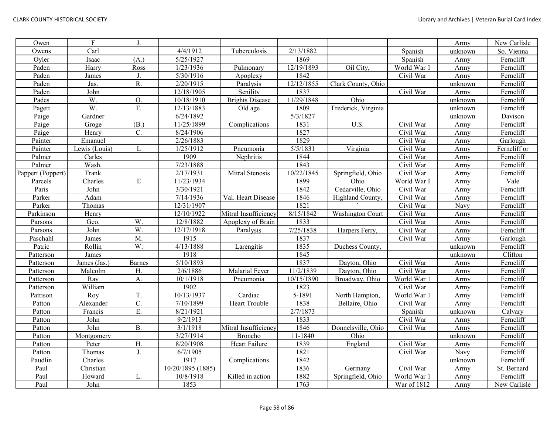| Owen              | $\overline{F}$ | J.               |                   |                        |            |                         |             | Army    | New Carlisle |
|-------------------|----------------|------------------|-------------------|------------------------|------------|-------------------------|-------------|---------|--------------|
| Owens             | Carl           |                  | 4/4/1912          | Tuberculosis           | 2/13/1882  |                         | Spanish     | unknown | So. Vienna   |
| Oyler             | Isaac          | (A.)             | 5/25/1927         |                        | 1869       |                         | Spanish     | Army    | Ferncliff    |
| Paden             | Harry          | Ross             | 1/23/1936         | Pulmonary              | 12/19/1893 | Oil City,               | World War 1 | Army    | Ferncliff    |
| Paden             | James          | J.               | 5/30/1916         | Apoplexy               | 1842       |                         | Civil War   | Army    | Ferncliff    |
| Paden             | Jas.           | R.               | 2/20/1915         | Paralysis              | 12/12/1855 | Clark County, Ohio      |             | unknown | Ferncliff    |
| Paden             | John           |                  | 12/18/1905        | Senility               | 1837       |                         | Civil War   | Army    | Ferncliff    |
| Pades             | W.             | <b>O.</b>        | 10/18/1910        | <b>Brights Disease</b> | 11/29/1848 | Ohio                    |             | unknown | Ferncliff    |
| Pagett            | W.             | F.               | 12/13/1883        | Old age                | 1809       | Frederick, Virginia     |             | unknown | Ferncliff    |
| Paige             | Gardner        |                  | 6/24/1892         |                        | 5/3/1827   |                         |             | unknown | Davison      |
| Paige             | Groge          | (B.)             | 11/25/1899        | Complications          | 1831       | U.S.                    | Civil War   | Army    | Ferncliff    |
| Paige             | Henry          | $C$ .            | 8/24/1906         |                        | 1827       |                         | Civil War   | Army    | Ferncliff    |
| Painter           | Emanuel        |                  | 2/26/1883         |                        | 1829       |                         | Civil War   | Army    | Garlough     |
| Painter           | Lewis (Louis)  | L                | 1/25/1912         | Pneumonia              | 5/5/1831   | Virginia                | Civil War   | Army    | Ferncliff or |
| Palmer            | Carles         |                  | 1909              | Nephritis              | 1844       |                         | Civil War   | Army    | Ferncliff    |
| Palmer            | Wash.          |                  | 7/23/1888         |                        | 1843       |                         | Civil War   | Army    | Ferncliff    |
| Pappert (Poppert) | Frank          |                  | 2/17/1931         | Mitral Stenosis        | 10/22/1845 | Springfield, Ohio       | Civil War   | Army    | Ferncliff    |
| Parcels           | Charles        | $\mathbf E$      | 11/23/1934        |                        | 1899       | Ohio                    | World War I | Army    | Vale         |
| Paris             | John           |                  | 3/30/1921         |                        | 1842       | Cedarville, Ohio        | Civil War   | Army    | Ferncliff    |
| Parker            | Adam           |                  | 7/14/1936         | Val. Heart Disease     | 1846       | Highland County,        | Civil War   | Army    | Ferncliff    |
| Parker            | Thomas         |                  | 12/31/1907        |                        | 1821       |                         | Civil War   | Navy    | Ferncliff    |
| Parkinson         | Henry          |                  | 12/10/1922        | Mitral Insufficiency   | 8/15/1842  | <b>Washington Court</b> | Civil War   | Army    | Ferncliff    |
| Parsons           | Geo.           | W.               | 12/8/1882         | Apoplexy of Brain      | 1833       |                         | Civil War   | Army    | Ferncliff    |
| Parsons           | John           | W.               | 12/17/1918        | Paralysis              | 7/25/1838  | Harpers Ferry,          | Civil War   | Army    | Ferncliff    |
| Paschahl          | James          | $M$ .            | 1915              |                        | 1837       |                         | Civil War   | Army    | Garlough     |
| Patric            | Rollin         | W.               | 4/13/1888         | Larengitis             | 1835       | Duchess County.         |             | unknown | Ferncliff    |
| Patterson         | James          |                  | 1918              |                        | 1845       |                         |             | unknown | Clifton      |
| Patterson         | James (Jas.)   | <b>Barnes</b>    | 5/10/1893         |                        | 1837       | Dayton, Ohio            | Civil War   | Army    | Ferncliff    |
| Patterson         | Malcolm        | H.               | 2/6/1886          | <b>Malarial Fever</b>  | 11/2/1839  | Dayton, Ohio            | Civil War   | Army    | Ferncliff    |
| Patterson         | Ray            | A.               | 10/1/1918         | Pneumonia              | 10/15/1890 | Broadway, Ohio          | World War 1 | Army    | Ferncliff    |
| Patterson         | William        |                  | 1902              |                        | 1823       |                         | Civil War   | Army    | Ferncliff    |
| Pattison          | Roy            | T.               | 10/13/1937        | Cardiac                | 5-1891     | North Hampton,          | World War 1 | Army    | Ferncliff    |
| Patton            | Alexander      | $\overline{C}$ . | 7/10/1899         | Heart Trouble          | 1838       | Bellaire, Ohio          | Civil War   | Army    | Ferncliff    |
| Patton            | Francis        | Ε.               | 8/21/1921         |                        | 2/7/1873   |                         | Spanish     | unknown | Calvary      |
| Patton            | John           |                  | 9/2/1913          |                        | 1833       |                         | Civil War   | Army    | Ferncliff    |
| Patton            | John           | <b>B.</b>        | 3/1/1918          | Mitral Insufficiency   | 1846       | Donnelsville, Ohio      | Civil War   | Army    | Ferncliff    |
| Patton            | Montgomery     |                  | 3/27/1914         | Broncho                | 11-1840    | Ohio                    |             | unknown | Ferncliff    |
| Patton            | Peter          | H.               | 8/20/1908         | Heart Failure          | 1839       | England                 | Civil War   | Army    | Ferncliff    |
| Patton            | Thomas         | $\mathbf{J}$ .   | 6/7/1905          |                        | 1821       |                         | Civil War   | Navy    | Ferncliff    |
| Paudlin           | Charles        |                  | 1917              | Complications          | 1842       |                         |             | unknown | Ferncliff    |
| Paul              | Christian      |                  | 10/20/1895 (1885) |                        | 1836       | Germany                 | Civil War   | Army    | St. Bernard  |
| Paul              | Howard         | L.               | 10/8/1918         | Killed in action       | 1882       | Springfield, Ohio       | World War 1 | Army    | Ferncliff    |
| Paul              | John           |                  | 1853              |                        | 1763       |                         | War of 1812 | Army    | New Carlisle |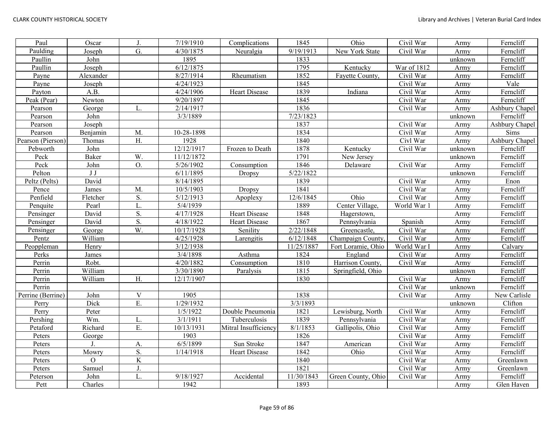| Paul              | Oscar          | J.                      | $\sqrt{7/19/1910}$ | Complications        | 1845       | Ohio               | Civil War   | Army    | Ferncliff      |
|-------------------|----------------|-------------------------|--------------------|----------------------|------------|--------------------|-------------|---------|----------------|
| Paulding          | Joseph         | $\overline{G}$ .        | 4/30/1875          | Neuralgia            | 9/19/1913  | New York State     | Civil War   | Army    | Ferncliff      |
| Paullin           | John           |                         | 1895               |                      | 1833       |                    |             | unknown | Ferncliff      |
| Paullin           | Joseph         |                         | 6/12/1875          |                      | 1795       | Kentucky           | War of 1812 | Army    | Ferncliff      |
| Payne             | Alexander      |                         | 8/27/1914          | Rheumatism           | 1852       | Fayette County,    | Civil War   | Army    | Ferncliff      |
| Payne             | Joseph         |                         | 4/24/1923          |                      | 1845       |                    | Civil War   | Army    | Vale           |
| Payton            | A.B.           |                         | 4/24/1906          | <b>Heart Disease</b> | 1839       | Indiana            | Civil War   | Army    | Ferncliff      |
| Peak (Pear)       | Newton         |                         | 9/20/1897          |                      | 1845       |                    | Civil War   | Army    | Ferncliff      |
| Pearson           | George         | L.                      | 2/14/1917          |                      | 1836       |                    | Civil War   | Army    | Ashbury Chapel |
| Pearson           | John           |                         | 3/3/1889           |                      | 7/23/1823  |                    |             | unknown | Ferncliff      |
| Pearson           | Joseph         |                         |                    |                      | 1837       |                    | Civil War   | Army    | Ashbury Chapel |
| Pearson           | Benjamin       | M.                      | 10-28-1898         |                      | 1834       |                    | Civil War   | Army    | Sims           |
| Pearson (Pierson) | Thomas         | $\overline{H}$ .        | 1928               |                      | 1840       |                    | Civl War    | Army    | Ashbury Chapel |
| Pebworth          | John           |                         | 12/12/1917         | Frozen to Death      | 1878       | Kentucky           | Civil War   | unknown | Ferncliff      |
| Peck              | <b>Baker</b>   | W.                      | 11/12/1872         |                      | 1791       | New Jersey         |             | unknown | Ferncliff      |
| Peck              | John           | O.                      | 5/26/1902          | Consumption          | 1846       | Delaware           | Civil War   | Army    | Ferncliff      |
| Pelton            | J J            |                         | 6/11/1895          | <b>Dropsy</b>        | 5/22/1822  |                    |             | unknown | Ferncliff      |
| Peltz (Pelts)     | David          |                         | 8/14/1895          |                      | 1839       |                    | Civil War   | Army    | Enon           |
| Pence             | James          | M.                      | 10/5/1903          | <b>Dropsy</b>        | 1841       |                    | Civil War   | Army    | Ferncliff      |
| Penfield          | Fletcher       | S.                      | 5/12/1913          | Apoplexy             | 12/6/1845  | Ohio               | Civil War   | Army    | Ferncliff      |
| Penquite          | Pearl          | L.                      | 5/4/1939           |                      | 1889       | Center Village,    | World War 1 | Army    | Ferncliff      |
| Pensinger         | David          | S.                      | 4/17/1928          | <b>Heart Disease</b> | 1848       | Hagerstown,        |             | Army    | Ferncliff      |
| Pensinger         | David          | S.                      | 4/18/1922          | Heart Disease        | 1867       | Pennsylvania       | Spanish     | Army    | Ferncliff      |
| Pensinger         | George         | W.                      | 10/17/1928         | Senility             | 2/22/1848  | Greencastle,       | Civil War   | Army    | Ferncliff      |
| Pentz             | William        |                         | 4/25/1928          | Larengitis           | 6/12/1848  | Champaign County,  | Civil War   | Army    | Ferncliff      |
| Peoppleman        | Henry          |                         | 3/12/1938          |                      | 11/25/1887 | Fort Loramie, Ohio | World War I | Army    | Calvary        |
| Perks             | James          |                         | 3/4/1898           | Asthma               | 1824       | England            | Civil War   | Army    | Ferncliff      |
| Perrin            | Robt.          |                         | 4/20/1882          | Consumption          | 1810       | Harrison County,   | Civil War   | Army    | Ferncliff      |
| Perrin            | William        |                         | 3/30/1890          | Paralysis            | 1815       | Springfield, Ohio  |             | unknown | Ferncliff      |
| Perrin            | William        | H.                      | 12/17/1907         |                      | 1830       |                    | Civil War   | Army    | Ferncliff      |
| Perrin            |                |                         |                    |                      |            |                    | Civil War   | unknown | Ferncliff      |
| Perrine (Berrine) | John           | $\mathbf V$             | 1905               |                      | 1838       |                    | Civil War   | Army    | New Carlisle   |
| Perry             | Dick           | E.                      | 1/29/1932          |                      | 3/3/1893   |                    |             | unknown | Clifton        |
| Perry             | Peter          |                         | 1/5/1922           | Double Pneumonia     | 1821       | Lewisburg, North   | Civil War   | Army    | Ferncliff      |
| Pershing          | Wm.            | L.                      | 3/1/1911           | Tuberculosis         | 1839       | Pennsylvania       | Civil War   | Army    | Ferncliff      |
| Petaford          | Richard        | E.                      | 10/13/1931         | Mitral Insufficiency | 8/1/1853   | Gallipolis, Ohio   | Civil War   | Army    | Ferncliff      |
| Peters            | George         |                         | 1903               |                      | 1826       |                    | Civil War   | Army    | Ferncliff      |
| Peters            |                | A.                      | 6/5/1899           | Sun Stroke           | 1847       | American           | Civil War   | Army    | Ferncliff      |
| Peters            | Mowry          | $\overline{S}$ .        | 1/14/1918          | <b>Heart Disease</b> | 1842       | Ohio               | Civil War   | Army    | Ferncliff      |
| Peters            | $\overline{O}$ | $\overline{\mathbf{K}}$ |                    |                      | 1840       |                    | Civil War   | Army    | Greenlawn      |
| Peters            | Samuel         | J.                      |                    |                      | 1821       |                    | Civil War   | Army    | Greenlawn      |
| Peterson          | John           | L.                      | 9/18/1927          | Accidental           | 11/30/1843 | Green County, Ohio | Civil War   | Army    | Ferncliff      |
| Pett              | Charles        |                         | 1942               |                      | 1893       |                    |             | Army    | Glen Haven     |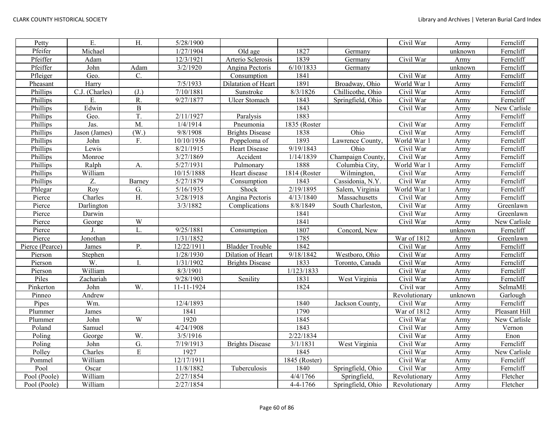| Petty           | Ε.             | $\overline{H}$ .  | 5/28/1900  |                        |                        |                   | Civil War     | Army    | Ferncliff     |
|-----------------|----------------|-------------------|------------|------------------------|------------------------|-------------------|---------------|---------|---------------|
| Pfeifer         | Michael        |                   | 1/27/1904  | Old age                | 1827                   | Germany           |               | unknown | Ferncliff     |
| Pfeiffer        | Adam           |                   | 12/3/1921  | Arterio Sclerosis      | 1839                   | Germany           | Civil War     | Army    | Ferncliff     |
| Pfeiffer        | John           | Adam              | 3/2/1920   | Angina Pectoris        | 6/10/1833              | Germany           |               | unknown | Ferncliff     |
| Pfleiger        | Geo.           | C.                |            | Consumption            | 1841                   |                   | Civil War     | Army    | Ferncliff     |
| Pheasant        | Harry          |                   | 7/5/1933   | Dilatation of Heart    | 1891                   | Broadway, Ohio    | World War 1   | Army    | Ferncliff     |
| Phillips        | C.J. (Charles) | (J.)              | 7/10/1881  | Sunstroke              | 8/3/1826               | Chillicothe, Ohio | Civil War     | Army    | Ferncliff     |
| Phillips        | E.             | R.                | 9/27/1877  | <b>Ulcer Stomach</b>   | 1843                   | Springfield, Ohio | Civil War     | Army    | Ferncliff     |
| Phillips        | Edwin          | $\overline{B}$    |            |                        | 1843                   |                   | Civil War     | Army    | New Carlisle  |
| Phillips        | Geo.           | T.                | 2/11/1927  | Paralysis              | 1883                   |                   |               | Army    | Ferncliff     |
| Phillips        | Jas.           | M.                | 1/4/1914   | Pneumonia              | 1835 (Roster           |                   | Civil War     | Army    | Ferncliff     |
| Phillips        | Jason (James)  | (W <sub>1</sub> ) | 9/8/1908   | <b>Brights Disease</b> | 1838                   | Ohio              | Civil War     | Army    | Ferncliff     |
| Phillips        | John           | F.                | 10/10/1936 | Poppeloma of           | 1893                   | Lawrence County,  | World War 1   | Army    | Ferncliff     |
| Phillips        | Lewis          |                   | 8/21/1915  | Heart Disease          | 9/19/1843              | Ohio              | Civil War     | Army    | Ferncliff     |
| Phillips        | Monroe         |                   | 3/27/1869  | Accident               | 1/14/1839              | Champaign County, | Civil War     | Army    | Ferncliff     |
| Phillips        | Ralph          | А.                | 5/27/1931  | Pulmonary              | 1888                   | Columbia City,    | World War 1   | Army    | Ferncliff     |
| Phillips        | William        |                   | 10/15/1888 | Heart disease          | 1814 (Roster           | Wilmington,       | Civil War     | Army    | Ferncliff     |
| Phillips        | Z.             | Barney            | 5/27/1879  | Consumption            | 1843                   | Cassidonia, N.Y.  | Civil War     | Army    | Ferncliff     |
| Phlegar         | Roy            | G.                | 5/16/1935  | Shock                  | 2/19/1895              | Salem, Virginia   | World War 1   | Army    | Ferncliff     |
| Pierce          | Charles        | H.                | 3/28/1918  | Angina Pectoris        | 4/13/1840              | Massachusetts     | Civil War     | Army    | Ferncliff     |
| Pierce          | Darlington     |                   | 3/3/1882   | Complications          | 8/8/1849               | South Charleston. | Civil War     | Army    | Greenlawn     |
| Pierce          | Darwin         |                   |            |                        | 1841                   |                   | Civil War     | Army    | Greenlawn     |
| Pierce          | George         | W                 |            |                        | 1841                   |                   | Civil War     | Army    | New Carlisle  |
| Pierce          |                | $\overline{L}$    | 9/25/1881  | Consumption            | 1807                   | Concord, New      |               | unknown | Ferncliff     |
| Pierce          | Jonothan       |                   | 1/31/1852  |                        | 1785                   |                   | War of 1812   | Army    | Greenlawn     |
| Pierce (Pearce) | James          | P.                | 12/22/1911 | <b>Bladder Trouble</b> | 1842                   |                   | Civil War     | Army    | Ferncliff     |
| Pierson         | Stephen        |                   | 1/28/1930  | Dilation of Heart      | $\overline{9/18/1842}$ | Westboro, Ohio    | Civil War     | Army    | Ferncliff     |
| Pierson         | W.             | Ι.                | 1/31/1902  | <b>Brights Disease</b> | 1833                   | Toronto, Canada   | Civil War     | Army    | Ferncliff     |
| Pierson         | William        |                   | 8/3/1901   |                        | 1/123/1833             |                   | Civil War     | Army    | Ferncliff     |
| Piles           | Zachariah      |                   | 9/28/1903  | Senility               | 1831                   | West Virginia     | Civil War     | Army    | Ferncliff     |
| Pinkerton       | John           | W.                | 11-11-1924 |                        | 1824                   |                   | Civil war     | Army    | SelmaME       |
| Pinneo          | Andrew         |                   |            |                        |                        |                   | Revolutionary | unknown | Garlough      |
| Pipes           | Wm.            |                   | 12/4/1893  |                        | 1840                   | Jackson County.   | Civil War     | Army    | Ferncliff     |
| Plummer         | James          |                   | 1841       |                        | 1790                   |                   | War of 1812   | Army    | Pleasant Hill |
| Plummer         | John           | W                 | 1920       |                        | 1845                   |                   | Civil War     | Army    | New Carlisle  |
| Poland          | Samuel         |                   | 4/24/1908  |                        | 1843                   |                   | Civil War     | Army    | Vernon        |
| Poling          | George         | W.                | 3/5/1916   |                        | 2/22/1834              |                   | Civil War     | Army    | Enon          |
| Poling          | John           | G.                | 7/19/1913  | <b>Brights Disease</b> | 3/1/1831               | West Virginia     | Civil War     | Army    | Ferncliff     |
| Polley          | Charles        | $\mathbf E$       | 1927       |                        | 1845                   |                   | Civil War     | Army    | New Carlisle  |
| Pommel          | William        |                   | 12/17/1911 |                        | 1845 (Roster)          |                   | Civil War     | Army    | Ferncliff     |
| Pool            | Oscar          |                   | 11/8/1882  | Tuberculosis           | 1840                   | Springfield, Ohio | Civil War     | Army    | Ferncliff     |
| Pool (Poole)    | William        |                   | 2/27/1854  |                        | 4/4/1766               | Springfield,      | Revolutionary | Army    | Fletcher      |
| Pool (Poole)    | William        |                   | 2/27/1854  |                        | $4 - 4 - 1766$         | Springfield, Ohio | Revolutionary | Army    | Fletcher      |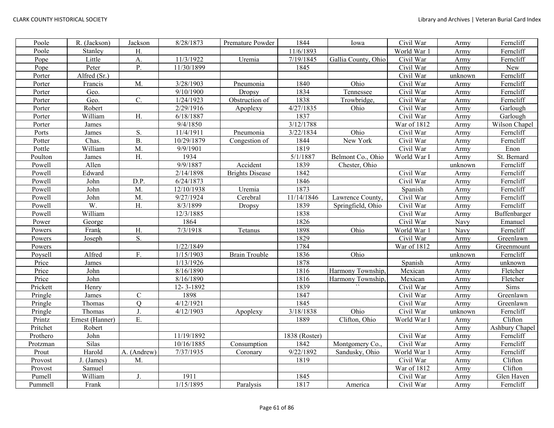| Poole    | R. (Jackson)    | Jackson        | 8/28/1873  | Premature Powder       | 1844          | Iowa                | Civil War               | Army    | Ferncliff      |
|----------|-----------------|----------------|------------|------------------------|---------------|---------------------|-------------------------|---------|----------------|
| Poole    | Stanley         | H.             |            |                        | 11/6/1893     |                     | World War 1             | Army    | Ferncliff      |
| Pope     | Little          | A.             | 11/3/1922  | Uremia                 | 7/19/1845     | Gallia County, Ohio | $\overline{C}$ ivil War | Army    | Ferncliff      |
| Pope     | Peter           | P.             | 11/30/1899 |                        | 1845          |                     | Civil War               | Army    | New            |
| Porter   | Alfred (Sr.)    |                |            |                        |               |                     | Civil War               | unknown | Ferncliff      |
| Porter   | Francis         | M.             | 3/28/1903  | Pneumonia              | 1840          | Ohio                | Civil War               | Army    | Ferncliff      |
| Porter   | Geo.            |                | 9/10/1900  | Dropsy                 | 1834          | Tennessee           | Civil War               | Army    | Ferncliff      |
| Porter   | Geo.            | C.             | 1/24/1923  | Obstruction of         | 1838          | Trowbridge,         | Civil War               | Army    | Ferncliff      |
| Porter   | Robert          |                | 2/29/1916  | Apoplexy               | 4/27/1835     | Ohio                | Civil War               | Army    | Garlough       |
| Porter   | William         | H.             | 6/18/1887  |                        | 1837          |                     | Civil War               | Army    | Garlough       |
| Porter   | James           |                | 9/4/1850   |                        | 3/12/1788     |                     | War of 1812             | Army    | Wilson Chapel  |
| Ports    | James           | S.             | 11/4/1911  | Pneumonia              | 3/22/1834     | Ohio                | Civil War               | Army    | Ferncliff      |
| Potter   | Chas.           | <b>B.</b>      | 10/29/1879 | Congestion of          | 1844          | New York            | Civil War               | Army    | Ferncliff      |
| Pottle   | William         | M.             | 9/9/1901   |                        | 1819          |                     | Civil War               | Army    | Enon           |
| Poulton  | James           | H.             | 1934       |                        | 5/1/1887      | Belmont Co., Ohio   | World War I             | Army    | St. Bernard    |
| Powell   | Allen           |                | 9/9/1887   | Accident               | 1839          | Chester, Ohio       |                         | unknown | Ferncliff      |
| Powell   | Edward          |                | 2/14/1898  | <b>Brights Disease</b> | 1842          |                     | Civil War               | Army    | Ferncliff      |
| Powell   | John            | D.P.           | 6/24/1873  |                        | 1846          |                     | Civil War               | Army    | Ferncliff      |
| Powell   | John            | M.             | 12/10/1938 | Uremia                 | 1873          |                     | Spanish                 | Army    | Ferncliff      |
| Powell   | John            | M.             | 9/27/1924  | Cerebral               | 11/14/1846    | Lawrence County,    | Civil War               | Army    | Ferncliff      |
| Powell   | W.              | Η.             | 8/3/1899   | Dropsy                 | 1839          | Springfield, Ohio   | Civil War               | Army    | Ferncliff      |
| Powell   | William         |                | 12/3/1885  |                        | 1838          |                     | Civil War               | Army    | Buffenbarger   |
| Power    | George          |                | 1864       |                        | 1826          |                     | Civil War               | Navy    | Emanuel        |
| Powers   | Frank           | H.             | 7/3/1918   | Tetanus                | 1898          | Ohio                | World War 1             | Navy    | Ferncliff      |
| Powers   | Joseph          | S.             |            |                        | 1829          |                     | Civil War               | Army    | Greenlawn      |
| Powers   |                 |                | 1/22/1849  |                        | 1784          |                     | War of 1812             | Army    | Greenmount     |
| Poysell  | Alfred          | F.             | 1/15/1903  | <b>Brain Trouble</b>   | 1836          | Ohio                |                         | unknown | Ferncliff      |
| Price    | James           |                | 1/13/1926  |                        | 1878          |                     | Spanish                 | Army    | unknown        |
| Price    | John            |                | 8/16/1890  |                        | 1816          | Harmony Township,   | Mexican                 | Army    | Fletcher       |
| Price    | John            |                | 8/16/1890  |                        | 1816          | Harmony Township,   | Mexican                 | Army    | Fletcher       |
| Prickett | Henry           |                | 12-3-1892  |                        | 1839          |                     | Civil War               | Army    | Sims           |
| Pringle  | James           | $\mathsf{C}$   | 1898       |                        | 1847          |                     | Civil War               | Army    | Greenlawn      |
| Pringle  | Thomas          | $\overline{Q}$ | 4/12/1921  |                        | 1845          |                     | Civil War               | Army    | Greenlawn      |
| Pringle  | Thomas          | J.             | 4/12/1903  | Apoplexy               | 3/18/1838     | Ohio                | Civil War               | unknown | Ferncliff      |
| Printz   | Ernest (Hanner) | Ε.             |            |                        | 1889          | Clifton, Ohio       | World War l             | Army    | Clifton        |
| Pritchet | Robert          |                |            |                        |               |                     |                         | Army    | Ashbury Chapel |
| Prothero | John            |                | 11/19/1892 |                        | 1838 (Roster) |                     | Civil War               | Army    | Ferncliff      |
| Protzman | Silas           |                | 10/16/1885 | Consumption            | 1842          | Montgomery Co.      | Civil War               | Army    | Ferncliff      |
| Prout    | Harold          | A. (Andrew)    | 7/37/1935  | Coronary               | 9/22/1892     | Sandusky, Ohio      | World War 1             | Army    | Ferncliff      |
| Provost  | J. (James)      | M.             |            |                        | 1819          |                     | Civil War               | Army    | Clifton        |
| Provost  | Samuel          |                |            |                        |               |                     | War of 1812             | Army    | Clifton        |
| Pumell   | William         | J.             | 1911       |                        | 1845          |                     | Civil War               | Army    | Glen Haven     |
| Pummell  | Frank           |                | 1/15/1895  | Paralysis              | 1817          | America             | Civil War               | Army    | Ferncliff      |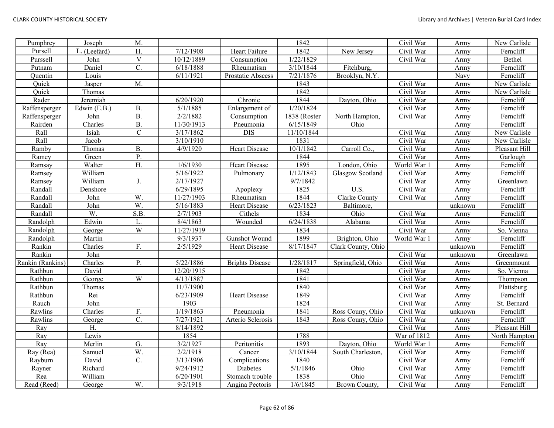| Pumphrey         | Joseph       | M.               |                     |                        | 1842         |                    | Civil War   | Army    | New Carlisle  |
|------------------|--------------|------------------|---------------------|------------------------|--------------|--------------------|-------------|---------|---------------|
| Pursell          | L. (Leefard) | H.               | 7/12/1908           | Heart Failure          | 1842         | New Jersey         | Civil War   | Army    | Ferncliff     |
| Purssell         | John         | $\mathbf V$      | 10/12/1889          | Consumption            | 1/22/1829    |                    | Civil War   | Army    | Bethel        |
| Putnam           | Daniel       | $\mathcal{C}$ .  | 6/18/1888           | Rheumatism             | 3/10/1844    | Fitchburg,         |             | Army    | Ferncliff     |
| Quentin          | Louis        |                  | 6/11/1921           | Prostatic Abscess      | 7/21/1876    | Brooklyn, N.Y.     |             | Navy    | Ferncliff     |
| Quick            | Jasper       | M.               |                     |                        | 1843         |                    | Civil War   | Army    | New Carlisle  |
| Quick            | Thomas       |                  |                     |                        | 1842         |                    | Civil War   | Army    | New Carlisle  |
| Rader            | Jeremiah     |                  | 6/20/1920           | Chronic                | 1844         | Dayton, Ohio       | Civil War   | Army    | Ferncliff     |
| Raffensperger    | Edwin (E.B.) | <b>B.</b>        | 5/1/1885            | Enlargement of         | 1/20/1824    |                    | Civil War   | Army    | Ferncliff     |
| Raffensperger    | John         | $\overline{B}$ . | 2/2/1882            | Consumption            | 1838 (Roster | North Hampton,     | Civil War   | Army    | Ferncliff     |
| Rairden          | Charles      | <b>B.</b>        | 11/30/1913          | Pneumonia              | 6/15/1849    | Ohio               |             | Army    | Ferncliff     |
| Rall             | Isiah        | $\overline{C}$   | 3/17/1862           | <b>DIS</b>             | 11/10/1844   |                    | Civil War   | Army    | New Carlisle  |
| Rall             | Jacob        |                  | 3/10/1910           |                        | 1831         |                    | Civil War   | Army    | New Carlisle  |
| Ramby            | Thomas       | <b>B.</b>        | 4/9/1920            | Heart Disease          | 10/1/1842    | Carroll Co.        | Civil War   | Army    | Pleasant Hill |
| Ramey            | Green        | Ρ.               |                     |                        | 1844         |                    | Civil War   | Army    | Garlough      |
| Ramsay           | Walter       | H.               | $\frac{1}{6}$ /1930 | <b>Heart Disease</b>   | 1895         | London, Ohio       | World War 1 | Army    | Ferncliff     |
| Ramsey           | William      |                  | 5/16/1922           | Pulmonary              | 1/12/1843    | Glasgow Scotland   | Civil War   | Army    | Ferncliff     |
| Ramsey           | William      | J.               | 2/17/1927           |                        | 9/7/1842     |                    | Civil War   | Army    | Greenlawn     |
| Randall          | Denshore     |                  | 6/29/1895           | Apoplexy               | 1825         | U.S.               | Civil War   | Army    | Ferncliff     |
| Randall          | John         | W.               | 11/27/1903          | Rheumatism             | 1844         | Clarke County      | Civil War   | Army    | Ferncliff     |
| Randall          | John         | $\overline{W}$ . | 5/16/1883           | Heart Disease          | 6/23/1823    | Baltimore,         |             | unknown | Ferncliff     |
| Randall          | W.           | S.B.             | 2/7/1903            | Cithels                | 1834         | Ohio               | Civil War   | Army    | Ferncliff     |
| Randolph         | Edwin        | L.               | 8/4/1863            | Wounded                | 6/24/1838    | Alabama            | Civil War   | Army    | Ferncliff     |
| Randolph         | George       | W                | 11/27/1919          |                        | 1834         |                    | Civil War   | Army    | So. Vienna    |
| Randolph         | Martin       |                  | 9/3/1937            | Gunshot Wound          | 1899         | Brighton, Ohio     | World War 1 | Army    | Ferncliff     |
| Rankin           | Charles      | F.               | 2/5/1929            | Heart Disease          | 8/17/1847    | Clark County, Ohio |             | unknown | Ferncliff     |
| Rankin           | John         |                  |                     |                        |              |                    | Civil War   | unknown | Greenlawn     |
| Rankin (Rankins) | Charles      | P.               | 5/22/1886           | <b>Brights Disease</b> | 1/28/1817    | Springfield, Ohio  | Civil War   | Army    | Greenmount    |
| Rathbun          | David        |                  | 12/20/1915          |                        | 1842         |                    | Civil War   | Army    | So. Vienna    |
| Rathbun          | George       | W                | 4/13/1887           |                        | 1841         |                    | Civil War   | Army    | Thompson      |
| Rathbun          | Thomas       |                  | 11/7/1900           |                        | 1840         |                    | Civil War   | Army    | Plattsburg    |
| Rathbun          | Rei          |                  | 6/23/1909           | <b>Heart Disease</b>   | 1849         |                    | Civil War   | Army    | Ferncliff     |
| Rauch            | John         |                  | 1903                |                        | 1824         |                    | Civil War   | Army    | St. Bernard   |
| Rawlins          | Charles      | F.               | 1/19/1863           | Pneumonia              | 1841         | Ross Couny, Ohio   | Civil War   | unknown | Ferncliff     |
| Rawlins          | George       | $\overline{C}$ . | 7/27/1921           | Arterio Sclerosis      | 1843         | Ross Couny, Ohio   | Civil War   | Army    | Ferncliff     |
| Ray              | H.           |                  | 8/14/1892           |                        |              |                    | Civil War   | Army    | Pleasant Hill |
| Ray              | Lewis        |                  | 1854                |                        | 1788         |                    | War of 1812 | Army    | North Hampton |
| Ray              | Merlin       | G.               | 3/2/1927            | Peritonitis            | 1893         | Dayton, Ohio       | World War 1 | Army    | Ferncliff     |
| Ray (Rea)        | Samuel       | $\overline{W}$ . | 2/2/1918            | Cancer                 | 3/10/1844    | South Charleston,  | Civil War   | Army    | Ferncliff     |
| Rayburn          | David        | $\mathcal{C}$ .  | 3/13/1906           | Complications          | 1840         |                    | Civil War   | Army    | Ferncliff     |
| Rayner           | Richard      |                  | 9/24/1912           | Diabetes               | 5/1/1846     | Ohio               | Civil War   | Army    | Ferncliff     |
| Rea              | William      |                  | 6/20/1901           | Stomach trouble        | 1838         | Ohio               | Civil War   | Army    | Ferncliff     |
| Read (Reed)      | George       | W.               | 9/3/1918            | Angina Pectoris        | 1/6/1845     | Brown County,      | Civil War   | Army    | Ferncliff     |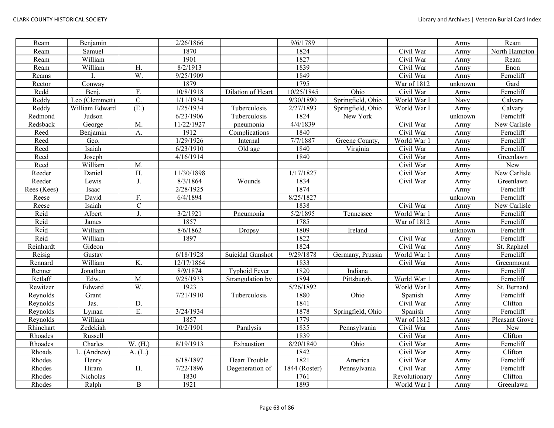| Ream        | Benjamin       |                | 2/26/1866  |                      | 9/6/1789      |                   |                         | Army    | Ream           |
|-------------|----------------|----------------|------------|----------------------|---------------|-------------------|-------------------------|---------|----------------|
| Ream        | Samuel         |                | 1870       |                      | 1824          |                   | Civil War               | Army    | North Hampton  |
| Ream        | William        |                | 1901       |                      | 1827          |                   | Civil War               | Army    | Ream           |
| Ream        | William        | H.             | 8/2/1913   |                      | 1839          |                   | Civil War               | Army    | Enon           |
| Reams       |                | W.             | 9/25/1909  |                      | 1849          |                   | Civil War               | Army    | Ferncliff      |
| Rector      | Conway         |                | 1879       |                      | 1795          |                   | War of 1812             | unknown | Gard           |
| Redd        | Benj.          | F.             | 10/8/1918  | Dilation of Heart    | 10/25/1845    | Ohio              | Civil War               | Army    | Ferncliff      |
| Reddy       | Leo (Clemmett) | C.             | 1/11/1934  |                      | 9/30/1890     | Springfield, Ohio | World War I             | Navy    | Calvary        |
| Reddy       | William Edward | (E.)           | 1/25/1934  | Tuberculosis         | 2/27/1893     | Springfield, Ohio | World War I             | Army    | Calvary        |
| Redmond     | Judson         |                | 6/23/1906  | Tuberculosis         | 1824          | New York          |                         | unknown | Ferncliff      |
| Redsback    | George         | M.             | 11/22/1927 | pneumonia            | 4/4/1839      |                   | Civil War               | Army    | New Carlisle   |
| Reed        | Benjamin       | A.             | 1912       | Complications        | 1840          |                   | Civil War               | Army    | Ferncliff      |
| Reed        | Geo.           |                | 1/29/1926  | Internal             | 7/7/1887      | Greene County,    | World War 1             | Army    | Ferncliff      |
| Reed        | Isaiah         |                | 6/23/1910  | Old age              | 1840          | Virginia          | Civil War               | Army    | Ferncliff      |
| Reed        | Joseph         |                | 4/16/1914  |                      | 1840          |                   | Civil War               | Army    | Greenlawn      |
| Reed        | William        | M.             |            |                      |               |                   | Civil War               | Army    | New            |
| Reeder      | Daniel         | H.             | 11/30/1898 |                      | 1/17/1827     |                   | Civil War               | Army    | New Carlisle   |
| Reeder      | Lewis          | J.             | 8/3/1864   | Wounds               | 1834          |                   | Civil War               | Army    | Greenlawn      |
| Rees (Kees) | Isaac          |                | 2/28/1925  |                      | 1874          |                   |                         | Army    | Ferncliff      |
| Reese       | David          | F.             | 6/4/1894   |                      | 8/25/1827     |                   |                         | unknown | Ferncliff      |
| Reese       | Isaiah         | $\mathbf C$    |            |                      | 1838          |                   | $\overline{C}$ ivil War | Army    | New Carlisle   |
| Reid        | Albert         | J <sub>r</sub> | 3/2/1921   | Pneumonia            | 5/2/1895      | Tennessee         | World War 1             | Army    | Ferncliff      |
| Reid        | James          |                | 1857       |                      | 1785          |                   | War of 1812             | Army    | Ferncliff      |
| Reid        | William        |                | 8/6/1862   | <b>Dropsy</b>        | 1809          | Ireland           |                         | unknown | Ferncliff      |
| Reid        | William        |                | 1897       |                      | 1822          |                   | Civil War               | Army    | Ferncliff      |
| Reinhardt   | Gideon         |                |            |                      | 1824          |                   | Civil War               | Army    | St. Raphael    |
| Reisig      | Gustav         |                | 6/18/1928  | Suicidal Gunshot     | 9/29/1878     | Germany, Prussia  | World War 1             | Army    | Ferncliff      |
| Rennard     | William        | K.             | 12/17/1864 |                      | 1833          |                   | Civil War               | Army    | Greenmount     |
| Renner      | Jonathan       |                | 8/9/1874   | <b>Typhoid Fever</b> | 1820          | Indiana           |                         | Army    | Ferncliff      |
| Retlaff     | Edw.           | M.             | 9/25/1933  | Strangulation by     | 1894          | Pittsburgh,       | World War 1             | Army    | Ferncliff      |
| Rewitzer    | Edward         | W.             | 1923       |                      | 5/26/1892     |                   | World War I             | Army    | St. Bernard    |
| Reynolds    | Grant          |                | 7/21/1910  | Tuberculosis         | 1880          | Ohio              | Spanish                 | Army    | Ferncliff      |
| Reynolds    | Jas.           | D.             |            |                      | 1841          |                   | Civil War               | Army    | Clifton        |
| Reynolds    | Lyman          | E.             | 3/24/1934  |                      | 1878          | Springfield, Ohio | Spanish                 | Army    | Ferncliff      |
| Reynolds    | William        |                | 1857       |                      | 1779          |                   | War of 1812             | Army    | Pleasant Grove |
| Rhinehart   | Zedekiah       |                | 10/2/1901  | Paralysis            | 1835          | Pennsylvania      | Civil War               | Army    | New            |
| Rhoades     | Russell        |                |            |                      | 1839          |                   | Civil War               | Army    | Clifton        |
| Rhoades     | Charles        | W. (H.)        | 8/19/1913  | Exhaustion           | 8/20/1840     | Ohio              | Civil War               | Army    | Ferncliff      |
| Rhoads      | . (Andrew)     | A. (L.)        |            |                      | 1842          |                   | Civil War               | Army    | Clifton        |
| Rhodes      | Henry          |                | 6/18/1897  | Heart Trouble        | 1821          | America           | Civil War               | Army    | Ferncliff      |
| Rhodes      | Hiram          | H.             | 7/22/1896  | Degeneration of      | 1844 (Roster) | Pennsylvania      | Civil War               | Army    | Ferncliff      |
| Rhodes      | Nicholas       |                | 1830       |                      | 1761          |                   | Revolutionary           | Army    | Clifton        |
| Rhodes      | Ralph          | $\, {\bf B}$   | 1921       |                      | 1893          |                   | World War I             | Army    | Greenlawn      |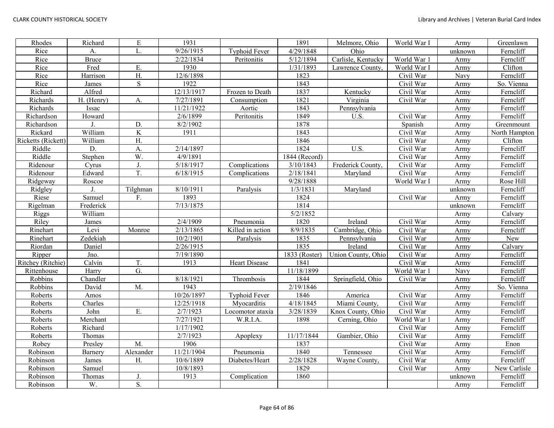| Rhodes             | Richard      | ${\bf E}$        | 1931                   |                      | 1891                   | Melmore, Ohio      | World War I | Army    | Greenlawn     |
|--------------------|--------------|------------------|------------------------|----------------------|------------------------|--------------------|-------------|---------|---------------|
| Rice               | A.           | L.               | 9/26/1915              | <b>Typhoid Fever</b> | 4/29/1848              | Ohio               |             | unknown | Ferncliff     |
| Rice               | <b>Bruce</b> |                  | 2/22/1834              | Peritonitis          | 5/12/1894              | Carlisle, Kentucky | World War 1 | Army    | Ferncliff     |
| Rice               | Fred         | E                | 1930                   |                      | 1/31/1893              | Lawrence County,   | World War I | Army    | Clifton       |
| Rice               | Harrison     | H.               | 12/6/1898              |                      | 1823                   |                    | Civil War   | Navy    | Ferncliff     |
| Rice               | James        | $\mathbf S$      | 1922                   |                      | 1843                   |                    | Civil War   | Army    | So. Vienna    |
| Richard            | Alfred       |                  | 12/13/1917             | Frozen to Death      | 1837                   | Kentucky           | Civil War   | Army    | Ferncliff     |
| Richards           | H. (Henry)   | A.               | 7/27/1891              | Consumption          | 1821                   | Virginia           | Civil War   | Army    | Ferncliff     |
| Richards           | Issac        |                  | 11/21/1922             | Aortic               | 1843                   | Pennsylvania       |             | Army    | Ferncliff     |
| Richardson         | Howard       |                  | 2/6/1899               | Peritonitis          | 1849                   | U.S.               | Civil War   | Army    | Ferncliff     |
| Richardson         |              | D.               | 8/2/1902               |                      | 1878                   |                    | Spanish     | Army    | Greenmount    |
| Rickard            | William      | K                | 1911                   |                      | 1843                   |                    | Civil War   | Army    | North Hampton |
| Ricketts (Rickett) | William      | H.               |                        |                      | 1846                   |                    | Civil War   | Army    | Clifton       |
| Riddle             | D.           | A.               | 2/14/1897              |                      | 1824                   | U.S.               | Civil War   | Army    | Ferncliff     |
| Riddle             | Stephen      | $\overline{W}$ . | 4/9/1891               |                      | 1844 (Record)          |                    | Civil War   | Army    | Ferncliff     |
| Ridenour           | Cyrus        | J                | 5/18/1917              | Complications        | 3/10/1843              | Frederick County.  | Civil War   | Army    | Ferncliff     |
| Ridenour           | Edward       | T.               | 6/18/1915              | Complications        | $\overline{2/18/1841}$ | Maryland           | Civil War   | Army    | Ferncliff     |
| Ridgeway           | Roscoe       |                  |                        |                      | 9/28/1888              |                    | World War I | Army    | Rose Hill     |
| Ridgley            | J.           | Tilghman         | 8/10/1911              | Paralysis            | 1/3/1831               | Maryland           |             | unknown | Ferncliff     |
| Riese              | Samuel       | F.               | 1893                   |                      | 1824                   |                    | Civil War   | Army    | Ferncliff     |
| Rigelman           | Frederick    |                  | $\overline{7/13/1875}$ |                      | 1814                   |                    |             | unknown | Ferncliff     |
| Riggs              | William      |                  |                        |                      | 5/2/1852               |                    |             | Army    | Calvary       |
| Riley              | James        |                  | 2/4/1909               | Pneumonia            | 1820                   | Ireland            | Civil War   | Army    | Ferncliff     |
| Rinehart           | Levi         | Monroe           | 2/13/1865              | Killed in action     | 8/9/1835               | Cambridge, Ohio    | Civil War   | Army    | Ferncliff     |
| Rinehart           | Zedekiah     |                  | 10/2/1901              | Paralysis            | 1835                   | Pennsylvania       | Civil War   | Army    | New           |
| Riordan            | Daniel       |                  | 2/26/1915              |                      | 1835                   | Ireland            | Civil War   | Army    | Calvary       |
| Ripper             | Jno.         |                  | 7/19/1890              |                      | 1833 (Roster)          | Union County, Ohio | Civil War   | Army    | Ferncliff     |
| Ritchey (Ritchie)  | Calvin       | T.               | 1913                   | <b>Heart Disease</b> | 1841                   |                    | Civil War   | Army    | Ferncliff     |
| Rittenhouse        | Harry        | G.               |                        |                      | 11/18/1899             |                    | World War 1 | Navy    | Ferncliff     |
| Robbins            | Chandler     |                  | 8/18/1921              | Thrombosis           | 1844                   | Springfield, Ohio  | Civil War   | Army    | Ferncliff     |
| Robbins            | David        | M.               | 1943                   |                      | 2/19/1846              |                    |             | Army    | So. Vienna    |
| Roberts            | Amos         |                  | 10/26/1897             | <b>Typhoid Fever</b> | 1846                   | America            | Civil War   | Army    | Ferncliff     |
| Roberts            | Charles      |                  | 12/25/1918             | Myocarditis          | 4/18/1845              | Miami County,      | Civil War   | Army    | Ferncliff     |
| Roberts            | John         | E.               | 2/7/1923               | Locomotor ataxia     | 3/28/1839              | Knox County, Ohio  | Civil War   | Army    | Ferncliff     |
| Roberts            | Merchant     |                  | 7/27/1921              | W.R.I.A.             | 1898                   | Cerning, Ohio      | World War 1 | Army    | Ferncliff     |
| Roberts            | Richard      |                  | 1/17/1902              |                      |                        |                    | Civil War   | Army    | Ferncliff     |
| Roberts            | Thomas       |                  | 2/7/1923               | Apoplexy             | 11/17/1844             | Gambier, Ohio      | Civil War   | Army    | Ferncliff     |
| Robey              | Presley      | M.               | 1906                   |                      | 1837                   |                    | Civil War   | Army    | Enon          |
| Robinson           | Barnery      | Alexander        | 11/21/1904             | Pneumonia            | 1840                   | Tennessee          | Civil War   | Army    | Ferncliff     |
| Robinson           | James        | H.               | 10/6/1889              | Diabetes/Heart       | 2/28/1828              | Wayne County,      | Civil War   | Army    | Ferncliff     |
| Robinson           | Samuel       |                  | 10/8/1893              |                      | 1829                   |                    | Civil War   | Army    | New Carlisle  |
| Robinson           | Thomas       | J.               | 1913                   | Complication         | 1860                   |                    |             | unknown | Ferncliff     |
| Robinson           | W.           | S.               |                        |                      |                        |                    |             | Army    | Ferncliff     |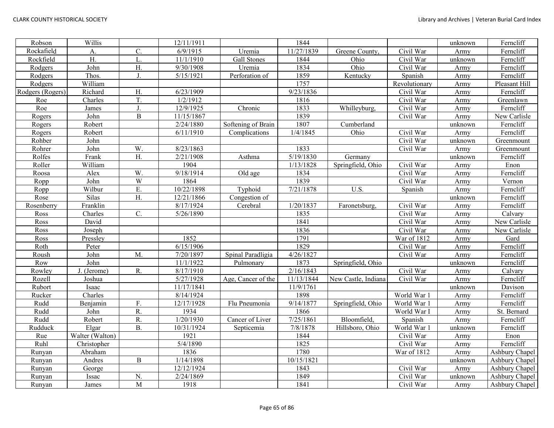| Robson           | Willis                      |                 | 12/11/1911 |                    | 1844       |                     |               | unknown | Ferncliff      |
|------------------|-----------------------------|-----------------|------------|--------------------|------------|---------------------|---------------|---------|----------------|
| Rockafield       | А.                          | C.              | 6/9/1915   | Uremia             | 11/27/1839 | Greene County,      | Civil War     | Army    | Ferncliff      |
| Rockfield        | H.                          | L.              | 11/1/1910  | <b>Gall Stones</b> | 1844       | Ohio                | Civil War     | unknown | Ferncliff      |
| Rodgers          | John                        | Η.              | 9/30/1908  | Uremia             | 1834       | Ohio                | Civil War     | Army    | Ferncliff      |
| Rodgers          | Thos.                       | J.              | 5/15/1921  | Perforation of     | 1859       | Kentucky            | Spanish       | Army    | Ferncliff      |
| Rodgers          | William                     |                 |            |                    | 1757       |                     | Revolutionary | Army    | Pleasant Hill  |
| Rodgers (Rogers) | Richard                     | H.              | 6/23/1909  |                    | 9/23/1836  |                     | Civil War     | Army    | Ferncliff      |
| Roe              | $\overline{\text{Charles}}$ | T.              | 1/2/1912   |                    | 1816       |                     | Civil War     | Army    | Greenlawn      |
| Roe              | James                       | J.              | 12/9/1925  | Chronic            | 1833       | Whilleyburg,        | Civil War     | Army    | Ferncliff      |
| Rogers           | John                        | $\mathbf B$     | 11/15/1867 |                    | 1839       |                     | Civil War     | Army    | New Carlisle   |
| Rogers           | Robert                      |                 | 2/24/1880  | Softening of Brain | 1807       | Cumberland          |               | unknown | Ferncliff      |
| Rogers           | Robert                      |                 | 6/11/1910  | Complications      | 1/4/1845   | Ohio                | Civil War     | Army    | Ferncliff      |
| Rohber           | John                        |                 |            |                    |            |                     | Civil War     | unknown | Greenmount     |
| Rohrer           | John                        | W.              | 8/23/1863  |                    | 1833       |                     | Civil War     | Army    | Greenmount     |
| Rolfes           | Frank                       | H.              | 2/21/1908  | Asthma             | 5/19/1830  | Germany             |               | unknown | Ferncliff      |
| Roller           | William                     |                 | 1904       |                    | 1/13/1828  | Springfield, Ohio   | Civil War     | Army    | Enon           |
| Roosa            | Alex                        | W.              | 9/18/1914  | Old age            | 1834       |                     | Civil War     | Army    | Ferncliff      |
| Ropp             | John                        | $\overline{W}$  | 1864       |                    | 1839       |                     | Civil War     | Army    | Vernon         |
| Ropp             | Wilbur                      | E.              | 10/22/1898 | Typhoid            | 7/21/1878  | U.S.                | Spanish       | Army    | Ferncliff      |
| Rose             | Silas                       | $\overline{H}$  | 12/21/1866 | Congestion of      |            |                     |               | unknown | Ferncliff      |
| Rosenberry       | Franklin                    |                 | 8/17/1924  | Cerebral           | 1/20/1837  | Faronetsburg,       | Civil War     | Army    | Ferncliff      |
| Ross             | Charles                     | $\mathcal{C}$ . | 5/26/1890  |                    | 1835       |                     | Civil War     | Army    | Calvary        |
| Ross             | David                       |                 |            |                    | 1841       |                     | Civil War     | Army    | New Carlisle   |
| Ross             | Joseph                      |                 |            |                    | 1836       |                     | Civil War     | Army    | New Carlisle   |
| Ross             | Pressley                    |                 | 1852       |                    | 1791       |                     | War of 1812   | Army    | Gard           |
| Roth             | Peter                       |                 | 6/15/1906  |                    | 1829       |                     | Civil War     | Army    | Ferncliff      |
| Roush            | John                        | M.              | 7/20/1897  | Spinal Paradligia  | 4/26/1827  |                     | Civil War     | Army    | Ferncliff      |
| Row              | John                        |                 | 11/1/1922  | Pulmonary          | 1873       | Springfield, Ohio   |               | unknown | Ferncliff      |
| Rowley           | J. (Jerome)                 | R.              | 8/17/1910  |                    | 2/16/1843  |                     | Civil War     | Army    | Calvary        |
| Rozell           | Joshua                      |                 | 5/27/1928  | Age, Cancer of the | 11/13/1844 | New Castle, Indiana | Civil War     | Army    | Ferncliff      |
| Rubort           | Isaac                       |                 | 11/17/1841 |                    | 11/9/1761  |                     |               | unknown | Davison        |
| Rucker           | Charles                     |                 | 8/14/1924  |                    | 1898       |                     | World War 1   | Army    | Ferncliff      |
| Rudd             | Benjamin                    | F.              | 12/17/1928 | Flu Pneumonia      | 9/14/1877  | Springfield, Ohio   | World War 1   | Army    | Ferncliff      |
| Rudd             | John                        | R.              | 1934       |                    | 1866       |                     | World War I   | Army    | St. Bernard    |
| Rudd             | Robert                      | R.              | 1/20/1930  | Cancer of Liver    | 7/25/1861  | Bloomfield,         | Spanish       | Army    | Ferncliff      |
| Rudduck          | Elgar                       | <b>B.</b>       | 10/31/1924 | Septicemia         | 7/8/1878   | Hillsboro, Ohio     | World War 1   | unknown | Ferncliff      |
| Rue              | Walter (Walton)             |                 | 1921       |                    | 1844       |                     | Civil War     | Army    | Enon           |
| Ruhl             | Christopher                 |                 | 5/4/1890   |                    | 1825       |                     | Civil War     | Army    | Ferncliff      |
| Runyan           | Abraham                     |                 | 1836       |                    | 1780       |                     | War of 1812   | Army    | Ashbury Chapel |
| Runyan           | Andres                      | $\, {\bf B}$    | 1/14/1898  |                    | 10/15/1821 |                     |               | unknown | Ashbury Chapel |
| Runyan           | George                      |                 | 12/12/1924 |                    | 1843       |                     | Civil War     | Army    | Ashbury Chapel |
| Runyan           | Issac                       | N.              | 2/24/1869  |                    | 1849       |                     | Civil War     | unknown | Ashbury Chapel |
| Runyan           | James                       | M               | 1918       |                    | 1841       |                     | Civil War     | Army    | Ashbury Chapel |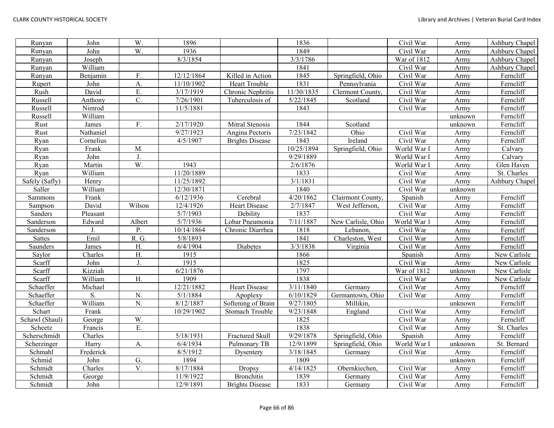| Runyan         | John      | W.               | 1896       |                        | 1836       |                    | Civil War   | Army    | Ashbury Chapel |
|----------------|-----------|------------------|------------|------------------------|------------|--------------------|-------------|---------|----------------|
| Runyan         | John      | W.               | 1936       |                        | 1849       |                    | Civil War   | Army    | Ashbury Chapel |
| Runyan         | Joseph    |                  | 8/3/1854   |                        | 3/3/1786   |                    | War of 1812 | Army    | Ashbury Chapel |
| Runyan         | William   |                  |            |                        | 1841       |                    | Civil War   | Army    | Ashbury Chapel |
| Runyan         | Benjamin  | F.               | 12/12/1864 | Killed in Action       | 1845       | Springfield, Ohio  | Civil War   | Army    | Ferncliff      |
| Rupert         | John      | A.               | 11/10/1902 | Heart Trouble          | 1831       | Pennsylvania       | Civil War   | Army    | Ferncliff      |
| Rush           | David     | Ε.               | 3/17/1919  | Chronic Nephritis      | 11/30/1835 | Clermont County.   | Civil War   | Army    | Ferncliff      |
| Russell        | Anthony   | $\overline{C}$ . | 7/26/1901  | Tuberculosis of        | 5/22/1845  | Scotland           | Civil War   | Army    | Ferncliff      |
| Russell        | Nimrod    |                  | 11/5/1881  |                        | 1843       |                    | Civil War   | Army    | Ferncliff      |
| Russell        | William   |                  |            |                        |            |                    |             | unknown | Ferncliff      |
| Rust           | James     | F.               | 2/17/1920  | Mitral Stenosis        | 1844       | Scotland           |             | unknown | Ferncliff      |
| Rust           | Nathaniel |                  | 9/27/1923  | Angina Pectoris        | 7/23/1842  | Ohio               | Civil War   | Army    | Ferncliff      |
| Ryan           | Cornelius |                  | 4/5/1907   | <b>Brights Disease</b> | 1843       | Ireland            | Civil War   | Army    | Ferncliff      |
| Ryan           | Frank     | M.               |            |                        | 10/25/1894 | Springfield, Ohio  | World War I | Army    | Calvary        |
| Ryan           | John      | J.               |            |                        | 9/29/1889  |                    | World War I | Army    | Calvary        |
| Ryan           | Martin    | W.               | 1943       |                        | 2/6/1876   |                    | World War I | Army    | Glen Haven     |
| Ryan           | William   |                  | 11/20/1889 |                        | 1833       |                    | Civil War   | Army    | St. Charles    |
| Safely (Safly) | Henry     |                  | 11/25/1892 |                        | 3/1/1831   |                    | Civil War   | Army    | Ashbury Chapel |
| Saller         | William   |                  | 12/30/1871 |                        | 1840       |                    | Civil War   | unknown |                |
| Sammons        | Frank     |                  | 6/12/1936  | Cerebral               | 4/20/1862  | Clairmont County,  | Spanish     | Army    | Ferncliff      |
| Sampson        | David     | Wilson           | 12/4/1926  | <b>Heart Disease</b>   | 2/7/1847   | West Jefferson,    | Civil War   | Army    | Ferncliff      |
| Sanders        | Pleasant  |                  | 5/7/1903   | Debility               | 1837       |                    | Civil War   | Army    | Ferncliff      |
| Sanderson      | Edward    | Albert           | 5/7/1936   | Lobar Pneumonia        | 7/11/1887  | New Carlisle, Ohio | World War 1 | Army    | Ferncliff      |
| Sanderson      | J.        | P.               | 10/14/1864 | Chronic Diarrhea       | 1818       | Lebanon,           | Civil War   | Army    | Ferncliff      |
| <b>Sattes</b>  | Emil      | R. G.            | 5/8/1893   |                        | 1841       | Charleston, West   | Civil War   | Army    | Ferncliff      |
| Saunders       | James     | H.               | 6/4/1904   | Diabetes               | 3/3/1838   | Virginia           | Civil War   | Army    | Ferncliff      |
| Saylor         | Charles   | H.               | 1915       |                        | 1866       |                    | Spanish     | Army    | New Carlisle   |
| Scarff         | John      | J.               | 1915       |                        | 1825       |                    | Civil War   | Army    | New Carlisle   |
| Scarff         | Kizziah   |                  | 6/21/1876  |                        | 1797       |                    | War of 1812 | unknown | New Carlisle   |
| Scarff         | William   | H.               | 1909       |                        | 1838       |                    | Civil War   | Army    | New Carlisle   |
| Schaeffer      | Michael   |                  | 12/21/1882 | <b>Heart Disease</b>   | 3/11/1840  | Germany            | Civil War   | Army    | Ferncliff      |
| Schaeffer      | S.        | N.               | 5/1/1884   | Apoplexy               | 6/10/1829  | Germantown, Ohio   | Civil War   | Army    | Ferncliff      |
| Schaeffer      | William   | N.               | 8/12/1887  | Softening of Brain     | 9/27/1805  | Millikin,          |             | unknown | Ferncliff      |
| Schart         | Frank     |                  | 10/29/1902 | Stomach Trouble        | 9/23/1848  | England            | Civil War   | Army    | Ferncliff      |
| Schawl (Shaul) | George    | W.               |            |                        | 1825       |                    | Civil War   | Army    | Ferncliff      |
| Scheetz        | Francis   | E.               |            |                        | 1838       |                    | Civil War   | Army    | St. Charles    |
| Scherschmidt   | Charles   |                  | 5/18/1931  | Fractured Skull        | 9/29/1878  | Springfield, Ohio  | Spanish     | Army    | Ferncliff      |
| Scherzinger    | Harry     | A.               | 6/4/1934   | Pulmonary TB           | 12/9/1899  | Springfield, Ohio  | World War I | unknown | St. Bernard    |
| Schmahl        | Frederick |                  | 8/5/1912   | Dysentery              | 3/18/1845  | Germany            | Civil War   | Army    | Ferncliff      |
| Schmid         | John      | G.               | 1894       |                        | 1809       |                    |             | unknown | Ferncliff      |
| Schmidt        | Charles   | V.               | 8/17/1884  | <b>Dropsy</b>          | 4/14/1825  | Obernkiechen,      | Civil War   | Army    | Ferncliff      |
| Schmidt        | George    |                  | 11/9/1922  | <b>Bronchitis</b>      | 1839       | Germany            | Civil War   | Army    | Ferncliff      |
| Schmidt        | John      |                  | 12/9/1891  | <b>Brights Disease</b> | 1833       | Germany            | Civil War   | Army    | Ferncliff      |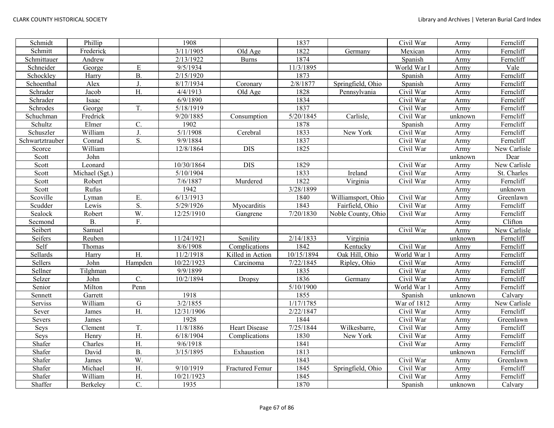| Schmidt         | Phillip        |                  | 1908       |                      | 1837       |                    | Civil War   | Army    | Ferncliff    |
|-----------------|----------------|------------------|------------|----------------------|------------|--------------------|-------------|---------|--------------|
| Schmitt         | Frederick      |                  | 3/11/1905  | Old Age              | 1822       | Germany            | Mexican     | Army    | Ferncliff    |
| Schmittauer     | Andrew         |                  | 2/13/1922  | <b>Burns</b>         | 1874       |                    | Spanish     | Army    | Ferncliff    |
| Schneider       | George         | ${\bf E}$        | 9/5/1934   |                      | 11/3/1895  |                    | World War I | Army    | Vale         |
| Schockley       | Harry          | $\overline{B}$ . | 2/15/1920  |                      | 1873       |                    | Spanish     | Army    | Ferncliff    |
| Schoenthal      | Alex           | J.               | 8/17/1934  | Coronary             | 2/8/1877   | Springfield, Ohio  | Spanish     | Army    | Ferncliff    |
| Schrader        | Jacob          | H.               | 4/4/1913   | Old Age              | 1828       | Pennsylvania       | Civil War   | Army    | Ferncliff    |
| Schrader        | Isaac          |                  | 6/9/1890   |                      | 1834       |                    | Civil War   | Army    | Ferncliff    |
| Schrodes        | George         | T.               | 5/18/1919  |                      | 1837       |                    | Civil War   | Army    | Ferncliff    |
| Schuchman       | Fredrick       |                  | 9/20/1885  | Consumption          | 5/20/1845  | Carlisle,          | Civil War   | unknown | Ferncliff    |
| Schultz         | Elmer          | C.               | 1902       |                      | 1878       |                    | Spanish     | Army    | Ferncliff    |
| Schuszler       | William        | J.               | 5/1/1908   | Cerebral             | 1833       | New York           | Civil War   | Army    | Ferncliff    |
| Schwartztrauber | Conrad         | S.               | 9/9/1884   |                      | 1837       |                    | Civil War   | Army    | Ferncliff    |
| Scorce          | William        |                  | 12/8/1864  | <b>DIS</b>           | 1825       |                    | Civil War   | Army    | New Carlisle |
| Scott           | John           |                  |            |                      |            |                    |             | unknown | Dear         |
| Scott           | Leonard        |                  | 10/30/1864 | <b>DIS</b>           | 1829       |                    | Civil War   | Army    | New Carlisle |
| Scott           | Michael (Sgt.) |                  | 5/10/1904  |                      | 1833       | Ireland            | Civil War   | Army    | St. Charles  |
| Scott           | Robert         |                  | 7/6/1887   | Murdered             | 1822       | Virginia           | Civil War   | Army    | Ferncliff    |
| Scott           | Rufus          |                  | 1942       |                      | 3/28/1899  |                    |             | Army    | unknown      |
| Scoville        | Lyman          | E.               | 6/13/1913  |                      | 1840       | Williamsport, Ohio | Civil War   | Army    | Greenlawn    |
| Scudder         | Lewis          | S.               | 5/29/1926  | Myocarditis          | 1843       | Fairfield, Ohio    | Civil War   | Army    | Ferncliff    |
| Sealock         | Robert         | W.               | 12/25/1910 | Gangrene             | 7/20/1830  | Noble County, Ohio | Civil War   | Army    | Ferncliff    |
| Secmond         | <b>B.</b>      | F.               |            |                      |            |                    |             | Army    | Clifton      |
| Seibert         | Samuel         |                  |            |                      |            |                    | Civil War   | Army    | New Carlisle |
| Seifers         | Reuben         |                  | 11/24/1921 | Senility             | 2/14/1833  | Virginia           |             | unknown | Ferncliff    |
| Self            | Thomas         |                  | 8/6/1908   | Complications        | 1842       | Kentucky           | Civil War   | Army    | Ferncliff    |
| Sellards        | Harry          | H.               | 11/2/1918  | Killed in Action     | 10/15/1894 | Oak Hill, Ohio     | World War 1 | Army    | Ferncliff    |
| Sellers         | John           | Hampden          | 10/22/1923 | Carcinoma            | 7/22/1845  | Ripley, Ohio       | Civil War   | Army    | Ferncliff    |
| Sellner         | Tilghman       |                  | 9/9/1899   |                      | 1835       |                    | Civil War   | Army    | Ferncliff    |
| Selzer          | John           | C.               | 10/2/1894  | Dropsy               | 1836       | Germany            | Civil War   | Army    | Ferncliff    |
| Senior          | Milton         | Penn             |            |                      | 5/10/1900  |                    | World War 1 | Army    | Ferncliff    |
| Sennett         | Garrett        |                  | 1918       |                      | 1855       |                    | Spanish     | unknown | Calvary      |
| Serviss         | William        | ${\bf G}$        | 3/2/1855   |                      | 1/17/1785  |                    | War of 1812 | Army    | New Carlisle |
| Sever           | James          | H.               | 12/31/1906 |                      | 2/22/1847  |                    | Civil War   | Army    | Ferncliff    |
| Severs          | James          |                  | 1928       |                      | 1844       |                    | Civil War   | Army    | Greenlawn    |
| Seys            | Clement        | T.               | 11/8/1886  | <b>Heart Disease</b> | 7/25/1844  | Wilkesbarre,       | Civil War   | Army    | Ferncliff    |
| Seys            | Henry          | H.               | 6/18/1904  | Complications        | 1830       | New York           | Civil War   | Army    | Ferncliff    |
| Shafer          | Charles        | H.               | 9/6/1918   |                      | 1841       |                    | Civil War   | Army    | Ferncliff    |
| Shafer          | David          | B.               | 3/15/1895  | Exhaustion           | 1813       |                    |             | unknown | Ferncliff    |
| Shafer          | James          | W.               |            |                      | 1843       |                    | Civil War   | Army    | Greenlawn    |
| Shafer          | Michael        | H.               | 9/10/1919  | Fractured Femur      | 1845       | Springfield, Ohio  | Civil War   | Army    | Ferncliff    |
| Shafer          | William        | H.               | 10/21/1923 |                      | 1845       |                    | Civil War   | Army    | Ferncliff    |
| Shaffer         | Berkeley       | $\overline{C}$ . | 1935       |                      | 1870       |                    | Spanish     | unknown | Calvary      |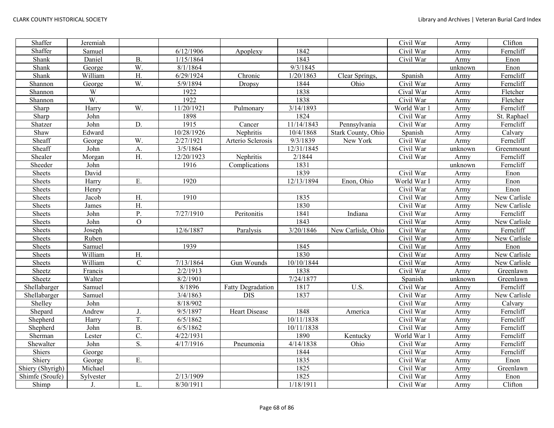| Shaffer          | Jeremiah  |                |            |                          |            |                    | Civil War               | Army    | Clifton      |
|------------------|-----------|----------------|------------|--------------------------|------------|--------------------|-------------------------|---------|--------------|
| Shaffer          | Samuel    |                | 6/12/1906  | Apoplexy                 | 1842       |                    | Civil War               | Army    | Ferncliff    |
| Shank            | Daniel    | <b>B.</b>      | 1/15/1864  |                          | 1843       |                    | Civil War               | Army    | Enon         |
| Shank            | George    | W.             | 8/1/1864   |                          | 9/3/1845   |                    |                         | unknown | Enon         |
| Shank            | William   | H.             | 6/29/1924  | Chronic                  | 1/20/1863  | Clear Springs,     | Spanish                 | Army    | Ferncliff    |
| Shannon          | George    | W.             | 5/9/1894   | Dropsy                   | 1844       | Ohio               | Civil War               | Army    | Ferncliff    |
| Shannon          | W         |                | 1922       |                          | 1838       |                    | Cival War               | Army    | Fletcher     |
| Shannon          | W.        |                | 1922       |                          | 1838       |                    | Civil War               | Army    | Fletcher     |
| Sharp            | Harry     | W.             | 11/20/1921 | Pulmonary                | 3/14/1893  |                    | World War 1             | Army    | Ferncliff    |
| Sharp            | John      |                | 1898       |                          | 1824       |                    | Civil War               | Army    | St. Raphael  |
| Shatzer          | John      | D.             | 1915       | Cancer                   | 11/14/1843 | Pennsylvania       | Civil War               | Army    | Ferncliff    |
| Shaw             | Edward    |                | 10/28/1926 | Nephritis                | 10/4/1868  | Stark County, Ohio | Spanish                 | Army    | Calvary      |
| Sheaff           | George    | W.             | 2/27/1921  | Arterio Sclerosis        | 9/3/1839   | New York           | Civil War               | Army    | Ferncliff    |
| Sheaff           | John      | A.             | 3/5/1864   |                          | 12/31/1845 |                    | Civil War               | unknown | Greenmount   |
| Shealer          | Morgan    | H.             | 12/20/1923 | Nephritis                | 2/1844     |                    | Civil War               | Army    | Ferncliff    |
| Sheeder          | John      |                | 1916       | Complications            | 1831       |                    |                         | unknown | Ferncliff    |
| Sheets           | David     |                |            |                          | 1839       |                    | $\overline{C}$ ivil War | Army    | Enon         |
| Sheets           | Harry     | E.             | 1920       |                          | 12/13/1894 | Enon, Ohio         | World War I             | Army    | Enon         |
| Sheets           | Henry     |                |            |                          |            |                    | Civil War               | Army    | Enon         |
| Sheets           | Jacob     | H.             | 1910       |                          | 1835       |                    | Civil War               | Army    | New Carlisle |
| Sheets           | James     | H.             |            |                          | 1830       |                    | Civil War               | Army    | New Carlisle |
| Sheets           | John      | P.             | 7/27/1910  | Peritonitis              | 1841       | Indiana            | Civil War               | Army    | Ferncliff    |
| Sheets           | John      | $\mathbf{O}$   |            |                          | 1843       |                    | Civil War               | Army    | New Carlisle |
| Sheets           | Joseph    |                | 12/6/1887  | Paralysis                | 3/20/1846  | New Carlisle, Ohio | Civil War               | Army    | Ferncliff    |
| Sheets           | Ruben     |                |            |                          |            |                    | Civil War               | Army    | New Carlisle |
| Sheets           | Samuel    |                | 1939       |                          | 1845       |                    | Civil War               | Army    | Enon         |
| Sheets           | William   | H.             |            |                          | 1830       |                    | Civil War               | Army    | New Carlisle |
| Sheets           | William   | $\mathcal{C}$  | 7/13/1864  | Gun Wounds               | 10/10/1844 |                    | Civil War               | Army    | New Carlisle |
| Sheetz           | Francis   |                | 2/2/1913   |                          | 1838       |                    | Civil War               | Army    | Greenlawn    |
| Sheetz           | Walter    |                | 8/2/1901   |                          | 7/24/1877  |                    | Spanish                 | unknown | Greenlawn    |
| Shellabarger     | Samuel    |                | 8/1896     | <b>Fatty Degradation</b> | 1817       | U.S.               | Civil War               | Army    | Ferncliff    |
| Shellabarger     | Samuel    |                | 3/4/1863   | <b>DIS</b>               | 1837       |                    | Civil War               | Army    | New Carlisle |
| Shelley          | John      |                | 8/18/902   |                          |            |                    | Civil War               | Army    | Calvary      |
| Shepard          | Andrew    | J.             | 9/5/1897   | Heart Disease            | 1848       | America            | Civil War               | Army    | Ferncliff    |
| Shepherd         | Harry     | T.             | 6/5/1862   |                          | 10/11/1838 |                    | Civil War               | Army    | Ferncliff    |
| Shepherd         | John      | $B$ .          | 6/5/1862   |                          | 10/11/1838 |                    | Civil War               | Army    | Ferncliff    |
| Sherman          | Lester    | $\mathbf{C}$ . | 4/22/1931  |                          | 1890       | Kentucky           | World War 1             | Army    | Ferncliff    |
| Shewalter        | John      | S.             | 4/17/1916  | Pneumonia                | 4/14/1838  | Ohio               | Civil War               | Army    | Ferncliff    |
| Shiers           | George    |                |            |                          | 1844       |                    | Civil War               | Army    | Ferncliff    |
| Shiery           | George    | E.             |            |                          | 1835       |                    | Civil War               | Army    | Enon         |
| Shiery (Shyrigh) | Michael   |                |            |                          | 1825       |                    | Civil War               | Army    | Greenlawn    |
| Shimfe (Sroufe)  | Sylvester |                | 2/13/1909  |                          | 1825       |                    | Civil War               | Army    | Enon         |
| Shimp            | J.        | L.             | 8/30/1911  |                          | 1/18/1911  |                    | Civil War               | Army    | Clifton      |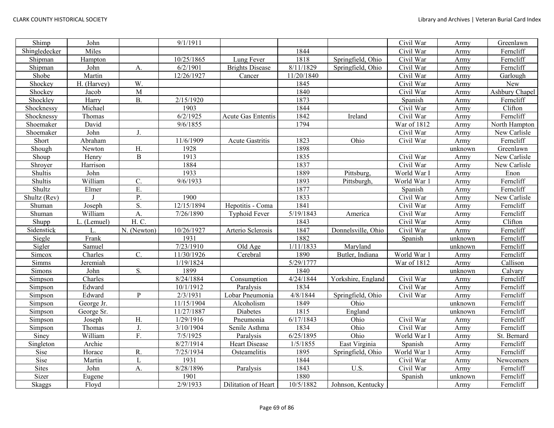| Shimp         | John        |                | 9/1/1911   |                           |                        |                    | Civil War   | Army    | Greenlawn      |
|---------------|-------------|----------------|------------|---------------------------|------------------------|--------------------|-------------|---------|----------------|
| Shingledecker | Miles       |                |            |                           | 1844                   |                    | Civil War   | Army    | Ferncliff      |
| Shipman       | Hampton     |                | 10/25/1865 | Lung Fever                | 1818                   | Springfield, Ohio  | Civil War   | Army    | Ferncliff      |
| Shipman       | John        | A.             | 6/2/1901   | <b>Brights Disease</b>    | 8/11/1829              | Springfield, Ohio  | Civil War   | Army    | Ferncliff      |
| Shobe         | Martin      |                | 12/26/1927 | Cancer                    | 11/20/1840             |                    | Civil War   | Army    | Garlough       |
| Shockey       | H. (Harvey) | $\overline{W}$ |            |                           | 1845                   |                    | Civil War   | Army    | New            |
| Shockey       | Jacob       | $\overline{M}$ |            |                           | 1840                   |                    | Civil War   | Army    | Ashbury Chapel |
| Shockley      | Harry       | <b>B.</b>      | 2/15/1920  |                           | 1873                   |                    | Spanish     | Army    | Ferncliff      |
| Shocknessy    | Michael     |                | 1903       |                           | 1844                   |                    | Civil War   | Army    | Clifton        |
| Shocknessy    | Thomas      |                | 6/2/1925   | <b>Acute Gas Ententis</b> | 1842                   | Ireland            | Civil War   | Army    | Ferncliff      |
| Shoemaker     | David       |                | 9/6/1855   |                           | 1794                   |                    | War of 1812 | Army    | North Hampton  |
| Shoemaker     | John        | J.             |            |                           |                        |                    | Civil War   | Army    | New Carlisle   |
| Short         | Abraham     |                | 11/6/1909  | Acute Gastritis           | 1823                   | Ohio               | Civil War   | Army    | Ferncliff      |
| Shough        | Newton      | H.             | 1928       |                           | 1898                   |                    |             | unknown | Greenlawn      |
| Shoup         | Henry       | $\, {\bf B}$   | 1913       |                           | 1835                   |                    | Civil War   | Army    | New Carlisle   |
| Shroyer       | Harrison    |                | 1884       |                           | 1837                   |                    | Civil War   | Army    | New Carlisle   |
| Shultis       | John        |                | 1933       |                           | 1889                   | Pittsburg,         | World War I | Army    | Enon           |
| Shultis       | William     | C.             | 9/6/1933   |                           | 1893                   | Pittsburgh,        | World War 1 | Army    | Ferncliff      |
| Shultz        | Elmer       | E.             |            |                           | 1877                   |                    | Spanish     | Army    | Ferncliff      |
| Shultz (Rev)  |             | P.             | 1900       |                           | 1833                   |                    | Civil War   | Army    | New Carlisle   |
| Shuman        | Joseph      | S.             | 12/15/1894 | Hepotitis - Coma          | 1841                   |                    | Civil War   | Army    | Ferncliff      |
| Shuman        | William     | A.             | 7/26/1890  | <b>Typhoid Fever</b>      | $\frac{1}{5}$ /19/1843 | America            | Civil War   | Army    | Ferncliff      |
| Shupp         | L. (Lemuel) | H. C.          |            |                           | 1843                   |                    | Civil War   | Army    | Clifton        |
| Sidenstick    |             | $N.$ (Newton)  | 10/26/1927 | Arterio Sclerosis         | 1847                   | Donnelsville, Ohio | Civil War   | Army    | Ferncliff      |
| Siegle        | Frank       |                | 1931       |                           | 1882                   |                    | Spanish     | unknown | Ferncliff      |
| Sigler        | Samuel      |                | 7/23/1910  | Old Age                   | 1/11/1833              | Maryland           |             | unknown | Ferncliff      |
| Simcox        | Charles     | C.             | 11/30/1926 | Cerebral                  | 1890                   | Butler, Indiana    | World War 1 | Army    | Ferncliff      |
| Simms         | Jeremiah    |                | 1/19/1824  |                           | 5/29/1777              |                    | War of 1812 | Army    | Callison       |
| Simons        | John        | S.             | 1899       |                           | 1840                   |                    |             | unknown | Calvary        |
| Simpson       | Charles     |                | 8/24/1884  | Consumption               | 4/24/1844              | Yorkshire, England | Civil War   | Army    | Ferncliff      |
| Simpson       | Edward      |                | 10/1/1912  | Paralysis                 | 1834                   |                    | Civil War   | Army    | Ferncliff      |
| Simpson       | Edward      | $\mathbf{P}$   | 2/3/1931   | Lobar Pneumonia           | 4/8/1844               | Springfield, Ohio  | Civil War   | Army    | Ferncliff      |
| Simpson       | George Jr.  |                | 11/15/1904 | Alcoholism                | 1849                   | Ohio               |             | unknown | Ferncliff      |
| Simpson       | George Sr.  |                | 11/27/1887 | <b>Diabetes</b>           | 1815                   | England            |             | unknown | Ferncliff      |
| Simpson       | Joseph      | H.             | 1/29/1916  | Pneumonia                 | 6/17/1843              | Ohio               | Civil War   | Army    | Ferncliff      |
| Simpson       | Thomas      | J.             | 3/10/1904  | Senile Asthma             | 1834                   | Ohio               | Civil War   | Army    | Ferncliff      |
| Siney         | William     | F.             | 7/5/1925   | Paralysis                 | 6/25/1895              | Ohio               | World War I | Army    | St. Bernard    |
| Singleton     | Archie      |                | 8/27/1914  | <b>Heart Disease</b>      | 1/5/1855               | East Virginia      | Spanish     | Army    | Ferncliff      |
| Sise          | Horace      | R.             | 7/25/1934  | Osteamelitis              | 1895                   | Springfield, Ohio  | World War 1 | Army    | Ferncliff      |
| Sise          | Martin      | L              | 1931       |                           | 1844                   |                    | Civil War   | Army    | Newcomers      |
| Sites         | John        | А.             | 8/28/1896  | Paralysis                 | 1843                   | U.S.               | Civil War   | Army    | Ferncliff      |
| Sizer         | Eugene      |                | 1901       |                           | 1880                   |                    | Spanish     | unknown | Ferncliff      |
| Skaggs        | Floyd       |                | 2/9/1933   | Dilitation of Heart       | 10/5/1882              | Johnson, Kentucky  |             | Army    | Ferncliff      |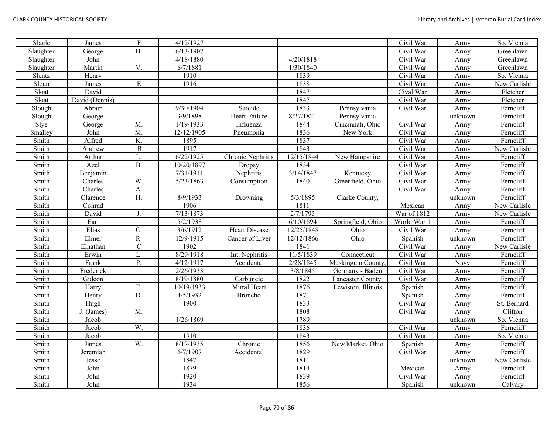| Slagle    | James          | ${\bf F}$        | 4/12/1927  |                   |            |                    | Civil War               | Army    | So. Vienna   |
|-----------|----------------|------------------|------------|-------------------|------------|--------------------|-------------------------|---------|--------------|
| Slaughter | George         | H.               | 6/13/1907  |                   |            |                    | Civil War               | Army    | Greenlawn    |
| Slaughter | John           |                  | 4/18/1880  |                   | 4/20/1818  |                    | $\overline{C}$ ivil War | Army    | Greenlawn    |
| Slaughter | Martin         | V.               | 6/7/1881   |                   | 1/30/1840  |                    | Civil War               | Army    | Greenlawn    |
| Slentz    | Henry          |                  | 1910       |                   | 1839       |                    | Civil War               | Army    | So. Vienna   |
| Sloan     | James          | ${\bf E}$        | 1916       |                   | 1838       |                    | Civil War               | Army    | New Carlisle |
| Sloat     | David          |                  |            |                   | 1847       |                    | Cival War               | Army    | Fletcher     |
| Sloat     | David (Dennis) |                  |            |                   | 1847       |                    | Civil War               | Army    | Fletcher     |
| Slough    | Abram          |                  | 9/30/1904  | Suicide           | 1833       | Pennsylvania       | Civil War               | Army    | Ferncliff    |
| Slough    | George         |                  | 3/9/1898   | Heart Failure     | 8/27/1821  | Pennsylvania       |                         | unknown | Ferncliff    |
| Slye      | George         | M.               | 1/19/1933  | Influenza         | 1844       | Cincinnati, Ohio   | Civil War               | Army    | Ferncliff    |
| Smalley   | John           | M.               | 12/12/1905 | Pneumonia         | 1836       | New York           | Civil War               | Army    | Ferncliff    |
| Smith     | Alfred         | K.               | 1895       |                   | 1837       |                    | Civil War               | Army    | Ferncliff    |
| Smith     | Andrew         | $\rm R$          | 1917       |                   | 1843       |                    | Civil War               | Army    | New Carlisle |
| Smith     | Arthur         | L.               | 6/22/1925  | Chronic Nephritis | 12/15/1844 | New Hampshire      | Civil War               | Army    | Ferncliff    |
| Smith     | Azel           | <b>B.</b>        | 10/20/1897 | <b>Dropsy</b>     | 1834       |                    | Civil War               | Army    | Ferncliff    |
| Smith     | Benjamin       |                  | 7/31/1911  | Nephritis         | 3/14/1847  | Kentucky           | Civil War               | Army    | Ferncliff    |
| Smith     | Charles        | W.               | 5/23/1863  | Consumption       | 1840       | Greenfield, Ohio   | Civil War               | Army    | Ferncliff    |
| Smith     | Charles        | A.               |            |                   |            |                    | Civil War               | Army    | Ferncliff    |
| Smith     | Clarence       | H.               | 8/9/1933   | Drowning          | 5/3/1895   | Clarke County,     |                         | unknown | Ferncliff    |
| Smith     | Conrad         |                  | 1906       |                   | 1811       |                    | Mexican                 | Army    | New Carlisle |
| Smith     | David          | J.               | 7/13/1873  |                   | 2/7/1795   |                    | War of 1812             | Army    | New Carlisle |
| Smith     | Earl           |                  | 5/2/1938   |                   | 6/10/1894  | Springfield, Ohio  | World War 1             | Army    | Ferncliff    |
| Smith     | Elias          | $\overline{C}$ . | 3/6/1912   | Heart Disease     | 12/25/1848 | Ohio               | Civil War               | Army    | Ferncliff    |
| Smith     | Elmer          | R.               | 12/9/1915  | Cancer of Liver   | 12/12/1866 | Ohio               | Spanish                 | unknown | Ferncliff    |
| Smith     | Elnathan       | $\mathbf C$      | 1902       |                   | 1841       |                    | Civil War               | Army    | New Carlisle |
| Smith     | Erwin          | L.               | 8/29/1918  | Int. Nephritis    | 11/5/1839  | Connecticut        | Civil War               | Army    | Ferncliff    |
| Smith     | Frank          | $\overline{P}$ . | 4/12/1917  | Accidental        | 2/28/1845  | Muskingum County.  | Civil War               | Navy    | Ferncliff    |
| Smith     | Frederick      |                  | 2/26/1933  |                   | 3/8/1845   | Germany - Baden    | Civil War               | Army    | Ferncliff    |
| Smith     | Gideon         |                  | 8/19/1880  | Carbuncle         | 1822       | Lancaster County,  | Civil War               | Army    | Ferncliff    |
| Smith     | Harry          | Ε.               | 10/19/1933 | Mitral Heart      | 1876       | Lewiston, Illinois | Spanish                 | Army    | Ferncliff    |
| Smith     | Henry          | D.               | 4/5/1932   | <b>Broncho</b>    | 1871       |                    | Spanish                 | Army    | Ferncliff    |
| Smith     | Hugh           |                  | 1900       |                   | 1833       |                    | Civil War               | Army    | St. Bernard  |
| Smith     | J. (James)     | M.               |            |                   | 1808       |                    | Civil War               | Army    | Clifton      |
| Smith     | Jacob          |                  | 1/26/1869  |                   | 1789       |                    |                         | unknown | So. Vienna   |
| Smith     | Jacob          | W.               |            |                   | 1836       |                    | $\overline{C}$ ivil War | Army    | Ferncliff    |
| Smith     | Jacob          |                  | 1910       |                   | 1843       |                    | Civil War               | Army    | So. Vienna   |
| Smith     | James          | W.               | 8/17/1935  | Chronic           | 1856       | New Market, Ohio   | Spanish                 | Army    | Ferncliff    |
| Smith     | Jeremiah       |                  | 6/7/1907   | Accidental        | 1829       |                    | Civil War               | Army    | Ferncliff    |
| Smith     | Jesse          |                  | 1847       |                   | 1811       |                    |                         | unknown | New Carlisle |
| Smith     | John           |                  | 1879       |                   | 1814       |                    | Mexican                 | Army    | Ferncliff    |
| Smith     | John           |                  | 1920       |                   | 1839       |                    | Civil War               | Army    | Ferncliff    |
| Smith     | John           |                  | 1934       |                   | 1856       |                    | Spanish                 | unknown | Calvary      |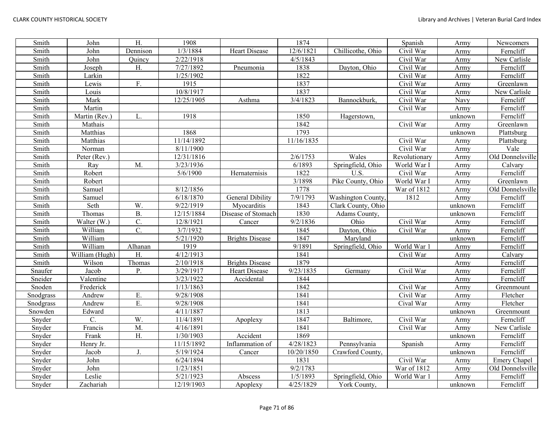| Smith     | John           | $\overline{H}$ . | 1908       |                         | 1874       |                          | Spanish       | Army    | Newcomers        |
|-----------|----------------|------------------|------------|-------------------------|------------|--------------------------|---------------|---------|------------------|
| Smith     | John           | Dennison         | 1/3/1884   | <b>Heart Disease</b>    | 12/6/1821  | Chillicothe, Ohio        | Civil War     | Army    | Ferncliff        |
| Smith     | John           | Quincy           | 2/22/1918  |                         | 4/5/1843   |                          | Civil War     | Army    | New Carlisle     |
| Smith     | Joseph         | H.               | 7/27/1892  | Pneumonia               | 1838       | Dayton, Ohio             | Civil War     | Army    | Ferncliff        |
| Smith     | Larkin         |                  | 1/25/1902  |                         | 1822       |                          | Civil War     | Army    | Ferncliff        |
| Smith     | Lewis          | F.               | 1915       |                         | 1837       |                          | Civil War     | Army    | Greenlawn        |
| Smith     | Louis          |                  | 10/8/1917  |                         | 1837       |                          | Civil War     | Army    | New Carlisle     |
| Smith     | Mark           |                  | 12/25/1905 | Asthma                  | 3/4/1823   | Bannockburk,             | Civil War     | Navy    | Ferncliff        |
| Smith     | Martin         |                  |            |                         |            |                          | Civil War     | Army    | Ferncliff        |
| Smith     | Martin (Rev.)  | L.               | 1918       |                         | 1850       | Hagerstown,              |               | unknown | Ferncliff        |
| Smith     | Mathais        |                  |            |                         | 1842       |                          | Civil War     | Army    | Greenlawn        |
| Smith     | Matthias       |                  | 1868       |                         | 1793       |                          |               | unknown | Plattsburg       |
| Smith     | Matthias       |                  | 11/14/1892 |                         | 11/16/1835 |                          | Civil War     | Army    | Plattsburg       |
| Smith     | Norman         |                  | 8/11/1900  |                         |            |                          | Civil War     | Army    | Vale             |
| Smith     | Peter (Rev.)   |                  | 12/31/1816 |                         | 2/6/1753   | Wales                    | Revolutionary | Army    | Old Donnelsville |
| Smith     | Ray            | M.               | 3/23/1936  |                         | 6/1893     | Springfield, Ohio        | World War I   | Army    | Calvary          |
| Smith     | Robert         |                  | 5/6/1900   | Hernaternisis           | 1822       | U.S.                     | Civil War     | Army    | Ferncliff        |
| Smith     | Robert         |                  |            |                         | 3/1898     | Pike County, Ohio        | World War I   | Army    | Greenlawn        |
| Smith     | Samuel         |                  | 8/12/1856  |                         | 1778       |                          | War of 1812   | Army    | Old Donnelsville |
| Smith     | Samuel         |                  | 6/18/1870  | <b>General Dibility</b> | 7/9/1793   | <b>Washington County</b> | 1812          | Army    | Ferncliff        |
| Smith     | Seth           | W.               | 9/22/1919  | Myocarditis             | 1843       | Clark County, Ohio       |               | unknown | Ferncliff        |
| Smith     | Thomas         | <b>B.</b>        | 12/15/1884 | Disease of Stomach      | 1830       | Adams County,            |               | unknown | Ferncliff        |
| Smith     | Walter (W.)    | C.               | 12/8/1921  | Cancer                  | 9/2/1836   | Ohio                     | Civil War     | Army    | Ferncliff        |
| Smith     | William        | $\overline{C}$ . | 3/7/1932   |                         | 1845       | Dayton, Ohio             | Civil War     | Army    | Ferncliff        |
| Smith     | William        |                  | 5/21/1920  | <b>Brights Disease</b>  | 1847       | Maryland                 |               | unknown | Ferncliff        |
| Smith     | William        | Alhanan          | 1919       |                         | 9/1891     | Springfield, Ohio        | World War 1   | Army    | Ferncliff        |
| Smith     | William (Hugh) | H.               | 4/12/1913  |                         | 1841       |                          | Civil War     | Army    | Calvary          |
| Smith     | Wilson         | Thomas           | 2/10/1918  | <b>Brights Disease</b>  | 1879       |                          |               | Army    | Ferncliff        |
| Snaufer   | Jacob          | P.               | 3/29/1917  | Heart Disease           | 9/23/1835  | Germany                  | Civil War     | Army    | Ferncliff        |
| Sneider   | Valentine      |                  | 3/23/1922  | Accidental              | 1844       |                          |               | Army    | Ferncliff        |
| Snoden    | Frederick      |                  | 1/13/1863  |                         | 1842       |                          | Civil War     | Army    | Greenmount       |
| Snodgrass | Andrew         | E.               | 9/28/1908  |                         | 1841       |                          | Civil War     | Army    | Fletcher         |
| Snodgrass | Andrew         | E.               | 9/28/1908  |                         | 1841       |                          | Cival War     | Army    | Fletcher         |
| Snowden   | Edward         |                  | 4/11/1887  |                         | 1813       |                          |               | unknown | Greenmount       |
| Snyder    | C.             | W.               | 11/4/1891  | Apoplexy                | 1847       | Baltimore,               | Civil War     | Army    | Ferncliff        |
| Snyder    | Francis        | M.               | 4/16/1891  |                         | 1841       |                          | Civil War     | Army    | New Carlisle     |
| Snyder    | Frank          | H.               | 1/30/1903  | Accident                | 1869       |                          |               | unknown | Ferncliff        |
| Snyder    | Henry Jr.      |                  | 11/15/1892 | Inflammation of         | 4/28/1823  | Pennsylvania             | Spanish       | Army    | Ferncliff        |
| Snyder    | Jacob          | $\mathbf{J}$     | 5/19/1924  | Cancer                  | 10/20/1850 | Crawford County,         |               | unknown | Ferncliff        |
| Snyder    | John           |                  | 6/24/1894  |                         | 1831       |                          | Civil War     | Army    | Emery Chapel     |
| Snyder    | John           |                  | 1/23/1851  |                         | 9/2/1783   |                          | War of 1812   | Army    | Old Donnelsville |
| Snyder    | Leslie         |                  | 5/21/1923  | Abscess                 | 1/5/1893   | Springfield, Ohio        | World War 1   | Army    | Ferncliff        |
| Snyder    | Zachariah      |                  | 12/19/1903 | Apoplexy                | 4/25/1829  | York County,             |               | unknown | Ferncliff        |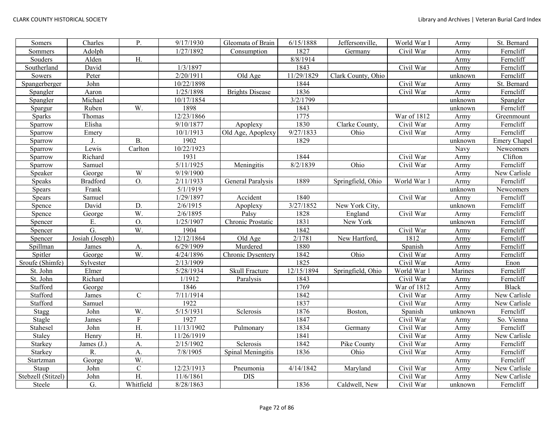| Somers             | Charles         | $P_{\cdot}$             | 9/17/1930  | Gleomata of Brain      | 6/15/1888  | Jeffersonville,    | World War I             | Army    | St. Bernard      |
|--------------------|-----------------|-------------------------|------------|------------------------|------------|--------------------|-------------------------|---------|------------------|
| Sommers            | Adolph          |                         | 1/27/1892  | Consumption            | 1827       | Germany            | Civil War               | Army    | Ferncliff        |
| Souders            | Alden           | H.                      |            |                        | 8/8/1914   |                    |                         | Army    | Ferncliff        |
| Southerland        | David           |                         | 1/3/1897   |                        | 1843       |                    | Civil War               | Army    | Ferncliff        |
| Sowers             | Peter           |                         | 2/20/1911  | Old Age                | 11/29/1829 | Clark County, Ohio |                         | unknown | Ferncliff        |
| Spangerberger      | John            |                         | 10/22/1898 |                        | 1844       |                    | Civil War               | Army    | St. Bernard      |
| Spangler           | Aaron           |                         | 1/25/1898  | <b>Brights Disease</b> | 1836       |                    | Civil War               | Army    | Ferncliff        |
| Spangler           | Michael         |                         | 10/17/1854 |                        | 3/2/1799   |                    |                         | unknown | Spangler         |
| Spargur            | Ruben           | W.                      | 1898       |                        | 1843       |                    |                         | unknown | Ferncliff        |
| <b>Sparks</b>      | Thomas          |                         | 12/23/1866 |                        | 1775       |                    | War of 1812             | Army    | Greenmount       |
| Sparrow            | Elisha          |                         | 9/10/1877  | Apoplexy               | 1830       | Clarke County,     | Civil War               | Army    | Ferncliff        |
| Sparrow            | Emery           |                         | 10/1/1913  | Old Age, Apoplexy      | 9/27/1833  | Ohio               | Civil War               | Army    | Ferncliff        |
| Sparrow            | J.              | <b>B.</b>               | 1902       |                        | 1829       |                    |                         | unknown | Emery Chapel     |
| Sparrow            | Lewis           | Carlton                 | 10/22/1923 |                        |            |                    |                         | Navy    | <b>Newcomers</b> |
| Sparrow            | Richard         |                         | 1931       |                        | 1844       |                    | Civil War               | Army    | Clifton          |
| Sparrow            | Samuel          |                         | 5/11/1925  | Meningitis             | 8/2/1839   | Ohio               | Civil War               | Army    | Ferncliff        |
| Speaker            | George          | $\ensuremath{\text{W}}$ | 9/19/1900  |                        |            |                    |                         | Army    | New Carlisle     |
| Speaks             | <b>Bradford</b> | O.                      | 2/11/1933  | General Paralysis      | 1889       | Springfield, Ohio  | World War 1             | Army    | Ferncliff        |
| <b>Spears</b>      | Frank           |                         | 5/1/1919   |                        |            |                    |                         | unknown | Newcomers        |
| Spears             | Samuel          |                         | 1/29/1897  | Accident               | 1840       |                    | Civil War               | Army    | Ferncliff        |
| Spence             | David           | D.                      | 2/6/1915   | Apoplexy               | 3/27/1852  | New York City,     |                         | unknown | Ferncliff        |
| Spence             | George          | W.                      | 2/6/1895   | Palsy                  | 1828       | England            | Civil War               | Army    | Ferncliff        |
| Spencer            | E.              | O.                      | 1/25/1907  | Chronic Prostatic      | 1831       | New York           |                         | unknown | Ferncliff        |
| Spencer            | G.              | W.                      | 1904       |                        | 1842       |                    | Civil War               | Army    | Ferncliff        |
| Spencer            | Josiah (Joseph) |                         | 12/12/1864 | Old Age                | 2/1781     | New Hartford,      | 1812                    | Army    | Ferncliff        |
| Spillman           | James           | A.                      | 6/29/1909  | Murdered               | 1880       |                    | Spanish                 | Army    | Ferncliff        |
| Spitler            | George          | W.                      | 4/24/1896  | Chronic Dysentery      | 1842       | Ohio               | Civil War               | Army    | Ferncliff        |
| Sroufe (Shimfe)    | Sylvester       |                         | 2/13/1909  |                        | 1825       |                    | Civil War               | Army    | Enon             |
| St. John           | Elmer           |                         | 5/28/1934  | Skull Fracture         | 12/15/1894 | Springfield, Ohio  | World War 1             | Marines | Ferncliff        |
| St. John           | Richard         |                         | 1/1912     | Paralysis              | 1843       |                    | Civil War               | Army    | Ferncliff        |
| Stafford           | George          |                         | 1846       |                        | 1769       |                    | War of 1812             | Army    | <b>Black</b>     |
| Stafford           | James           | $\mathsf{C}$            | 7/11/1914  |                        | 1842       |                    | $\overline{C}$ ivil War | Army    | New Carlisle     |
| Stafford           | Samuel          |                         | 1922       |                        | 1837       |                    | Civil War               | Army    | New Carlisle     |
| Stagg              | John            | W.                      | 5/15/1931  | Sclerosis              | 1876       | Boston,            | Spanish                 | unknown | Ferncliff        |
| Stagle             | James           | $\overline{F}$          | 1927       |                        | 1847       |                    | Civil War               | Army    | So. Vienna       |
| Stahesel           | John            | $\overline{H}$ .        | 11/13/1902 | Pulmonary              | 1834       | Germany            | Civil War               | Army    | Ferncliff        |
| Staley             | Henry           | H.                      | 11/26/1919 |                        | 1841       |                    | Civil War               | Army    | New Carlisle     |
| Starkey            | James $(J.)$    | A.                      | 2/15/1902  | Sclerosis              | 1842       | Pike County        | Civil War               | Army    | Ferncliff        |
| Starkey            | R.              | A.                      | 7/8/1905   | Spinal Meningitis      | 1836       | Ohio               | Civil War               | Army    | Ferncliff        |
| Startzman          | George          | W.                      |            |                        |            |                    |                         | Army    | Ferncliff        |
| Staup              | John            | ${\bf C}$               | 12/23/1913 | Pneumonia              | 4/14/1842  | Maryland           | Civil War               | Army    | New Carlisle     |
| Stebzell (Stitzel) | John            | H.                      | 11/6/1861  | <b>DIS</b>             |            |                    | Civil War               | Army    | New Carlisle     |
| Steele             | G.              | Whitfield               | 8/28/1863  |                        | 1836       | Caldwell, New      | Civil War               | unknown | Ferncliff        |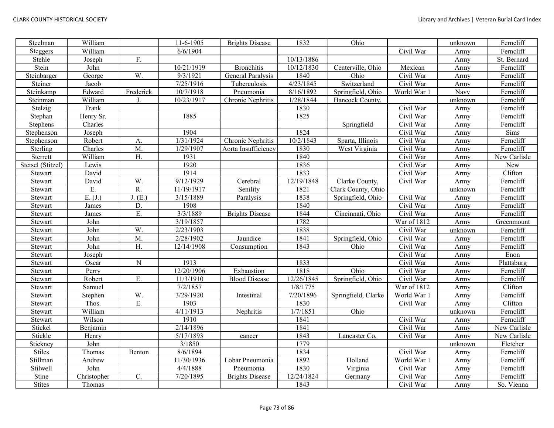| Steelman          | William      |           | 11-6-1905             | <b>Brights Disease</b> | 1832               | Ohio                |             | unknown | Ferncliff    |
|-------------------|--------------|-----------|-----------------------|------------------------|--------------------|---------------------|-------------|---------|--------------|
| Steggers          | William      |           | 6/6/1904              |                        |                    |                     | Civil War   | Army    | Ferncliff    |
| Stehle            | Joseph       | F.        |                       |                        | 10/13/1886         |                     |             | Army    | St. Bernard  |
| Stein             | John         |           | 10/21/1919            | <b>Bronchitis</b>      | 10/12/1830         | Centerville, Ohio   | Mexican     | Army    | Ferncliff    |
| Steinbarger       | George       | W.        | 9/3/1921              | General Paralysis      | 1840               | Ohio                | Civil War   | Army    | Ferncliff    |
| Steiner           | Jacob        |           | 7/25/1916             | Tuberculosis           | 4/23/1845          | Switzerland         | Civil War   | Army    | Ferncliff    |
| Steinkamp         | Edward       | Frederick | 10/7/1918             | Pneumonia              | 8/16/1892          | Springfield, Ohio   | World War 1 | Navy    | Ferncliff    |
| Steinman          | William      | J.        | 10/23/1917            | Chronic Nephritis      | 1/28/1844          | Hancock County,     |             | unknown | Ferncliff    |
| Stelzig           | Frank        |           |                       |                        | 1830               |                     | Civil War   | Army    | Ferncliff    |
| Stephan           | Henry Sr.    |           | 1885                  |                        | 1825               |                     | Civil War   | Army    | Ferncliff    |
| Stephens          | Charles      |           |                       |                        |                    | Springfield         | Civil War   | Army    | Ferncliff    |
| Stephenson        | Joseph       |           | 1904                  |                        | 1824               |                     | Civil War   | Army    | Sims         |
| Stephenson        | Robert       | А.        | 1/31/1924             | Chronic Nephritis      | 10/2/1843          | Sparta, Illinois    | Civil War   | Army    | Ferncliff    |
| Sterling          | Charles      | M.        | 1/29/1907             | Aorta Insufficiency    | 1830               | West Virginia       | Civil War   | Army    | Ferncliff    |
| Sterrett          | William      | H.        | 1931                  |                        | 1840               |                     | Civil War   | Army    | New Carlisle |
| Stetsel (Stitzel) | Lewis        |           | 1920                  |                        | 1836               |                     | Civil War   | Army    | New          |
| Stewart           | David        |           | 1914                  |                        | 1833               |                     | Civil War   | Army    | Clifton      |
| Stewart           | David        | W.        | 9/12/1929             | Cerebral               | 12/19/1848         | Clarke County,      | Civil War   | Army    | Ferncliff    |
| Stewart           | Ε.           | R.        | 11/19/1917            | Senility               | 1821               | Clark County, Ohio  |             | unknown | Ferncliff    |
| Stewart           | E. (J.)      | J. (E.)   | 3/15/1889             | Paralysis              | 1838               | Springfield, Ohio   | Civil War   | Army    | Ferncliff    |
| Stewart           | James        | D.        | 1908                  |                        | 1840               |                     | Civil War   | Army    | Ferncliff    |
| Stewart           | <b>James</b> | E.        | 3/3/1889              | <b>Brights Disease</b> | 1844               | Cincinnati, Ohio    | Civil War   | Army    | Ferncliff    |
| Stewart           | John         |           | 3/19/1857             |                        | 1782               |                     | War of 1812 | Army    | Greenmount   |
| Stewart           | John         | W.        | 2/23/1903             |                        | 1838               |                     | Civil War   | unknown | Ferncliff    |
| Stewart           | John         | M.        | 2/28/1902             | Jaundice               | 1841               | Springfield, Ohio   | Civil War   | Army    | Ferncliff    |
| Stewart           | John         | H.        | 12/14/1908            | Consumption            | 1843               | Ohio                | Civil War   | Army    | Ferncliff    |
| Stewart           | Joseph       |           |                       |                        |                    |                     | Civil War   | Army    | Enon         |
| Stewart           | Oscar        | ${\bf N}$ | 1913                  |                        | 1833               |                     | Civil War   | Army    | Plattsburg   |
| Stewart           | Perry        |           | $\frac{12}{20}$ /1906 | Exhaustion             | 1818               | Ohio                | Civil War   | Army    | Ferncliff    |
| Stewart           | Robert       | E.        | 11/3/1910             | <b>Blood Disease</b>   | 12/26/1845         | Springfield, Ohio   | Civil War   | Army    | Ferncliff    |
| Stewart           | Samuel       |           | 7/2/1857              |                        | $\frac{1}{8}/1775$ |                     | War of 1812 | Army    | Clifton      |
| Stewart           | Stephen      | W.        | 3/29/1920             | Intestinal             | 7/20/1896          | Springfield, Clarke | World War 1 | Army    | Ferncliff    |
| Stewart           | Thos.        | E.        | 1903                  |                        | 1830               |                     | Civil War   | Army    | Clifton      |
| Stewart           | William      |           | 4/11/1913             | Nephritis              | 1/7/1851           | Ohio                |             | unknown | Ferncliff    |
| Stewart           | Wilson       |           | 1910                  |                        | 1841               |                     | Civil War   | Army    | Ferncliff    |
| Stickel           | Benjamin     |           | 2/14/1896             |                        | 1841               |                     | Civil War   | Army    | New Carlisle |
| Stickle           | Henry        |           | 5/17/1893             | cancer                 | 1843               | Lancaster Co,       | Civil War   | Army    | New Carlisle |
| Stickney          | John         |           | 3/1850                |                        | 1779               |                     |             | unknown | Fletcher     |
| <b>Stiles</b>     | Thomas       | Benton    | 8/6/1894              |                        | 1834               |                     | Civil War   | Army    | Ferncliff    |
| Stillman          | Andrew       |           | 11/30/1936            | Lobar Pneumonia        | 1892               | Holland             | World War 1 | Army    | Ferncliff    |
| Stilwell          | John         |           | 4/4/1888              | Pneumonia              | 1830               | Virginia            | Civil War   | Army    | Ferncliff    |
| Stine             | Christopher  | C.        | 7/20/1895             | <b>Brights Disease</b> | 12/24/1824         | Germany             | Civil War   | Army    | Ferncliff    |
| <b>Stites</b>     | Thomas       |           |                       |                        | 1843               |                     | Civil War   | Army    | So. Vienna   |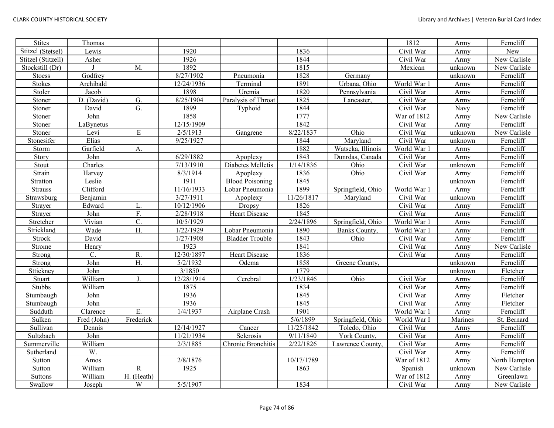| <b>Stites</b>      | Thomas      |                  |            |                        |            |                   | 1812        | Army    | Ferncliff     |
|--------------------|-------------|------------------|------------|------------------------|------------|-------------------|-------------|---------|---------------|
| Stitzel (Stetsel)  | Lewis       |                  | 1920       |                        | 1836       |                   | Civil War   | Army    | New           |
| Stitzel (Stitzell) | Asher       |                  | 1926       |                        | 1844       |                   | Civil War   | Army    | New Carlisle  |
| Stockstill (Dr)    |             | M.               | 1892       |                        | 1815       |                   | Mexican     | unknown | New Carlisle  |
| Stoess             | Godfrey     |                  | 8/27/1902  | Pneumonia              | 1828       | Germany           |             | unknown | Ferncliff     |
| <b>Stokes</b>      | Archibald   |                  | 12/24/1936 | Terminal               | 1891       | Urbana, Ohio      | World War   | Army    | Ferncliff     |
| Stoler             | Jacob       |                  | 1898       | Uremia                 | 1820       | Pennsylvania      | Civil War   | Army    | Ferncliff     |
| Stoner             | D. (David)  | G.               | 8/25/1904  | Paralysis of Throat    | 1825       | Lancaster,        | Civil War   | Army    | Ferncliff     |
| Stoner             | David       | $\overline{G}$ . | 1899       | Typhoid                | 1844       |                   | Civil War   | Navy    | Ferncliff     |
| Stoner             | John        |                  | 1858       |                        | 1777       |                   | War of 1812 | Army    | New Carlisle  |
| Stoner             | LaBynetus   |                  | 12/15/1909 |                        | 1842       |                   | Civil War   | Army    | Ferncliff     |
| Stoner             | Levi        | ${\bf E}$        | 2/5/1913   | Gangrene               | 8/22/1837  | Ohio              | Civil War   | unknown | New Carlisle  |
| Stonesifer         | Elias       |                  | 9/25/1927  |                        | 1844       | Maryland          | Civil War   | unknown | Ferncliff     |
| Storm              | Garfield    | A.               |            |                        | 1882       | Watseka, Illinois | World War 1 | Army    | Ferncliff     |
| Story              | John        |                  | 6/29/1882  | Apoplexy               | 1843       | Dunrdas, Canada   | Civil War   | Army    | Ferncliff     |
| Stout              | Charles     |                  | 7/13/1910  | Diabetes Melletis      | 1/14/1836  | Ohio              | Civil War   | unknown | Ferncliff     |
| Strain             | Harvey      |                  | 8/3/1914   | Apoplexy               | 1836       | Ohio              | Civil War   | Army    | Ferncliff     |
| Stratton           | Leslie      |                  | 1911       | <b>Blood Poisoning</b> | 1845       |                   |             | unknown | Ferncliff     |
| <b>Strauss</b>     | Clifford    |                  | 11/16/1933 | Lobar Pneumonia        | 1899       | Springfield, Ohio | World War 1 | Army    | Ferncliff     |
| Strawsburg         | Benjamin    |                  | 3/27/1911  | Apoplexy               | 11/26/1817 | Maryland          | Civil War   | unknown | Ferncliff     |
| Strayer            | Edward      | L.               | 10/12/1906 | Dropsy                 | 1826       |                   | Civil War   | Army    | Ferncliff     |
| Strayer            | John        | F.               | 2/28/1918  | <b>Heart Disease</b>   | 1845       |                   | Civil War   | Army    | Ferncliff     |
| Stretcher          | Vivian      | $\overline{C}$ . | 10/5/1929  |                        | 2/24/1896  | Springfield, Ohio | World War 1 | Army    | Ferncliff     |
| Strickland         | Wade        | $\overline{H}$ . | 1/22/1929  | Lobar Pneumonia        | 1890       | Banks County,     | World War   | Army    | Ferncliff     |
| <b>Strock</b>      | David       |                  | 1/27/1908  | <b>Bladder Trouble</b> | 1843       | Ohio              | Civil War   | Army    | Ferncliff     |
| Strome             | Henry       |                  | 1923       |                        | 1841       |                   | Civil War   | Army    | New Carlisle  |
| Strong             | C.          | R.               | 12/30/1897 | <b>Heart Disease</b>   | 1836       |                   | Civil War   | Army    | Ferncliff     |
| Strong             | John        | H.               | 5/2/1932   | Odema                  | 1858       | Greene County,    |             | unknown | Ferncliff     |
| Sttickney          | John        |                  | 3/1850     |                        | 1779       |                   |             | unknown | Fletcher      |
| Stuart             | William     | J.               | 12/28/1914 | Cerebral               | 1/23/1846  | Ohio              | Civil War   | Army    | Ferncliff     |
| Stubbs             | William     |                  | 1875       |                        | 1834       |                   | Civil War   | Army    | Ferncliff     |
| Stumbaugh          | John        |                  | 1936       |                        | 1845       |                   | Civil War   | Army    | Fletcher      |
| Stumbaugh          | John        |                  | 1936       |                        | 1845       |                   | Civil War   | Army    | Fletcher      |
| Sudduth            | Clarence    | Ε.               | 1/4/1937   | Airplane Crash         | 1901       |                   | World War 1 | Army    | Ferncliff     |
| Sulken             | Fred (John) | Frederick        |            |                        | 5/6/1899   | Springfield, Ohio | World War I | Marines | St. Bernard   |
| Sullivan           | Dennis      |                  | 12/14/1927 | Cancer                 | 11/25/1842 | Toledo, Ohio      | Civil War   | Army    | Ferncliff     |
| Sultzbach          | John        |                  | 11/21/1934 | Sclerosis              | 9/11/1840  | York County,      | Civil War   | Army    | Ferncliff     |
| Summerville        | William     |                  | 2/3/1885   | Chronic Bronchitis     | 2/22/1826  | Lawrence County,  | Civil War   | Army    | Ferncliff     |
| Sutherland         | W.          |                  |            |                        |            |                   | Civil War   | Army    | Ferncliff     |
| Sutton             | Amos        |                  | 2/8/1876   |                        | 10/17/1789 |                   | War of 1812 | Army    | North Hampton |
| Sutton             | William     | ${\bf R}$        | 1925       |                        | 1863       |                   | Spanish     | unknown | New Carlisle  |
| <b>Suttons</b>     | William     | H. (Heath)       |            |                        |            |                   | War of 1812 | Army    | Greenlawn     |
| Swallow            | Joseph      | W                | 5/5/1907   |                        | 1834       |                   | Civil War   | Army    | New Carlisle  |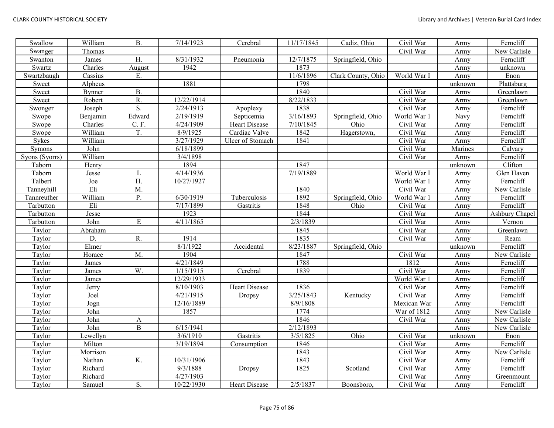| Swallow        | William       | <b>B.</b>        | 7/14/1923  | Cerebral             | 11/17/1845 | Cadiz, Ohio        | Civil War   | Army    | Ferncliff      |
|----------------|---------------|------------------|------------|----------------------|------------|--------------------|-------------|---------|----------------|
| Swanger        | Thomas        |                  |            |                      |            |                    | Civil War   | Army    | New Carlisle   |
| Swanton        | James         | H.               | 8/31/1932  | Pneumonia            | 12/7/1875  | Springfield, Ohio  |             | Army    | Ferncliff      |
| Swartz         | Charles       | August           | 1942       |                      | 1873       |                    |             | Army    | unknown        |
| Swartzbaugh    | Cassius       | E.               |            |                      | 11/6/1896  | Clark County, Ohio | World War I | Army    | Enon           |
| Sweet          | Alpheus       |                  | 1881       |                      | 1798       |                    |             | unknown | Plattsburg     |
| Sweet          | <b>Bynner</b> | <b>B.</b>        |            |                      | 1840       |                    | Civil War   | Army    | Greenlawn      |
| Sweet          | Robert        | R.               | 12/22/1914 |                      | 8/22/1833  |                    | Civil War   | Army    | Greenlawn      |
| Swonger        | Joseph        | $\overline{S}$ . | 2/24/1913  | Apoplexy             | 1838       |                    | Civil War   | Army    | Ferncliff      |
| Swope          | Benjamin      | Edward           | 2/19/1919  | Septicemia           | 3/16/1893  | Springfield, Ohio  | World War 1 | Navy    | Ferncliff      |
| Swope          | Charles       | C. F.            | 4/24/1909  | <b>Heart Disease</b> | 7/10/1845  | Ohio               | Civil War   | Army    | Ferncliff      |
| Swope          | William       | T.               | 8/9/1925   | Cardiac Valve        | 1842       | Hagerstown,        | Civil War   | Army    | Ferncliff      |
| Sykes          | William       |                  | 3/27/1929  | Ulcer of Stomach     | 1841       |                    | Civil War   | Army    | Ferncliff      |
| Symons         | John          |                  | 6/18/1899  |                      |            |                    | Civil War   | Marines | Calvary        |
| Syons (Syorrs) | William       |                  | 3/4/1898   |                      |            |                    | Civil War   | Army    | Ferncliff      |
| Taborn         | Henry         |                  | 1894       |                      | 1847       |                    |             | unknown | Clifton        |
| Taborn         | Jesse         | L                | 4/14/1936  |                      | 7/19/1889  |                    | World War I | Army    | Glen Haven     |
| Talbert        | Joe           | H.               | 10/27/1927 |                      |            |                    | World War 1 | Army    | Ferncliff      |
| Tanneyhill     | Eli           | M.               |            |                      | 1840       |                    | Civil War   | Army    | New Carlisle   |
| Tannreuther    | William       | P.               | 6/30/1919  | Tuberculosis         | 1892       | Springfield, Ohio  | World War 1 | Army    | Ferncliff      |
| Tarbutton      | Eli           |                  | 7/17/1899  | Gastritis            | 1848       | Ohio               | Civil War   | Army    | Ferncliff      |
| Tarbutton      | Jesse         |                  | 1923       |                      | 1844       |                    | Civil War   | Army    | Ashbury Chapel |
| Tarbutton      | John          | ${\bf E}$        | 4/11/1865  |                      | 2/3/1839   |                    | Civil War   | Army    | Vernon         |
| Taylor         | Abraham       |                  |            |                      | 1845       |                    | Civil War   | Army    | Greenlawn      |
| Taylor         | D.            | R.               | 1914       |                      | 1835       |                    | Civil War   | Army    | Ream           |
| Taylor         | Elmer         |                  | 8/1/1922   | Accidental           | 8/23/1887  | Springfield, Ohio  |             | unknown | Ferncliff      |
| Taylor         | Horace        | M.               | 1904       |                      | 1847       |                    | Civil War   | Army    | New Carlisle   |
| Taylor         | James         |                  | 4/21/1849  |                      | 1788       |                    | 1812        | Army    | Ferncliff      |
| Taylor         | James         | W.               | 1/15/1915  | Cerebral             | 1839       |                    | Civil War   | Army    | Ferncliff      |
| Taylor         | James         |                  | 12/29/1933 |                      |            |                    | World War 1 | Army    | Ferncliff      |
| Taylor         | Jerry         |                  | 8/10/1903  | Heart Disease        | 1836       |                    | Civil War   | Army    | Ferncliff      |
| Taylor         | Joel          |                  | 4/21/1915  | Dropsy               | 3/25/1843  | Kentucky           | Civil War   | Army    | Ferncliff      |
| Taylor         | Jogn          |                  | 12/16/1889 |                      | 8/9/1808   |                    | Mexican War | Army    | Ferncliff      |
| Taylor         | John          |                  | 1857       |                      | 1774       |                    | War of 1812 | Army    | New Carlisle   |
| Taylor         | John          | A                |            |                      | 1846       |                    | Civil War   | Army    | New Carlisle   |
| Taylor         | John          | $\, {\bf B}$     | 6/15/1941  |                      | 2/12/1893  |                    |             | Army    | New Carlisle   |
| Taylor         | Lewellyn      |                  | 3/6/1910   | Gastritis            | 3/5/1825   | Ohio               | Civil War   | unknown | Enon           |
| Taylor         | Milton        |                  | 3/19/1894  | Consumption          | 1846       |                    | Civil War   | Army    | Ferncliff      |
| Taylor         | Morrison      |                  |            |                      | 1843       |                    | Civil War   | Army    | New Carlisle   |
| Taylor         | Nathan        | K.               | 10/31/1906 |                      | 1843       |                    | Civil War   | Army    | Ferncliff      |
| Taylor         | Richard       |                  | 9/3/1888   | <b>Dropsy</b>        | 1825       | Scotland           | Civil War   | Army    | Ferncliff      |
| Taylor         | Richard       |                  | 4/27/1903  |                      |            |                    | Civil War   | Army    | Greenmount     |
| Taylor         | Samuel        | S.               | 10/22/1930 | <b>Heart Disease</b> | 2/5/1837   | Boonsboro,         | Civil War   | Army    | Ferncliff      |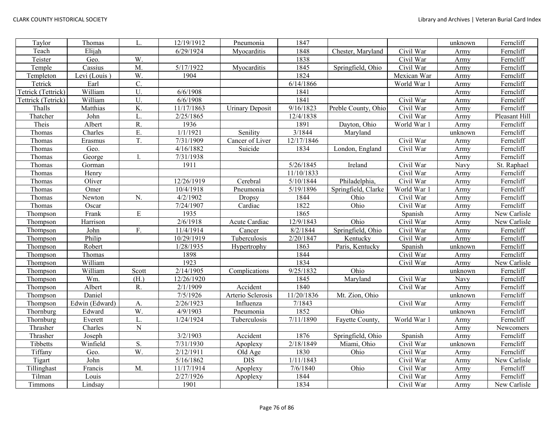| Taylor             | Thomas         | L.               | 12/19/1912 | Pneumonia              | 1847       |                     |             | unknown | Ferncliff     |
|--------------------|----------------|------------------|------------|------------------------|------------|---------------------|-------------|---------|---------------|
| Teach              | Elijah         |                  | 6/29/1924  | Myocarditis            | 1848       | Chester, Maryland   | Civil War   | Army    | Ferncliff     |
| Teister            | Geo.           | W.               |            |                        | 1838       |                     | Civil War   | Army    | Ferncliff     |
| Temple             | Cassius        | M.               | 5/17/1922  | Myocarditis            | 1845       | Springfield, Ohio   | Civil War   | Army    | Ferncliff     |
| Templeton          | Levi (Louis)   | W.               | 1904       |                        | 1824       |                     | Mexican War | Army    | Ferncliff     |
| Tetrick            | Earl           | $\overline{C}$ . |            |                        | 6/14/1866  |                     | World War 1 | Army    | Ferncliff     |
| Tetrick (Tettrick) | William        | U.               | 6/6/1908   |                        | 1841       |                     |             | Army    | Ferncliff     |
| Tettrick (Tetrick) | William        | U.               | 6/6/1908   |                        | 1841       |                     | Civil War   | Army    | Ferncliff     |
| Thalls             | Matthias       | K.               | 11/17/1863 | <b>Urinary Deposit</b> | 9/16/1823  | Preble County, Ohio | Civil War   | Army    | Ferncliff     |
| Thatcher           | John           | L.               | 2/25/1865  |                        | 12/4/1838  |                     | Civil War   | Army    | Pleasant Hill |
| Theis              | Albert         | R.               | 1936       |                        | 1891       | Dayton, Ohio        | World War 1 | Army    | Ferncliff     |
| Thomas             | Charles        | E.               | 1/1/1921   | Senility               | 3/1844     | Maryland            |             | unknown | Ferncliff     |
| Thomas             | Erasmus        | T.               | 7/31/1909  | Cancer of Liver        | 12/17/1846 |                     | Civil War   | Army    | Ferncliff     |
| Thomas             | Geo.           |                  | 4/16/1882  | Suicide                | 1834       | London, England     | Civil War   | Army    | Ferncliff     |
| Thomas             | George         |                  | 7/31/1938  |                        |            |                     |             | Army    | Ferncliff     |
| Thomas             | Gorman         |                  | 1911       |                        | 5/26/1845  | Ireland             | Civil War   | Navy    | St. Raphael   |
| Thomas             | Henry          |                  |            |                        | 11/10/1833 |                     | Civil War   | Army    | Ferncliff     |
| Thomas             | Oliver         |                  | 12/26/1919 | Cerebral               | 5/10/1844  | Philadelphia,       | Civil War   | Army    | Ferncliff     |
| Thomas             | Omer           |                  | 10/4/1918  | Pneumonia              | 5/19/1896  | Springfield, Clarke | World War 1 | Army    | Ferncliff     |
| Thomas             | Newton         | N.               | 4/2/1902   | Dropsy                 | 1844       | Ohio                | Civil War   | Army    | Ferncliff     |
| Thomas             | Oscar          |                  | 7/24/1907  | Cardiac                | 1822       | Ohio                | Civil War   | Army    | Ferncliff     |
| Thompson           | Frank          | ${\bf E}$        | 1935       |                        | 1865       |                     | Spanish     | Army    | New Carlisle  |
| Thompson           | Harrison       |                  | 2/6/1918   | Acute Cardiac          | 12/9/1843  | Ohio                | Civil War   | Army    | New Carlisle  |
| Thompson           | John           | F.               | 11/4/1914  | Cancer                 | 8/2/1844   | Springfield, Ohio   | Civil War   | Army    | Ferncliff     |
| Thompson           | Philip         |                  | 10/29/1919 | Tuberculosis           | 2/20/1847  | Kentucky            | Civil War   | Army    | Ferncliff     |
| Thompson           | Robert         |                  | 1/28/1935  | Hypertrophy            | 1863       | Paris, Kentucky     | Spanish     | unknown | Ferncliff     |
| Thompson           | Thomas         |                  | 1898       |                        | 1844       |                     | Civil War   | Army    | Ferncliff     |
| Thompson           | William        |                  | 1923       |                        | 1834       |                     | Civil War   | Army    | New Carlisle  |
| Thompson           | William        | Scott            | 2/14/1905  | Complications          | 9/25/1832  | Ohio                |             | unknown | Ferncliff     |
| Thompson           | Wm.            | (H.)             | 12/26/1920 |                        | 1845       | Maryland            | Civil War   | Navy    | Ferncliff     |
| Thompson           | Albert         | R.               | 2/1/1909   | Accident               | 1840       |                     | Civil War   | Army    | Ferncliff     |
| Thompson           | Daniel         |                  | 7/5/1926   | Arterio Sclerosis      | 11/20/1836 | Mt. Zion, Ohio      |             | unknown | Ferncliff     |
| Thompson           | Edwin (Edward) | A.               | 2/26/1923  | Influenza              | 7/1843     |                     | Civil War   | Army    | Ferncliff     |
| Thornburg          | Edward         | W.               | 4/9/1903   | Pneumonia              | 1852       | Ohio                |             | unknown | Ferncliff     |
| Thornburg          | Everett        | L.               | 1/24/1924  | Tuberculosis           | 7/11/1890  | Fayette County,     | World War 1 | Army    | Ferncliff     |
| Thrasher           | Charles        | $\mathbf N$      |            |                        |            |                     |             | Army    | Newcomers     |
| Thrasher           | Joseph         |                  | 3/2/1903   | Accident               | 1876       | Springfield, Ohio   | Spanish     | Army    | Ferncliff     |
| Tibbetts           | Winfield       | S.               | 7/31/1930  | Apoplexy               | 2/18/1849  | Miami, Ohio         | Civil War   | unknown | Ferncliff     |
| Tiffany            | Geo.           | W                | 2/12/1911  | Old Age                | 1830       | Ohio                | Civil War   | Army    | Ferncliff     |
| Tigart             | John           |                  | 5/16/1862  | <b>DIS</b>             | 1/11/1843  |                     | Civil War   | Army    | New Carlisle  |
| Tillinghast        | Francis        | M.               | 11/17/1914 | Apoplexy               | 7/6/1840   | Ohio                | Civil War   | Army    | Ferncliff     |
| Tilman             | Louis          |                  | 2/27/1926  | Apoplexy               | 1844       |                     | Civil War   | Army    | Ferncliff     |
| Timmons            | Lindsay        |                  | 1901       |                        | 1834       |                     | Civil War   | Army    | New Carlisle  |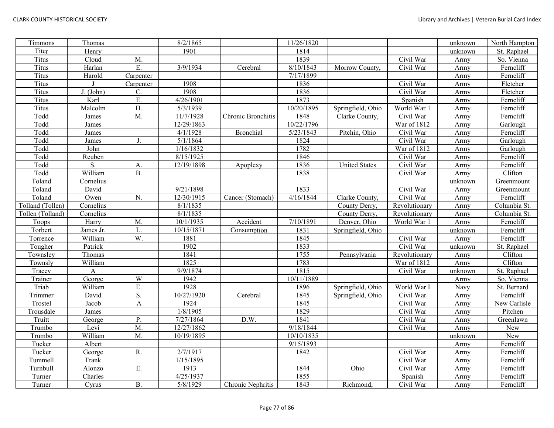| Timmons          | Thomas       |                  | 8/2/1865   |                    | 11/26/1820 |                   |               | unknown | North Hampton |
|------------------|--------------|------------------|------------|--------------------|------------|-------------------|---------------|---------|---------------|
| Titer            | Henry        |                  | 1901       |                    | 1814       |                   |               | unknown | St. Raphael   |
| <b>Titus</b>     | Cloud        | M.               |            |                    | 1839       |                   | Civil War     | Army    | So. Vienna    |
| <b>Titus</b>     | Harlan       | E.               | 3/9/1934   | Cerebral           | 8/10/1843  | Morrow County.    | Civil War     | Army    | Ferncliff     |
| <b>Titus</b>     | Harold       | Carpenter        |            |                    | 7/17/1899  |                   |               | Army    | Ferncliff     |
| Titus            | $\mathbf{I}$ | Carpenter        | 1908       |                    | 1836       |                   | Civil War     | Army    | Fletcher      |
| <b>Titus</b>     | J. (John)    | C.               | 1908       |                    | 1836       |                   | Civil War     | Army    | Fletcher      |
| <b>Titus</b>     | Karl         | Ε.               | 4/26/1901  |                    | 1873       |                   | Spanish       | Army    | Ferncliff     |
| Titus            | Malcolm      | H.               | 5/3/1939   |                    | 10/20/1895 | Springfield, Ohio | World War 1   | Army    | Ferncliff     |
| Todd             | James        | M.               | 11/7/1928  | Chronic Bronchitis | 1848       | Clarke County,    | Civil War     | Army    | Ferncliff     |
| Todd             | James        |                  | 12/29/1863 |                    | 10/22/1796 |                   | War of 1812   | Army    | Garlough      |
| Todd             | James        |                  | 4/1/1928   | <b>Bronchial</b>   | 5/23/1843  | Pitchin, Ohio     | Civil War     | Army    | Ferncliff     |
| Todd             | James        | J.               | 5/1/1864   |                    | 1824       |                   | Civil War     | Army    | Garlough      |
| Todd             | John         |                  | 1/16/1832  |                    | 1782       |                   | War of 1812   | Army    | Garlough      |
| Todd             | Reuben       |                  | 8/15/1925  |                    | 1846       |                   | Civil War     | Army    | Ferncliff     |
| Todd             | S.           | A.               | 12/19/1898 | Apoplexy           | 1836       | United States     | Civil War     | Army    | Ferncliff     |
| Todd             | William      | <b>B.</b>        |            |                    | 1838       |                   | Civil War     | Army    | Clifton       |
| Toland           | Cornelius    |                  |            |                    |            |                   |               | unknown | Greenmount    |
| Toland           | David        |                  | 9/21/1898  |                    | 1833       |                   | Civil War     | Army    | Greenmount    |
| Toland           | Owen         | N.               | 12/30/1915 | Cancer (Stomach)   | 4/16/1844  | Clarke County,    | Civil War     | Army    | Ferncliff     |
| Tolland (Tollen) | Cornelius    |                  | 8/1/1835   |                    |            | County Derry,     | Revolutionary | Army    | Columbia St.  |
| Tollen (Tolland) | Cornelius    |                  | 8/1/1835   |                    |            | County Derry,     | Revolutionary | Army    | Columbia St.  |
| Toops            | Harry        | M.               | 10/1/1935  | Accident           | 7/10/1891  | Denver, Ohio      | World War 1   | Army    | Ferncliff     |
| Torbert          | James Jr.    | L                | 10/15/1871 | Consumption        | 1831       | Springfield, Ohio |               | unknown | Ferncliff     |
| Torrence         | William      | $\overline{W}$ . | 1881       |                    | 1845       |                   | Civil War     | Army    | Ferncliff     |
| Tougher          | Patrick      |                  | 1902       |                    | 1833       |                   | Civil War     | unknown | St. Raphael   |
| Townsley         | Thomas       |                  | 1841       |                    | 1755       | Pennsylvania      | Revolutionary | Army    | Clifton       |
| Townsly          | William      |                  | 1825       |                    | 1783       |                   | War of 1812   | Army    | Clifton       |
| Tracey           | A            |                  | 9/9/1874   |                    | 1815       |                   | Civil War     | unknown | St. Raphael   |
| Trainer          | George       | W                | 1942       |                    | 10/11/1889 |                   |               | Army    | So. Vienna    |
| Triab            | William      | E.               | 1928       |                    | 1896       | Springfield, Ohio | World War I   | Navy    | St. Bernard   |
| Trimmer          | David        | S.               | 10/27/1920 | Cerebral           | 1845       | Springfield, Ohio | Civil War     | Army    | Ferncliff     |
| Trostel          | Jacob        | $\mathbf{A}$     | 1924       |                    | 1845       |                   | Civil War     | Army    | New Carlisle  |
| Trousdale        | James        |                  | 1/8/1905   |                    | 1829       |                   | Civil War     | Army    | Pitchen       |
| Truitt           | George       | P.               | 7/27/1864  | D.W.               | 1841       |                   | Civil War     | Army    | Greenlawn     |
| Trumbo           | Levi         | M.               | 12/27/1862 |                    | 9/18/1844  |                   | Civil War     | Army    | New           |
| Trumbo           | William      | M.               | 10/19/1895 |                    | 10/10/1835 |                   |               | unknown | New           |
| Tucker           | Albert       |                  |            |                    | 9/15/1893  |                   |               | Army    | Ferncliff     |
| Tucker           | George       | R.               | 2/7/1917   |                    | 1842       |                   | Civil War     | Army    | Ferncliff     |
| Tummell          | Frank        |                  | 1/15/1895  |                    |            |                   | Civil War     | Army    | Ferncliff     |
| Turnbull         | Alonzo       | E.               | 1913       |                    | 1844       | Ohio              | Civil War     | Army    | Ferncliff     |
| Turner           | Charles      |                  | 4/25/1937  |                    | 1855       |                   | Spanish       | Army    | Ferncliff     |
| Turner           | Cyrus        | <b>B.</b>        | 5/8/1929   | Chronic Nephritis  | 1843       | Richmond,         | Civil War     | Army    | Ferncliff     |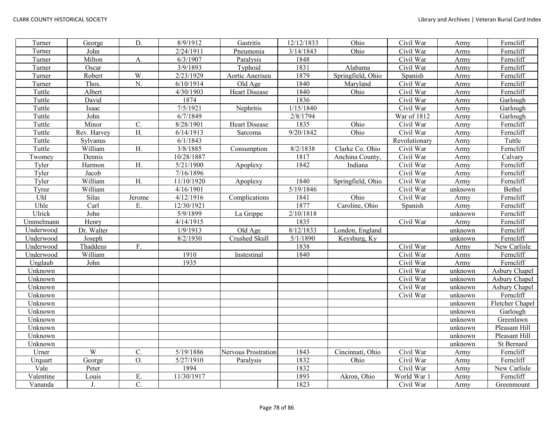| Turner    | George         | D.               | 8/9/1912   | Gastritis            | 12/12/1833 | Ohio              | Civil War     | Army    | Ferncliff       |
|-----------|----------------|------------------|------------|----------------------|------------|-------------------|---------------|---------|-----------------|
| Turner    | John           |                  | 2/24/1911  | Pneumonia            | 3/14/1843  | Ohio              | Civil War     | Army    | Ferncliff       |
| Turner    | Milton         | A.               | 6/3/1907   | Paralysis            | 1848       |                   | Civil War     | Army    | Ferncliff       |
| Turner    | Oscar          |                  | 3/9/1893   | Typhoid              | 1831       | Alabama           | Civil War     | Army    | Ferncliff       |
| Turner    | Robert         | W.               | 2/23/1929  | Aortic Aneriseu      | 1879       | Springfield, Ohio | Spanish       | Army    | Ferncliff       |
| Turner    | Thos.          | N.               | 6/10/1914  | Old Age              | 1840       | Maryland          | Civil War     | Army    | Ferncliff       |
| Tuttle    | Albert         |                  | 4/30/1903  | <b>Heart Disease</b> | 1840       | Ohio              | Civil War     | Army    | Ferncliff       |
| Tuttle    | David          |                  | 1874       |                      | 1836       |                   | Civil War     | Army    | Garlough        |
| Tuttle    | Isaac          |                  | 7/5/1921   | Nephritis            | 1/15/1840  |                   | Civil War     | Army    | Garlough        |
| Tuttle    | John           |                  | 6/7/1849   |                      | 2/8/1794   |                   | War of 1812   | Army    | Garlough        |
| Tuttle    | Minor          | C.               | 8/28/1901  | Heart Disease        | 1835       | Ohio              | Civil War     | Army    | Ferncliff       |
| Tuttle    | Rev. Harvey    | Η.               | 6/14/1913  | Sarcoma              | 9/20/1842  | Ohio              | Civil War     | Army    | Ferncliff       |
| Tuttle    | Sylvanus       |                  | 6/1/1843   |                      |            |                   | Revolutionary | Army    | Tuttle          |
| Tuttle    | William        | H.               | 3/8/1885   | Consumption          | 8/2/1838   | Clarke Co. Ohio   | Civil War     | Army    | Ferncliff       |
| Twomey    | Dennis         |                  | 10/28/1887 |                      | 1817       | Anchina County,   | Civil War     | Army    | Calvary         |
| Tyler     | Harmon         | H.               | 5/21/1900  | Apoplexy             | 1842       | Indiana           | Civil War     | Army    | Ferncliff       |
| Tyler     | Jacob          |                  | 7/16/1896  |                      |            |                   | Civil War     | Army    | Ferncliff       |
| Tyler     | William        | H.               | 11/10/1920 | Apoplexy             | 1840       | Springfield, Ohio | Civil War     | Army    | Ferncliff       |
| Tyree     | William        |                  | 4/16/1901  |                      | 5/19/1846  |                   | Civil War     | unknown | Bethel          |
| Uhl       | Silas          | Jerome           | 4/12/1916  | Complications        | 1841       | Ohio              | Civil War     | Army    | Ferncliff       |
| Uhle      | Carl           | Ε.               | 12/30/1921 |                      | 1877       | Caroline, Ohio    | Spanish       | Army    | Ferncliff       |
| Ulrick    | John           |                  | 5/9/1899   | La Grippe            | 2/10/1818  |                   |               | unknown | Ferncliff       |
| Ummelmann | Henry          |                  | 4/14/1915  |                      | 1835       |                   | Civil War     | Army    | Ferncliff       |
| Underwood | Dr. Walter     |                  | 1/9/1913   | Old Age              | 8/12/1833  | London, England   |               | unknown | Ferncliff       |
| Underwood | Joseph         |                  | 8/2/1930   | Crushed Skull        | 5/1/1890   | Keysburg, Ky      |               | unknown | Ferncliff       |
| Underwood | Thaddeus       | F.               |            |                      | 1838       |                   | Civil War     | Army    | New Carlisle    |
| Underwood | William        |                  | 1910       | Instestinal          | 1840       |                   | Civil War     | Army    | Ferncliff       |
| Unglaub   | John           |                  | 1935       |                      |            |                   | Civil War     | Army    | Ferncliff       |
| Unknown   |                |                  |            |                      |            |                   | Civil War     | unknown | Asbury Chapel   |
| Unknown   |                |                  |            |                      |            |                   | Civil War     | unknown | Asbury Chapel   |
| Unknown   |                |                  |            |                      |            |                   | Civil War     | unknown | Asbury Chapel   |
| Unknown   |                |                  |            |                      |            |                   | Civil War     | unknown | Ferncliff       |
| Unknown   |                |                  |            |                      |            |                   |               | unknown | Fletcher Chapel |
| Unknown   |                |                  |            |                      |            |                   |               | unknown | Garlough        |
| Unknown   |                |                  |            |                      |            |                   |               | unknown | Greenlawn       |
| Unknown   |                |                  |            |                      |            |                   |               | unknown | Pleasant Hill   |
| Unknown   |                |                  |            |                      |            |                   |               | unknown | Pleasant Hill   |
| Unknown   |                |                  |            |                      |            |                   |               | unknown | St Bernard      |
| Urner     | $\overline{W}$ | $\overline{C}$ . | 5/19/1886  | Nervous Prostration  | 1843       | Cincinnati, Ohio  | Civil War     | Army    | Ferncliff       |
| Urquart   | George         | O.               | 5/27/1910  | Paralysis            | 1832       | Ohio              | Civil War     | Army    | Ferncliff       |
| Vale      | Peter          |                  | 1894       |                      | 1832       |                   | Civil War     | Army    | New Carlisle    |
| Valentine | Louis          | Ε.               | 11/30/1917 |                      | 1893       | Akron, Ohio       | World War 1   | Army    | Ferncliff       |
| Vananda   | J.             | C.               |            |                      | 1823       |                   | Civil War     | Army    | Greenmount      |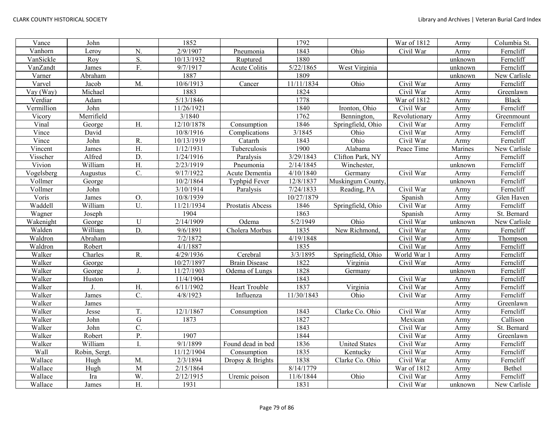| Vance       | John           |                  | 1852       |                      | 1792       |                      | War of 1812             | Army    | Columbia St. |
|-------------|----------------|------------------|------------|----------------------|------------|----------------------|-------------------------|---------|--------------|
| Vanhorn     | Leroy          | N.               | 2/9/1907   | Pneumonia            | 1843       | Ohio                 | Civil War               | Army    | Ferncliff    |
| VanSickle   | Roy            | S.               | 10/13/1932 | Ruptured             | 1880       |                      |                         | unknown | Ferncliff    |
| VanZandt    | James          | F.               | 9/7/1917   | Acute Colitis        | 5/22/1865  | West Virginia        |                         | unknown | Ferncliff    |
| Varner      | Abraham        |                  | 1887       |                      | 1809       |                      |                         | unknown | New Carlisle |
| Varvel      | Jacob          | M.               | 10/6/1913  | Cancer               | 11/11/1834 | Ohio                 | $\overline{C}$ ivil War | Army    | Ferncliff    |
| Vay (Way)   | Michael        |                  | 1883       |                      | 1824       |                      | Civil War               | Army    | Greenlawn    |
| Verdiar     | Adam           |                  | 5/13/1846  |                      | 1778       |                      | War of 1812             | Army    | <b>Black</b> |
| Vermillion  | John           |                  | 11/26/1921 |                      | 1840       | Ironton, Ohio        | Civil War               | Army    | Ferncliff    |
| Vicory      | Merrifield     |                  | 3/1840     |                      | 1762       | Bennington,          | Revolutionary           | Army    | Greenmount   |
| Vinal       | George         | Η.               | 12/10/1878 | Consumption          | 1846       | Springfield, Ohio    | Civil War               | Army    | Ferncliff    |
| Vince       | David          |                  | 10/8/1916  | Complications        | 3/1845     | Ohio                 | Civil War               | Army    | Ferncliff    |
| Vince       | John           | R.               | 10/13/1919 | Catarrh              | 1843       | Ohio                 | Civil War               | Army    | Ferncliff    |
| Vincent     | James          | $\overline{H}$ . | 1/12/1931  | Tuberculosis         | 1900       | Alabama              | Peace Time              | Marines | New Carlisle |
| Visscher    | Alfred         | D.               | 1/24/1916  | Paralysis            | 3/29/1843  | Clifton Park, NY     |                         | Army    | Ferncliff    |
| Vivion      | William        | $\overline{H}$ . | 2/23/1919  | Pneumonia            | 2/14/1845  | Winchester,          |                         | unknown | Ferncliff    |
| Vogelsberg  | Augustus       | $\mathcal{C}$ .  | 9/17/1922  | Acute Dementia       | 4/10/1840  | Germany              | Civil War               | Army    | Ferncliff    |
| Vollmer     | George         |                  | 10/2/1864  | <b>Typhpid Fever</b> | 12/8/1837  | Muskingum County     |                         | unknown | Ferncliff    |
| Vollmer     | John           |                  | 3/10/1914  | Paralysis            | 7/24/1833  | Reading, PA          | Civil War               | Army    | Ferncliff    |
| Voris       | James          | O.               | 10/8/1939  |                      | 10/27/1879 |                      | Spanish                 | Army    | Glen Haven   |
| Waddell     | William        | U.               | 11/21/1934 | Prostatis Abcess     | 1846       | Springfield, Ohio    | Civil War               | Army    | Ferncliff    |
| Wagner      | Joseph         |                  | 1904       |                      | 1863       |                      | Spanish                 | Army    | St. Bernard  |
| Wakenight   | George         | $\mathbf U$      | 2/14/1909  | Odema                | 5/2/1949   | Ohio                 | Civil War               | unknown | New Carlisle |
| Walden      | William        | D.               | 9/6/1891   | Cholera Morbus       | 1835       | New Richmond,        | Civil War               | Army    | Ferncliff    |
| Waldron     | Abraham        |                  | 7/2/1872   |                      | 4/19/1848  |                      | Civil War               | Army    | Thompson     |
| Waldron     | Robert         |                  | 4/1/1887   |                      | 1835       |                      | Civil War               | Army    | Ferncliff    |
| Walker      | Charles        | R.               | 4/29/1936  | Cerebral             | 3/3/1895   | Springfield, Ohio    | World War 1             | Army    | Ferncliff    |
| Walker      | George         |                  | 10/27/1897 | <b>Brain Disease</b> | 1822       | Virginia             | Civil War               | Army    | Ferncliff    |
| Walker      | George         | J.               | 11/27/1903 | Odema of Lungs       | 1828       | Germany              |                         | unknown | Ferncliff    |
| Walker      | Huston         |                  | 11/4/1904  |                      | 1843       |                      | Civil War               | Army    | Ferncliff    |
| Walker      | $\mathbf{J}$ . | H.               | 6/11/1902  | <b>Heart Trouble</b> | 1837       | Virginia             | Civil War               | Army    | Ferncliff    |
| Walker      | James          | $\mathcal{C}$ .  | 4/8/1923   | Influenza            | 11/30/1843 | Ohio                 | Civil War               | Army    | Ferncliff    |
| Walker      | James          |                  |            |                      |            |                      |                         | Army    | Greenlawn    |
| Walker      | Jesse          | T.               | 12/1/1867  | Consumption          | 1843       | Clarke Co. Ohio      | Civil War               | Army    | Ferncliff    |
| Walker      | John           | $\overline{G}$   | 1873       |                      | 1827       |                      | Mexican                 | Army    | Callison     |
| Walker      | John           | $\overline{C}$ . |            |                      | 1843       |                      | Civil War               | Army    | St. Bernard  |
| Walker      | Robert         | P.               | 1907       |                      | 1844       |                      | Civil War               | Army    | Greenlawn    |
| Walker      | William        | I                | 9/1/1899   | Found dead in bed    | 1836       | <b>United States</b> | Civil War               | Army    | Ferncliff    |
| <b>Wall</b> | Robin, Sergt.  |                  | 11/12/1904 | Consumption          | 1835       | Kentucky             | Civil War               | Army    | Ferncliff    |
| Wallace     | Hugh           | M.               | 2/3/1894   | Dropsy & Brights     | 1838       | Clarke Co. Ohio      | Civil War               | Army    | Ferncliff    |
| Wallace     | Hugh           | M                | 2/15/1864  |                      | 8/14/1779  |                      | War of 1812             | Army    | Bethel       |
| Wallace     | Ira            | W.               | 2/12/1915  | Uremic poison        | 11/6/1844  | Ohio                 | Civil War               | Army    | Ferncliff    |
| Wallace     | James          | H.               | 1931       |                      | 1831       |                      | Civil War               | unknown | New Carlisle |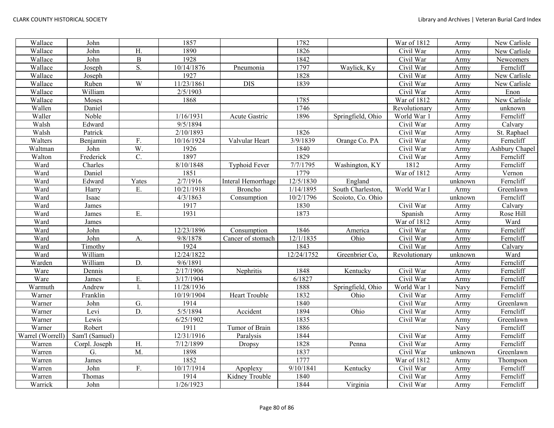| Wallace          | John           |                  | 1857       |                    | 1782       |                   | War of 1812   | Army    | New Carlisle   |
|------------------|----------------|------------------|------------|--------------------|------------|-------------------|---------------|---------|----------------|
| Wallace          | John           | H.               | 1890       |                    | 1826       |                   | Civil War     | Army    | New Carlisle   |
| Wallace          | John           | $\bf{B}$         | 1928       |                    | 1842       |                   | Civil War     | Army    | Newcomers      |
| Wallace          | Joseph         | S.               | 10/14/1876 | Pneumonia          | 1797       | Waylick, Ky       | Civil War     | Army    | Ferncliff      |
| Wallace          | Joseph         |                  | 1927       |                    | 1828       |                   | Civil War     | Army    | New Carlisle   |
| Wallace          | Ruben          | W                | 11/23/1861 | <b>DIS</b>         | 1839       |                   | Civil War     | Army    | New Carlisle   |
| Wallace          | William        |                  | 2/5/1903   |                    |            |                   | Civil War     | Army    | Enon           |
| Wallace          | Moses          |                  | 1868       |                    | 1785       |                   | War of 1812   | Army    | New Carlisle   |
| Wallen           | Daniel         |                  |            |                    | 1746       |                   | Revolutionary | Army    | unknown        |
| Waller           | Noble          |                  | 1/16/1931  | Acute Gastric      | 1896       | Springfield, Ohio | World War 1   | Army    | Ferncliff      |
| Walsh            | Edward         |                  | 9/5/1894   |                    |            |                   | Civil War     | Army    | Calvary        |
| Walsh            | Patrick        |                  | 2/10/1893  |                    | 1826       |                   | Civil War     | Army    | St. Raphael    |
| Walters          | Benjamin       | F.               | 10/16/1924 | Valvular Heart     | 3/9/1839   | Orange Co. PA     | Civil War     | Army    | Ferncliff      |
| Waltman          | John           | W.               | 1926       |                    | 1840       |                   | Civil War     | Army    | Ashbury Chapel |
| Walton           | Frederick      | C.               | 1897       |                    | 1829       |                   | Civil War     | Army    | Ferncliff      |
| Ward             | Charles        |                  | 8/10/1848  | Typhoid Fever      | 7/7/1795   | Washington, KY    | 1812          | Army    | Ferncliff      |
| Ward             | Daniel         |                  | 1851       |                    | 1779       |                   | War of 1812   | Army    | Vernon         |
| Ward             | Edward         | Yates            | 2/7/1916   | Interal Hemorrhage | 12/5/1830  | England           |               | unknown | Ferncliff      |
| Ward             | Harry          | Ε.               | 10/21/1918 | <b>Broncho</b>     | 1/14/1895  | South Charleston, | World War I   | Army    | Greenlawn      |
| Ward             | Isaac          |                  | 4/3/1863   | Consumption        | 10/2/1796  | Scoioto, Co. Ohio |               | unknown | Ferncliff      |
| Ward             | James          |                  | 1917       |                    | 1830       |                   | Civil War     | Army    | Calvary        |
| Ward             | James          | Ε.               | 1931       |                    | 1873       |                   | Spanish       | Army    | Rose Hill      |
| Ward             | James          |                  |            |                    |            |                   | War of 1812   | Army    | Ward           |
| Ward             | John           |                  | 12/23/1896 | Consumption        | 1846       | America           | Civil War     | Army    | Ferncliff      |
| Ward             | John           | A.               | 9/8/1878   | Cancer of stomach  | 12/1/1835  | Ohio              | Civil War     | Army    | Ferncliff      |
| Ward             | Timothy        |                  | 1924       |                    | 1843       |                   | Civil War     | Army    | Calvary        |
| Ward             | William        |                  | 12/24/1822 |                    | 12/24/1752 | Greenbrier Co,    | Revolutionary | unknown | Ward           |
| Warden           | William        | D.               | 9/6/1891   |                    |            |                   |               | Army    | Ferncliff      |
| Ware             | Dennis         |                  | 2/17/1906  | Nephritis          | 1848       | Kentucky          | Civil War     | Army    | Ferncliff      |
| Ware             | James          | Ε.               | 3/17/1904  |                    | 6/1827     |                   | Civil War     | Army    | Ferncliff      |
| Warmuth          | Andrew         | 1.               | 11/28/1936 |                    | 1888       | Springfield, Ohio | World War 1   | Navy    | Ferncliff      |
| Warner           | Franklin       |                  | 10/19/1904 | Heart Trouble      | 1832       | Ohio              | Civil War     | Army    | Ferncliff      |
| Warner           | John           | G.               | 1914       |                    | 1840       |                   | Civil War     | Army    | Greenlawn      |
| Warner           | Levi           | D.               | 5/5/1894   | Accident           | 1894       | Ohio              | Civil War     | Army    | Ferncliff      |
| Warner           | Lewis          |                  | 6/25/1902  |                    | 1835       |                   | Civil War     | Army    | Greenlawn      |
| Warner           | Robert         |                  | 1911       | Tumor of Brain     | 1886       |                   |               | Navy    | Ferncliff      |
| Warrel (Worrell) | Sam'l (Samuel) |                  | 12/31/1916 | Paralysis          | 1844       |                   | Civil War     | Army    | Ferncliff      |
| Warren           | Corpl. Joseph  | H.               | 7/12/1899  | Dropsy             | 1828       | Penna             | Civil War     | Army    | Ferncliff      |
| Warren           | G.             | $\overline{M}$ . | 1898       |                    | 1837       |                   | Civil War     | unknown | Greenlawn      |
| Warren           | James          |                  | 1852       |                    | 1777       |                   | War of 1812   | Army    | Thompson       |
| Warren           | John           | F.               | 10/17/1914 | Apoplexy           | 9/10/1841  | Kentucky          | Civil War     | Army    | Ferncliff      |
| Warren           | Thomas         |                  | 1914       | Kidney Trouble     | 1840       |                   | Civil War     | Army    | Ferncliff      |
| Warrick          | John           |                  | 1/26/1923  |                    | 1844       | Virginia          | Civil War     | Army    | Ferncliff      |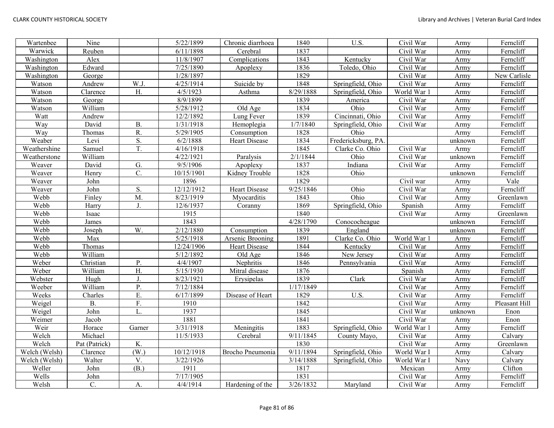| Wartenbee     | Nine          |                   | 5/22/1899              | Chronic diarrhoea    | 1840      | U.S.                | Civil War   | Army    | Ferncliff     |
|---------------|---------------|-------------------|------------------------|----------------------|-----------|---------------------|-------------|---------|---------------|
| Warwick       | Reuben        |                   | 6/11/1898              | Cerebral             | 1837      |                     | Civil War   | Army    | Ferncliff     |
| Washington    | Alex          |                   | 11/8/1907              | Complications        | 1843      | Kentucky            | Civil War   | Army    | Ferncliff     |
| Washington    | Edward        |                   | 7/25/1890              | Apoplexy             | 1836      | Toledo, Ohio        | Civil War   | Army    | Ferncliff     |
| Washington    | George        |                   | 1/28/1897              |                      | 1829      |                     | Civil War   | Army    | New Carlisle  |
| Watson        | Andrew        | W.J.              | 4/25/1914              | Suicide by           | 1848      | Springfield, Ohio   | Civil War   | Army    | Ferncliff     |
| Watson        | Clarence      | H.                | 4/5/1923               | Asthma               | 8/29/1888 | Springfield, Ohio   | World War 1 | Army    | Ferncliff     |
| Watson        | George        |                   | 8/9/1899               |                      | 1839      | America             | Civil War   | Army    | Ferncliff     |
| Watson        | William       |                   | 5/28/1912              | Old Age              | 1834      | Ohio                | Civil War   | Army    | Ferncliff     |
| Watt          | Andrew        |                   | 12/2/1892              | Lung Fever           | 1839      | Cincinnati, Ohio    | Civil War   | Army    | Ferncliff     |
| Way           | David         | <b>B.</b>         | 1/31/1918              | Hemoplegia           | 1/7/1840  | Springfield, Ohio   | Civil War   | Army    | Ferncliff     |
| Way           | Thomas        | R.                | 5/29/1905              | Consumption          | 1828      | Ohio                |             | Army    | Ferncliff     |
| Weaber        | Levi          | S.                | 6/2/1888               | Heart Disease        | 1834      | Fredericksburg, PA. |             | unknown | Ferncliff     |
| Weathershine  | Samuel        | T.                | 4/16/1918              |                      | 1845      | Clarke Co. Ohio     | Civil War   | Army    | Ferncliff     |
| Weatherstone  | William       |                   | 4/22/1921              | Paralysis            | 2/1/1844  | Ohio                | Civil War   | unknown | Ferncliff     |
| Weaver        | David         | G.                | 9/5/1906               | Apoplexy             | 1837      | Indiana             | Civil War   | Army    | Ferncliff     |
| Weaver        | Henry         | C.                | 10/15/1901             | Kidney Trouble       | 1828      | Ohio                |             | unknown | Ferncliff     |
| Weaver        | John          |                   | 1896                   |                      | 1829      |                     | Civil war   | Army    | Vale          |
| Weaver        | John          | S.                | 12/12/1912             | <b>Heart Disease</b> | 9/25/1846 | Ohio                | Civil War   | Army    | Ferncliff     |
| Webb          | Finley        | M.                | 8/23/1919              | Myocarditis          | 1843      | Ohio                | Civil War   | Army    | Greenlawn     |
| Webb          | Harry         | J.                | 12/6/1937              | Coranny              | 1869      | Springfield, Ohio   | Spanish     | Army    | Ferncliff     |
| Webb          | Isaac         |                   | 1915                   |                      | 1840      |                     | Civil War   | Army    | Greenlawn     |
| Webb          | James         |                   | 1843                   |                      | 4/28/1790 | Conococheague       |             | unknown | Ferncliff     |
| Webb          | Joseph        | W.                | 2/12/1880              | Consumption          | 1839      | England             |             | unknown | Ferncliff     |
| Webb          | Max           |                   | 5/25/1918              | Arsenic Brooning     | 1891      | Clarke Co. Ohio     | World War 1 | Army    | Ferncliff     |
| Webb          | Thomas        |                   | 12/24/1906             | <b>Heart Disease</b> | 1844      | Kentucky            | Civil War   | Army    | Ferncliff     |
| Webb          | William       |                   | 5/12/1892              | Old Age              | 1846      | New Jersey          | Civil War   | Army    | Ferncliff     |
| Weber         | Christian     | P.                | 4/4/1907               | Nephritis            | 1846      | Pennsylvania        | Civil War   | Army    | Ferncliff     |
| Weber         | William       | H.                | $\overline{5/15/1930}$ | Mitral disease       | 1876      |                     | Spanish     | Army    | Ferncliff     |
| Webster       | Hugh          | J.                | 8/23/1921              | Erysipelas           | 1839      | Clark               | Civil War   | Army    | Ferncliff     |
| Weeber        | William       | $\overline{P}$ .  | 7/12/1884              |                      | 1/17/1849 |                     | Civil War   | Army    | Ferncliff     |
| Weeks         | Charles       | E.                | 6/17/1899              | Disease of Heart     | 1829      | $\overline{U.S.}$   | Civil War   | Army    | Ferncliff     |
| Weigel        | Β.            | F.                | 1910                   |                      | 1842      |                     | Civil War   | Army    | Pleasant Hill |
| Weigel        | John          | L.                | 1937                   |                      | 1845      |                     | Civil War   | unknown | Enon          |
| Weimer        | Jacob         |                   | 1881                   |                      | 1841      |                     | Civil War   | Army    | Enon          |
| Weir          | Horace        | Garner            | 3/31/1918              | Meningitis           | 1883      | Springfield, Ohio   | World War 1 | Army    | Ferncliff     |
| Welch         | Michael       |                   | 11/5/1933              | Cerebral             | 9/11/1845 | County Mayo,        | Civil War   | Army    | Calvary       |
| Welch         | Pat (Patrick) | K.                |                        |                      | 1830      |                     | Civil War   | Army    | Greenlawn     |
| Welch (Welsh) | Clarence      | (W <sub>1</sub> ) | 10/12/1918             | Brocho Pneumonia     | 9/11/1894 | Springfield, Ohio   | World War I | Army    | Calvary       |
| Welch (Welsh) | Walter        | V.                | 3/22/1926              |                      | 3/14/1888 | Springfield, Ohio   | World War I | Navy    | Calvary       |
| Weller        | John          | (B.)              | 1911                   |                      | 1817      |                     | Mexican     | Army    | Clifton       |
| Wells         | John          |                   | 7/17/1905              |                      | 1831      |                     | Civil War   | Army    | Ferncliff     |
| Welsh         | C.            | A.                | 4/4/1914               | Hardening of the     | 3/26/1832 | Maryland            | Civil War   | Army    | Ferncliff     |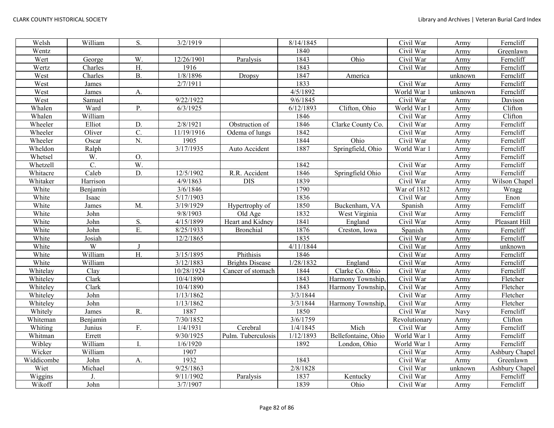| Welsh      | William  | S.               | 3/2/1919   |                        | 8/14/1845 |                     | Civil War               | Army    | Ferncliff      |
|------------|----------|------------------|------------|------------------------|-----------|---------------------|-------------------------|---------|----------------|
| Wentz      |          |                  |            |                        | 1840      |                     | Civil War               | Army    | Greenlawn      |
| Wert       | George   | W.               | 12/26/1901 | Paralysis              | 1843      | Ohio                | Civil War               | Army    | Ferncliff      |
| Wertz      | Charles  | H.               | 1916       |                        | 1843      |                     | Civil War               | Army    | Ferncliff      |
| West       | Charles  | <b>B.</b>        | 1/8/1896   | Dropsy                 | 1847      | America             |                         | unknown | Ferncliff      |
| West       | James    |                  | 2/7/1911   |                        | 1833      |                     | Civil War               | Army    | Ferncliff      |
| West       | James    | A.               |            |                        | 4/5/1892  |                     | World War 1             | unknown | Ferncliff      |
| West       | Samuel   |                  | 9/22/1922  |                        | 9/6/1845  |                     | Civil War               | Army    | Davison        |
| Whalen     | Ward     | P.               | 6/3/1925   |                        | 6/12/1893 | Clifton, Ohio       | World War I             | Army    | Clifton        |
| Whalen     | William  |                  |            |                        | 1846      |                     | Civil War               | Army    | Clifton        |
| Wheeler    | Elliot   | D.               | 2/8/1921   | Obstruction of         | 1846      | Clarke County Co.   | Civil War               | Army    | Ferncliff      |
| Wheeler    | Oliver   | C.               | 11/19/1916 | Odema of lungs         | 1842      |                     | Civil War               | Army    | Ferncliff      |
| Wheeler    | Oscar    | N.               | 1905       |                        | 1844      | Ohio                | Civil War               | Army    | Ferncliff      |
| Wheldon    | Ralph    |                  | 3/17/1935  | Auto Accident          | 1887      | Springfield, Ohio   | World War 1             | Army    | Ferncliff      |
| Whetsel    | W.       | O.               |            |                        |           |                     |                         | Army    | Ferncliff      |
| Whetzell   | C.       | W.               |            |                        | 1842      |                     | Civil War               | Army    | Ferncliff      |
| Whitacre   | Caleb    | D.               | 12/5/1902  | R.R. Accident          | 1846      | Springfield Ohio    | Civil War               | Army    | Ferncliff      |
| Whitaker   | Harrison |                  | 4/9/1863   | <b>DIS</b>             | 1839      |                     | Civil War               | Army    | Wilson Chapel  |
| White      | Benjamin |                  | 3/6/1846   |                        | 1790      |                     | War of 1812             | Army    | Wragg          |
| White      | Isaac    |                  | 5/17/1903  |                        | 1836      |                     | $\overline{C}$ ivil War | Army    | Enon           |
| White      | James    | M.               | 3/19/1929  | Hypertrophy of         | 1850      | Buckenham, VA       | Spanish                 | Army    | Ferncliff      |
| White      | John     |                  | 9/8/1903   | Old Age                | 1832      | West Virginia       | Civil War               | Army    | Ferncliff      |
| White      | John     | S.               | 4/15/1899  | Heart and Kidney       | 1841      | England             | Civil War               | Army    | Pleasant Hill  |
| White      | John     | Ε.               | 8/25/1933  | <b>Bronchial</b>       | 1876      | Creston, Iowa       | Spanish                 | Army    | Ferncliff      |
| White      | Josiah   |                  | 12/2/1865  |                        | 1835      |                     | Civil War               | Army    | Ferncliff      |
| White      | W        | J                |            |                        | 4/11/1844 |                     | Civil War               | Army    | unknown        |
| White      | William  | $\overline{H}$ . | 3/15/1895  | Phithisis              | 1846      |                     | Civil War               | Army    | Ferncliff      |
| White      | William  |                  | 3/12/1883  | <b>Brights Disease</b> | 1/28/1832 | England             | Civil War               | Army    | Ferncliff      |
| Whitelay   | Clay     |                  | 10/28/1924 | Cancer of stomach      | 1844      | Clarke Co. Ohio     | Civil War               | Army    | Ferncliff      |
| Whiteley   | Clark    |                  | 10/4/1890  |                        | 1843      | Harmony Township,   | Civil War               | Army    | Fletcher       |
| Whiteley   | Clark    |                  | 10/4/1890  |                        | 1843      | Harmony Township,   | Civil War               | Army    | Fletcher       |
| Whiteley   | John     |                  | 1/13/1862  |                        | 3/3/1844  |                     | Civil War               | Army    | Fletcher       |
| Whiteley   | John     |                  | 1/13/1862  |                        | 3/3/1844  | Harmony Township,   | Civil War               | Army    | Fletcher       |
| Whitely    | James    | R.               | 1887       |                        | 1850      |                     | Civil War               | Navy    | Ferncliff      |
| Whiteman   | Benjamin |                  | 7/30/1852  |                        | 3/6/1759  |                     | Revolutionary           | Army    | Clifton        |
| Whiting    | Junius   | F.               | 1/4/1931   | Cerebral               | 1/4/1845  | Mich                | Civil War               | Army    | Ferncliff      |
| Whitman    | Errett   |                  | 9/30/1925  | Pulm. Tuberculosis     | 1/12/1893 | Bellefontaine, Ohio | World War 1             | Army    | Ferncliff      |
| Wibley     | William  | L                | 1/6/1920   |                        | 1892      | London, Ohio        | World War 1             | Army    | Ferncliff      |
| Wicker     | William  |                  | 1907       |                        |           |                     | Civil War               | Army    | Ashbury Chapel |
| Widdicombe | John     | A.               | 1932       |                        | 1843      |                     | Civil War               | Army    | Greenlawn      |
| Wiet       | Michael  |                  | 9/25/1863  |                        | 2/8/1828  |                     | Civil War               | unknown | Ashbury Chapel |
| Wiggins    |          |                  | 9/11/1902  | Paralysis              | 1837      | Kentucky            | Civil War               | Army    | Ferncliff      |
| Wikoff     | John     |                  | 3/7/1907   |                        | 1839      | Ohio                | Civil War               | Army    | Ferncliff      |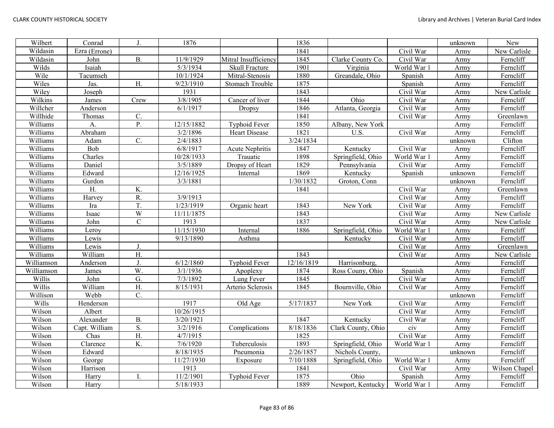| Wilbert    | Conrad        | J.               | 1876       |                        | 1836       |                    |             | unknown | New           |
|------------|---------------|------------------|------------|------------------------|------------|--------------------|-------------|---------|---------------|
| Wildasin   | Ezra (Errone) |                  |            |                        | 1841       |                    | Civil War   | Army    | New Carlisle  |
| Wildasin   | John          | <b>B.</b>        | 11/9/1929  | Mitral Insufficiency   | 1845       | Clarke County Co.  | Civil War   | Army    | Ferncliff     |
| Wilds      | Isaiah        |                  | 5/3/1934   | Skull Fracture         | 1901       | Virginia           | World War 1 | Army    | Ferncliff     |
| Wile       | Tacumseh      |                  | 10/1/1924  | Mitral-Stenosis        | 1880       | Greandale, Ohio    | Spanish     | Army    | Ferncliff     |
| Wiles      | Jas.          | H.               | 9/23/1910  | <b>Stomach Trouble</b> | 1875       |                    | Spanish     | Army    | Ferncliff     |
| Wiley      | Joseph        |                  | 1931       |                        | 1843       |                    | Civil War   | Army    | New Carlisle  |
| Wilkins    | James         | Crew             | 3/8/1905   | Cancer of liver        | 1844       | Ohio               | Civil War   | Army    | Ferncliff     |
| Willcher   | Anderson      |                  | 6/1/1917   | Dropsy                 | 1846       | Atlanta, Georgia   | Civil War   | Army    | Ferncliff     |
| Willhide   | Thomas        | $\mathcal{C}$ .  |            |                        | 1841       |                    | Civil War   | Army    | Greenlawn     |
| Williams   | A.            | P.               | 12/15/1882 | <b>Typhoid Fever</b>   | 1850       | Albany, New York   |             | Army    | Ferncliff     |
| Williams   | Abraham       |                  | 3/2/1896   | <b>Heart Disease</b>   | 1821       | U.S.               | Civil War   | Army    | Ferncliff     |
| Williams   | Adam          | C.               | 2/4/1883   |                        | 3/24/1834  |                    |             | unknown | Clifton       |
| Williams   | Bob           |                  | 6/8/1917   | <b>Acute Nephritis</b> | 1847       | Kentucky           | Civil War   | Army    | Ferncliff     |
| Williams   | Charles       |                  | 10/28/1933 | Trauatic               | 1898       | Springfield, Ohio  | World War 1 | Army    | Ferncliff     |
| Williams   | Daniel        |                  | 3/5/1889   | Dropsy of Heart        | 1829       | Pennsylvania       | Civil War   | Army    | Ferncliff     |
| Williams   | Edward        |                  | 12/16/1925 | Internal               | 1869       | Kentucky           | Spanish     | unknown | Ferncliff     |
| Williams   | Gurdon        |                  | 3/3/1881   |                        | 1/30/1832  | Groton, Conn       |             | unknown | Ferncliff     |
| Williams   | Η.            | K.               |            |                        | 1841       |                    | Civil War   | Army    | Greenlawn     |
| Williams   | Harvey        | R.               | 3/9/1913   |                        |            |                    | Civil War   | Army    | Ferncliff     |
| Williams   | Ira           | T.               | 1/23/1919  | Organic heart          | 1843       | New York           | Civil War   | Army    | Ferncliff     |
| Williams   | Isaac         | W                | 11/11/1875 |                        | 1843       |                    | Civil War   | Army    | New Carlisle  |
| Williams   | John          | $\mathbf C$      | 1913       |                        | 1837       |                    | Civil War   | Army    | New Carlisle  |
| Williams   | Leroy         |                  | 11/15/1930 | Internal               | 1886       | Springfield, Ohio  | World War 1 | Army    | Ferncliff     |
| Williams   | Lewis         |                  | 9/13/1890  | Asthma                 |            | Kentucky           | Civil War   | Army    | Ferncliff     |
| Williams   | Lewis         | J.               |            |                        |            |                    | Civil War   | Army    | Greenlawn     |
| Williams   | William       | H.               |            |                        | 1843       |                    | Civil War   | Army    | New Carlisle  |
| Williamson | Anderson      |                  | 6/12/1860  | Typhoid Fever          | 12/16/1819 | Harrisonburg,      |             | Army    | Ferncliff     |
| Williamson | James         | W.               | 3/1/1936   | Apoplexy               | 1874       | Ross Couny, Ohio   | Spanish     | Army    | Ferncliff     |
| Willis     | John          | $\overline{G}$ . | 7/3/1892   | Lung Fever             | 1845       |                    | Civil War   | Army    | Ferncliff     |
| Willis     | William       | H.               | 8/15/1931  | Arterio Sclerosis      | 1845       | Bournville, Ohio   | Civil War   | Army    | Ferncliff     |
| Willison   | Webb          | C.               |            |                        |            |                    |             | unknown | Ferncliff     |
| Wills      | Henderson     |                  | 1917       | Old Age                | 5/17/1837  | New York           | Civil War   | Army    | Ferncliff     |
| Wilson     | Albert        |                  | 10/26/1915 |                        |            |                    | Civil War   | Army    | Ferncliff     |
| Wilson     | Alexander     | $\overline{B}$ . | 3/20/1921  |                        | 1847       | Kentucky           | Civil War   | Army    | Ferncliff     |
| Wilson     | Capt. William | S.               | 3/2/1916   | Complications          | 8/18/1836  | Clark County, Ohio | civ         | Army    | Ferncliff     |
| Wilson     | Chas          | H.               | 4/7/1915   |                        | 1825       |                    | Civil War   | Army    | Ferncliff     |
| Wilson     | Clarence      | K.               | 7/6/1920   | Tuberculosis           | 1893       | Springfield, Ohio  | World War 1 | Army    | Ferncliff     |
| Wilson     | Edward        |                  | 8/18/1935  | Pneumonia              | 2/26/1857  | Nichols County,    |             | unknown | Ferncliff     |
| Wilson     | George        |                  | 11/27/1930 | Exposure               | 7/10/1888  | Springfield, Ohio  | World War 1 | Army    | Ferncliff     |
| Wilson     | Harrison      |                  | 1913       |                        | 1841       |                    | Civil War   | Army    | Wilson Chapel |
| Wilson     | Harry         |                  | 11/2/1901  | <b>Typhoid Fever</b>   | 1875       | Ohio               | Spanish     | Army    | Ferncliff     |
| Wilson     | Harry         |                  | 5/18/1933  |                        | 1889       | Newport, Kentucky  | World War 1 | Army    | Ferncliff     |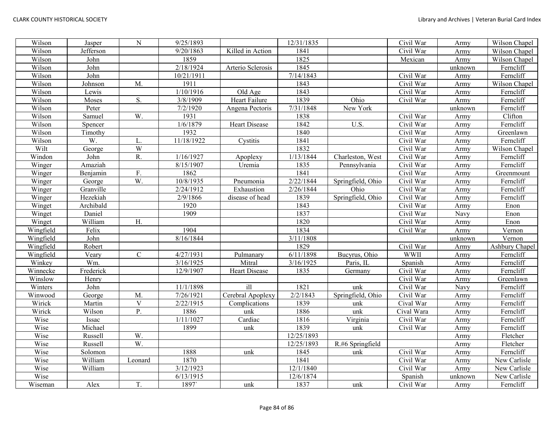| Wilson    | Jasper    | ${\bf N}$   | 9/25/1893  |                   | 12/31/1835 |                   | Civil War   | Army    | Wilson Chapel  |
|-----------|-----------|-------------|------------|-------------------|------------|-------------------|-------------|---------|----------------|
| Wilson    | Jefferson |             | 9/20/1863  | Killed in Action  | 1841       |                   | Civil War   | Army    | Wilson Chapel  |
| Wilson    | John      |             | 1859       |                   | 1825       |                   | Mexican     | Army    | Wilson Chapel  |
| Wilson    | John      |             | 2/18/1924  | Arterio Sclerosis | 1845       |                   |             | unknown | Ferncliff      |
| Wilson    | John      |             | 10/21/1911 |                   | 7/14/1843  |                   | Civil War   | Army    | Ferncliff      |
| Wilson    | Johnson   | M.          | 1911       |                   | 1843       |                   | Civil War   | Army    | Wilson Chapel  |
| Wilson    | Lewis     |             | 1/10/1916  | Old Age           | 1843       |                   | Civil War   | Army    | Ferncliff      |
| Wilson    | Moses     | S.          | 3/8/1909   | Heart Failure     | 1839       | Ohio              | Civil War   | Army    | Ferncliff      |
| Wilson    | Peter     |             | 7/2/1920   | Angena Pectoris   | 7/31/1848  | New York          |             | unknown | Ferncliff      |
| Wilson    | Samuel    | W.          | 1931       |                   | 1838       |                   | Civil War   | Army    | Clifton        |
| Wilson    | Spencer   |             | 1/6/1879   | Heart Disease     | 1842       | U.S.              | Civil War   | Army    | Ferncliff      |
| Wilson    | Timothy   |             | 1932       |                   | 1840       |                   | Civil War   | Army    | Greenlawn      |
| Wilson    | W.        | L.          | 11/18/1922 | Cystitis          | 1841       |                   | Civil War   | Army    | Ferncliff      |
| Wilt      | George    | W           |            |                   | 1832       |                   | Civil War   | Army    | Wilson Chapel  |
| Windon    | John      | R.          | 1/16/1927  | Apoplexy          | 1/13/1844  | Charleston, West  | Civil War   | Army    | Ferncliff      |
| Winger    | Amaziah   |             | 8/15/1907  | Uremia            | 1835       | Pennsylvania      | Civil War   | Army    | Ferncliff      |
| Winger    | Benjamin  | F.          | 1862       |                   | 1841       |                   | Civil War   | Army    | Greenmount     |
| Winger    | George    | W.          | 10/8/1935  | Pneumonia         | 2/22/1844  | Springfield, Ohio | Civil War   | Army    | Ferncliff      |
| Winger    | Granville |             | 2/24/1912  | Exhaustion        | 2/26/1844  | Ohio              | Civil War   | Army    | Ferncliff      |
| Winger    | Hezekiah  |             | 2/9/1866   | disease of head   | 1839       | Springfield, Ohio | Civil War   | Army    | Ferncliff      |
| Winget    | Archibald |             | 1920       |                   | 1843       |                   | Civil War   | Army    | Enon           |
| Winget    | Daniel    |             | 1909       |                   | 1837       |                   | Civil War   | Navy    | Enon           |
| Winget    | William   | H.          |            |                   | 1820       |                   | Civil War   | Army    | Enon           |
| Wingfield | Felix     |             | 1904       |                   | 1834       |                   | Civil War   | Army    | Vernon         |
| Wingfield | John      |             | 8/16/1844  |                   | 3/11/1808  |                   |             | unknown | Vernon         |
| Wingfield | Robert    |             |            |                   | 1829       |                   | Civil War   | Army    | Ashbury Chapel |
| Wingfield | Veary     | $\mathbf C$ | 4/27/1931  | Pulmanary         | 6/11/1898  | Bucyrus, Ohio     | <b>WWII</b> | Army    | Ferncliff      |
| Winkey    | Wm.       |             | 3/16/1925  | Mitral            | 3/16/1925  | Paris, IL         | Spanish     | Army    | Ferncliff      |
| Winnecke  | Frederick |             | 12/9/1907  | Heart Disease     | 1835       | Germany           | Civil War   | Army    | Ferncliff      |
| Winslow   | Henry     |             |            |                   |            |                   | Civil War   | Army    | Greenlawn      |
| Winters   | John      |             | 11/1/1898  | $i$ ll            | 1821       | unk               | Civil War   | Navy    | Ferncliff      |
| Winwood   | George    | M.          | 7/26/1921  | Cerebral Apoplexy | 2/2/1843   | Springfield, Ohio | Civil War   | Army    | Ferncliff      |
| Wirick    | Martin    | $\mathbf V$ | 2/22/1915  | Complications     | 1839       | unk               | Cival War   | Army    | Ferncliff      |
| Wirick    | Wilson    | P.          | 1886       | unk               | 1886       | unk               | Cival Wara  | Army    | Ferncliff      |
| Wise      | Issac     |             | 1/11/1027  | Cardiac           | 1816       | Virginia          | Civil War   | Army    | Ferncliff      |
| Wise      | Michael   |             | 1899       | unk               | 1839       | unk               | Civil War   | Army    | Ferncliff      |
| Wise      | Russell   | W.          |            |                   | 12/25/1893 |                   |             | Army    | Fletcher       |
| Wise      | Russell   | W.          |            |                   | 12/25/1893 | R.#6 Springfield  |             | Army    | Fletcher       |
| Wise      | Solomon   |             | 1888       | unk               | 1845       | unk               | Civil War   | Army    | Ferncliff      |
| Wise      | William   | Leonard     | 1870       |                   | 1841       |                   | Civil War   | Army    | New Carlisle   |
| Wise      | William   |             | 3/12/1923  |                   | 12/1/1840  |                   | Civil War   | Army    | New Carlisle   |
| Wise      |           |             | 6/13/1915  |                   | 12/6/1874  |                   | Spanish     | unknown | New Carlisle   |
| Wiseman   | Alex      | T.          | 1897       | unk               | 1837       | unk               | Civil War   | Army    | Ferncliff      |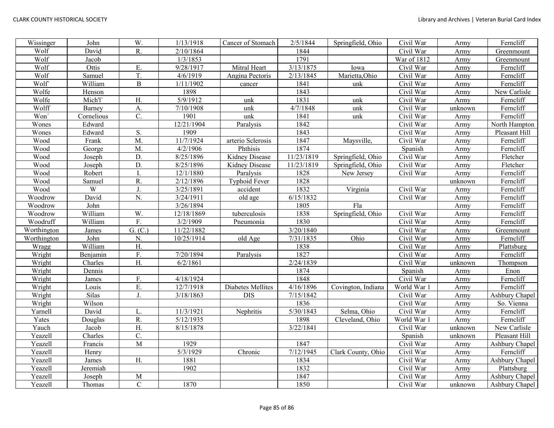| Wissinger   | John       | W.               | 1/13/1918  | Cancer of Stomach        | 2/5/1844   | Springfield, Ohio  | Civil War   | Army    | Ferncliff      |
|-------------|------------|------------------|------------|--------------------------|------------|--------------------|-------------|---------|----------------|
| Wolf        | David      | R.               | 2/10/1864  |                          | 1844       |                    | Civil War   | Army    | Greenmount     |
| Wolf        | Jacob      |                  | 1/3/1853   |                          | 1791       |                    | War of 1812 | Army    | Greenmount     |
| Wolf        | Ottis      | Ε.               | 9/28/1917  | Mitral Heart             | 3/13/1875  | Iowa               | Civil War   | Army    | Ferncliff      |
| Wolf        | Samuel     | T.               | 4/6/1919   | Angina Pectoris          | 2/13/1845  | Marietta, Ohio     | Civil War   | Army    | Ferncliff      |
| Wolf        | William    | $\, {\bf B}$     | 1/11/1902  | cancer                   | 1841       | unk                | Civil War   | Army    | Ferncliff      |
| Wolfe       | Henson     |                  | 1898       |                          | 1843       |                    | Civil War   | Army    | New Carlisle   |
| Wolfe       | Mich'l'    | H.               | 5/9/1912   | unk                      | 1831       | unk                | Civil War   | Army    | Ferncliff      |
| Wolff       | Barney     | A.               | 7/10/1908  | unk                      | 4/7/1848   | unk                | Civil War   | unknown | Ferncliff      |
| Won'        | Cornelious | $\overline{C}$ . | 1901       | unk                      | 1841       | unk                | Civil War   | Army    | Ferncliff      |
| Wones       | Edward     |                  | 12/21/1904 | Paralysis                | 1842       |                    | Civil War   | Army    | North Hampton  |
| Wones       | Edward     | S.               | 1909       |                          | 1843       |                    | Civil War   | Army    | Pleasant Hill  |
| Wood        | Frank      | M.               | 11/7/1924  | arterio Sclerosis        | 1847       | Maysville,         | Civil War   | Army    | Ferncliff      |
| Wood        | George     | M.               | 4/2/1906   | Phthisis                 | 1874       |                    | Spanish     | Army    | Ferncliff      |
| Wood        | Joseph     | D.               | 8/25/1896  | Kidney Disease           | 11/23/1819 | Springfield, Ohio  | Civil War   | Army    | Fletcher       |
| Wood        | Joseph     | $\overline{D}$ . | 8/25/1896  | Kidney Disease           | 11/23/1819 | Springfield, Ohio  | Civil War   | Army    | Fletcher       |
| Wood        | Robert     | $\mathbf{I}$     | 12/1/1880  | Paralysis                | 1828       | New Jersey         | Civil War   | Army    | Ferncliff      |
| Wood        | Samuel     | R.               | 2/12/1896  | Typhoid Fever            | 1828       |                    |             | unknown | Ferncliff      |
| Wood        | W          | J.               | 3/25/1891  | accident                 | 1832       | Virginia           | Civil War   | Army    | Ferncliff      |
| Woodrow     | David      | N.               | 3/24/1911  | old age                  | 6/15/1832  |                    | Civil War   | Army    | Ferncliff      |
| Woodrow     | John       |                  | 3/26/1894  |                          | 1805       | Fla                |             | Army    | Ferncliff      |
| Woodrow     | William    | W.               | 12/18/1869 | tuberculosis             | 1838       | Springfield, Ohio  | Civil War   | Army    | Ferncliff      |
| Woodruff    | William    | F.               | 3/2/1909   | Pneumonia                | 1830       |                    | Civil War   | Army    | Ferncliff      |
| Worthington | James      | G. (C.)          | 11/22/1882 |                          | 3/20/1840  |                    | Civil War   | Army    | Greenmount     |
| Worthington | John       | N.               | 10/25/1914 | old Age                  | 7/31/1835  | Ohio               | Civil War   | Army    | Ferncliff      |
| Wragg       | William    | H.               |            |                          | 1838       |                    | Civil War   | Army    | Plattsburg     |
| Wright      | Benjamin   | F.               | 7/20/1894  | Paralysis                | 1827       |                    | Civil War   | Army    | Ferncliff      |
| Wright      | Charles    | $\overline{H}$ . | 6/2/1861   |                          | 2/24/1839  |                    | Civil War   | unknown | Thompson       |
| Wright      | Dennis     |                  |            |                          | 1874       |                    | Spanish     | Army    | Enon           |
| Wright      | James      | F.               | 4/18/1924  |                          | 1848       |                    | Civil War   | Army    | Ferncliff      |
| Wright      | Louis      | E.               | 12/7/1918  | <b>Diabetes Mellites</b> | 4/16/1896  | Covington, Indiana | World War 1 | Army    | Ferncliff      |
| Wright      | Silas      | J.               | 3/18/1863  | <b>DIS</b>               | 7/15/1842  |                    | Civil War   | Army    | Ashbury Chapel |
| Wright      | Wilson     |                  |            |                          | 1836       |                    | Civil War   | Army    | So. Vienna     |
| Yarnell     | David      | L.               | 11/3/1921  | Nephritis                | 5/30/1843  | Selma, Ohio        | Civil War   | Army    | Ferncliff      |
| Yates       | Douglas    | $\overline{R}$ . | 5/12/1935  |                          | 1898       | Cleveland, Ohio    | World War 1 | Army    | Ferncliff      |
| Yauch       | Jacob      | Η.               | 8/15/1878  |                          | 3/22/1841  |                    | Civil War   | unknown | New Carlisle   |
| Yeazell     | Charles    | C.               |            |                          |            |                    | Spanish     | unknown | Pleasant Hill  |
| Yeazell     | Francis    | M                | 1929       |                          | 1847       |                    | Civil War   | Army    | Ashbury Chapel |
| Yeazell     | Henry      |                  | 5/3/1929   | Chronic                  | 7/12/1945  | Clark County, Ohio | Civil War   | Army    | Ferncliff      |
| Yeazell     | James      | H.               | 1881       |                          | 1834       |                    | Civil War   | Army    | Ashbury Chapel |
| Yeazell     | Jeremiah   |                  | 1902       |                          | 1832       |                    | Civil War   | Army    | Plattsburg     |
| Yeazell     | Joseph     | M                |            |                          | 1847       |                    | Civil War   | Army    | Ashbury Chapel |
| Yeazell     | Thomas     | $\mathbf C$      | 1870       |                          | 1850       |                    | Civil War   | unknown | Ashbury Chapel |